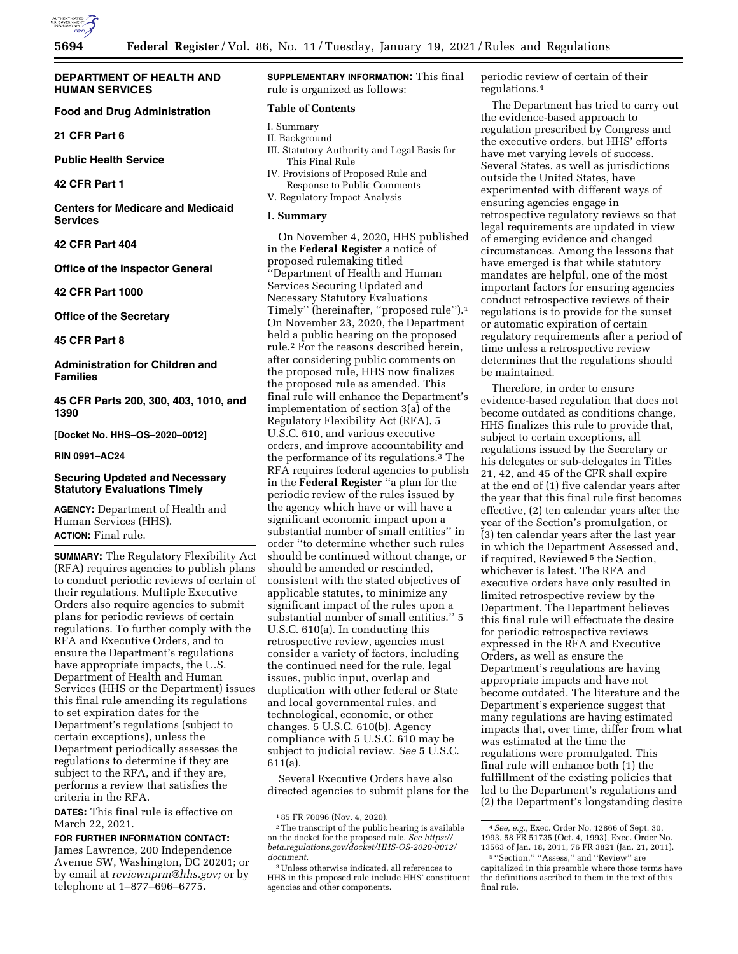

### **DEPARTMENT OF HEALTH AND HUMAN SERVICES**

### **Food and Drug Administration**

**21 CFR Part 6** 

**Public Health Service** 

**42 CFR Part 1** 

**Centers for Medicare and Medicaid Services** 

**42 CFR Part 404** 

**Office of the Inspector General** 

**42 CFR Part 1000** 

**Office of the Secretary** 

**45 CFR Part 8** 

**Administration for Children and Families** 

**45 CFR Parts 200, 300, 403, 1010, and 1390** 

**[Docket No. HHS–OS–2020–0012]** 

**RIN 0991–AC24** 

## **Securing Updated and Necessary Statutory Evaluations Timely**

**AGENCY:** Department of Health and Human Services (HHS). **ACTION:** Final rule.

**SUMMARY:** The Regulatory Flexibility Act (RFA) requires agencies to publish plans to conduct periodic reviews of certain of their regulations. Multiple Executive Orders also require agencies to submit plans for periodic reviews of certain regulations. To further comply with the RFA and Executive Orders, and to ensure the Department's regulations have appropriate impacts, the U.S. Department of Health and Human Services (HHS or the Department) issues this final rule amending its regulations to set expiration dates for the Department's regulations (subject to certain exceptions), unless the Department periodically assesses the regulations to determine if they are subject to the RFA, and if they are, performs a review that satisfies the criteria in the RFA.

**DATES:** This final rule is effective on March 22, 2021.

**FOR FURTHER INFORMATION CONTACT:**  James Lawrence, 200 Independence Avenue SW, Washington, DC 20201; or by email at *[reviewnprm@hhs.gov;](mailto:reviewnprm@hhs.gov)* or by telephone at 1–877–696–6775.

**SUPPLEMENTARY INFORMATION:** This final rule is organized as follows:

### **Table of Contents**

- I. Summary
- II. Background
- III. Statutory Authority and Legal Basis for This Final Rule
- IV. Provisions of Proposed Rule and Response to Public Comments
- V. Regulatory Impact Analysis

## **I. Summary**

On November 4, 2020, HHS published in the **Federal Register** a notice of proposed rulemaking titled ''Department of Health and Human Services Securing Updated and Necessary Statutory Evaluations Timely'' (hereinafter, ''proposed rule'').1 On November 23, 2020, the Department held a public hearing on the proposed rule.2 For the reasons described herein, after considering public comments on the proposed rule, HHS now finalizes the proposed rule as amended. This final rule will enhance the Department's implementation of section 3(a) of the Regulatory Flexibility Act (RFA), 5 U.S.C. 610, and various executive orders, and improve accountability and the performance of its regulations.3 The RFA requires federal agencies to publish in the **Federal Register** ''a plan for the periodic review of the rules issued by the agency which have or will have a significant economic impact upon a substantial number of small entities'' in order ''to determine whether such rules should be continued without change, or should be amended or rescinded, consistent with the stated objectives of applicable statutes, to minimize any significant impact of the rules upon a substantial number of small entities.'' 5 U.S.C. 610(a). In conducting this retrospective review, agencies must consider a variety of factors, including the continued need for the rule, legal issues, public input, overlap and duplication with other federal or State and local governmental rules, and technological, economic, or other changes. 5 U.S.C. 610(b). Agency compliance with 5 U.S.C. 610 may be subject to judicial review. *See* 5 U.S.C. 611(a).

Several Executive Orders have also directed agencies to submit plans for the periodic review of certain of their regulations.4

The Department has tried to carry out the evidence-based approach to regulation prescribed by Congress and the executive orders, but HHS' efforts have met varying levels of success. Several States, as well as jurisdictions outside the United States, have experimented with different ways of ensuring agencies engage in retrospective regulatory reviews so that legal requirements are updated in view of emerging evidence and changed circumstances. Among the lessons that have emerged is that while statutory mandates are helpful, one of the most important factors for ensuring agencies conduct retrospective reviews of their regulations is to provide for the sunset or automatic expiration of certain regulatory requirements after a period of time unless a retrospective review determines that the regulations should be maintained.

Therefore, in order to ensure evidence-based regulation that does not become outdated as conditions change, HHS finalizes this rule to provide that, subject to certain exceptions, all regulations issued by the Secretary or his delegates or sub-delegates in Titles 21, 42, and 45 of the CFR shall expire at the end of (1) five calendar years after the year that this final rule first becomes effective, (2) ten calendar years after the year of the Section's promulgation, or (3) ten calendar years after the last year in which the Department Assessed and, if required, Reviewed 5 the Section, whichever is latest. The RFA and executive orders have only resulted in limited retrospective review by the Department. The Department believes this final rule will effectuate the desire for periodic retrospective reviews expressed in the RFA and Executive Orders, as well as ensure the Department's regulations are having appropriate impacts and have not become outdated. The literature and the Department's experience suggest that many regulations are having estimated impacts that, over time, differ from what was estimated at the time the regulations were promulgated. This final rule will enhance both (1) the fulfillment of the existing policies that led to the Department's regulations and (2) the Department's longstanding desire

<sup>1</sup> 85 FR 70096 (Nov. 4, 2020).

<sup>2</sup>The transcript of the public hearing is available on the docket for the proposed rule. *See [https://](https://beta.regulations.gov/docket/HHS-OS-2020-0012/document) [beta.regulations.gov/docket/HHS-OS-2020-0012/](https://beta.regulations.gov/docket/HHS-OS-2020-0012/document) [document.](https://beta.regulations.gov/docket/HHS-OS-2020-0012/document)* 

<sup>3</sup>Unless otherwise indicated, all references to HHS in this proposed rule include HHS' constituent agencies and other components.

<sup>4</sup>*See, e.g.,* Exec. Order No. 12866 of Sept. 30, 1993, 58 FR 51735 (Oct. 4, 1993), Exec. Order No. 13563 of Jan. 18, 2011, 76 FR 3821 (Jan. 21, 2011).

<sup>5</sup> ''Section,'' ''Assess,'' and ''Review'' are capitalized in this preamble where those terms have the definitions ascribed to them in the text of this final rule.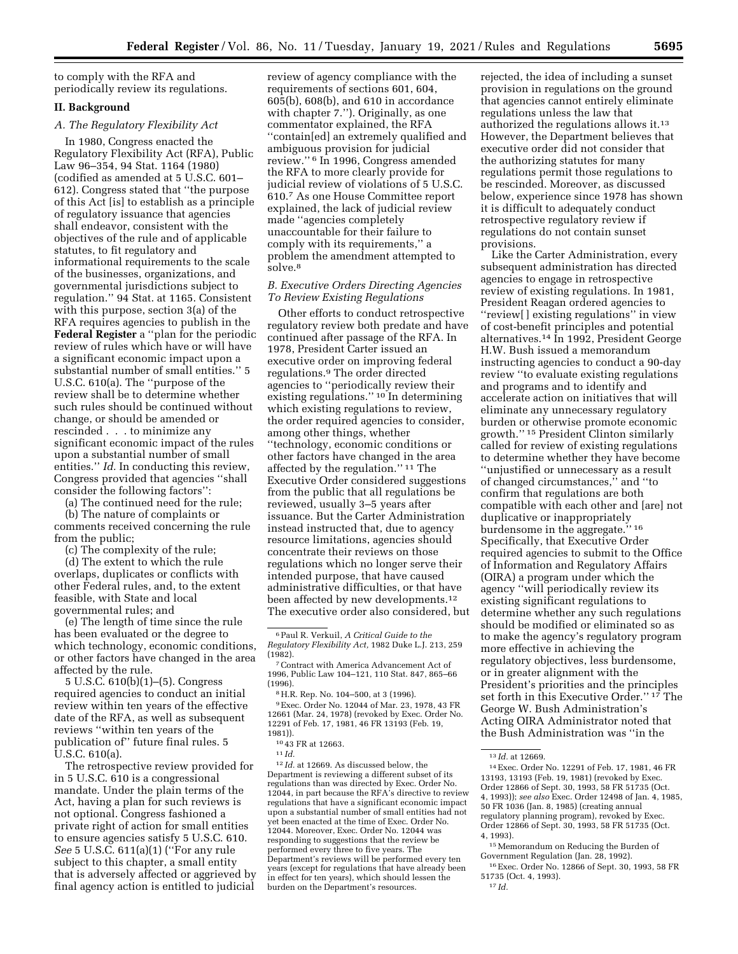to comply with the RFA and periodically review its regulations.

## **II. Background**

### *A. The Regulatory Flexibility Act*

In 1980, Congress enacted the Regulatory Flexibility Act (RFA), Public Law 96–354, 94 Stat. 1164 (1980) (codified as amended at 5 U.S.C. 601– 612). Congress stated that ''the purpose of this Act [is] to establish as a principle of regulatory issuance that agencies shall endeavor, consistent with the objectives of the rule and of applicable statutes, to fit regulatory and informational requirements to the scale of the businesses, organizations, and governmental jurisdictions subject to regulation.'' 94 Stat. at 1165. Consistent with this purpose, section 3(a) of the RFA requires agencies to publish in the **Federal Register** a ''plan for the periodic review of rules which have or will have a significant economic impact upon a substantial number of small entities.'' 5 U.S.C. 610(a). The ''purpose of the review shall be to determine whether such rules should be continued without change, or should be amended or rescinded . . . to minimize any significant economic impact of the rules upon a substantial number of small entities.'' *Id.* In conducting this review, Congress provided that agencies ''shall consider the following factors'':

(a) The continued need for the rule;

(b) The nature of complaints or comments received concerning the rule from the public;

(c) The complexity of the rule;

(d) The extent to which the rule overlaps, duplicates or conflicts with other Federal rules, and, to the extent feasible, with State and local governmental rules; and

(e) The length of time since the rule has been evaluated or the degree to which technology, economic conditions, or other factors have changed in the area affected by the rule.

5 U.S.C. 610(b)(1)–(5). Congress required agencies to conduct an initial review within ten years of the effective date of the RFA, as well as subsequent reviews ''within ten years of the publication of'' future final rules. 5 U.S.C. 610(a).

The retrospective review provided for in 5 U.S.C. 610 is a congressional mandate. Under the plain terms of the Act, having a plan for such reviews is not optional. Congress fashioned a private right of action for small entities to ensure agencies satisfy 5 U.S.C. 610. *See* 5 U.S.C. 611(a)(1) (''For any rule subject to this chapter, a small entity that is adversely affected or aggrieved by final agency action is entitled to judicial

review of agency compliance with the requirements of sections 601, 604, 605(b), 608(b), and 610 in accordance with chapter 7.''). Originally, as one commentator explained, the RFA ''contain[ed] an extremely qualified and ambiguous provision for judicial review.'' 6 In 1996, Congress amended the RFA to more clearly provide for judicial review of violations of 5 U.S.C. 610.7 As one House Committee report explained, the lack of judicial review made ''agencies completely unaccountable for their failure to comply with its requirements,'' a problem the amendment attempted to solve.8

### *B. Executive Orders Directing Agencies To Review Existing Regulations*

Other efforts to conduct retrospective regulatory review both predate and have continued after passage of the RFA. In 1978, President Carter issued an executive order on improving federal regulations.9 The order directed agencies to ''periodically review their existing regulations.'' 10 In determining which existing regulations to review, the order required agencies to consider, among other things, whether ''technology, economic conditions or other factors have changed in the area affected by the regulation.'' 11 The Executive Order considered suggestions from the public that all regulations be reviewed, usually 3–5 years after issuance. But the Carter Administration instead instructed that, due to agency resource limitations, agencies should concentrate their reviews on those regulations which no longer serve their intended purpose, that have caused administrative difficulties, or that have been affected by new developments.12 The executive order also considered, but rejected, the idea of including a sunset provision in regulations on the ground that agencies cannot entirely eliminate regulations unless the law that authorized the regulations allows it.13 However, the Department believes that executive order did not consider that the authorizing statutes for many regulations permit those regulations to be rescinded. Moreover, as discussed below, experience since 1978 has shown it is difficult to adequately conduct retrospective regulatory review if regulations do not contain sunset provisions.

Like the Carter Administration, every subsequent administration has directed agencies to engage in retrospective review of existing regulations. In 1981, President Reagan ordered agencies to ''review[ ] existing regulations'' in view of cost-benefit principles and potential alternatives.14 In 1992, President George H.W. Bush issued a memorandum instructing agencies to conduct a 90-day review ''to evaluate existing regulations and programs and to identify and accelerate action on initiatives that will eliminate any unnecessary regulatory burden or otherwise promote economic growth.'' 15 President Clinton similarly called for review of existing regulations to determine whether they have become ''unjustified or unnecessary as a result of changed circumstances,'' and ''to confirm that regulations are both compatible with each other and [are] not duplicative or inappropriately burdensome in the aggregate.'' 16 Specifically, that Executive Order required agencies to submit to the Office of Information and Regulatory Affairs (OIRA) a program under which the agency ''will periodically review its existing significant regulations to determine whether any such regulations should be modified or eliminated so as to make the agency's regulatory program more effective in achieving the regulatory objectives, less burdensome, or in greater alignment with the President's priorities and the principles set forth in this Executive Order.'' 17 The George W. Bush Administration's Acting OIRA Administrator noted that the Bush Administration was ''in the

15Memorandum on Reducing the Burden of Government Regulation (Jan. 28, 1992).

16Exec. Order No. 12866 of Sept. 30, 1993, 58 FR 51735 (Oct. 4, 1993). 17 *Id.* 

<sup>6</sup>Paul R. Verkuil, *A Critical Guide to the Regulatory Flexibility Act,* 1982 Duke L.J. 213, 259

<sup>&</sup>lt;sup>7</sup> Contract with America Advancement Act of 1996, Public Law 104–121, 110 Stat. 847, 865–66

<sup>&</sup>lt;sup>8</sup> H.R. Rep. No. 104–500, at 3 (1996). 9Exec. Order No. 12044 of Mar. 23, 1978, 43 FR

<sup>12661 (</sup>Mar. 24, 1978) (revoked by Exec. Order No. 12291 of Feb. 17, 1981, 46 FR 13193 (Feb. 19,

 $1043$  FR at 12663.<br>
11 *Id.* 

<sup>12</sup> *Id.* at 12669. As discussed below, the Department is reviewing a different subset of its regulations than was directed by Exec. Order No. 12044, in part because the RFA's directive to review regulations that have a significant economic impact upon a substantial number of small entities had not yet been enacted at the time of Exec. Order No. 12044. Moreover, Exec. Order No. 12044 was responding to suggestions that the review be performed every three to five years. The Department's reviews will be performed every ten years (except for regulations that have already been in effect for ten years), which should lessen the burden on the Department's resources.

<sup>13</sup> *Id.* at 12669.

<sup>14</sup>Exec. Order No. 12291 of Feb. 17, 1981, 46 FR 13193, 13193 (Feb. 19, 1981) (revoked by Exec. Order 12866 of Sept. 30, 1993, 58 FR 51735 (Oct. 4, 1993)); *see also* Exec. Order 12498 of Jan. 4, 1985, 50 FR 1036 (Jan. 8, 1985) (creating annual regulatory planning program), revoked by Exec. Order 12866 of Sept. 30, 1993, 58 FR 51735 (Oct. 4, 1993).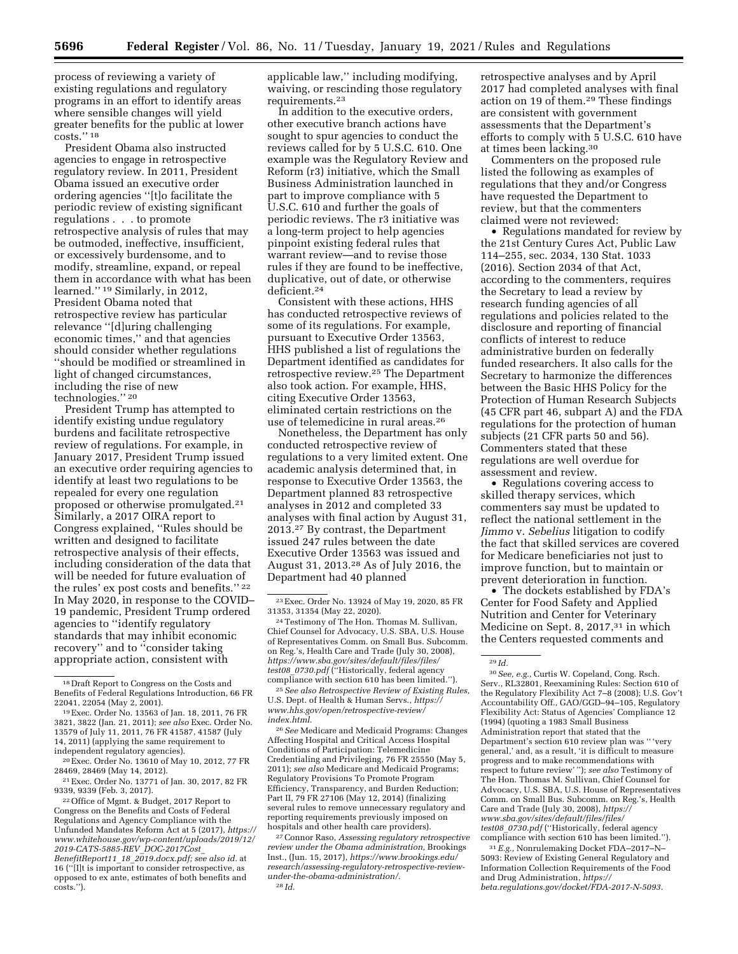process of reviewing a variety of existing regulations and regulatory programs in an effort to identify areas where sensible changes will yield greater benefits for the public at lower costs.'' 18

President Obama also instructed agencies to engage in retrospective regulatory review. In 2011, President Obama issued an executive order ordering agencies ''[t]o facilitate the periodic review of existing significant regulations . . . to promote retrospective analysis of rules that may be outmoded, ineffective, insufficient, or excessively burdensome, and to modify, streamline, expand, or repeal them in accordance with what has been learned.'' 19 Similarly, in 2012, President Obama noted that retrospective review has particular relevance ''[d]uring challenging economic times,'' and that agencies should consider whether regulations ''should be modified or streamlined in light of changed circumstances, including the rise of new technologies.'' 20

President Trump has attempted to identify existing undue regulatory burdens and facilitate retrospective review of regulations. For example, in January 2017, President Trump issued an executive order requiring agencies to identify at least two regulations to be repealed for every one regulation proposed or otherwise promulgated.21 Similarly, a 2017 OIRA report to Congress explained, ''Rules should be written and designed to facilitate retrospective analysis of their effects, including consideration of the data that will be needed for future evaluation of the rules' ex post costs and benefits.'' 22 In May 2020, in response to the COVID– 19 pandemic, President Trump ordered agencies to ''identify regulatory standards that may inhibit economic recovery'' and to ''consider taking appropriate action, consistent with

<sup>19</sup> Exec. Order No. 13563 of Jan. 18, 2011, 76 FR 3821, 3822 (Jan. 21, 2011); *see also* Exec. Order No. 13579 of July 11, 2011, 76 FR 41587, 41587 (July 14, 2011) (applying the same requirement to independent regulatory agencies).

22Office of Mgmt. & Budget, 2017 Report to Congress on the Benefits and Costs of Federal Regulations and Agency Compliance with the Unfunded Mandates Reform Act at 5 (2017), *[https://](https://www.whitehouse.gov/wp-content/uploads/2019/12/2019-CATS-5885-REV_DOC-2017Cost_BenefitReport11_18_2019.docx.pdf) [www.whitehouse.gov/wp-content/uploads/2019/12/](https://www.whitehouse.gov/wp-content/uploads/2019/12/2019-CATS-5885-REV_DOC-2017Cost_BenefitReport11_18_2019.docx.pdf) [2019-CATS-5885-REV](https://www.whitehouse.gov/wp-content/uploads/2019/12/2019-CATS-5885-REV_DOC-2017Cost_BenefitReport11_18_2019.docx.pdf)*\_*DOC-2017Cost*\_ *[BenefitReport11](https://www.whitehouse.gov/wp-content/uploads/2019/12/2019-CATS-5885-REV_DOC-2017Cost_BenefitReport11_18_2019.docx.pdf)*\_*18*\_*2019.docx.pdf; see also id.* at 16 (''[I]t is important to consider retrospective, as opposed to ex ante, estimates of both benefits and costs.'').

applicable law,'' including modifying, waiving, or rescinding those regulatory requirements.23

In addition to the executive orders, other executive branch actions have sought to spur agencies to conduct the reviews called for by 5 U.S.C. 610. One example was the Regulatory Review and Reform (r3) initiative, which the Small Business Administration launched in part to improve compliance with 5 U.S.C. 610 and further the goals of periodic reviews. The r3 initiative was a long-term project to help agencies pinpoint existing federal rules that warrant review—and to revise those rules if they are found to be ineffective, duplicative, out of date, or otherwise deficient.24

Consistent with these actions, HHS has conducted retrospective reviews of some of its regulations. For example, pursuant to Executive Order 13563, HHS published a list of regulations the Department identified as candidates for retrospective review.25 The Department also took action. For example, HHS, citing Executive Order 13563, eliminated certain restrictions on the use of telemedicine in rural areas.26

Nonetheless, the Department has only conducted retrospective review of regulations to a very limited extent. One academic analysis determined that, in response to Executive Order 13563, the Department planned 83 retrospective analyses in 2012 and completed 33 analyses with final action by August 31, 2013.27 By contrast, the Department issued 247 rules between the date Executive Order 13563 was issued and August 31, 2013.28 As of July 2016, the Department had 40 planned

24Testimony of The Hon. Thomas M. Sullivan, Chief Counsel for Advocacy, U.S. SBA, U.S. House of Representatives Comm. on Small Bus. Subcomm. on Reg.'s, Health Care and Trade (July 30, 2008), *[https://www.sba.gov/sites/default/files/files/](https://www.sba.gov/sites/default/files/files/test08_0730.pdf)  test08*\_*[0730.pdf](https://www.sba.gov/sites/default/files/files/test08_0730.pdf)* (''Historically, federal agency compliance with section 610 has been limited.'').

25*See also Retrospective Review of Existing Rules,*  U.S. Dept. of Health & Human Servs., *[https://](https://www.hhs.gov/open/retrospective-review/index.html) [www.hhs.gov/open/retrospective-review/](https://www.hhs.gov/open/retrospective-review/index.html) [index.html.](https://www.hhs.gov/open/retrospective-review/index.html)* 

26*See* Medicare and Medicaid Programs: Changes Affecting Hospital and Critical Access Hospital Conditions of Participation: Telemedicine Credentialing and Privileging, 76 FR 25550 (May 5, 2011); *see also* Medicare and Medicaid Programs; Regulatory Provisions To Promote Program Efficiency, Transparency, and Burden Reduction; Part II, 79 FR 27106 (May 12, 2014) (finalizing several rules to remove unnecessary regulatory and reporting requirements previously imposed on hospitals and other health care providers).

27Connor Raso, *Assessing regulatory retrospective review under the Obama administration,* Brookings Inst., (Jun. 15, 2017), *[https://www.brookings.edu/](https://www.brookings.edu/research/assessing-regulatory-retrospective-review-under-the-obama-administration/) [research/assessing-regulatory-retrospective-review](https://www.brookings.edu/research/assessing-regulatory-retrospective-review-under-the-obama-administration/)[under-the-obama-administration/.](https://www.brookings.edu/research/assessing-regulatory-retrospective-review-under-the-obama-administration/)*  28 *Id.* 

retrospective analyses and by April 2017 had completed analyses with final action on 19 of them.29 These findings are consistent with government assessments that the Department's efforts to comply with 5 U.S.C. 610 have at times been lacking.30

Commenters on the proposed rule listed the following as examples of regulations that they and/or Congress have requested the Department to review, but that the commenters claimed were not reviewed:

• Regulations mandated for review by the 21st Century Cures Act, Public Law 114–255, sec. 2034, 130 Stat. 1033 (2016). Section 2034 of that Act, according to the commenters, requires the Secretary to lead a review by research funding agencies of all regulations and policies related to the disclosure and reporting of financial conflicts of interest to reduce administrative burden on federally funded researchers. It also calls for the Secretary to harmonize the differences between the Basic HHS Policy for the Protection of Human Research Subjects (45 CFR part 46, subpart A) and the FDA regulations for the protection of human subjects (21 CFR parts 50 and 56). Commenters stated that these regulations are well overdue for assessment and review.

• Regulations covering access to skilled therapy services, which commenters say must be updated to reflect the national settlement in the *Jimmo* v. *Sebelius* litigation to codify the fact that skilled services are covered for Medicare beneficiaries not just to improve function, but to maintain or prevent deterioration in function.

• The dockets established by FDA's Center for Food Safety and Applied Nutrition and Center for Veterinary Medicine on Sept. 8, 2017,<sup>31</sup> in which the Centers requested comments and

30*See, e.g.,* Curtis W. Copeland, Cong. Rsch. Serv., RL32801, Reexamining Rules: Section 610 of the Regulatory Flexibility Act 7–8 (2008); U.S. Gov't Accountability Off., GAO/GGD–94–105, Regulatory Flexibility Act: Status of Agencies' Compliance 12 (1994) (quoting a 1983 Small Business Administration report that stated that the Department's section 610 review plan was '' 'very general,' and, as a result, 'it is difficult to measure progress and to make recommendations with respect to future review' ''); *see also* Testimony of The Hon. Thomas M. Sullivan, Chief Counsel for Advocacy, U.S. SBA, U.S. House of Representatives Comm. on Small Bus. Subcomm. on Reg.'s, Health Care and Trade (July 30, 2008), *[https://](https://www.sba.gov/sites/default/files/files/test08_0730.pdf) [www.sba.gov/sites/default/files/files/](https://www.sba.gov/sites/default/files/files/test08_0730.pdf) test08*\_*[0730.pdf](https://www.sba.gov/sites/default/files/files/test08_0730.pdf)* (''Historically, federal agency compliance with section 610 has been limited.'').

31*E.g.,* Nonrulemaking Docket FDA–2017–N– 5093: Review of Existing General Regulatory and Information Collection Requirements of the Food and Drug Administration, *[https://](https://beta.regulations.gov/docket/FDA-2017-N-5093) [beta.regulations.gov/docket/FDA-2017-N-5093.](https://beta.regulations.gov/docket/FDA-2017-N-5093)* 

<sup>18</sup> Draft Report to Congress on the Costs and Benefits of Federal Regulations Introduction, 66 FR

<sup>&</sup>lt;sup>20</sup> Exec. Order No. 13610 of May 10, 2012, 77 FR<br>28469, 28469 (May 14, 2012).

<sup>&</sup>lt;sup>21</sup> Exec. Order No. 13771 of Jan. 30, 2017, 82 FR 9339, 9339 (Feb. 3, 2017).

<sup>23</sup>Exec. Order No. 13924 of May 19, 2020, 85 FR 31353, 31354 (May 22, 2020).

<sup>29</sup> *Id.*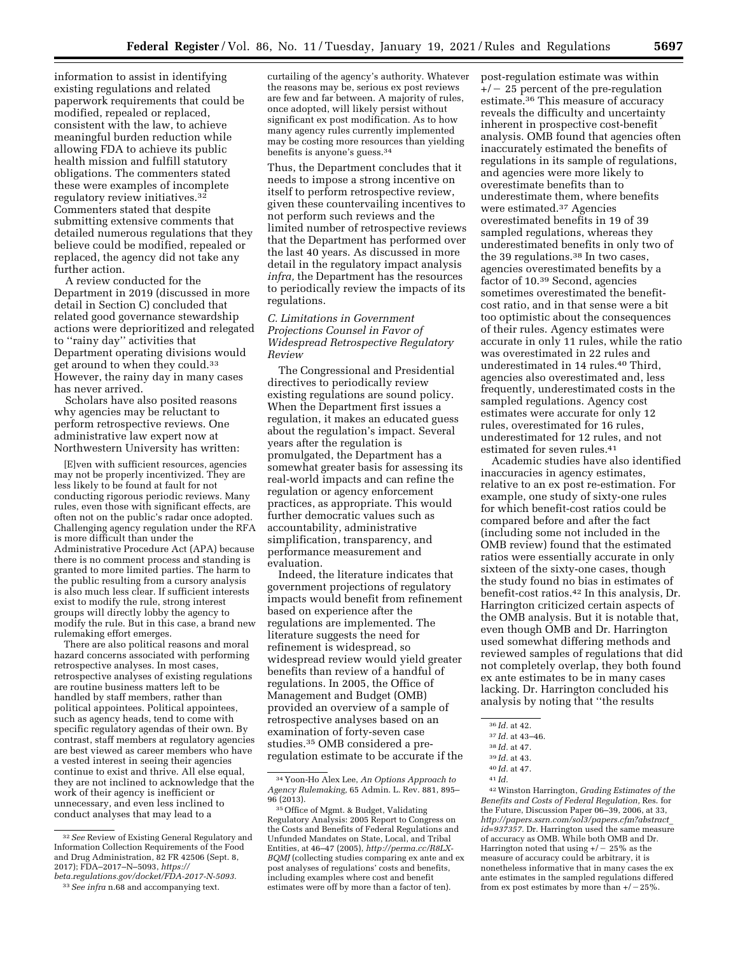information to assist in identifying existing regulations and related paperwork requirements that could be modified, repealed or replaced, consistent with the law, to achieve meaningful burden reduction while allowing FDA to achieve its public health mission and fulfill statutory obligations. The commenters stated these were examples of incomplete regulatory review initiatives.32 Commenters stated that despite submitting extensive comments that detailed numerous regulations that they believe could be modified, repealed or replaced, the agency did not take any further action.

A review conducted for the Department in 2019 (discussed in more detail in Section C) concluded that related good governance stewardship actions were deprioritized and relegated to ''rainy day'' activities that Department operating divisions would get around to when they could.33 However, the rainy day in many cases has never arrived.

Scholars have also posited reasons why agencies may be reluctant to perform retrospective reviews. One administrative law expert now at Northwestern University has written:

[E]ven with sufficient resources, agencies may not be properly incentivized. They are less likely to be found at fault for not conducting rigorous periodic reviews. Many rules, even those with significant effects, are often not on the public's radar once adopted. Challenging agency regulation under the RFA is more difficult than under the Administrative Procedure Act (APA) because there is no comment process and standing is granted to more limited parties. The harm to the public resulting from a cursory analysis is also much less clear. If sufficient interests exist to modify the rule, strong interest groups will directly lobby the agency to modify the rule. But in this case, a brand new rulemaking effort emerges.

There are also political reasons and moral hazard concerns associated with performing retrospective analyses. In most cases, retrospective analyses of existing regulations are routine business matters left to be handled by staff members, rather than political appointees. Political appointees, such as agency heads, tend to come with specific regulatory agendas of their own. By contrast, staff members at regulatory agencies are best viewed as career members who have a vested interest in seeing their agencies continue to exist and thrive. All else equal, they are not inclined to acknowledge that the work of their agency is inefficient or unnecessary, and even less inclined to conduct analyses that may lead to a

32*See* Review of Existing General Regulatory and Information Collection Requirements of the Food and Drug Administration, 82 FR 42506 (Sept. 8, 2017); FDA–2017–N–5093, *[https://](https://beta.regulations.gov/docket/FDA-2017-N-5093)*

curtailing of the agency's authority. Whatever the reasons may be, serious ex post reviews are few and far between. A majority of rules, once adopted, will likely persist without significant ex post modification. As to how many agency rules currently implemented may be costing more resources than yielding benefits is anyone's guess.34

Thus, the Department concludes that it needs to impose a strong incentive on itself to perform retrospective review, given these countervailing incentives to not perform such reviews and the limited number of retrospective reviews that the Department has performed over the last 40 years. As discussed in more detail in the regulatory impact analysis *infra,* the Department has the resources to periodically review the impacts of its regulations.

*C. Limitations in Government Projections Counsel in Favor of Widespread Retrospective Regulatory Review* 

The Congressional and Presidential directives to periodically review existing regulations are sound policy. When the Department first issues a regulation, it makes an educated guess about the regulation's impact. Several years after the regulation is promulgated, the Department has a somewhat greater basis for assessing its real-world impacts and can refine the regulation or agency enforcement practices, as appropriate. This would further democratic values such as accountability, administrative simplification, transparency, and performance measurement and evaluation.

Indeed, the literature indicates that government projections of regulatory impacts would benefit from refinement based on experience after the regulations are implemented. The literature suggests the need for refinement is widespread, so widespread review would yield greater benefits than review of a handful of regulations. In 2005, the Office of Management and Budget (OMB) provided an overview of a sample of retrospective analyses based on an examination of forty-seven case studies.35 OMB considered a preregulation estimate to be accurate if the post-regulation estimate was within  $+/- 25$  percent of the pre-regulation estimate.36 This measure of accuracy reveals the difficulty and uncertainty inherent in prospective cost-benefit analysis. OMB found that agencies often inaccurately estimated the benefits of regulations in its sample of regulations, and agencies were more likely to overestimate benefits than to underestimate them, where benefits were estimated.37 Agencies overestimated benefits in 19 of 39 sampled regulations, whereas they underestimated benefits in only two of the 39 regulations.38 In two cases, agencies overestimated benefits by a factor of 10.39 Second, agencies sometimes overestimated the benefitcost ratio, and in that sense were a bit too optimistic about the consequences of their rules. Agency estimates were accurate in only 11 rules, while the ratio was overestimated in 22 rules and underestimated in 14 rules.<sup>40</sup> Third, agencies also overestimated and, less frequently, underestimated costs in the sampled regulations. Agency cost estimates were accurate for only 12 rules, overestimated for 16 rules, underestimated for 12 rules, and not estimated for seven rules.41

Academic studies have also identified inaccuracies in agency estimates, relative to an ex post re-estimation. For example, one study of sixty-one rules for which benefit-cost ratios could be compared before and after the fact (including some not included in the OMB review) found that the estimated ratios were essentially accurate in only sixteen of the sixty-one cases, though the study found no bias in estimates of benefit-cost ratios.42 In this analysis, Dr. Harrington criticized certain aspects of the OMB analysis. But it is notable that, even though OMB and Dr. Harrington used somewhat differing methods and reviewed samples of regulations that did not completely overlap, they both found ex ante estimates to be in many cases lacking. Dr. Harrington concluded his analysis by noting that ''the results

42Winston Harrington, *Grading Estimates of the Benefits and Costs of Federal Regulation,* Res. for the Future, Discussion Paper 06–39, 2006, at 33, *[http://papers.ssrn.com/sol3/papers.cfm?abstract](http://papers.ssrn.com/sol3/papers.cfm?abstract_id=937357)*\_ *[id=937357.](http://papers.ssrn.com/sol3/papers.cfm?abstract_id=937357)* Dr. Harrington used the same measure of accuracy as OMB. While both OMB and Dr. Harrington noted that using  $+/- 25\%$  as the measure of accuracy could be arbitrary, it is nonetheless informative that in many cases the ex ante estimates in the sampled regulations differed from ex post estimates by more than  $+/-25\%$ .

*[beta.regulations.gov/docket/FDA-2017-N-5093.](https://beta.regulations.gov/docket/FDA-2017-N-5093)*  33*See infra* n.68 and accompanying text.

<sup>34</sup> Yoon-Ho Alex Lee, *An Options Approach to Agency Rulemaking,* 65 Admin. L. Rev. 881, 895– 96 (2013).

<sup>35</sup>Office of Mgmt. & Budget, Validating Regulatory Analysis: 2005 Report to Congress on the Costs and Benefits of Federal Regulations and Unfunded Mandates on State, Local, and Tribal Entities, at 46–47 (2005), *[http://perma.cc/R8LX-](http://perma.cc/R8LX-BQMJ)[BQMJ](http://perma.cc/R8LX-BQMJ)* (collecting studies comparing ex ante and ex post analyses of regulations' costs and benefits, including examples where cost and benefit estimates were off by more than a factor of ten).

<sup>36</sup> *Id.* at 42.

<sup>37</sup> *Id.* at 43–46.

<sup>38</sup> *Id.* at 47.

<sup>39</sup> *Id.* at 43.

<sup>40</sup> *Id.* at 47.

<sup>41</sup> *Id.*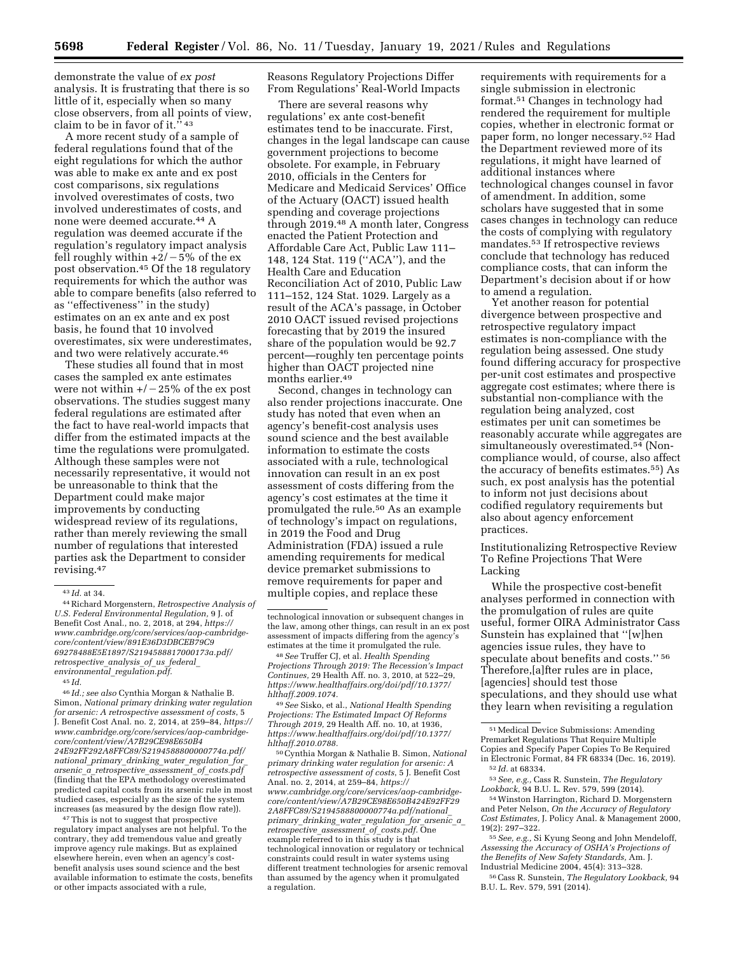demonstrate the value of *ex post*  analysis. It is frustrating that there is so little of it, especially when so many close observers, from all points of view, claim to be in favor of it."  $43$ 

A more recent study of a sample of federal regulations found that of the eight regulations for which the author was able to make ex ante and ex post cost comparisons, six regulations involved overestimates of costs, two involved underestimates of costs, and none were deemed accurate.44 A regulation was deemed accurate if the regulation's regulatory impact analysis fell roughly within  $+2/-5\%$  of the ex post observation.45 Of the 18 regulatory requirements for which the author was able to compare benefits (also referred to as ''effectiveness'' in the study) estimates on an ex ante and ex post basis, he found that 10 involved overestimates, six were underestimates, and two were relatively accurate.46

These studies all found that in most cases the sampled ex ante estimates were not within  $+/-25\%$  of the ex post observations. The studies suggest many federal regulations are estimated after the fact to have real-world impacts that differ from the estimated impacts at the time the regulations were promulgated. Although these samples were not necessarily representative, it would not be unreasonable to think that the Department could make major improvements by conducting widespread review of its regulations, rather than merely reviewing the small number of regulations that interested parties ask the Department to consider revising.47

45 *Id.* 

46 *Id.; see also* Cynthia Morgan & Nathalie B. Simon, *National primary drinking water regulation for arsenic: A retrospective assessment of costs*, 5 J. Benefit Cost Anal. no. 2, 2014, at 259–84, *[https://](https://www.cambridge.org/core/services/aop-cambridge-core/content/view/A7B29CE98E650B424E92FF292A8FFC89/S2194588800000774a.pdf/national_primary_drinking_water_regulation_for_arsenic_a_retrospective_assessment_of_costs.pdf) [www.cambridge.org/core/services/aop-cambridge](https://www.cambridge.org/core/services/aop-cambridge-core/content/view/A7B29CE98E650B424E92FF292A8FFC89/S2194588800000774a.pdf/national_primary_drinking_water_regulation_for_arsenic_a_retrospective_assessment_of_costs.pdf)[core/content/view/A7B29CE98E650B4](https://www.cambridge.org/core/services/aop-cambridge-core/content/view/A7B29CE98E650B424E92FF292A8FFC89/S2194588800000774a.pdf/national_primary_drinking_water_regulation_for_arsenic_a_retrospective_assessment_of_costs.pdf) [24E92FF292A8FFC89/S2194588800000774a.pdf/](https://www.cambridge.org/core/services/aop-cambridge-core/content/view/A7B29CE98E650B424E92FF292A8FFC89/S2194588800000774a.pdf/national_primary_drinking_water_regulation_for_arsenic_a_retrospective_assessment_of_costs.pdf)  national*\_*primary*\_*drinking*\_*water*\_*[regulation](https://www.cambridge.org/core/services/aop-cambridge-core/content/view/A7B29CE98E650B424E92FF292A8FFC89/S2194588800000774a.pdf/national_primary_drinking_water_regulation_for_arsenic_a_retrospective_assessment_of_costs.pdf)*\_*for*\_ *arsenic*\_*a*\_*[retrospective](https://www.cambridge.org/core/services/aop-cambridge-core/content/view/A7B29CE98E650B424E92FF292A8FFC89/S2194588800000774a.pdf/national_primary_drinking_water_regulation_for_arsenic_a_retrospective_assessment_of_costs.pdf)*\_*assessment*\_*of*\_*costs.pdf*  (finding that the EPA methodology overestimated predicted capital costs from its arsenic rule in most studied cases, especially as the size of the system increases (as measured by the design flow rate)).

<sup>47</sup>This is not to suggest that prospective regulatory impact analyses are not helpful. To the contrary, they add tremendous value and greatly improve agency rule makings. But as explained elsewhere herein, even when an agency's costbenefit analysis uses sound science and the best available information to estimate the costs, benefits or other impacts associated with a rule,

Reasons Regulatory Projections Differ From Regulations' Real-World Impacts

There are several reasons why regulations' ex ante cost-benefit estimates tend to be inaccurate. First, changes in the legal landscape can cause government projections to become obsolete. For example, in February 2010, officials in the Centers for Medicare and Medicaid Services' Office of the Actuary (OACT) issued health spending and coverage projections through 2019.48 A month later, Congress enacted the Patient Protection and Affordable Care Act, Public Law 111– 148, 124 Stat. 119 (''ACA''), and the Health Care and Education Reconciliation Act of 2010, Public Law 111–152, 124 Stat. 1029. Largely as a result of the ACA's passage, in October 2010 OACT issued revised projections forecasting that by 2019 the insured share of the population would be 92.7 percent—roughly ten percentage points higher than OACT projected nine months earlier.49

Second, changes in technology can also render projections inaccurate. One study has noted that even when an agency's benefit-cost analysis uses sound science and the best available information to estimate the costs associated with a rule, technological innovation can result in an ex post assessment of costs differing from the agency's cost estimates at the time it promulgated the rule.50 As an example of technology's impact on regulations, in 2019 the Food and Drug Administration (FDA) issued a rule amending requirements for medical device premarket submissions to remove requirements for paper and multiple copies, and replace these

48*See* Truffer CJ, et al. *Health Spending Projections Through 2019: The Recession's Impact Continues,* 29 Health Aff. no. 3, 2010, at 522–29, *[https://www.healthaffairs.org/doi/pdf/10.1377/](https://www.healthaffairs.org/doi/pdf/10.1377/hlthaff.2009.1074) [hlthaff.2009.1074.](https://www.healthaffairs.org/doi/pdf/10.1377/hlthaff.2009.1074)* 

49*See* Sisko, et al., *National Health Spending Projections: The Estimated Impact Of Reforms Through 2019,* 29 Health Aff. no. 10, at 1936, *[https://www.healthaffairs.org/doi/pdf/10.1377/](https://www.healthaffairs.org/doi/pdf/10.1377/hlthaff.2010.0788) [hlthaff.2010.0788.](https://www.healthaffairs.org/doi/pdf/10.1377/hlthaff.2010.0788)* 

50Cynthia Morgan & Nathalie B. Simon, *National primary drinking water regulation for arsenic: A retrospective assessment of costs*, 5 J. Benefit Cost Anal. no. 2, 2014, at 259–84, *[https://](https://www.cambridge.org/core/services/aop-cambridge-core/content/view/A7B29CE98E650B424E92FF292A8FFC89/S2194588800000774a.pdf/national_primary_drinking_water_regulation_for_arsenic_a_retrospective_assessment_of_costs.pdf) [www.cambridge.org/core/services/aop-cambridge](https://www.cambridge.org/core/services/aop-cambridge-core/content/view/A7B29CE98E650B424E92FF292A8FFC89/S2194588800000774a.pdf/national_primary_drinking_water_regulation_for_arsenic_a_retrospective_assessment_of_costs.pdf)[core/content/view/A7B29CE98E650B424E92FF29](https://www.cambridge.org/core/services/aop-cambridge-core/content/view/A7B29CE98E650B424E92FF292A8FFC89/S2194588800000774a.pdf/national_primary_drinking_water_regulation_for_arsenic_a_retrospective_assessment_of_costs.pdf) [2A8FFC89/S2194588800000774a.pdf/national](https://www.cambridge.org/core/services/aop-cambridge-core/content/view/A7B29CE98E650B424E92FF292A8FFC89/S2194588800000774a.pdf/national_primary_drinking_water_regulation_for_arsenic_a_retrospective_assessment_of_costs.pdf)*\_ *primary*\_*drinking*\_*water*\_*[regulation](https://www.cambridge.org/core/services/aop-cambridge-core/content/view/A7B29CE98E650B424E92FF292A8FFC89/S2194588800000774a.pdf/national_primary_drinking_water_regulation_for_arsenic_a_retrospective_assessment_of_costs.pdf)*\_*for*\_*arsenic*\_*a*\_ *[retrospective](https://www.cambridge.org/core/services/aop-cambridge-core/content/view/A7B29CE98E650B424E92FF292A8FFC89/S2194588800000774a.pdf/national_primary_drinking_water_regulation_for_arsenic_a_retrospective_assessment_of_costs.pdf)*\_*assessment*\_*of*\_*costs.pdf.* One example referred to in this study is that technological innovation or regulatory or technical constraints could result in water systems using different treatment technologies for arsenic removal than assumed by the agency when it promulgated a regulation.

requirements with requirements for a single submission in electronic format.51 Changes in technology had rendered the requirement for multiple copies, whether in electronic format or paper form, no longer necessary.52 Had the Department reviewed more of its regulations, it might have learned of additional instances where technological changes counsel in favor of amendment. In addition, some scholars have suggested that in some cases changes in technology can reduce the costs of complying with regulatory mandates.53 If retrospective reviews conclude that technology has reduced compliance costs, that can inform the Department's decision about if or how to amend a regulation.

Yet another reason for potential divergence between prospective and retrospective regulatory impact estimates is non-compliance with the regulation being assessed. One study found differing accuracy for prospective per-unit cost estimates and prospective aggregate cost estimates; where there is substantial non-compliance with the regulation being analyzed, cost estimates per unit can sometimes be reasonably accurate while aggregates are simultaneously overestimated.54 (Noncompliance would, of course, also affect the accuracy of benefits estimates.55) As such, ex post analysis has the potential to inform not just decisions about codified regulatory requirements but also about agency enforcement practices.

Institutionalizing Retrospective Review To Refine Projections That Were Lacking

While the prospective cost-benefit analyses performed in connection with the promulgation of rules are quite useful, former OIRA Administrator Cass Sunstein has explained that ''[w]hen agencies issue rules, they have to speculate about benefits and costs.'' 56 Therefore,[a]fter rules are in place, [agencies] should test those speculations, and they should use what they learn when revisiting a regulation

<sup>54</sup> Winston Harrington, Richard D. Morgenstern and Peter Nelson, *On the Accuracy of Regulatory Cost Estimates,* J. Policy Anal. & Management 2000, 19(2): 297–322. 55*See, e.g.,* Si Kyung Seong and John Mendeloff,

*Assessing the Accuracy of OSHA's Projections of the Benefits of New Safety Standards,* Am. J. Industrial Medicine 2004, 45(4): 313–328.

56Cass R. Sunstein, *The Regulatory Lookback,* 94 B.U. L. Rev. 579, 591 (2014).

<sup>43</sup> *Id.* at 34.

<sup>44</sup>Richard Morgenstern, *Retrospective Analysis of U.S. Federal Environmental Regulation,* 9 J. of Benefit Cost Anal., no. 2, 2018, at 294, *[https://](https://www.cambridge.org/core/services/aop-cambridge-core/content/view/891E36D3DBCEB79C969278488E5E1897/S2194588817000173a.pdf/retrospective_analysis_of_us_federal_environmental_regulation.pdf) [www.cambridge.org/core/services/aop-cambridge](https://www.cambridge.org/core/services/aop-cambridge-core/content/view/891E36D3DBCEB79C969278488E5E1897/S2194588817000173a.pdf/retrospective_analysis_of_us_federal_environmental_regulation.pdf)[core/content/view/891E36D3DBCEB79C9](https://www.cambridge.org/core/services/aop-cambridge-core/content/view/891E36D3DBCEB79C969278488E5E1897/S2194588817000173a.pdf/retrospective_analysis_of_us_federal_environmental_regulation.pdf) [69278488E5E1897/S2194588817000173a.pdf/](https://www.cambridge.org/core/services/aop-cambridge-core/content/view/891E36D3DBCEB79C969278488E5E1897/S2194588817000173a.pdf/retrospective_analysis_of_us_federal_environmental_regulation.pdf)  [retrospective](https://www.cambridge.org/core/services/aop-cambridge-core/content/view/891E36D3DBCEB79C969278488E5E1897/S2194588817000173a.pdf/retrospective_analysis_of_us_federal_environmental_regulation.pdf)*\_*analysis*\_*of*\_*us*\_*federal*\_ *environmental*\_*[regulation.pdf.](https://www.cambridge.org/core/services/aop-cambridge-core/content/view/891E36D3DBCEB79C969278488E5E1897/S2194588817000173a.pdf/retrospective_analysis_of_us_federal_environmental_regulation.pdf)* 

technological innovation or subsequent changes in the law, among other things, can result in an ex post assessment of impacts differing from the agency's estimates at the time it promulgated the rule.

<sup>51</sup>Medical Device Submissions: Amending Premarket Regulations That Require Multiple Copies and Specify Paper Copies To Be Required

in Electronic Format, 84 FR 68334 (Dec. 16, 2019). 52 *Id.* at 68334. 53*See, e.g.,* Cass R. Sunstein, *The Regulatory*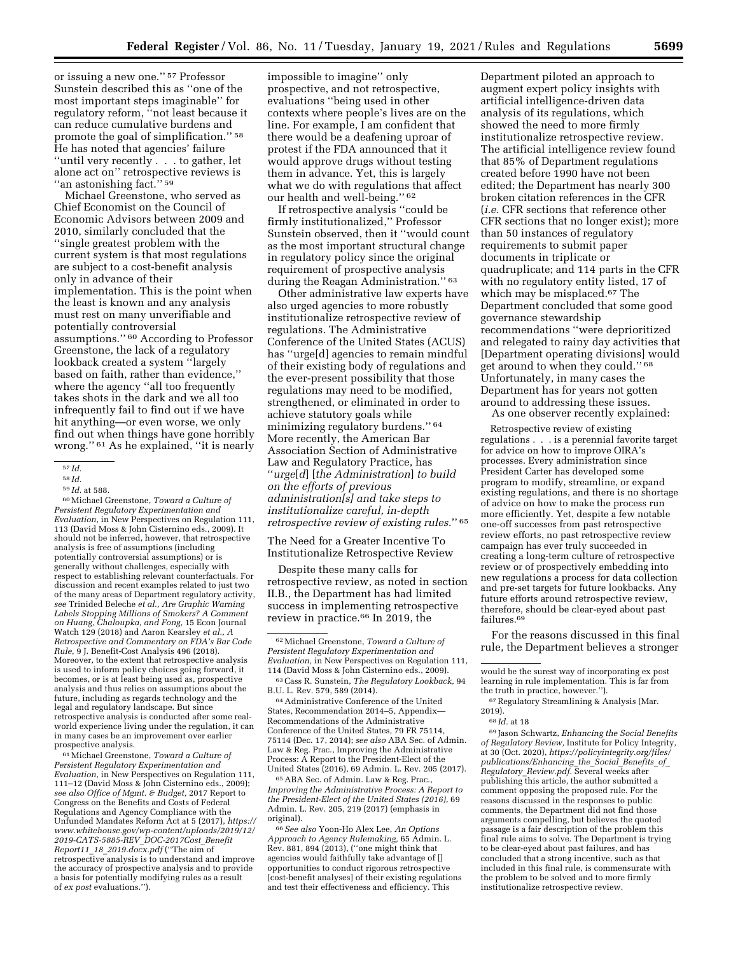or issuing a new one.'' 57 Professor Sunstein described this as ''one of the most important steps imaginable'' for regulatory reform, ''not least because it can reduce cumulative burdens and promote the goal of simplification.'' 58 He has noted that agencies' failure ''until very recently . . . to gather, let alone act on'' retrospective reviews is ''an astonishing fact.'' 59

Michael Greenstone, who served as Chief Economist on the Council of Economic Advisors between 2009 and 2010, similarly concluded that the ''single greatest problem with the current system is that most regulations are subject to a cost-benefit analysis only in advance of their implementation. This is the point when the least is known and any analysis must rest on many unverifiable and potentially controversial assumptions.'' 60 According to Professor Greenstone, the lack of a regulatory lookback created a system ''largely based on faith, rather than evidence,'' where the agency ''all too frequently takes shots in the dark and we all too infrequently fail to find out if we have hit anything—or even worse, we only find out when things have gone horribly wrong.'' 61 As he explained, ''it is nearly

<sup>59</sup> *Id.* at 588. 60Michael Greenstone, *Toward a Culture of Persistent Regulatory Experimentation and Evaluation,* in New Perspectives on Regulation 111, 113 (David Moss & John Cisternino eds., 2009). It should not be inferred, however, that retrospective analysis is free of assumptions (including potentially controversial assumptions) or is generally without challenges, especially with respect to establishing relevant counterfactuals. For discussion and recent examples related to just two of the many areas of Department regulatory activity, *see* Trinided Beleche *et al., Are Graphic Warning Labels Stopping Millions of Smokers? A Comment on Huang, Chaloupka, and Fong,* 15 Econ Journal Watch 129 (2018) and Aaron Kearsley *et al., A Retrospective and Commentary on FDA's Bar Code Rule,* 9 J. Benefit-Cost Analysis 496 (2018). Moreover, to the extent that retrospective analysis is used to inform policy choices going forward, it becomes, or is at least being used as, prospective analysis and thus relies on assumptions about the future, including as regards technology and the legal and regulatory landscape. But since retrospective analysis is conducted after some realworld experience living under the regulation, it can in many cases be an improvement over earlier prospective analysis.

61Michael Greenstone, *Toward a Culture of Persistent Regulatory Experimentation and Evaluation,* in New Perspectives on Regulation 111, 111–12 (David Moss & John Cisternino eds., 2009); *see also Office of Mgmt. & Budget,* 2017 Report to Congress on the Benefits and Costs of Federal Regulations and Agency Compliance with the Unfunded Mandates Reform Act at 5 (2017), *[https://](https://www.whitehouse.gov/wp-content/uploads/2019/12/2019-CATS-5885-REV_DOC-2017Cost_BenefitReport11_18_2019.docx.pdf) [www.whitehouse.gov/wp-content/uploads/2019/12/](https://www.whitehouse.gov/wp-content/uploads/2019/12/2019-CATS-5885-REV_DOC-2017Cost_BenefitReport11_18_2019.docx.pdf) [2019-CATS-5885-REV](https://www.whitehouse.gov/wp-content/uploads/2019/12/2019-CATS-5885-REV_DOC-2017Cost_BenefitReport11_18_2019.docx.pdf)*\_*DOC-2017Cost*\_*Benefit Report11*\_*18*\_*[2019.docx.pdf](https://www.whitehouse.gov/wp-content/uploads/2019/12/2019-CATS-5885-REV_DOC-2017Cost_BenefitReport11_18_2019.docx.pdf)* (''The aim of retrospective analysis is to understand and improve the accuracy of prospective analysis and to provide a basis for potentially modifying rules as a result of *ex post* evaluations.'').

impossible to imagine'' only prospective, and not retrospective, evaluations ''being used in other contexts where people's lives are on the line. For example, I am confident that there would be a deafening uproar of protest if the FDA announced that it would approve drugs without testing them in advance. Yet, this is largely what we do with regulations that affect our health and well-being.'' 62

If retrospective analysis ''could be firmly institutionalized,'' Professor Sunstein observed, then it ''would count as the most important structural change in regulatory policy since the original requirement of prospective analysis during the Reagan Administration." 63

Other administrative law experts have also urged agencies to more robustly institutionalize retrospective review of regulations. The Administrative Conference of the United States (ACUS) has ''urge[d] agencies to remain mindful of their existing body of regulations and the ever-present possibility that those regulations may need to be modified, strengthened, or eliminated in order to achieve statutory goals while minimizing regulatory burdens.'' 64 More recently, the American Bar Association Section of Administrative Law and Regulatory Practice, has ''*urge*[*d*] [*the Administration*] *to build on the efforts of previous administration[s] and take steps to institutionalize careful, in-depth retrospective review of existing rules.*'' 65

The Need for a Greater Incentive To Institutionalize Retrospective Review

Despite these many calls for retrospective review, as noted in section II.B., the Department has had limited success in implementing retrospective review in practice.66 In 2019, the

65ABA Sec. of Admin. Law & Reg. Prac., *Improving the Administrative Process: A Report to the President-Elect of the United States (2016),* 69 Admin. L. Rev. 205, 219 (2017) (emphasis in original).

66*See also* Yoon-Ho Alex Lee, *An Options Approach to Agency Rulemaking,* 65 Admin. L. Rev. 881, 894 (2013), (''one might think that agencies would faithfully take advantage of [] opportunities to conduct rigorous retrospective [cost-benefit analyses] of their existing regulations and test their effectiveness and efficiency. This

Department piloted an approach to augment expert policy insights with artificial intelligence-driven data analysis of its regulations, which showed the need to more firmly institutionalize retrospective review. The artificial intelligence review found that 85% of Department regulations created before 1990 have not been edited; the Department has nearly 300 broken citation references in the CFR (*i.e.* CFR sections that reference other CFR sections that no longer exist); more than 50 instances of regulatory requirements to submit paper documents in triplicate or quadruplicate; and 114 parts in the CFR with no regulatory entity listed, 17 of which may be misplaced.67 The Department concluded that some good governance stewardship recommendations ''were deprioritized and relegated to rainy day activities that [Department operating divisions] would get around to when they could.'' 68 Unfortunately, in many cases the Department has for years not gotten around to addressing these issues.

As one observer recently explained:

Retrospective review of existing regulations . . . is a perennial favorite target for advice on how to improve OIRA's processes. Every administration since President Carter has developed some program to modify, streamline, or expand existing regulations, and there is no shortage of advice on how to make the process run more efficiently. Yet, despite a few notable one-off successes from past retrospective review efforts, no past retrospective review campaign has ever truly succeeded in creating a long-term culture of retrospective review or of prospectively embedding into new regulations a process for data collection and pre-set targets for future lookbacks. Any future efforts around retrospective review, therefore, should be clear-eyed about past failures.69

For the reasons discussed in this final rule, the Department believes a stronger

69 Jason Schwartz, *Enhancing the Social Benefits of Regulatory Review,* Institute for Policy Integrity, at 30 (Oct. 2020), *[https://policyintegrity.org/files/](https://policyintegrity.org/files/publications/Enhancing_the_Social_Benefits_of_Regulatory_Review.pdf)  [publications/Enhancing](https://policyintegrity.org/files/publications/Enhancing_the_Social_Benefits_of_Regulatory_Review.pdf)*\_*the*\_*Social*\_*Benefits*\_*of*\_ *Regulatory*\_*[Review.pdf.](https://policyintegrity.org/files/publications/Enhancing_the_Social_Benefits_of_Regulatory_Review.pdf)* Several weeks after publishing this article, the author submitted a comment opposing the proposed rule. For the reasons discussed in the responses to public comments, the Department did not find those arguments compelling, but believes the quoted passage is a fair description of the problem this final rule aims to solve. The Department is trying to be clear-eyed about past failures, and has concluded that a strong incentive, such as that included in this final rule, is commensurate with the problem to be solved and to more firmly institutionalize retrospective review.

<sup>57</sup> *Id.* 

<sup>58</sup> *Id.* 

<sup>62</sup>Michael Greenstone, *Toward a Culture of Persistent Regulatory Experimentation and Evaluation,* in New Perspectives on Regulation 111, 114 (David Moss & John Cisternino eds., 2009). 63Cass R. Sunstein, *The Regulatory Lookback,* 94

B.U. L. Rev. 579, 589 (2014). 64Administrative Conference of the United

States, Recommendation 2014–5, Appendix— Recommendations of the Administrative Conference of the United States, 79 FR 75114, 75114 (Dec. 17, 2014); *see also* ABA Sec. of Admin. Law & Reg. Prac., Improving the Administrative Process: A Report to the President-Elect of the United States (2016), 69 Admin. L. Rev. 205 (2017).

would be the surest way of incorporating ex post learning in rule implementation. This is far from the truth in practice, however.'').

<sup>67</sup>Regulatory Streamlining & Analysis (Mar. 2019).

<sup>68</sup> *Id.* at 18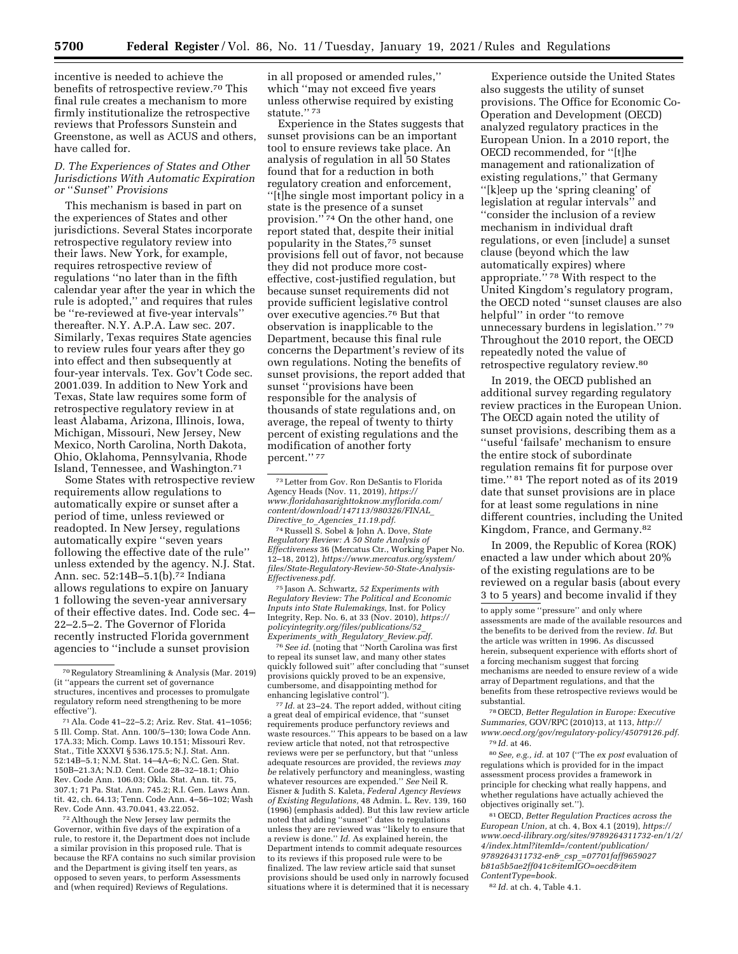incentive is needed to achieve the benefits of retrospective review.70 This final rule creates a mechanism to more firmly institutionalize the retrospective reviews that Professors Sunstein and Greenstone, as well as ACUS and others, have called for.

## *D. The Experiences of States and Other Jurisdictions With Automatic Expiration or* ''*Sunset*'' *Provisions*

This mechanism is based in part on the experiences of States and other jurisdictions. Several States incorporate retrospective regulatory review into their laws. New York, for example, requires retrospective review of regulations ''no later than in the fifth calendar year after the year in which the rule is adopted,'' and requires that rules be ''re-reviewed at five-year intervals'' thereafter. N.Y. A.P.A. Law sec. 207. Similarly, Texas requires State agencies to review rules four years after they go into effect and then subsequently at four-year intervals. Tex. Gov't Code sec. 2001.039. In addition to New York and Texas, State law requires some form of retrospective regulatory review in at least Alabama, Arizona, Illinois, Iowa, Michigan, Missouri, New Jersey, New Mexico, North Carolina, North Dakota, Ohio, Oklahoma, Pennsylvania, Rhode Island, Tennessee, and Washington.71

Some States with retrospective review requirements allow regulations to automatically expire or sunset after a period of time, unless reviewed or readopted. In New Jersey, regulations automatically expire ''seven years following the effective date of the rule'' unless extended by the agency. N.J. Stat. Ann. sec. 52:14B–5.1(b).72 Indiana allows regulations to expire on January 1 following the seven-year anniversary of their effective dates. Ind. Code sec. 4– 22–2.5–2. The Governor of Florida recently instructed Florida government agencies to ''include a sunset provision

72Although the New Jersey law permits the Governor, within five days of the expiration of a rule, to restore it, the Department does not include a similar provision in this proposed rule. That is because the RFA contains no such similar provision and the Department is giving itself ten years, as opposed to seven years, to perform Assessments and (when required) Reviews of Regulations.

in all proposed or amended rules,'' which ''may not exceed five years unless otherwise required by existing statute.'' 73

Experience in the States suggests that sunset provisions can be an important tool to ensure reviews take place. An analysis of regulation in all 50 States found that for a reduction in both regulatory creation and enforcement, ''[t]he single most important policy in a state is the presence of a sunset provision.'' 74 On the other hand, one report stated that, despite their initial popularity in the States,75 sunset provisions fell out of favor, not because they did not produce more costeffective, cost-justified regulation, but because sunset requirements did not provide sufficient legislative control over executive agencies.76 But that observation is inapplicable to the Department, because this final rule concerns the Department's review of its own regulations. Noting the benefits of sunset provisions, the report added that sunset ''provisions have been responsible for the analysis of thousands of state regulations and, on average, the repeal of twenty to thirty percent of existing regulations and the modification of another forty percent.'' 77

74Russell S. Sobel & John A. Dove, *State Regulatory Review: A 50 State Analysis of Effectiveness* 36 (Mercatus Ctr., Working Paper No. 12–18, 2012), *[https://www.mercatus.org/system/](https://www.mercatus.org/system/files/State-Regulatory-Review-50-State-Analysis-Effectiveness.pdf)  [files/State-Regulatory-Review-50-State-Analysis-](https://www.mercatus.org/system/files/State-Regulatory-Review-50-State-Analysis-Effectiveness.pdf)[Effectiveness.pdf.](https://www.mercatus.org/system/files/State-Regulatory-Review-50-State-Analysis-Effectiveness.pdf)* 

75 Jason A. Schwartz, *52 Experiments with Regulatory Review: The Political and Economic Inputs into State Rulemakings,* Inst. for Policy Integrity, Rep. No. 6, at 33 (Nov. 2010), *[https://](https://policyintegrity.org/files/publications/52_Experiments_with_Regulatory_Review.pdf) [policyintegrity.org/files/publications/52](https://policyintegrity.org/files/publications/52_Experiments_with_Regulatory_Review.pdf)*\_ *[Experiments](https://policyintegrity.org/files/publications/52_Experiments_with_Regulatory_Review.pdf)*\_*with*\_*Regulatory*\_*Review.pdf.* 

76*See id.* (noting that ''North Carolina was first to repeal its sunset law, and many other states quickly followed suit'' after concluding that ''sunset provisions quickly proved to be an expensive, cumbersome, and disappointing method for enhancing legislative control'').

77 *Id.* at 23–24. The report added, without citing a great deal of empirical evidence, that ''sunset requirements produce perfunctory reviews and waste resources." This appears to be based on a law review article that noted, not that retrospective reviews were per se perfunctory, but that ''unless adequate resources are provided, the reviews *may be* relatively perfunctory and meaningless, wasting whatever resources are expended.'' *See* Neil R. Eisner & Judith S. Kaleta, *Federal Agency Reviews of Existing Regulations,* 48 Admin. L. Rev. 139, 160 (1996) (emphasis added). But this law review article noted that adding ''sunset'' dates to regulations unless they are reviewed was ''likely to ensure that a review is done.'' *Id.* As explained herein, the Department intends to commit adequate resources to its reviews if this proposed rule were to be finalized. The law review article said that sunset provisions should be used only in narrowly focused situations where it is determined that it is necessary

Experience outside the United States also suggests the utility of sunset provisions. The Office for Economic Co-Operation and Development (OECD) analyzed regulatory practices in the European Union. In a 2010 report, the OECD recommended, for ''[t]he management and rationalization of existing regulations,'' that Germany ''[k]eep up the 'spring cleaning' of legislation at regular intervals'' and ''consider the inclusion of a review mechanism in individual draft regulations, or even [include] a sunset clause (beyond which the law automatically expires) where appropriate."<sup>78</sup> With respect to the United Kingdom's regulatory program, the OECD noted ''sunset clauses are also helpful'' in order ''to remove unnecessary burdens in legislation.'' 79 Throughout the 2010 report, the OECD repeatedly noted the value of retrospective regulatory review.80

In 2019, the OECD published an additional survey regarding regulatory review practices in the European Union. The OECD again noted the utility of sunset provisions, describing them as a ''useful 'failsafe' mechanism to ensure the entire stock of subordinate regulation remains fit for purpose over time.'' 81 The report noted as of its 2019 date that sunset provisions are in place for at least some regulations in nine different countries, including the United Kingdom, France, and Germany.82

In 2009, the Republic of Korea (ROK) enacted a law under which about 20% of the existing regulations are to be reviewed on a regular basis (about every 3 to 5 years) and become invalid if they

to apply some ''pressure'' and only where assessments are made of the available resources and the benefits to be derived from the review. *Id.* But the article was written in 1996. As discussed herein, subsequent experience with efforts short of a forcing mechanism suggest that forcing mechanisms are needed to ensure review of a wide array of Department regulations, and that the benefits from these retrospective reviews would be substantial.

78OECD, *Better Regulation in Europe: Executive Summaries,* GOV/RPC (2010)13, at 113, *[http://](http://www.oecd.org/gov/regulatory-policy/45079126.pdf) [www.oecd.org/gov/regulatory-policy/45079126.pdf.](http://www.oecd.org/gov/regulatory-policy/45079126.pdf)*  79 *Id.* at 46.

80*See, e.g., id.* at 107 (''The *ex post* evaluation of regulations which is provided for in the impact assessment process provides a framework in principle for checking what really happens, and whether regulations have actually achieved the objectives originally set.'').

81OECD, *Better Regulation Practices across the European Union,* at ch. 4, Box 4.1 (2019), *[https://](https://www.oecd-ilibrary.org/sites/9789264311732-en/1/2/4/index.html?itemId=/content/publication/9789264311732-en&_csp_=07701faff9659027b81a5b5ae2ff041c&itemIGO=oecd&itemContentType=book) [www.oecd-ilibrary.org/sites/9789264311732-en/1/2/](https://www.oecd-ilibrary.org/sites/9789264311732-en/1/2/4/index.html?itemId=/content/publication/9789264311732-en&_csp_=07701faff9659027b81a5b5ae2ff041c&itemIGO=oecd&itemContentType=book) [4/index.html?itemId=/content/publication/](https://www.oecd-ilibrary.org/sites/9789264311732-en/1/2/4/index.html?itemId=/content/publication/9789264311732-en&_csp_=07701faff9659027b81a5b5ae2ff041c&itemIGO=oecd&itemContentType=book) [9789264311732-en&](https://www.oecd-ilibrary.org/sites/9789264311732-en/1/2/4/index.html?itemId=/content/publication/9789264311732-en&_csp_=07701faff9659027b81a5b5ae2ff041c&itemIGO=oecd&itemContentType=book)*\_*csp*\_*=07701faff9659027 [b81a5b5ae2ff041c&itemIGO=oecd&item](https://www.oecd-ilibrary.org/sites/9789264311732-en/1/2/4/index.html?itemId=/content/publication/9789264311732-en&_csp_=07701faff9659027b81a5b5ae2ff041c&itemIGO=oecd&itemContentType=book) [ContentType=book.](https://www.oecd-ilibrary.org/sites/9789264311732-en/1/2/4/index.html?itemId=/content/publication/9789264311732-en&_csp_=07701faff9659027b81a5b5ae2ff041c&itemIGO=oecd&itemContentType=book)* 

82 *Id.* at ch. 4, Table 4.1.

<sup>70</sup>Regulatory Streamlining & Analysis (Mar. 2019) (it ''appears the current set of governance structures, incentives and processes to promulgate regulatory reform need strengthening to be more effective'').

<sup>71</sup>Ala. Code 41–22–5.2; Ariz. Rev. Stat. 41–1056; 5 Ill. Comp. Stat. Ann. 100/5–130; Iowa Code Ann. 17A.33; Mich. Comp. Laws 10.151; Missouri Rev. Stat., Title XXXVI § 536.175.5; N.J. Stat. Ann. 52:14B–5.1; N.M. Stat. 14–4A–6; N.C. Gen. Stat. 150B–21.3A; N.D. Cent. Code 28–32–18.1; Ohio Rev. Code Ann. 106.03; Okla. Stat. Ann. tit. 75, 307.1; 71 Pa. Stat. Ann. 745.2; R.I. Gen. Laws Ann. tit. 42, ch. 64.13; Tenn. Code Ann. 4–56–102; Wash Rev. Code Ann. 43.70.041, 43.22.052.

<sup>73</sup>Letter from Gov. Ron DeSantis to Florida Agency Heads (Nov. 11, 2019), *[https://](https://www.floridahasarighttoknow.myflorida.com/content/download/147113/980326/FINAL_Directive_to_Agencies_11.19.pdf) [www.floridahasarighttoknow.myflorida.com/](https://www.floridahasarighttoknow.myflorida.com/content/download/147113/980326/FINAL_Directive_to_Agencies_11.19.pdf)  [content/download/147113/980326/FINAL](https://www.floridahasarighttoknow.myflorida.com/content/download/147113/980326/FINAL_Directive_to_Agencies_11.19.pdf)*\_ *Directive*\_*to*\_*Agencies*\_*[11.19.pdf.](https://www.floridahasarighttoknow.myflorida.com/content/download/147113/980326/FINAL_Directive_to_Agencies_11.19.pdf)*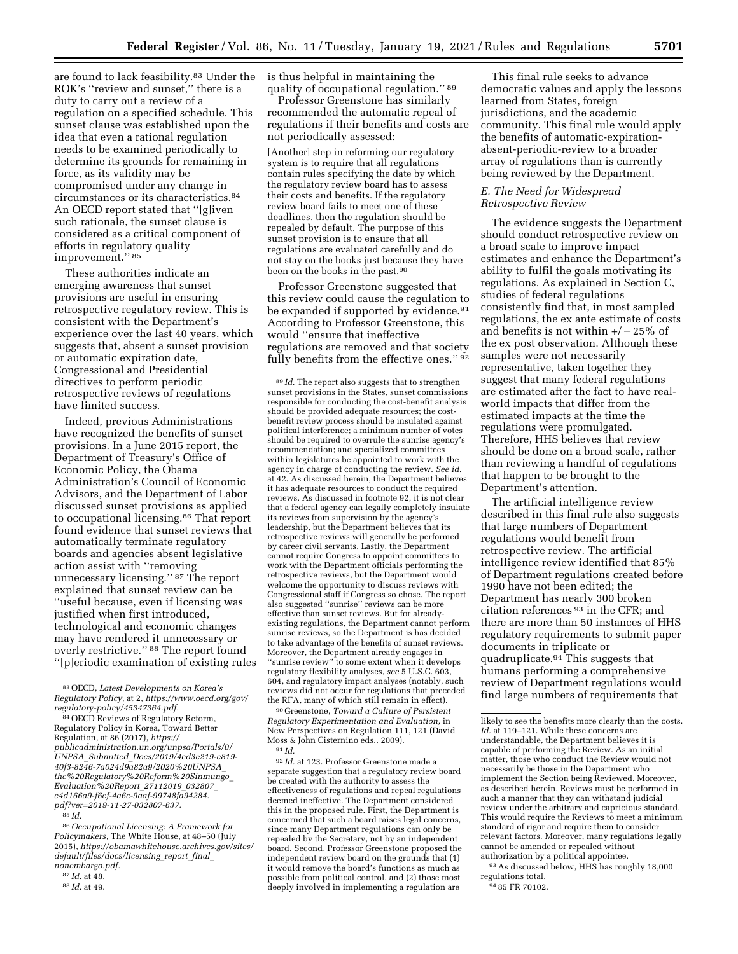are found to lack feasibility.83 Under the ROK's ''review and sunset,'' there is a duty to carry out a review of a regulation on a specified schedule. This sunset clause was established upon the idea that even a rational regulation needs to be examined periodically to determine its grounds for remaining in force, as its validity may be compromised under any change in circumstances or its characteristics.84 An OECD report stated that ''[g]iven such rationale, the sunset clause is considered as a critical component of efforts in regulatory quality improvement."<sup>85</sup>

These authorities indicate an emerging awareness that sunset provisions are useful in ensuring retrospective regulatory review. This is consistent with the Department's experience over the last 40 years, which suggests that, absent a sunset provision or automatic expiration date, Congressional and Presidential directives to perform periodic retrospective reviews of regulations have limited success.

Indeed, previous Administrations have recognized the benefits of sunset provisions. In a June 2015 report, the Department of Treasury's Office of Economic Policy, the Obama Administration's Council of Economic Advisors, and the Department of Labor discussed sunset provisions as applied to occupational licensing.86 That report found evidence that sunset reviews that automatically terminate regulatory boards and agencies absent legislative action assist with ''removing unnecessary licensing.'' 87 The report explained that sunset review can be ''useful because, even if licensing was justified when first introduced, technological and economic changes may have rendered it unnecessary or overly restrictive.'' 88 The report found ''[p]eriodic examination of existing rules

86*Occupational Licensing: A Framework for Policymakers,* The White House, at 48–50 (July 2015), *[https://obamawhitehouse.archives.gov/sites/](https://obamawhitehouse.archives.gov/sites/default/files/docs/licensing_report_final_nonembargo.pdf) [default/files/docs/licensing](https://obamawhitehouse.archives.gov/sites/default/files/docs/licensing_report_final_nonembargo.pdf)*\_*report*\_*final*\_ *[nonembargo.pdf.](https://obamawhitehouse.archives.gov/sites/default/files/docs/licensing_report_final_nonembargo.pdf)* 

87 *Id.* at 48.

is thus helpful in maintaining the quality of occupational regulation.'' 89

Professor Greenstone has similarly recommended the automatic repeal of regulations if their benefits and costs are not periodically assessed:

[Another] step in reforming our regulatory system is to require that all regulations contain rules specifying the date by which the regulatory review board has to assess their costs and benefits. If the regulatory review board fails to meet one of these deadlines, then the regulation should be repealed by default. The purpose of this sunset provision is to ensure that all regulations are evaluated carefully and do not stay on the books just because they have been on the books in the past.90

Professor Greenstone suggested that this review could cause the regulation to be expanded if supported by evidence.<sup>91</sup> According to Professor Greenstone, this would ''ensure that ineffective regulations are removed and that society fully benefits from the effective ones.'' 92

89 *Id.* The report also suggests that to strengthen sunset provisions in the States, sunset commissions responsible for conducting the cost-benefit analysis should be provided adequate resources; the costbenefit review process should be insulated against political interference; a minimum number of votes should be required to overrule the sunrise agency's recommendation; and specialized committees within legislatures be appointed to work with the agency in charge of conducting the review. *See id.*  at 42. As discussed herein, the Department believes it has adequate resources to conduct the required reviews. As discussed in footnote 92, it is not clear that a federal agency can legally completely insulate its reviews from supervision by the agency's leadership, but the Department believes that its retrospective reviews will generally be performed by career civil servants. Lastly, the Department cannot require Congress to appoint committees to work with the Department officials performing the retrospective reviews, but the Department would welcome the opportunity to discuss reviews with Congressional staff if Congress so chose. The report also suggested ''sunrise'' reviews can be more effective than sunset reviews. But for alreadyexisting regulations, the Department cannot perform sunrise reviews, so the Department is has decided to take advantage of the benefits of sunset reviews. Moreover, the Department already engages in ''sunrise review'' to some extent when it develops regulatory flexibility analyses, *see* 5 U.S.C. 603, 604, and regulatory impact analyses (notably, such reviews did not occur for regulations that preceded the RFA, many of which still remain in effect).

90 Greenstone, *Toward a Culture of Persistent Regulatory Experimentation and Evaluation,* in New Perspectives on Regulation 111, 121 (David Moss & John Cisternino eds., 2009).  $91$   $Id.$ 

92 *Id.* at 123. Professor Greenstone made a separate suggestion that a regulatory review board be created with the authority to assess the effectiveness of regulations and repeal regulations deemed ineffective. The Department considered this in the proposed rule. First, the Department is concerned that such a board raises legal concerns, since many Department regulations can only be repealed by the Secretary, not by an independent board. Second, Professor Greenstone proposed the independent review board on the grounds that (1) it would remove the board's functions as much as possible from political control, and (2) those most deeply involved in implementing a regulation are

This final rule seeks to advance democratic values and apply the lessons learned from States, foreign jurisdictions, and the academic community. This final rule would apply the benefits of automatic-expirationabsent-periodic-review to a broader array of regulations than is currently being reviewed by the Department.

## *E. The Need for Widespread Retrospective Review*

The evidence suggests the Department should conduct retrospective review on a broad scale to improve impact estimates and enhance the Department's ability to fulfil the goals motivating its regulations. As explained in Section C, studies of federal regulations consistently find that, in most sampled regulations, the ex ante estimate of costs and benefits is not within  $+/-25\%$  of the ex post observation. Although these samples were not necessarily representative, taken together they suggest that many federal regulations are estimated after the fact to have realworld impacts that differ from the estimated impacts at the time the regulations were promulgated. Therefore, HHS believes that review should be done on a broad scale, rather than reviewing a handful of regulations that happen to be brought to the Department's attention.

The artificial intelligence review described in this final rule also suggests that large numbers of Department regulations would benefit from retrospective review. The artificial intelligence review identified that 85% of Department regulations created before 1990 have not been edited; the Department has nearly 300 broken citation references 93 in the CFR; and there are more than 50 instances of HHS regulatory requirements to submit paper documents in triplicate or quadruplicate.94 This suggests that humans performing a comprehensive review of Department regulations would find large numbers of requirements that

93As discussed below, HHS has roughly 18,000 regulations total.

94 85 FR 70102.

<sup>83</sup>OECD, *Latest Developments on Korea's Regulatory Policy,* at 2, *[https://www.oecd.org/gov/](https://www.oecd.org/gov/regulatory-policy/45347364.pdf)  [regulatory-policy/45347364.pdf.](https://www.oecd.org/gov/regulatory-policy/45347364.pdf)* 

<sup>84</sup>OECD Reviews of Regulatory Reform, Regulatory Policy in Korea, Toward Better Regulation, at 86 (2017), *[https://](https://publicadministration.un.org/unpsa/Portals/0/UNPSA_Submitted_Docs/2019/4cd3e219-c819-40f3-8246-7a024d9a82a9/2020%20UNPSA_the%20Regulatory%20Reform%20Sinmungo_Evaluation%20Report_27112019_032807_e4d166a9-f6ef-4a6c-9aaf-99748fa94284.pdf?ver=2019-11-27-032807-637) [publicadministration.un.org/unpsa/Portals/0/](https://publicadministration.un.org/unpsa/Portals/0/UNPSA_Submitted_Docs/2019/4cd3e219-c819-40f3-8246-7a024d9a82a9/2020%20UNPSA_the%20Regulatory%20Reform%20Sinmungo_Evaluation%20Report_27112019_032807_e4d166a9-f6ef-4a6c-9aaf-99748fa94284.pdf?ver=2019-11-27-032807-637)  UNPSA*\_*Submitted*\_*Docs/2019/4cd3e219-c819- 40f3-8246-7a024d9a82a9/2020%20UNPSA*\_ *[the%20Regulatory%20Reform%20Sinmungo](https://publicadministration.un.org/unpsa/Portals/0/UNPSA_Submitted_Docs/2019/4cd3e219-c819-40f3-8246-7a024d9a82a9/2020%20UNPSA_the%20Regulatory%20Reform%20Sinmungo_Evaluation%20Report_27112019_032807_e4d166a9-f6ef-4a6c-9aaf-99748fa94284.pdf?ver=2019-11-27-032807-637)*\_ *[Evaluation%20Report](https://publicadministration.un.org/unpsa/Portals/0/UNPSA_Submitted_Docs/2019/4cd3e219-c819-40f3-8246-7a024d9a82a9/2020%20UNPSA_the%20Regulatory%20Reform%20Sinmungo_Evaluation%20Report_27112019_032807_e4d166a9-f6ef-4a6c-9aaf-99748fa94284.pdf?ver=2019-11-27-032807-637)*\_*27112019*\_*032807*\_ *[e4d166a9-f6ef-4a6c-9aaf-99748fa94284.](https://publicadministration.un.org/unpsa/Portals/0/UNPSA_Submitted_Docs/2019/4cd3e219-c819-40f3-8246-7a024d9a82a9/2020%20UNPSA_the%20Regulatory%20Reform%20Sinmungo_Evaluation%20Report_27112019_032807_e4d166a9-f6ef-4a6c-9aaf-99748fa94284.pdf?ver=2019-11-27-032807-637) [pdf?ver=2019-11-27-032807-637.](https://publicadministration.un.org/unpsa/Portals/0/UNPSA_Submitted_Docs/2019/4cd3e219-c819-40f3-8246-7a024d9a82a9/2020%20UNPSA_the%20Regulatory%20Reform%20Sinmungo_Evaluation%20Report_27112019_032807_e4d166a9-f6ef-4a6c-9aaf-99748fa94284.pdf?ver=2019-11-27-032807-637)* 

<sup>85</sup> *Id.* 

<sup>88</sup> *Id.* at 49.

likely to see the benefits more clearly than the costs. *Id.* at 119–121. While these concerns are understandable, the Department believes it is capable of performing the Review. As an initial matter, those who conduct the Review would not necessarily be those in the Department who implement the Section being Reviewed. Moreover, as described herein, Reviews must be performed in such a manner that they can withstand judicial review under the arbitrary and capricious standard. This would require the Reviews to meet a minimum standard of rigor and require them to consider relevant factors. Moreover, many regulations legally cannot be amended or repealed without authorization by a political appointee.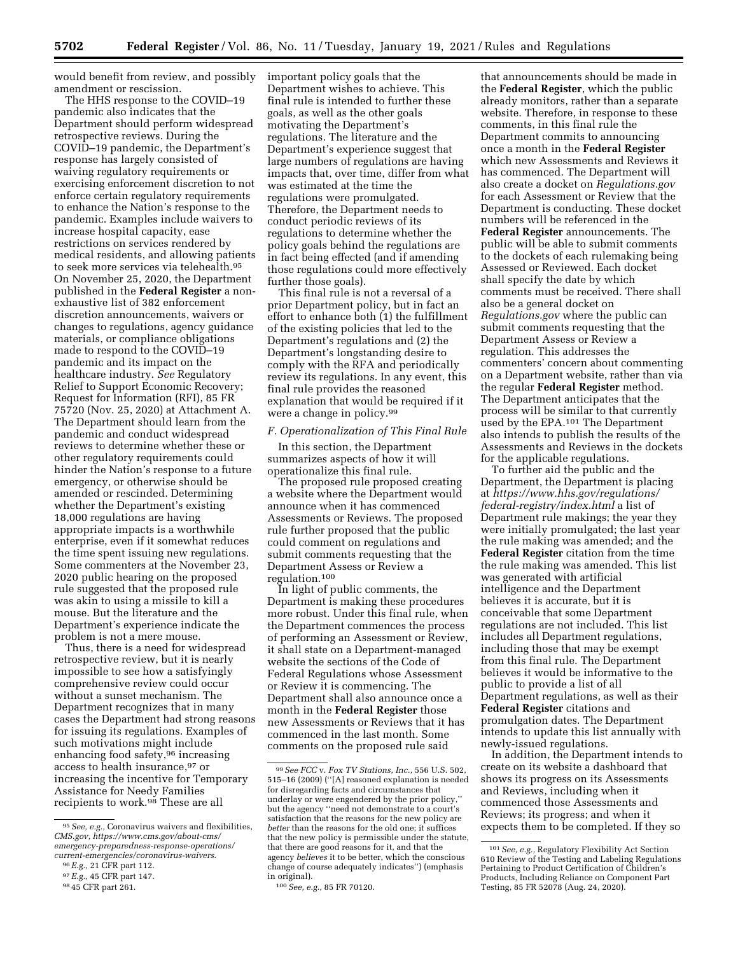would benefit from review, and possibly amendment or rescission.

The HHS response to the COVID–19 pandemic also indicates that the Department should perform widespread retrospective reviews. During the COVID–19 pandemic, the Department's response has largely consisted of waiving regulatory requirements or exercising enforcement discretion to not enforce certain regulatory requirements to enhance the Nation's response to the pandemic. Examples include waivers to increase hospital capacity, ease restrictions on services rendered by medical residents, and allowing patients to seek more services via telehealth.95 On November 25, 2020, the Department published in the **Federal Register** a nonexhaustive list of 382 enforcement discretion announcements, waivers or changes to regulations, agency guidance materials, or compliance obligations made to respond to the COVID–19 pandemic and its impact on the healthcare industry. *See* Regulatory Relief to Support Economic Recovery; Request for Information (RFI), 85 FR 75720 (Nov. 25, 2020) at Attachment A. The Department should learn from the pandemic and conduct widespread reviews to determine whether these or other regulatory requirements could hinder the Nation's response to a future emergency, or otherwise should be amended or rescinded. Determining whether the Department's existing 18,000 regulations are having appropriate impacts is a worthwhile enterprise, even if it somewhat reduces the time spent issuing new regulations. Some commenters at the November 23, 2020 public hearing on the proposed rule suggested that the proposed rule was akin to using a missile to kill a mouse. But the literature and the Department's experience indicate the problem is not a mere mouse.

Thus, there is a need for widespread retrospective review, but it is nearly impossible to see how a satisfyingly comprehensive review could occur without a sunset mechanism. The Department recognizes that in many cases the Department had strong reasons for issuing its regulations. Examples of such motivations might include enhancing food safety,96 increasing access to health insurance,97 or increasing the incentive for Temporary Assistance for Needy Families recipients to work.<sup>98</sup> These are all

important policy goals that the Department wishes to achieve. This final rule is intended to further these goals, as well as the other goals motivating the Department's regulations. The literature and the Department's experience suggest that large numbers of regulations are having impacts that, over time, differ from what was estimated at the time the regulations were promulgated. Therefore, the Department needs to conduct periodic reviews of its regulations to determine whether the policy goals behind the regulations are in fact being effected (and if amending those regulations could more effectively further those goals).

This final rule is not a reversal of a prior Department policy, but in fact an effort to enhance both (1) the fulfillment of the existing policies that led to the Department's regulations and (2) the Department's longstanding desire to comply with the RFA and periodically review its regulations. In any event, this final rule provides the reasoned explanation that would be required if it were a change in policy.99

#### *F. Operationalization of This Final Rule*

In this section, the Department summarizes aspects of how it will operationalize this final rule.

The proposed rule proposed creating a website where the Department would announce when it has commenced Assessments or Reviews. The proposed rule further proposed that the public could comment on regulations and submit comments requesting that the Department Assess or Review a regulation.100

In light of public comments, the Department is making these procedures more robust. Under this final rule, when the Department commences the process of performing an Assessment or Review, it shall state on a Department-managed website the sections of the Code of Federal Regulations whose Assessment or Review it is commencing. The Department shall also announce once a month in the **Federal Register** those new Assessments or Reviews that it has commenced in the last month. Some comments on the proposed rule said

that announcements should be made in the **Federal Register**, which the public already monitors, rather than a separate website. Therefore, in response to these comments, in this final rule the Department commits to announcing once a month in the **Federal Register**  which new Assessments and Reviews it has commenced. The Department will also create a docket on *Regulations.gov*  for each Assessment or Review that the Department is conducting. These docket numbers will be referenced in the **Federal Register** announcements. The public will be able to submit comments to the dockets of each rulemaking being Assessed or Reviewed. Each docket shall specify the date by which comments must be received. There shall also be a general docket on *Regulations.gov* where the public can submit comments requesting that the Department Assess or Review a regulation. This addresses the commenters' concern about commenting on a Department website, rather than via the regular **Federal Register** method. The Department anticipates that the process will be similar to that currently used by the EPA.<sup>101</sup> The Department also intends to publish the results of the Assessments and Reviews in the dockets for the applicable regulations.

To further aid the public and the Department, the Department is placing at *[https://www.hhs.gov/regulations/](https://www.hhs.gov/regulations/federal-registry/index.html) [federal-registry/index.html](https://www.hhs.gov/regulations/federal-registry/index.html)* a list of Department rule makings; the year they were initially promulgated; the last year the rule making was amended; and the **Federal Register** citation from the time the rule making was amended. This list was generated with artificial intelligence and the Department believes it is accurate, but it is conceivable that some Department regulations are not included. This list includes all Department regulations, including those that may be exempt from this final rule. The Department believes it would be informative to the public to provide a list of all Department regulations, as well as their **Federal Register** citations and promulgation dates. The Department intends to update this list annually with newly-issued regulations.

In addition, the Department intends to create on its website a dashboard that shows its progress on its Assessments and Reviews, including when it commenced those Assessments and Reviews; its progress; and when it expects them to be completed. If they so

<sup>95</sup>*See, e.g.,* Coronavirus waivers and flexibilities, *CMS.gov, [https://www.cms.gov/about-cms/](https://www.cms.gov/about-cms/emergency-preparedness-response-operations/current-emergencies/coronavirus-waivers) [emergency-preparedness-response-operations/](https://www.cms.gov/about-cms/emergency-preparedness-response-operations/current-emergencies/coronavirus-waivers)  [current-emergencies/coronavirus-waivers](https://www.cms.gov/about-cms/emergency-preparedness-response-operations/current-emergencies/coronavirus-waivers)*. 96*E.g.,* 21 CFR part 112.

<sup>97</sup>*E.g.,* 45 CFR part 147.

<sup>98</sup> 45 CFR part 261.

<sup>99</sup>*See FCC* v. *Fox TV Stations, Inc.,* 556 U.S. 502, 515–16 (2009) (''[A] reasoned explanation is needed for disregarding facts and circumstances that underlay or were engendered by the prior policy,'' but the agency ''need not demonstrate to a court's satisfaction that the reasons for the new policy are *better* than the reasons for the old one; it suffices that the new policy is permissible under the statute, that there are good reasons for it, and that the agency *believes* it to be better, which the conscious change of course adequately indicates'') (emphasis in original).

<sup>100</sup>*See, e.g.,* 85 FR 70120.

<sup>101</sup>*See, e.g.,* Regulatory Flexibility Act Section 610 Review of the Testing and Labeling Regulations Pertaining to Product Certification of Children's Products, Including Reliance on Component Part Testing, 85 FR 52078 (Aug. 24, 2020).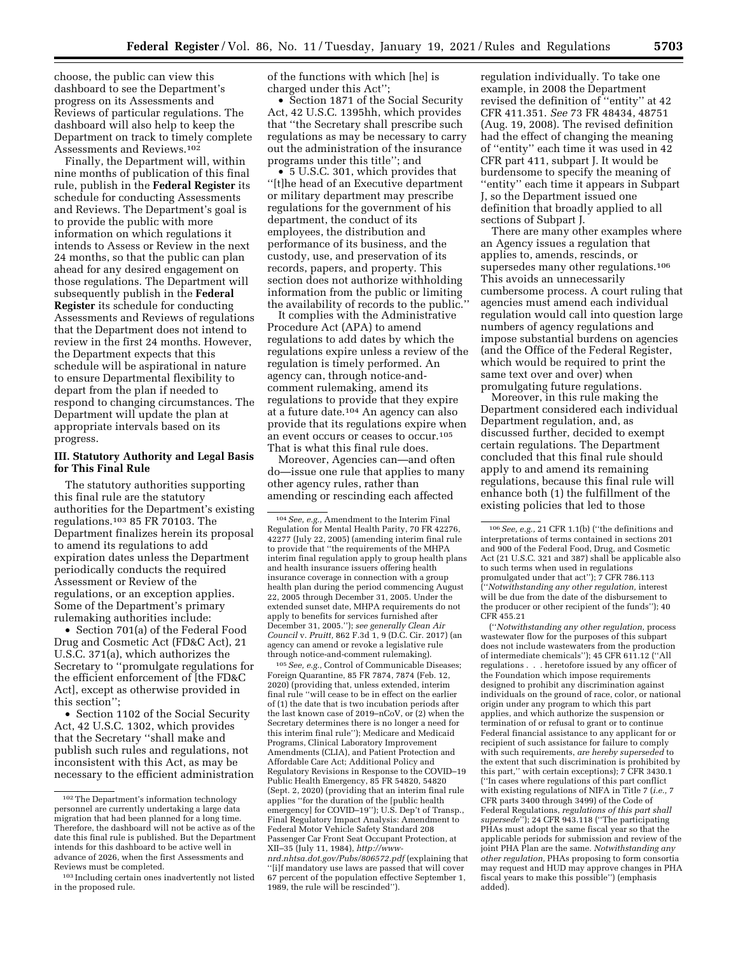choose, the public can view this dashboard to see the Department's progress on its Assessments and Reviews of particular regulations. The dashboard will also help to keep the Department on track to timely complete Assessments and Reviews.102

Finally, the Department will, within nine months of publication of this final rule, publish in the **Federal Register** its schedule for conducting Assessments and Reviews. The Department's goal is to provide the public with more information on which regulations it intends to Assess or Review in the next 24 months, so that the public can plan ahead for any desired engagement on those regulations. The Department will subsequently publish in the **Federal Register** its schedule for conducting Assessments and Reviews of regulations that the Department does not intend to review in the first 24 months. However, the Department expects that this schedule will be aspirational in nature to ensure Departmental flexibility to depart from the plan if needed to respond to changing circumstances. The Department will update the plan at appropriate intervals based on its progress.

## **III. Statutory Authority and Legal Basis for This Final Rule**

The statutory authorities supporting this final rule are the statutory authorities for the Department's existing regulations.103 85 FR 70103. The Department finalizes herein its proposal to amend its regulations to add expiration dates unless the Department periodically conducts the required Assessment or Review of the regulations, or an exception applies. Some of the Department's primary rulemaking authorities include:

• Section 701(a) of the Federal Food Drug and Cosmetic Act (FD&C Act), 21 U.S.C. 371(a), which authorizes the Secretary to ''promulgate regulations for the efficient enforcement of [the FD&C Act], except as otherwise provided in this section'';

• Section 1102 of the Social Security Act, 42 U.S.C. 1302, which provides that the Secretary ''shall make and publish such rules and regulations, not inconsistent with this Act, as may be necessary to the efficient administration of the functions with which [he] is charged under this Act'';

• Section 1871 of the Social Security Act, 42 U.S.C. 1395hh, which provides that ''the Secretary shall prescribe such regulations as may be necessary to carry out the administration of the insurance programs under this title''; and

• 5 U.S.C. 301, which provides that ''[t]he head of an Executive department or military department may prescribe regulations for the government of his department, the conduct of its employees, the distribution and performance of its business, and the custody, use, and preservation of its records, papers, and property. This section does not authorize withholding information from the public or limiting the availability of records to the public.''

It complies with the Administrative Procedure Act (APA) to amend regulations to add dates by which the regulations expire unless a review of the regulation is timely performed. An agency can, through notice-andcomment rulemaking, amend its regulations to provide that they expire at a future date.104 An agency can also provide that its regulations expire when an event occurs or ceases to occur.105 That is what this final rule does.

Moreover, Agencies can—and often do—issue one rule that applies to many other agency rules, rather than amending or rescinding each affected

105*See, e.g.,* Control of Communicable Diseases; Foreign Quarantine, 85 FR 7874, 7874 (Feb. 12, 2020) (providing that, unless extended, interim final rule ''will cease to be in effect on the earlier of (1) the date that is two incubation periods after the last known case of 2019–nCoV, or (2) when the Secretary determines there is no longer a need for this interim final rule''); Medicare and Medicaid Programs, Clinical Laboratory Improvement Amendments (CLIA), and Patient Protection and Affordable Care Act; Additional Policy and Regulatory Revisions in Response to the COVID–19 Public Health Emergency, 85 FR 54820, 54820 (Sept. 2, 2020) (providing that an interim final rule applies ''for the duration of the [public health emergency] for COVID–19''); U.S. Dep't of Transp., Final Regulatory Impact Analysis: Amendment to Federal Motor Vehicle Safety Standard 208 Passenger Car Front Seat Occupant Protection, at XII–35 (July 11, 1984), *[http://www](http://www-nrd.nhtsa.dot.gov/Pubs/806572.pdf)[nrd.nhtsa.dot.gov/Pubs/806572.pdf](http://www-nrd.nhtsa.dot.gov/Pubs/806572.pdf)* (explaining that ''[i]f mandatory use laws are passed that will cover 67 percent of the population effective September 1, 1989, the rule will be rescinded'').

regulation individually. To take one example, in 2008 the Department revised the definition of ''entity'' at 42 CFR 411.351. *See* 73 FR 48434, 48751 (Aug. 19, 2008). The revised definition had the effect of changing the meaning of ''entity'' each time it was used in 42 CFR part 411, subpart J. It would be burdensome to specify the meaning of ''entity'' each time it appears in Subpart J, so the Department issued one definition that broadly applied to all sections of Subpart J.

There are many other examples where an Agency issues a regulation that applies to, amends, rescinds, or supersedes many other regulations.106 This avoids an unnecessarily cumbersome process. A court ruling that agencies must amend each individual regulation would call into question large numbers of agency regulations and impose substantial burdens on agencies (and the Office of the Federal Register, which would be required to print the same text over and over) when promulgating future regulations.

Moreover, in this rule making the Department considered each individual Department regulation, and, as discussed further, decided to exempt certain regulations. The Department concluded that this final rule should apply to and amend its remaining regulations, because this final rule will enhance both (1) the fulfillment of the existing policies that led to those

(''*Notwithstanding any other regulation,* process wastewater flow for the purposes of this subpart does not include wastewaters from the production of intermediate chemicals''); 45 CFR 611.12 (''All regulations . . . heretofore issued by any officer of the Foundation which impose requirements designed to prohibit any discrimination against individuals on the ground of race, color, or national origin under any program to which this part applies, and which authorize the suspension or termination of or refusal to grant or to continue Federal financial assistance to any applicant for or recipient of such assistance for failure to comply with such requirements, *are hereby superseded* to the extent that such discrimination is prohibited by this part,'' with certain exceptions); 7 CFR 3430.1 (''In cases where regulations of this part conflict with existing regulations of NIFA in Title 7 (*i.e.,* 7 CFR parts 3400 through 3499) of the Code of Federal Regulations, *regulations of this part shall supersede*''); 24 CFR 943.118 (''The participating PHAs must adopt the same fiscal year so that the applicable periods for submission and review of the joint PHA Plan are the same. *Notwithstanding any other regulation,* PHAs proposing to form consortia may request and HUD may approve changes in PHA fiscal years to make this possible'') (emphasis added).

<sup>102</sup>The Department's information technology personnel are currently undertaking a large data migration that had been planned for a long time. Therefore, the dashboard will not be active as of the date this final rule is published. But the Department intends for this dashboard to be active well in advance of 2026, when the first Assessments and Reviews must be completed.

<sup>103</sup> Including certain ones inadvertently not listed in the proposed rule.

<sup>104</sup>*See, e.g.,* Amendment to the Interim Final Regulation for Mental Health Parity, 70 FR 42276, 42277 (July 22, 2005) (amending interim final rule to provide that ''the requirements of the MHPA interim final regulation apply to group health plans and health insurance issuers offering health insurance coverage in connection with a group health plan during the period commencing August 22, 2005 through December 31, 2005. Under the extended sunset date, MHPA requirements do not apply to benefits for services furnished after December 31, 2005.''); *see generally Clean Air Council* v. *Pruitt,* 862 F.3d 1, 9 (D.C. Cir. 2017) (an agency can amend or revoke a legislative rule through notice-and-comment rulemaking).

<sup>106</sup>*See, e.g.,* 21 CFR 1.1(b) (''the definitions and interpretations of terms contained in sections 201 and 900 of the Federal Food, Drug, and Cosmetic Act (21 U.S.C. 321 and 387) shall be applicable also to such terms when used in regulations promulgated under that act"); 7 CFR 786.113 (''*Notwithstanding any other regulation,* interest will be due from the date of the disbursement to the producer or other recipient of the funds''); 40 CFR 455.21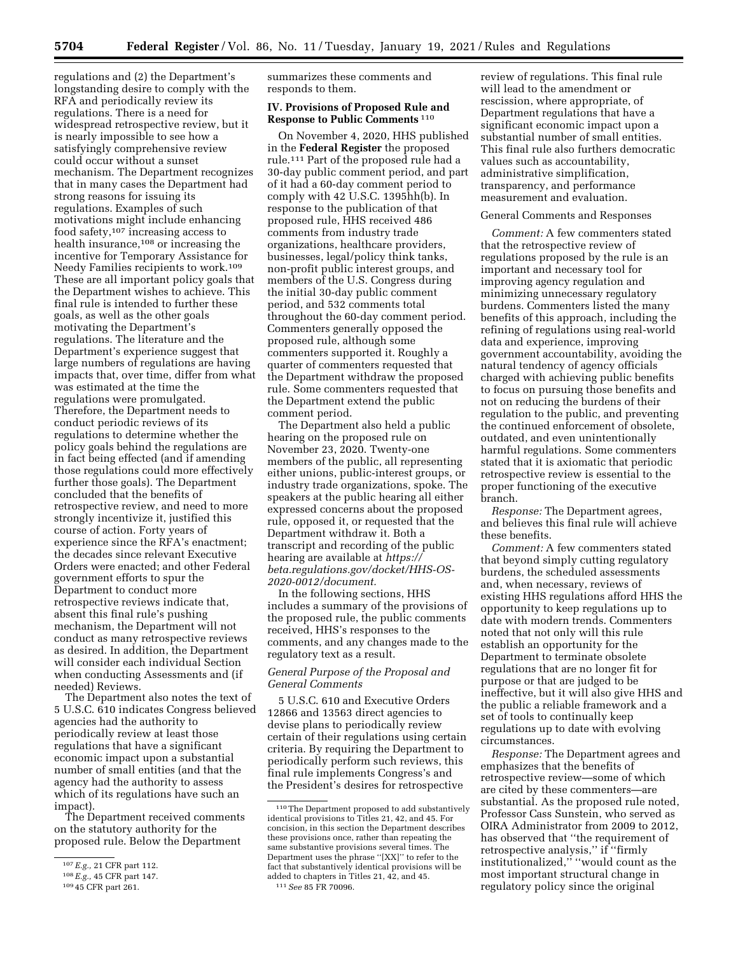regulations and (2) the Department's longstanding desire to comply with the RFA and periodically review its regulations. There is a need for widespread retrospective review, but it is nearly impossible to see how a satisfyingly comprehensive review could occur without a sunset mechanism. The Department recognizes that in many cases the Department had strong reasons for issuing its regulations. Examples of such motivations might include enhancing food safety,107 increasing access to health insurance,108 or increasing the incentive for Temporary Assistance for Needy Families recipients to work.109 These are all important policy goals that the Department wishes to achieve. This final rule is intended to further these goals, as well as the other goals motivating the Department's regulations. The literature and the Department's experience suggest that large numbers of regulations are having impacts that, over time, differ from what was estimated at the time the regulations were promulgated. Therefore, the Department needs to conduct periodic reviews of its regulations to determine whether the policy goals behind the regulations are in fact being effected (and if amending those regulations could more effectively further those goals). The Department concluded that the benefits of retrospective review, and need to more strongly incentivize it, justified this course of action. Forty years of experience since the RFA's enactment; the decades since relevant Executive Orders were enacted; and other Federal government efforts to spur the Department to conduct more retrospective reviews indicate that, absent this final rule's pushing mechanism, the Department will not conduct as many retrospective reviews as desired. In addition, the Department will consider each individual Section when conducting Assessments and (if needed) Reviews.

The Department also notes the text of 5 U.S.C. 610 indicates Congress believed agencies had the authority to periodically review at least those regulations that have a significant economic impact upon a substantial number of small entities (and that the agency had the authority to assess which of its regulations have such an impact).

The Department received comments on the statutory authority for the proposed rule. Below the Department

summarizes these comments and responds to them.

### **IV. Provisions of Proposed Rule and Response to Public Comments** 110

On November 4, 2020, HHS published in the **Federal Register** the proposed rule.111 Part of the proposed rule had a 30-day public comment period, and part of it had a 60-day comment period to comply with 42 U.S.C. 1395hh(b). In response to the publication of that proposed rule, HHS received 486 comments from industry trade organizations, healthcare providers, businesses, legal/policy think tanks, non-profit public interest groups, and members of the U.S. Congress during the initial 30-day public comment period, and 532 comments total throughout the 60-day comment period. Commenters generally opposed the proposed rule, although some commenters supported it. Roughly a quarter of commenters requested that the Department withdraw the proposed rule. Some commenters requested that the Department extend the public comment period.

The Department also held a public hearing on the proposed rule on November 23, 2020. Twenty-one members of the public, all representing either unions, public-interest groups, or industry trade organizations, spoke. The speakers at the public hearing all either expressed concerns about the proposed rule, opposed it, or requested that the Department withdraw it. Both a transcript and recording of the public hearing are available at *[https://](https://beta.regulations.gov/docket/HHS-OS-2020-0012/document) [beta.regulations.gov/docket/HHS-OS-](https://beta.regulations.gov/docket/HHS-OS-2020-0012/document)[2020-0012/document.](https://beta.regulations.gov/docket/HHS-OS-2020-0012/document)* 

In the following sections, HHS includes a summary of the provisions of the proposed rule, the public comments received, HHS's responses to the comments, and any changes made to the regulatory text as a result.

## *General Purpose of the Proposal and General Comments*

5 U.S.C. 610 and Executive Orders 12866 and 13563 direct agencies to devise plans to periodically review certain of their regulations using certain criteria. By requiring the Department to periodically perform such reviews, this final rule implements Congress's and the President's desires for retrospective

review of regulations. This final rule will lead to the amendment or rescission, where appropriate, of Department regulations that have a significant economic impact upon a substantial number of small entities. This final rule also furthers democratic values such as accountability, administrative simplification, transparency, and performance measurement and evaluation.

#### General Comments and Responses

*Comment:* A few commenters stated that the retrospective review of regulations proposed by the rule is an important and necessary tool for improving agency regulation and minimizing unnecessary regulatory burdens. Commenters listed the many benefits of this approach, including the refining of regulations using real-world data and experience, improving government accountability, avoiding the natural tendency of agency officials charged with achieving public benefits to focus on pursuing those benefits and not on reducing the burdens of their regulation to the public, and preventing the continued enforcement of obsolete, outdated, and even unintentionally harmful regulations. Some commenters stated that it is axiomatic that periodic retrospective review is essential to the proper functioning of the executive branch.

*Response:* The Department agrees, and believes this final rule will achieve these benefits.

*Comment:* A few commenters stated that beyond simply cutting regulatory burdens, the scheduled assessments and, when necessary, reviews of existing HHS regulations afford HHS the opportunity to keep regulations up to date with modern trends. Commenters noted that not only will this rule establish an opportunity for the Department to terminate obsolete regulations that are no longer fit for purpose or that are judged to be ineffective, but it will also give HHS and the public a reliable framework and a set of tools to continually keep regulations up to date with evolving circumstances.

*Response:* The Department agrees and emphasizes that the benefits of retrospective review—some of which are cited by these commenters—are substantial. As the proposed rule noted, Professor Cass Sunstein, who served as OIRA Administrator from 2009 to 2012, has observed that ''the requirement of retrospective analysis,'' if ''firmly institutionalized,'' ''would count as the most important structural change in regulatory policy since the original

<sup>107</sup>*E.g.,* 21 CFR part 112.

<sup>108</sup>*E.g.,* 45 CFR part 147.

<sup>109</sup> 45 CFR part 261.

<sup>110</sup>The Department proposed to add substantively identical provisions to Titles 21, 42, and 45. For concision, in this section the Department describes these provisions once, rather than repeating the same substantive provisions several times. The Department uses the phrase ''[XX]'' to refer to the fact that substantively identical provisions will be added to chapters in Titles 21, 42, and 45. 111*See* 85 FR 70096.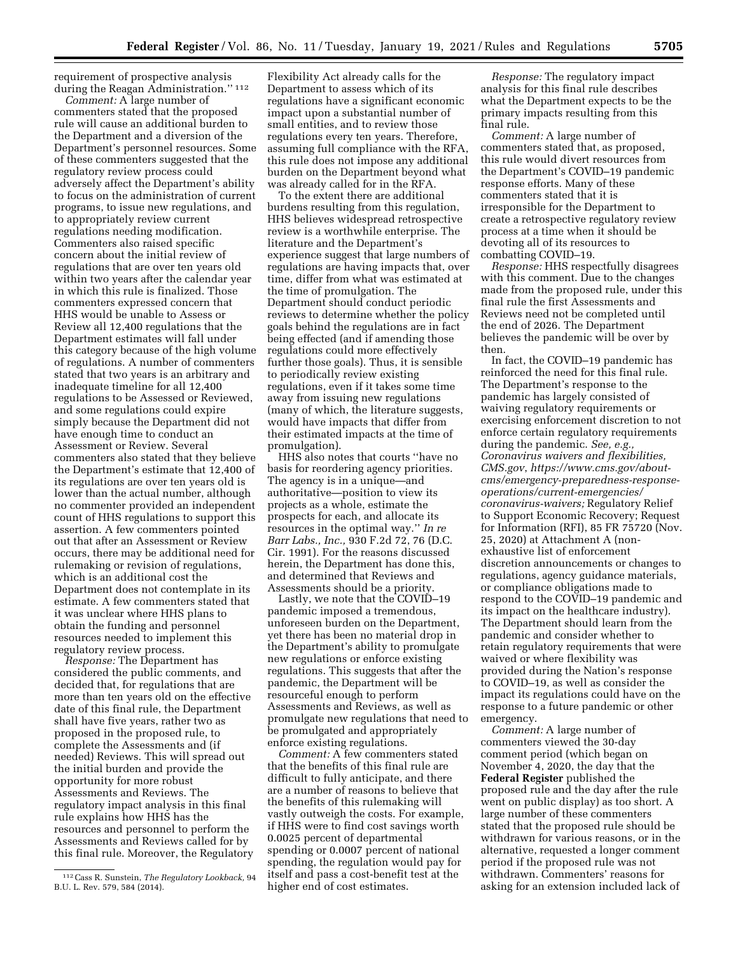requirement of prospective analysis during the Reagan Administration.'' 112

*Comment:* A large number of commenters stated that the proposed rule will cause an additional burden to the Department and a diversion of the Department's personnel resources. Some of these commenters suggested that the regulatory review process could adversely affect the Department's ability to focus on the administration of current programs, to issue new regulations, and to appropriately review current regulations needing modification. Commenters also raised specific concern about the initial review of regulations that are over ten years old within two years after the calendar year in which this rule is finalized. Those commenters expressed concern that HHS would be unable to Assess or Review all 12,400 regulations that the Department estimates will fall under this category because of the high volume of regulations. A number of commenters stated that two years is an arbitrary and inadequate timeline for all 12,400 regulations to be Assessed or Reviewed, and some regulations could expire simply because the Department did not have enough time to conduct an Assessment or Review. Several commenters also stated that they believe the Department's estimate that 12,400 of its regulations are over ten years old is lower than the actual number, although no commenter provided an independent count of HHS regulations to support this assertion. A few commenters pointed out that after an Assessment or Review occurs, there may be additional need for rulemaking or revision of regulations, which is an additional cost the Department does not contemplate in its estimate. A few commenters stated that it was unclear where HHS plans to obtain the funding and personnel resources needed to implement this regulatory review process.

*Response:* The Department has considered the public comments, and decided that, for regulations that are more than ten years old on the effective date of this final rule, the Department shall have five years, rather two as proposed in the proposed rule, to complete the Assessments and (if needed) Reviews. This will spread out the initial burden and provide the opportunity for more robust Assessments and Reviews. The regulatory impact analysis in this final rule explains how HHS has the resources and personnel to perform the Assessments and Reviews called for by this final rule. Moreover, the Regulatory

Flexibility Act already calls for the Department to assess which of its regulations have a significant economic impact upon a substantial number of small entities, and to review those regulations every ten years. Therefore, assuming full compliance with the RFA, this rule does not impose any additional burden on the Department beyond what was already called for in the RFA.

To the extent there are additional burdens resulting from this regulation, HHS believes widespread retrospective review is a worthwhile enterprise. The literature and the Department's experience suggest that large numbers of regulations are having impacts that, over time, differ from what was estimated at the time of promulgation. The Department should conduct periodic reviews to determine whether the policy goals behind the regulations are in fact being effected (and if amending those regulations could more effectively further those goals). Thus, it is sensible to periodically review existing regulations, even if it takes some time away from issuing new regulations (many of which, the literature suggests, would have impacts that differ from their estimated impacts at the time of promulgation).

HHS also notes that courts ''have no basis for reordering agency priorities. The agency is in a unique—and authoritative—position to view its projects as a whole, estimate the prospects for each, and allocate its resources in the optimal way.'' *In re Barr Labs., Inc.,* 930 F.2d 72, 76 (D.C. Cir. 1991). For the reasons discussed herein, the Department has done this, and determined that Reviews and Assessments should be a priority.

Lastly, we note that the COVID–19 pandemic imposed a tremendous, unforeseen burden on the Department, yet there has been no material drop in the Department's ability to promulgate new regulations or enforce existing regulations. This suggests that after the pandemic, the Department will be resourceful enough to perform Assessments and Reviews, as well as promulgate new regulations that need to be promulgated and appropriately enforce existing regulations.

*Comment:* A few commenters stated that the benefits of this final rule are difficult to fully anticipate, and there are a number of reasons to believe that the benefits of this rulemaking will vastly outweigh the costs. For example, if HHS were to find cost savings worth 0.0025 percent of departmental spending or 0.0007 percent of national spending, the regulation would pay for itself and pass a cost-benefit test at the higher end of cost estimates.

*Response:* The regulatory impact analysis for this final rule describes what the Department expects to be the primary impacts resulting from this final rule.

*Comment:* A large number of commenters stated that, as proposed, this rule would divert resources from the Department's COVID–19 pandemic response efforts. Many of these commenters stated that it is irresponsible for the Department to create a retrospective regulatory review process at a time when it should be devoting all of its resources to combatting COVID–19.

*Response:* HHS respectfully disagrees with this comment. Due to the changes made from the proposed rule, under this final rule the first Assessments and Reviews need not be completed until the end of 2026. The Department believes the pandemic will be over by then.

In fact, the COVID–19 pandemic has reinforced the need for this final rule. The Department's response to the pandemic has largely consisted of waiving regulatory requirements or exercising enforcement discretion to not enforce certain regulatory requirements during the pandemic. *See, e.g., Coronavirus waivers and flexibilities, [CMS.gov](http://CMS.gov)*, *[https://www.cms.gov/about](https://www.cms.gov/about-cms/emergency-preparedness-response-operations/current-emergencies/coronavirus-waivers)[cms/emergency-preparedness-response](https://www.cms.gov/about-cms/emergency-preparedness-response-operations/current-emergencies/coronavirus-waivers)[operations/current-emergencies/](https://www.cms.gov/about-cms/emergency-preparedness-response-operations/current-emergencies/coronavirus-waivers)  [coronavirus-waivers;](https://www.cms.gov/about-cms/emergency-preparedness-response-operations/current-emergencies/coronavirus-waivers)* Regulatory Relief to Support Economic Recovery; Request for Information (RFI), 85 FR 75720 (Nov. 25, 2020) at Attachment A (nonexhaustive list of enforcement discretion announcements or changes to regulations, agency guidance materials, or compliance obligations made to respond to the COVID–19 pandemic and its impact on the healthcare industry). The Department should learn from the pandemic and consider whether to retain regulatory requirements that were waived or where flexibility was provided during the Nation's response to COVID–19, as well as consider the impact its regulations could have on the response to a future pandemic or other emergency.

*Comment:* A large number of commenters viewed the 30-day comment period (which began on November 4, 2020, the day that the **Federal Register** published the proposed rule and the day after the rule went on public display) as too short. A large number of these commenters stated that the proposed rule should be withdrawn for various reasons, or in the alternative, requested a longer comment period if the proposed rule was not withdrawn. Commenters' reasons for asking for an extension included lack of

<sup>112</sup>Cass R. Sunstein, *The Regulatory Lookback,* 94 B.U. L. Rev. 579, 584 (2014).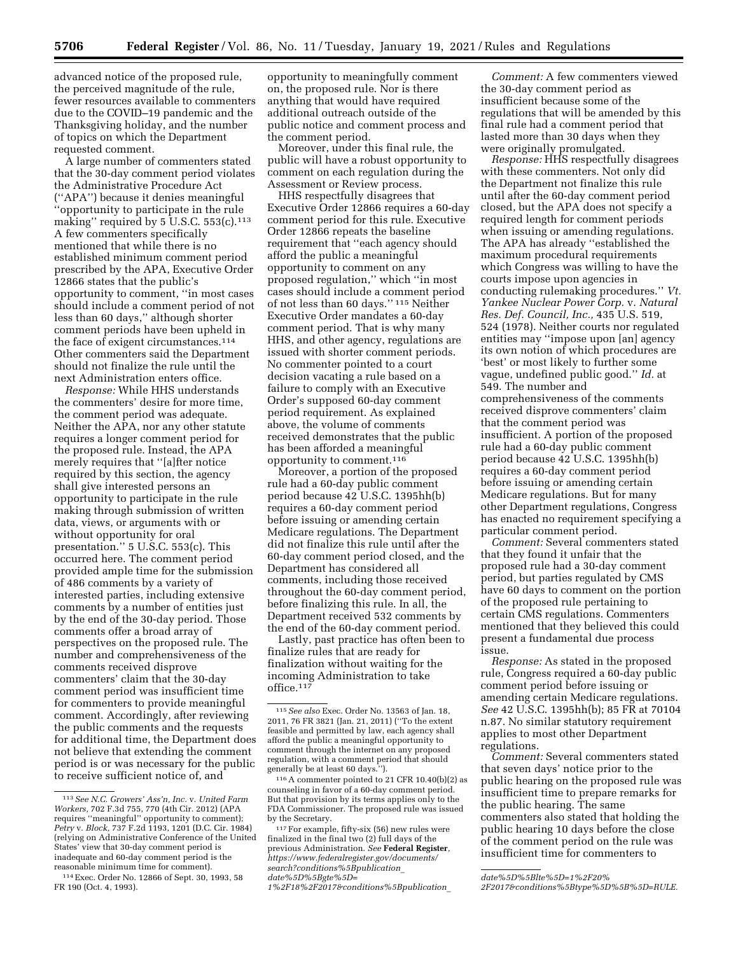advanced notice of the proposed rule, the perceived magnitude of the rule, fewer resources available to commenters due to the COVID–19 pandemic and the Thanksgiving holiday, and the number of topics on which the Department requested comment.

A large number of commenters stated that the 30-day comment period violates the Administrative Procedure Act (''APA'') because it denies meaningful ''opportunity to participate in the rule making" required by  $5$  U.S.C.  $553(c)$ .<sup>113</sup> A few commenters specifically mentioned that while there is no established minimum comment period prescribed by the APA, Executive Order 12866 states that the public's opportunity to comment, ''in most cases should include a comment period of not less than 60 days,'' although shorter comment periods have been upheld in the face of exigent circumstances.114 Other commenters said the Department should not finalize the rule until the next Administration enters office.

*Response:* While HHS understands the commenters' desire for more time, the comment period was adequate. Neither the APA, nor any other statute requires a longer comment period for the proposed rule. Instead, the APA merely requires that ''[a]fter notice required by this section, the agency shall give interested persons an opportunity to participate in the rule making through submission of written data, views, or arguments with or without opportunity for oral presentation.'' 5 U.S.C. 553(c). This occurred here. The comment period provided ample time for the submission of 486 comments by a variety of interested parties, including extensive comments by a number of entities just by the end of the 30-day period. Those comments offer a broad array of perspectives on the proposed rule. The number and comprehensiveness of the comments received disprove commenters' claim that the 30-day comment period was insufficient time for commenters to provide meaningful comment. Accordingly, after reviewing the public comments and the requests for additional time, the Department does not believe that extending the comment period is or was necessary for the public to receive sufficient notice of, and

opportunity to meaningfully comment on, the proposed rule. Nor is there anything that would have required additional outreach outside of the public notice and comment process and the comment period.

Moreover, under this final rule, the public will have a robust opportunity to comment on each regulation during the Assessment or Review process.

HHS respectfully disagrees that Executive Order 12866 requires a 60-day comment period for this rule. Executive Order 12866 repeats the baseline requirement that ''each agency should afford the public a meaningful opportunity to comment on any proposed regulation,'' which ''in most cases should include a comment period of not less than 60 days.'' 115 Neither Executive Order mandates a 60-day comment period. That is why many HHS, and other agency, regulations are issued with shorter comment periods. No commenter pointed to a court decision vacating a rule based on a failure to comply with an Executive Order's supposed 60-day comment period requirement. As explained above, the volume of comments received demonstrates that the public has been afforded a meaningful opportunity to comment.116

Moreover, a portion of the proposed rule had a 60-day public comment period because 42 U.S.C. 1395hh(b) requires a 60-day comment period before issuing or amending certain Medicare regulations. The Department did not finalize this rule until after the 60-day comment period closed, and the Department has considered all comments, including those received throughout the 60-day comment period, before finalizing this rule. In all, the Department received 532 comments by the end of the 60-day comment period.

Lastly, past practice has often been to finalize rules that are ready for finalization without waiting for the incoming Administration to take office. $117$ 

116A commenter pointed to 21 CFR 10.40(b)(2) as counseling in favor of a 60-day comment period. But that provision by its terms applies only to the FDA Commissioner. The proposed rule was issued by the Secretary.

117For example, fifty-six (56) new rules were finalized in the final two (2) full days of the previous Administration. *See* **Federal Register***, [https://www.federalregister.gov/documents/](https://www.federalregister.gov/documents/search?conditions%5Bpublication_date%5D%5Bgte%5D=1%2F18%2F2017&conditions%5Bpublication_date%5D%5Blte%5D=1%2F20%2F2017&conditions%5Btype%5D%5B%5D=RULE) [search?conditions%5Bpublication](https://www.federalregister.gov/documents/search?conditions%5Bpublication_date%5D%5Bgte%5D=1%2F18%2F2017&conditions%5Bpublication_date%5D%5Blte%5D=1%2F20%2F2017&conditions%5Btype%5D%5B%5D=RULE)*\_ *[date%5D%5Bgte%5D=](https://www.federalregister.gov/documents/search?conditions%5Bpublication_date%5D%5Bgte%5D=1%2F18%2F2017&conditions%5Bpublication_date%5D%5Blte%5D=1%2F20%2F2017&conditions%5Btype%5D%5B%5D=RULE)*

*[1%2F18%2F2017&conditions%5Bpublication](https://www.federalregister.gov/documents/search?conditions%5Bpublication_date%5D%5Bgte%5D=1%2F18%2F2017&conditions%5Bpublication_date%5D%5Blte%5D=1%2F20%2F2017&conditions%5Btype%5D%5B%5D=RULE)*\_

*Comment:* A few commenters viewed the 30-day comment period as insufficient because some of the regulations that will be amended by this final rule had a comment period that lasted more than 30 days when they were originally promulgated.

*Response:* HHS respectfully disagrees with these commenters. Not only did the Department not finalize this rule until after the 60-day comment period closed, but the APA does not specify a required length for comment periods when issuing or amending regulations. The APA has already ''established the maximum procedural requirements which Congress was willing to have the courts impose upon agencies in conducting rulemaking procedures.'' *Vt. Yankee Nuclear Power Corp.* v. *Natural Res. Def. Council, Inc.,* 435 U.S. 519, 524 (1978). Neither courts nor regulated entities may ''impose upon [an] agency its own notion of which procedures are 'best' or most likely to further some vague, undefined public good.'' *Id.* at 549. The number and comprehensiveness of the comments received disprove commenters' claim that the comment period was insufficient. A portion of the proposed rule had a 60-day public comment period because 42 U.S.C. 1395hh(b) requires a 60-day comment period before issuing or amending certain Medicare regulations. But for many other Department regulations, Congress has enacted no requirement specifying a particular comment period.

*Comment:* Several commenters stated that they found it unfair that the proposed rule had a 30-day comment period, but parties regulated by CMS have 60 days to comment on the portion of the proposed rule pertaining to certain CMS regulations. Commenters mentioned that they believed this could present a fundamental due process issue.

*Response:* As stated in the proposed rule, Congress required a 60-day public comment period before issuing or amending certain Medicare regulations. *See* 42 U.S.C. 1395hh(b); 85 FR at 70104 n.87. No similar statutory requirement applies to most other Department regulations.

*Comment:* Several commenters stated that seven days' notice prior to the public hearing on the proposed rule was insufficient time to prepare remarks for the public hearing. The same commenters also stated that holding the public hearing 10 days before the close of the comment period on the rule was insufficient time for commenters to

<sup>113</sup>*See N.C. Growers' Ass'n, Inc.* v. *United Farm Workers,* 702 F.3d 755, 770 (4th Cir. 2012) (APA requires ''meaningful'' opportunity to comment); *Petry* v. *Block,* 737 F.2d 1193, 1201 (D.C. Cir. 1984) (relying on Administrative Conference of the United States' view that 30-day comment period is inadequate and 60-day comment period is the reasonable minimum time for comment). 114Exec. Order No. 12866 of Sept. 30, 1993, 58

FR 190 (Oct. 4, 1993).

<sup>115</sup>*See also* Exec. Order No. 13563 of Jan. 18, 2011, 76 FR 3821 (Jan. 21, 2011) (''To the extent feasible and permitted by law, each agency shall afford the public a meaningful opportunity to comment through the internet on any proposed regulation, with a comment period that should generally be at least 60 days.'').

*[date%5D%5Blte%5D=1%2F20%](https://www.federalregister.gov/documents/search?conditions%5Bpublication_date%5D%5Bgte%5D=1%2F18%2F2017&conditions%5Bpublication_date%5D%5Blte%5D=1%2F20%2F2017&conditions%5Btype%5D%5B%5D=RULE)*

*[<sup>2</sup>F2017&conditions%5Btype%5D%5B%5D=RULE.](https://www.federalregister.gov/documents/search?conditions%5Bpublication_date%5D%5Bgte%5D=1%2F18%2F2017&conditions%5Bpublication_date%5D%5Blte%5D=1%2F20%2F2017&conditions%5Btype%5D%5B%5D=RULE)*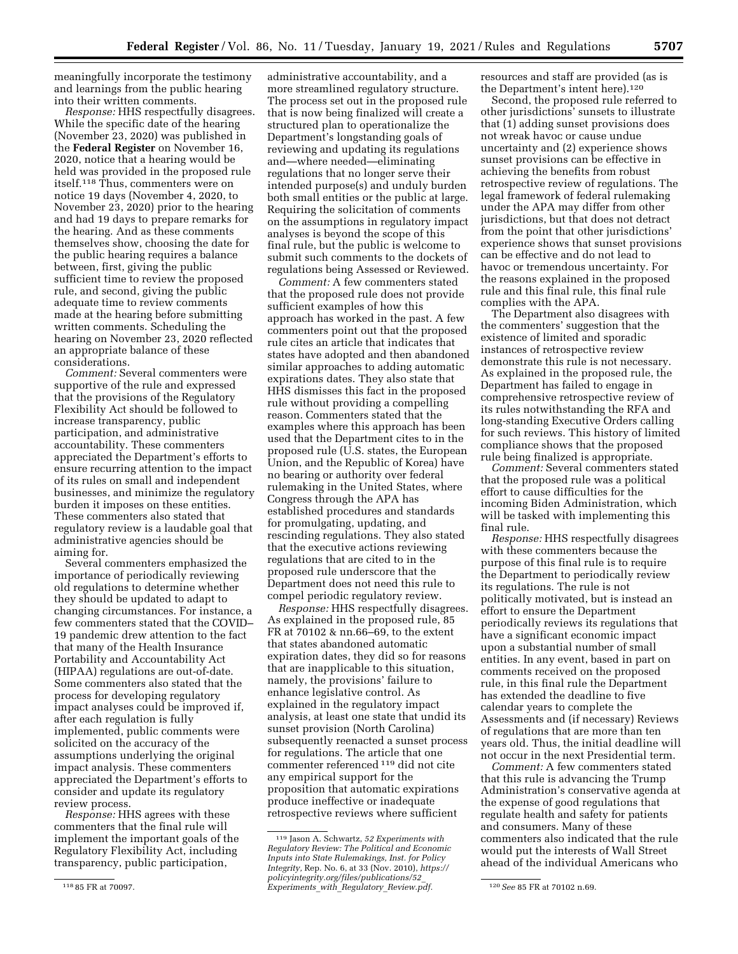meaningfully incorporate the testimony and learnings from the public hearing into their written comments.

*Response:* HHS respectfully disagrees. While the specific date of the hearing (November 23, 2020) was published in the **Federal Register** on November 16, 2020, notice that a hearing would be held was provided in the proposed rule itself.118 Thus, commenters were on notice 19 days (November 4, 2020, to November 23, 2020) prior to the hearing and had 19 days to prepare remarks for the hearing. And as these comments themselves show, choosing the date for the public hearing requires a balance between, first, giving the public sufficient time to review the proposed rule, and second, giving the public adequate time to review comments made at the hearing before submitting written comments. Scheduling the hearing on November 23, 2020 reflected an appropriate balance of these considerations.

*Comment:* Several commenters were supportive of the rule and expressed that the provisions of the Regulatory Flexibility Act should be followed to increase transparency, public participation, and administrative accountability. These commenters appreciated the Department's efforts to ensure recurring attention to the impact of its rules on small and independent businesses, and minimize the regulatory burden it imposes on these entities. These commenters also stated that regulatory review is a laudable goal that administrative agencies should be aiming for.

Several commenters emphasized the importance of periodically reviewing old regulations to determine whether they should be updated to adapt to changing circumstances. For instance, a few commenters stated that the COVID– 19 pandemic drew attention to the fact that many of the Health Insurance Portability and Accountability Act (HIPAA) regulations are out-of-date. Some commenters also stated that the process for developing regulatory impact analyses could be improved if, after each regulation is fully implemented, public comments were solicited on the accuracy of the assumptions underlying the original impact analysis. These commenters appreciated the Department's efforts to consider and update its regulatory review process.

*Response:* HHS agrees with these commenters that the final rule will implement the important goals of the Regulatory Flexibility Act, including transparency, public participation,

administrative accountability, and a more streamlined regulatory structure. The process set out in the proposed rule that is now being finalized will create a structured plan to operationalize the Department's longstanding goals of reviewing and updating its regulations and—where needed—eliminating regulations that no longer serve their intended purpose(s) and unduly burden both small entities or the public at large. Requiring the solicitation of comments on the assumptions in regulatory impact analyses is beyond the scope of this final rule, but the public is welcome to submit such comments to the dockets of regulations being Assessed or Reviewed.

*Comment:* A few commenters stated that the proposed rule does not provide sufficient examples of how this approach has worked in the past. A few commenters point out that the proposed rule cites an article that indicates that states have adopted and then abandoned similar approaches to adding automatic expirations dates. They also state that HHS dismisses this fact in the proposed rule without providing a compelling reason. Commenters stated that the examples where this approach has been used that the Department cites to in the proposed rule (U.S. states, the European Union, and the Republic of Korea) have no bearing or authority over federal rulemaking in the United States, where Congress through the APA has established procedures and standards for promulgating, updating, and rescinding regulations. They also stated that the executive actions reviewing regulations that are cited to in the proposed rule underscore that the Department does not need this rule to compel periodic regulatory review.

*Response:* HHS respectfully disagrees. As explained in the proposed rule, 85 FR at 70102 & nn.66–69, to the extent that states abandoned automatic expiration dates, they did so for reasons that are inapplicable to this situation, namely, the provisions' failure to enhance legislative control. As explained in the regulatory impact analysis, at least one state that undid its sunset provision (North Carolina) subsequently reenacted a sunset process for regulations. The article that one commenter referenced 119 did not cite any empirical support for the proposition that automatic expirations produce ineffective or inadequate retrospective reviews where sufficient

resources and staff are provided (as is the Department's intent here).120

Second, the proposed rule referred to other jurisdictions' sunsets to illustrate that (1) adding sunset provisions does not wreak havoc or cause undue uncertainty and (2) experience shows sunset provisions can be effective in achieving the benefits from robust retrospective review of regulations. The legal framework of federal rulemaking under the APA may differ from other jurisdictions, but that does not detract from the point that other jurisdictions' experience shows that sunset provisions can be effective and do not lead to havoc or tremendous uncertainty. For the reasons explained in the proposed rule and this final rule, this final rule complies with the APA.

The Department also disagrees with the commenters' suggestion that the existence of limited and sporadic instances of retrospective review demonstrate this rule is not necessary. As explained in the proposed rule, the Department has failed to engage in comprehensive retrospective review of its rules notwithstanding the RFA and long-standing Executive Orders calling for such reviews. This history of limited compliance shows that the proposed rule being finalized is appropriate.

*Comment:* Several commenters stated that the proposed rule was a political effort to cause difficulties for the incoming Biden Administration, which will be tasked with implementing this final rule.

*Response:* HHS respectfully disagrees with these commenters because the purpose of this final rule is to require the Department to periodically review its regulations. The rule is not politically motivated, but is instead an effort to ensure the Department periodically reviews its regulations that have a significant economic impact upon a substantial number of small entities. In any event, based in part on comments received on the proposed rule, in this final rule the Department has extended the deadline to five calendar years to complete the Assessments and (if necessary) Reviews of regulations that are more than ten years old. Thus, the initial deadline will not occur in the next Presidential term.

*Comment:* A few commenters stated that this rule is advancing the Trump Administration's conservative agenda at the expense of good regulations that regulate health and safety for patients and consumers. Many of these commenters also indicated that the rule would put the interests of Wall Street ahead of the individual Americans who

<sup>118</sup> 85 FR at 70097.

<sup>119</sup> Jason A. Schwartz, *52 Experiments with Regulatory Review: The Political and Economic Inputs into State Rulemakings, Inst. for Policy Integrity,* Rep. No. 6, at 33 (Nov. 2010), *[https://](https://policyintegrity.org/files/publications/52_Experiments_with_Regulatory_Review.pdf) [policyintegrity.org/files/publications/52](https://policyintegrity.org/files/publications/52_Experiments_with_Regulatory_Review.pdf)*\_ *[Experiments](https://policyintegrity.org/files/publications/52_Experiments_with_Regulatory_Review.pdf)*\_*with*\_*Regulatory*\_*Review.pdf.* 120*See* 85 FR at 70102 n.69.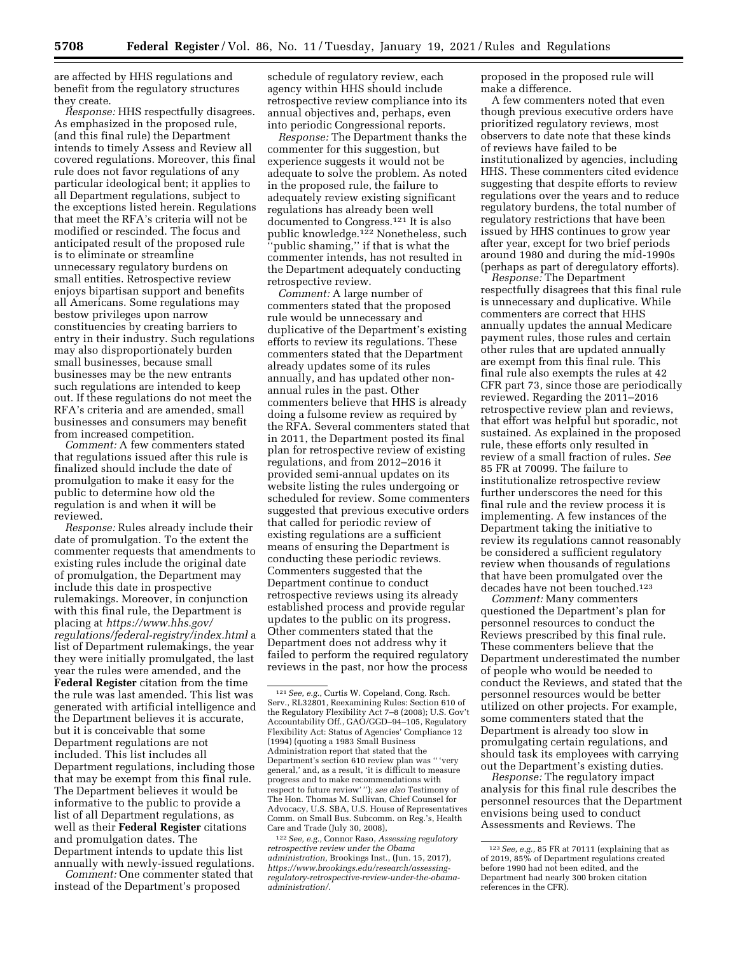are affected by HHS regulations and benefit from the regulatory structures they create.

*Response:* HHS respectfully disagrees. As emphasized in the proposed rule, (and this final rule) the Department intends to timely Assess and Review all covered regulations. Moreover, this final rule does not favor regulations of any particular ideological bent; it applies to all Department regulations, subject to the exceptions listed herein. Regulations that meet the RFA's criteria will not be modified or rescinded. The focus and anticipated result of the proposed rule is to eliminate or streamline unnecessary regulatory burdens on small entities. Retrospective review enjoys bipartisan support and benefits all Americans. Some regulations may bestow privileges upon narrow constituencies by creating barriers to entry in their industry. Such regulations may also disproportionately burden small businesses, because small businesses may be the new entrants such regulations are intended to keep out. If these regulations do not meet the RFA's criteria and are amended, small businesses and consumers may benefit from increased competition.

*Comment:* A few commenters stated that regulations issued after this rule is finalized should include the date of promulgation to make it easy for the public to determine how old the regulation is and when it will be reviewed.

*Response:* Rules already include their date of promulgation. To the extent the commenter requests that amendments to existing rules include the original date of promulgation, the Department may include this date in prospective rulemakings. Moreover, in conjunction with this final rule, the Department is placing at *[https://www.hhs.gov/](https://www.hhs.gov/regulations/federal-registry/index.html)  [regulations/federal-registry/index.html](https://www.hhs.gov/regulations/federal-registry/index.html)* a list of Department rulemakings, the year they were initially promulgated, the last year the rules were amended, and the **Federal Register** citation from the time the rule was last amended. This list was generated with artificial intelligence and the Department believes it is accurate, but it is conceivable that some Department regulations are not included. This list includes all Department regulations, including those that may be exempt from this final rule. The Department believes it would be informative to the public to provide a list of all Department regulations, as well as their **Federal Register** citations and promulgation dates. The Department intends to update this list annually with newly-issued regulations.

*Comment:* One commenter stated that instead of the Department's proposed

schedule of regulatory review, each agency within HHS should include retrospective review compliance into its annual objectives and, perhaps, even into periodic Congressional reports.

*Response:* The Department thanks the commenter for this suggestion, but experience suggests it would not be adequate to solve the problem. As noted in the proposed rule, the failure to adequately review existing significant regulations has already been well documented to Congress.121 It is also public knowledge.122 Nonetheless, such 'public shaming," if that is what the commenter intends, has not resulted in the Department adequately conducting retrospective review.

*Comment:* A large number of commenters stated that the proposed rule would be unnecessary and duplicative of the Department's existing efforts to review its regulations. These commenters stated that the Department already updates some of its rules annually, and has updated other nonannual rules in the past. Other commenters believe that HHS is already doing a fulsome review as required by the RFA. Several commenters stated that in 2011, the Department posted its final plan for retrospective review of existing regulations, and from 2012–2016 it provided semi-annual updates on its website listing the rules undergoing or scheduled for review. Some commenters suggested that previous executive orders that called for periodic review of existing regulations are a sufficient means of ensuring the Department is conducting these periodic reviews. Commenters suggested that the Department continue to conduct retrospective reviews using its already established process and provide regular updates to the public on its progress. Other commenters stated that the Department does not address why it failed to perform the required regulatory reviews in the past, nor how the process

122*See, e.g.,* Connor Raso, *Assessing regulatory retrospective review under the Obama administration,* Brookings Inst., (Jun. 15, 2017), *[https://www.brookings.edu/research/assessing](https://www.brookings.edu/research/assessing-regulatory-retrospective-review-under-the-obama-administration/)[regulatory-retrospective-review-under-the-obama](https://www.brookings.edu/research/assessing-regulatory-retrospective-review-under-the-obama-administration/)[administration/.](https://www.brookings.edu/research/assessing-regulatory-retrospective-review-under-the-obama-administration/)* 

proposed in the proposed rule will make a difference.

A few commenters noted that even though previous executive orders have prioritized regulatory reviews, most observers to date note that these kinds of reviews have failed to be institutionalized by agencies, including HHS. These commenters cited evidence suggesting that despite efforts to review regulations over the years and to reduce regulatory burdens, the total number of regulatory restrictions that have been issued by HHS continues to grow year after year, except for two brief periods around 1980 and during the mid-1990s (perhaps as part of deregulatory efforts).

*Response:* The Department respectfully disagrees that this final rule is unnecessary and duplicative. While commenters are correct that HHS annually updates the annual Medicare payment rules, those rules and certain other rules that are updated annually are exempt from this final rule. This final rule also exempts the rules at 42 CFR part 73, since those are periodically reviewed. Regarding the 2011–2016 retrospective review plan and reviews, that effort was helpful but sporadic, not sustained. As explained in the proposed rule, these efforts only resulted in review of a small fraction of rules. *See*  85 FR at 70099. The failure to institutionalize retrospective review further underscores the need for this final rule and the review process it is implementing. A few instances of the Department taking the initiative to review its regulations cannot reasonably be considered a sufficient regulatory review when thousands of regulations that have been promulgated over the decades have not been touched.123

*Comment:* Many commenters questioned the Department's plan for personnel resources to conduct the Reviews prescribed by this final rule. These commenters believe that the Department underestimated the number of people who would be needed to conduct the Reviews, and stated that the personnel resources would be better utilized on other projects. For example, some commenters stated that the Department is already too slow in promulgating certain regulations, and should task its employees with carrying out the Department's existing duties.

*Response:* The regulatory impact analysis for this final rule describes the personnel resources that the Department envisions being used to conduct Assessments and Reviews. The

<sup>121</sup>*See, e.g.,* Curtis W. Copeland, Cong. Rsch. Serv., RL32801, Reexamining Rules: Section 610 of the Regulatory Flexibility Act 7–8 (2008); U.S. Gov't Accountability Off., GAO/GGD–94–105, Regulatory Flexibility Act: Status of Agencies' Compliance 12 (1994) (quoting a 1983 Small Business Administration report that stated that the Department's section 610 review plan was '' 'very general,' and, as a result, 'it is difficult to measure progress and to make recommendations with respect to future review' ''); *see also* Testimony of The Hon. Thomas M. Sullivan, Chief Counsel for Advocacy, U.S. SBA, U.S. House of Representatives Comm. on Small Bus. Subcomm. on Reg.'s, Health Care and Trade (July 30, 2008),

<sup>123</sup>*See, e.g.,* 85 FR at 70111 (explaining that as of 2019, 85% of Department regulations created before 1990 had not been edited, and the Department had nearly 300 broken citation references in the CFR).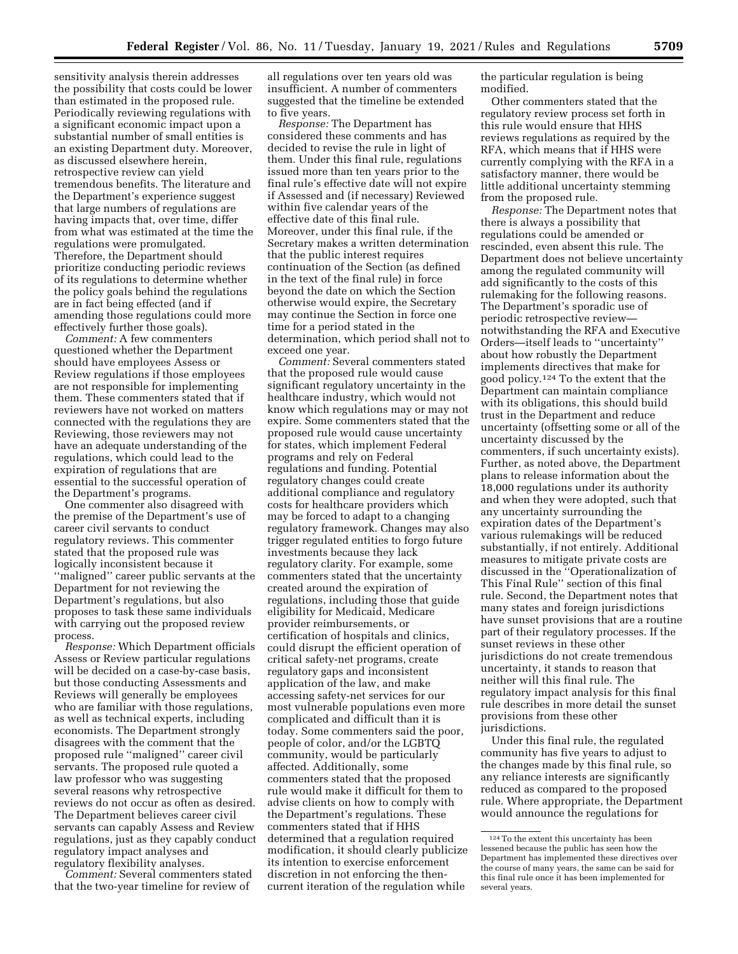sensitivity analysis therein addresses the possibility that costs could be lower than estimated in the proposed rule. Periodically reviewing regulations with a significant economic impact upon a substantial number of small entities is an existing Department duty. Moreover, as discussed elsewhere herein, retrospective review can yield tremendous benefits. The literature and the Department's experience suggest that large numbers of regulations are having impacts that, over time, differ from what was estimated at the time the regulations were promulgated. Therefore, the Department should prioritize conducting periodic reviews of its regulations to determine whether the policy goals behind the regulations are in fact being effected (and if amending those regulations could more effectively further those goals).

*Comment:* A few commenters questioned whether the Department should have employees Assess or Review regulations if those employees are not responsible for implementing them. These commenters stated that if reviewers have not worked on matters connected with the regulations they are Reviewing, those reviewers may not have an adequate understanding of the regulations, which could lead to the expiration of regulations that are essential to the successful operation of the Department's programs.

One commenter also disagreed with the premise of the Department's use of career civil servants to conduct regulatory reviews. This commenter stated that the proposed rule was logically inconsistent because it ''maligned'' career public servants at the Department for not reviewing the Department's regulations, but also proposes to task these same individuals with carrying out the proposed review process.

*Response:* Which Department officials Assess or Review particular regulations will be decided on a case-by-case basis, but those conducting Assessments and Reviews will generally be employees who are familiar with those regulations, as well as technical experts, including economists. The Department strongly disagrees with the comment that the proposed rule ''maligned'' career civil servants. The proposed rule quoted a law professor who was suggesting several reasons why retrospective reviews do not occur as often as desired. The Department believes career civil servants can capably Assess and Review regulations, just as they capably conduct regulatory impact analyses and regulatory flexibility analyses.

*Comment:* Several commenters stated that the two-year timeline for review of

all regulations over ten years old was insufficient. A number of commenters suggested that the timeline be extended to five years.

*Response:* The Department has considered these comments and has decided to revise the rule in light of them. Under this final rule, regulations issued more than ten years prior to the final rule's effective date will not expire if Assessed and (if necessary) Reviewed within five calendar years of the effective date of this final rule. Moreover, under this final rule, if the Secretary makes a written determination that the public interest requires continuation of the Section (as defined in the text of the final rule) in force beyond the date on which the Section otherwise would expire, the Secretary may continue the Section in force one time for a period stated in the determination, which period shall not to exceed one year.

*Comment:* Several commenters stated that the proposed rule would cause significant regulatory uncertainty in the healthcare industry, which would not know which regulations may or may not expire. Some commenters stated that the proposed rule would cause uncertainty for states, which implement Federal programs and rely on Federal regulations and funding. Potential regulatory changes could create additional compliance and regulatory costs for healthcare providers which may be forced to adapt to a changing regulatory framework. Changes may also trigger regulated entities to forgo future investments because they lack regulatory clarity. For example, some commenters stated that the uncertainty created around the expiration of regulations, including those that guide eligibility for Medicaid, Medicare provider reimbursements, or certification of hospitals and clinics, could disrupt the efficient operation of critical safety-net programs, create regulatory gaps and inconsistent application of the law, and make accessing safety-net services for our most vulnerable populations even more complicated and difficult than it is today. Some commenters said the poor, people of color, and/or the LGBTQ community, would be particularly affected. Additionally, some commenters stated that the proposed rule would make it difficult for them to advise clients on how to comply with the Department's regulations. These commenters stated that if HHS determined that a regulation required modification, it should clearly publicize its intention to exercise enforcement discretion in not enforcing the thencurrent iteration of the regulation while

the particular regulation is being modified.

Other commenters stated that the regulatory review process set forth in this rule would ensure that HHS reviews regulations as required by the RFA, which means that if HHS were currently complying with the RFA in a satisfactory manner, there would be little additional uncertainty stemming from the proposed rule.

*Response:* The Department notes that there is always a possibility that regulations could be amended or rescinded, even absent this rule. The Department does not believe uncertainty among the regulated community will add significantly to the costs of this rulemaking for the following reasons. The Department's sporadic use of periodic retrospective review notwithstanding the RFA and Executive Orders—itself leads to ''uncertainty'' about how robustly the Department implements directives that make for good policy.124 To the extent that the Department can maintain compliance with its obligations, this should build trust in the Department and reduce uncertainty (offsetting some or all of the uncertainty discussed by the commenters, if such uncertainty exists). Further, as noted above, the Department plans to release information about the 18,000 regulations under its authority and when they were adopted, such that any uncertainty surrounding the expiration dates of the Department's various rulemakings will be reduced substantially, if not entirely. Additional measures to mitigate private costs are discussed in the ''Operationalization of This Final Rule'' section of this final rule. Second, the Department notes that many states and foreign jurisdictions have sunset provisions that are a routine part of their regulatory processes. If the sunset reviews in these other jurisdictions do not create tremendous uncertainty, it stands to reason that neither will this final rule. The regulatory impact analysis for this final rule describes in more detail the sunset provisions from these other jurisdictions.

Under this final rule, the regulated community has five years to adjust to the changes made by this final rule, so any reliance interests are significantly reduced as compared to the proposed rule. Where appropriate, the Department would announce the regulations for

<sup>124</sup>To the extent this uncertainty has been lessened because the public has seen how the Department has implemented these directives over the course of many years, the same can be said for this final rule once it has been implemented for several years.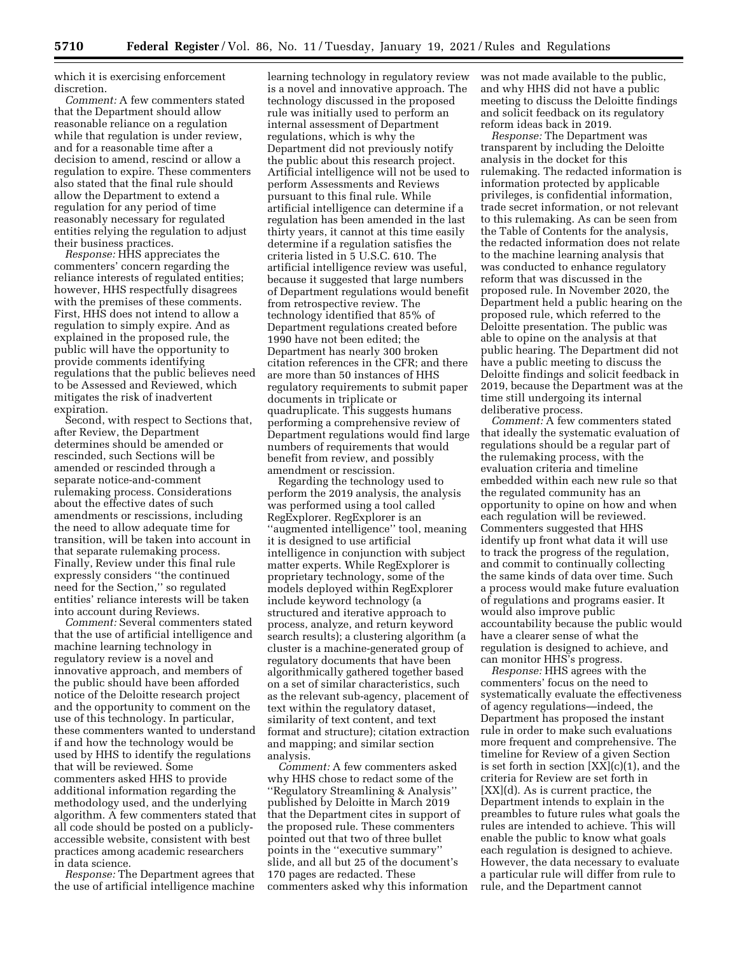which it is exercising enforcement discretion.

*Comment:* A few commenters stated that the Department should allow reasonable reliance on a regulation while that regulation is under review, and for a reasonable time after a decision to amend, rescind or allow a regulation to expire. These commenters also stated that the final rule should allow the Department to extend a regulation for any period of time reasonably necessary for regulated entities relying the regulation to adjust their business practices.

*Response:* HHS appreciates the commenters' concern regarding the reliance interests of regulated entities; however, HHS respectfully disagrees with the premises of these comments. First, HHS does not intend to allow a regulation to simply expire. And as explained in the proposed rule, the public will have the opportunity to provide comments identifying regulations that the public believes need to be Assessed and Reviewed, which mitigates the risk of inadvertent expiration.

Second, with respect to Sections that, after Review, the Department determines should be amended or rescinded, such Sections will be amended or rescinded through a separate notice-and-comment rulemaking process. Considerations about the effective dates of such amendments or rescissions, including the need to allow adequate time for transition, will be taken into account in that separate rulemaking process. Finally, Review under this final rule expressly considers ''the continued need for the Section,'' so regulated entities' reliance interests will be taken into account during Reviews.

*Comment:* Several commenters stated that the use of artificial intelligence and machine learning technology in regulatory review is a novel and innovative approach, and members of the public should have been afforded notice of the Deloitte research project and the opportunity to comment on the use of this technology. In particular, these commenters wanted to understand if and how the technology would be used by HHS to identify the regulations that will be reviewed. Some commenters asked HHS to provide additional information regarding the methodology used, and the underlying algorithm. A few commenters stated that all code should be posted on a publiclyaccessible website, consistent with best practices among academic researchers in data science.

*Response:* The Department agrees that the use of artificial intelligence machine

learning technology in regulatory review is a novel and innovative approach. The technology discussed in the proposed rule was initially used to perform an internal assessment of Department regulations, which is why the Department did not previously notify the public about this research project. Artificial intelligence will not be used to perform Assessments and Reviews pursuant to this final rule. While artificial intelligence can determine if a regulation has been amended in the last thirty years, it cannot at this time easily determine if a regulation satisfies the criteria listed in 5 U.S.C. 610. The artificial intelligence review was useful, because it suggested that large numbers of Department regulations would benefit from retrospective review. The technology identified that 85% of Department regulations created before 1990 have not been edited; the Department has nearly 300 broken citation references in the CFR; and there are more than 50 instances of HHS regulatory requirements to submit paper documents in triplicate or quadruplicate. This suggests humans performing a comprehensive review of Department regulations would find large numbers of requirements that would benefit from review, and possibly amendment or rescission.

Regarding the technology used to perform the 2019 analysis, the analysis was performed using a tool called RegExplorer. RegExplorer is an ''augmented intelligence'' tool, meaning it is designed to use artificial intelligence in conjunction with subject matter experts. While RegExplorer is proprietary technology, some of the models deployed within RegExplorer include keyword technology (a structured and iterative approach to process, analyze, and return keyword search results); a clustering algorithm (a cluster is a machine-generated group of regulatory documents that have been algorithmically gathered together based on a set of similar characteristics, such as the relevant sub-agency, placement of text within the regulatory dataset, similarity of text content, and text format and structure); citation extraction and mapping; and similar section analysis.

*Comment:* A few commenters asked why HHS chose to redact some of the ''Regulatory Streamlining & Analysis'' published by Deloitte in March 2019 that the Department cites in support of the proposed rule. These commenters pointed out that two of three bullet points in the ''executive summary'' slide, and all but 25 of the document's 170 pages are redacted. These commenters asked why this information was not made available to the public, and why HHS did not have a public meeting to discuss the Deloitte findings and solicit feedback on its regulatory reform ideas back in 2019.

*Response:* The Department was transparent by including the Deloitte analysis in the docket for this rulemaking. The redacted information is information protected by applicable privileges, is confidential information, trade secret information, or not relevant to this rulemaking. As can be seen from the Table of Contents for the analysis, the redacted information does not relate to the machine learning analysis that was conducted to enhance regulatory reform that was discussed in the proposed rule. In November 2020, the Department held a public hearing on the proposed rule, which referred to the Deloitte presentation. The public was able to opine on the analysis at that public hearing. The Department did not have a public meeting to discuss the Deloitte findings and solicit feedback in 2019, because the Department was at the time still undergoing its internal deliberative process.

*Comment:* A few commenters stated that ideally the systematic evaluation of regulations should be a regular part of the rulemaking process, with the evaluation criteria and timeline embedded within each new rule so that the regulated community has an opportunity to opine on how and when each regulation will be reviewed. Commenters suggested that HHS identify up front what data it will use to track the progress of the regulation, and commit to continually collecting the same kinds of data over time. Such a process would make future evaluation of regulations and programs easier. It would also improve public accountability because the public would have a clearer sense of what the regulation is designed to achieve, and can monitor HHS's progress.

*Response:* HHS agrees with the commenters' focus on the need to systematically evaluate the effectiveness of agency regulations—indeed, the Department has proposed the instant rule in order to make such evaluations more frequent and comprehensive. The timeline for Review of a given Section is set forth in section [XX](c)(1), and the criteria for Review are set forth in [XX](d). As is current practice, the Department intends to explain in the preambles to future rules what goals the rules are intended to achieve. This will enable the public to know what goals each regulation is designed to achieve. However, the data necessary to evaluate a particular rule will differ from rule to rule, and the Department cannot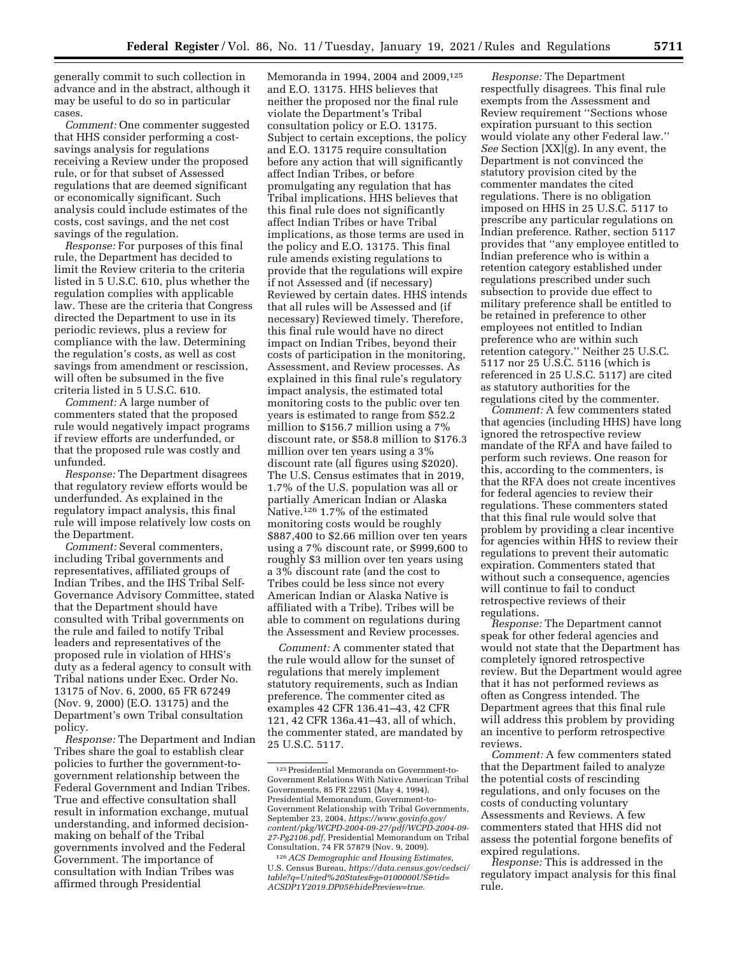generally commit to such collection in advance and in the abstract, although it may be useful to do so in particular cases.

*Comment:* One commenter suggested that HHS consider performing a costsavings analysis for regulations receiving a Review under the proposed rule, or for that subset of Assessed regulations that are deemed significant or economically significant. Such analysis could include estimates of the costs, cost savings, and the net cost savings of the regulation.

*Response:* For purposes of this final rule, the Department has decided to limit the Review criteria to the criteria listed in 5 U.S.C. 610, plus whether the regulation complies with applicable law. These are the criteria that Congress directed the Department to use in its periodic reviews, plus a review for compliance with the law. Determining the regulation's costs, as well as cost savings from amendment or rescission, will often be subsumed in the five criteria listed in 5 U.S.C. 610.

*Comment:* A large number of commenters stated that the proposed rule would negatively impact programs if review efforts are underfunded, or that the proposed rule was costly and unfunded.

*Response:* The Department disagrees that regulatory review efforts would be underfunded. As explained in the regulatory impact analysis, this final rule will impose relatively low costs on the Department.

*Comment:* Several commenters, including Tribal governments and representatives, affiliated groups of Indian Tribes, and the IHS Tribal Self-Governance Advisory Committee, stated that the Department should have consulted with Tribal governments on the rule and failed to notify Tribal leaders and representatives of the proposed rule in violation of HHS's duty as a federal agency to consult with Tribal nations under Exec. Order No. 13175 of Nov. 6, 2000, 65 FR 67249 (Nov. 9, 2000) (E.O. 13175) and the Department's own Tribal consultation policy.

*Response:* The Department and Indian Tribes share the goal to establish clear policies to further the government-togovernment relationship between the Federal Government and Indian Tribes. True and effective consultation shall result in information exchange, mutual understanding, and informed decisionmaking on behalf of the Tribal governments involved and the Federal Government. The importance of consultation with Indian Tribes was affirmed through Presidential

Memoranda in 1994, 2004 and 2009,125 and E.O. 13175. HHS believes that neither the proposed nor the final rule violate the Department's Tribal consultation policy or E.O. 13175. Subject to certain exceptions, the policy and E.O. 13175 require consultation before any action that will significantly affect Indian Tribes, or before promulgating any regulation that has Tribal implications. HHS believes that this final rule does not significantly affect Indian Tribes or have Tribal implications, as those terms are used in the policy and E.O. 13175. This final rule amends existing regulations to provide that the regulations will expire if not Assessed and (if necessary) Reviewed by certain dates. HHS intends that all rules will be Assessed and (if necessary) Reviewed timely. Therefore, this final rule would have no direct impact on Indian Tribes, beyond their costs of participation in the monitoring, Assessment, and Review processes. As explained in this final rule's regulatory impact analysis, the estimated total monitoring costs to the public over ten years is estimated to range from \$52.2 million to \$156.7 million using a 7% discount rate, or \$58.8 million to \$176.3 million over ten years using a 3% discount rate (all figures using \$2020). The U.S. Census estimates that in 2019, 1.7% of the U.S. population was all or partially American Indian or Alaska Native.126 1.7% of the estimated monitoring costs would be roughly \$887,400 to \$2.66 million over ten years using a 7% discount rate, or \$999,600 to roughly \$3 million over ten years using a 3% discount rate (and the cost to Tribes could be less since not every American Indian or Alaska Native is affiliated with a Tribe). Tribes will be able to comment on regulations during the Assessment and Review processes.

*Comment:* A commenter stated that the rule would allow for the sunset of regulations that merely implement statutory requirements, such as Indian preference. The commenter cited as examples 42 CFR 136.41–43, 42 CFR 121, 42 CFR 136a.41–43, all of which, the commenter stated, are mandated by 25 U.S.C. 5117.

*Response:* The Department respectfully disagrees. This final rule exempts from the Assessment and Review requirement ''Sections whose expiration pursuant to this section would violate any other Federal law.'' *See* Section [XX](g). In any event, the Department is not convinced the statutory provision cited by the commenter mandates the cited regulations. There is no obligation imposed on HHS in 25 U.S.C. 5117 to prescribe any particular regulations on Indian preference. Rather, section 5117 provides that ''any employee entitled to Indian preference who is within a retention category established under regulations prescribed under such subsection to provide due effect to military preference shall be entitled to be retained in preference to other employees not entitled to Indian preference who are within such retention category.'' Neither 25 U.S.C. 5117 nor 25 U.S.C. 5116 (which is referenced in 25 U.S.C. 5117) are cited as statutory authorities for the regulations cited by the commenter.

*Comment:* A few commenters stated that agencies (including HHS) have long ignored the retrospective review mandate of the RFA and have failed to perform such reviews. One reason for this, according to the commenters, is that the RFA does not create incentives for federal agencies to review their regulations. These commenters stated that this final rule would solve that problem by providing a clear incentive for agencies within HHS to review their regulations to prevent their automatic expiration. Commenters stated that without such a consequence, agencies will continue to fail to conduct retrospective reviews of their regulations.

*Response:* The Department cannot speak for other federal agencies and would not state that the Department has completely ignored retrospective review. But the Department would agree that it has not performed reviews as often as Congress intended. The Department agrees that this final rule will address this problem by providing an incentive to perform retrospective reviews.

*Comment:* A few commenters stated that the Department failed to analyze the potential costs of rescinding regulations, and only focuses on the costs of conducting voluntary Assessments and Reviews. A few commenters stated that HHS did not assess the potential forgone benefits of expired regulations.

*Response:* This is addressed in the regulatory impact analysis for this final rule.

<sup>125</sup>Presidential Memoranda on Government-to-Government Relations With Native American Tribal Governments, 85 FR 22951 (May 4, 1994), Presidential Memorandum, Government-to-Government Relationship with Tribal Governments, September 23, 2004, *[https://www.govinfo.gov/](https://www.govinfo.gov/content/pkg/WCPD-2004-09-27/pdf/WCPD-2004-09-27-Pg2106.pdf) [content/pkg/WCPD-2004-09-27/pdf/WCPD-2004-09-](https://www.govinfo.gov/content/pkg/WCPD-2004-09-27/pdf/WCPD-2004-09-27-Pg2106.pdf) [27-Pg2106.pdf,](https://www.govinfo.gov/content/pkg/WCPD-2004-09-27/pdf/WCPD-2004-09-27-Pg2106.pdf)* Presidential Memorandum on Tribal Consultation, 74 FR 57879 (Nov. 9, 2009).

<sup>126</sup>*ACS Demographic and Housing Estimates,*  U.S. Census Bureau, *[https://data.census.gov/cedsci/](https://data.census.gov/cedsci/table?q=United%20States&g=0100000US&tid=ACSDP1Y2019.DP05&hidePreview=true)  [table?q=United%20States&g=0100000US&tid=](https://data.census.gov/cedsci/table?q=United%20States&g=0100000US&tid=ACSDP1Y2019.DP05&hidePreview=true) [ACSDP1Y2019.DP05&hidePreview=true.](https://data.census.gov/cedsci/table?q=United%20States&g=0100000US&tid=ACSDP1Y2019.DP05&hidePreview=true)*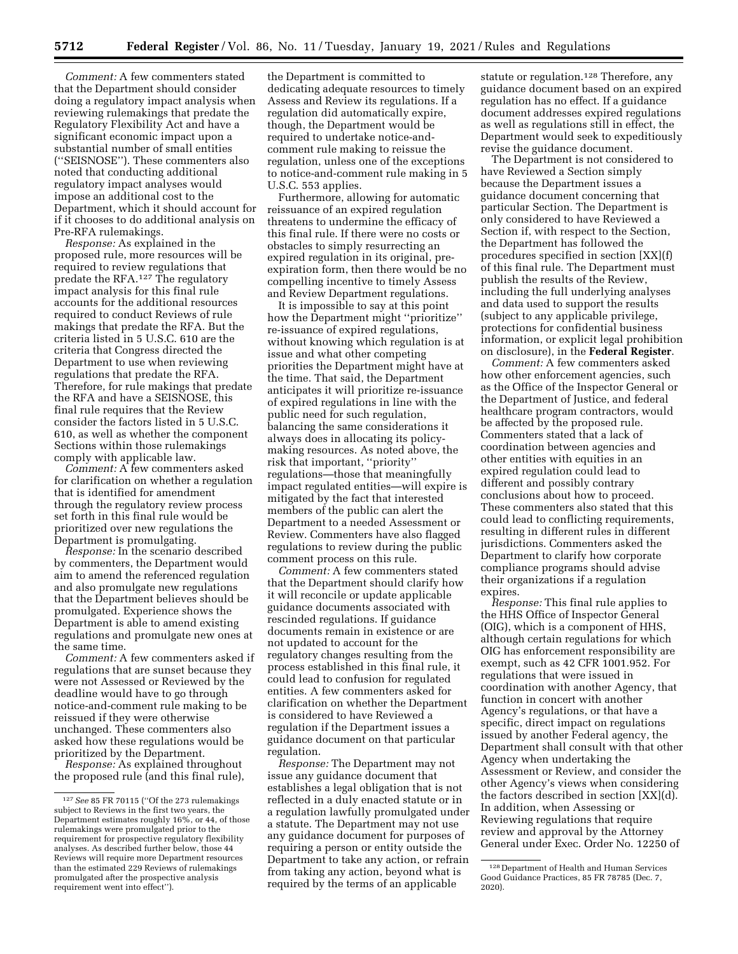*Comment:* A few commenters stated that the Department should consider doing a regulatory impact analysis when reviewing rulemakings that predate the Regulatory Flexibility Act and have a significant economic impact upon a substantial number of small entities (''SEISNOSE''). These commenters also noted that conducting additional regulatory impact analyses would impose an additional cost to the Department, which it should account for if it chooses to do additional analysis on Pre-RFA rulemakings.

*Response:* As explained in the proposed rule, more resources will be required to review regulations that predate the RFA.127 The regulatory impact analysis for this final rule accounts for the additional resources required to conduct Reviews of rule makings that predate the RFA. But the criteria listed in 5 U.S.C. 610 are the criteria that Congress directed the Department to use when reviewing regulations that predate the RFA. Therefore, for rule makings that predate the RFA and have a SEISNOSE, this final rule requires that the Review consider the factors listed in 5 U.S.C. 610, as well as whether the component Sections within those rulemakings comply with applicable law.

*Comment:* A few commenters asked for clarification on whether a regulation that is identified for amendment through the regulatory review process set forth in this final rule would be prioritized over new regulations the Department is promulgating.

*Response:* In the scenario described by commenters, the Department would aim to amend the referenced regulation and also promulgate new regulations that the Department believes should be promulgated. Experience shows the Department is able to amend existing regulations and promulgate new ones at the same time.

*Comment:* A few commenters asked if regulations that are sunset because they were not Assessed or Reviewed by the deadline would have to go through notice-and-comment rule making to be reissued if they were otherwise unchanged. These commenters also asked how these regulations would be prioritized by the Department.

*Response:* As explained throughout the proposed rule (and this final rule), the Department is committed to dedicating adequate resources to timely Assess and Review its regulations. If a regulation did automatically expire, though, the Department would be required to undertake notice-andcomment rule making to reissue the regulation, unless one of the exceptions to notice-and-comment rule making in 5 U.S.C. 553 applies.

Furthermore, allowing for automatic reissuance of an expired regulation threatens to undermine the efficacy of this final rule. If there were no costs or obstacles to simply resurrecting an expired regulation in its original, preexpiration form, then there would be no compelling incentive to timely Assess and Review Department regulations.

It is impossible to say at this point how the Department might ''prioritize'' re-issuance of expired regulations, without knowing which regulation is at issue and what other competing priorities the Department might have at the time. That said, the Department anticipates it will prioritize re-issuance of expired regulations in line with the public need for such regulation, balancing the same considerations it always does in allocating its policymaking resources. As noted above, the risk that important, ''priority'' regulations—those that meaningfully impact regulated entities—will expire is mitigated by the fact that interested members of the public can alert the Department to a needed Assessment or Review. Commenters have also flagged regulations to review during the public comment process on this rule.

*Comment:* A few commenters stated that the Department should clarify how it will reconcile or update applicable guidance documents associated with rescinded regulations. If guidance documents remain in existence or are not updated to account for the regulatory changes resulting from the process established in this final rule, it could lead to confusion for regulated entities. A few commenters asked for clarification on whether the Department is considered to have Reviewed a regulation if the Department issues a guidance document on that particular regulation.

*Response:* The Department may not issue any guidance document that establishes a legal obligation that is not reflected in a duly enacted statute or in a regulation lawfully promulgated under a statute. The Department may not use any guidance document for purposes of requiring a person or entity outside the Department to take any action, or refrain from taking any action, beyond what is required by the terms of an applicable

statute or regulation.<sup>128</sup> Therefore, any guidance document based on an expired regulation has no effect. If a guidance document addresses expired regulations as well as regulations still in effect, the Department would seek to expeditiously revise the guidance document.

The Department is not considered to have Reviewed a Section simply because the Department issues a guidance document concerning that particular Section. The Department is only considered to have Reviewed a Section if, with respect to the Section, the Department has followed the procedures specified in section [XX](f) of this final rule. The Department must publish the results of the Review, including the full underlying analyses and data used to support the results (subject to any applicable privilege, protections for confidential business information, or explicit legal prohibition on disclosure), in the **Federal Register**.

*Comment:* A few commenters asked how other enforcement agencies, such as the Office of the Inspector General or the Department of Justice, and federal healthcare program contractors, would be affected by the proposed rule. Commenters stated that a lack of coordination between agencies and other entities with equities in an expired regulation could lead to different and possibly contrary conclusions about how to proceed. These commenters also stated that this could lead to conflicting requirements, resulting in different rules in different jurisdictions. Commenters asked the Department to clarify how corporate compliance programs should advise their organizations if a regulation expires.

*Response:* This final rule applies to the HHS Office of Inspector General (OIG), which is a component of HHS, although certain regulations for which OIG has enforcement responsibility are exempt, such as 42 CFR 1001.952. For regulations that were issued in coordination with another Agency, that function in concert with another Agency's regulations, or that have a specific, direct impact on regulations issued by another Federal agency, the Department shall consult with that other Agency when undertaking the Assessment or Review, and consider the other Agency's views when considering the factors described in section [XX](d). In addition, when Assessing or Reviewing regulations that require review and approval by the Attorney General under Exec. Order No. 12250 of

<sup>127</sup>*See* 85 FR 70115 (''Of the 273 rulemakings subject to Reviews in the first two years, the Department estimates roughly 16%, or 44, of those rulemakings were promulgated prior to the requirement for prospective regulatory flexibility analyses. As described further below, those 44 Reviews will require more Department resources than the estimated 229 Reviews of rulemakings promulgated after the prospective analysis requirement went into effect'').

<sup>128</sup> Department of Health and Human Services Good Guidance Practices, 85 FR 78785 (Dec. 7, 2020).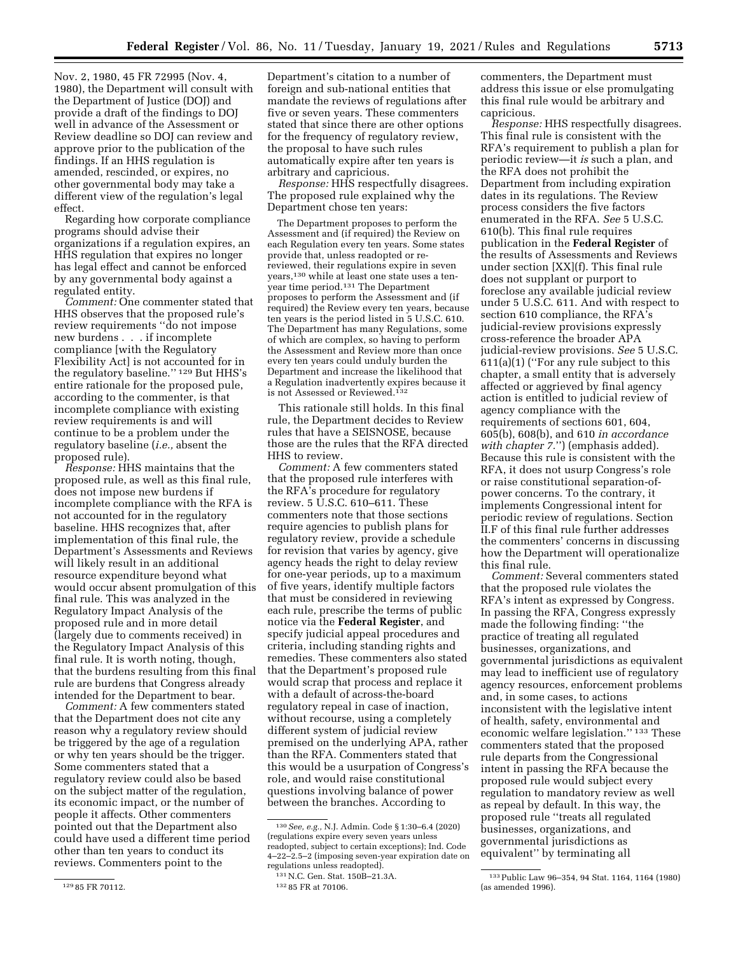Nov. 2, 1980, 45 FR 72995 (Nov. 4, 1980), the Department will consult with the Department of Justice (DOJ) and provide a draft of the findings to DOJ well in advance of the Assessment or Review deadline so DOJ can review and approve prior to the publication of the findings. If an HHS regulation is amended, rescinded, or expires, no other governmental body may take a different view of the regulation's legal effect.

Regarding how corporate compliance programs should advise their organizations if a regulation expires, an HHS regulation that expires no longer has legal effect and cannot be enforced by any governmental body against a regulated entity.

*Comment:* One commenter stated that HHS observes that the proposed rule's review requirements ''do not impose new burdens . . . if incomplete compliance [with the Regulatory Flexibility Act] is not accounted for in the regulatory baseline.'' 129 But HHS's entire rationale for the proposed pule, according to the commenter, is that incomplete compliance with existing review requirements is and will continue to be a problem under the regulatory baseline (*i.e.,* absent the proposed rule).

*Response:* HHS maintains that the proposed rule, as well as this final rule, does not impose new burdens if incomplete compliance with the RFA is not accounted for in the regulatory baseline. HHS recognizes that, after implementation of this final rule, the Department's Assessments and Reviews will likely result in an additional resource expenditure beyond what would occur absent promulgation of this final rule. This was analyzed in the Regulatory Impact Analysis of the proposed rule and in more detail (largely due to comments received) in the Regulatory Impact Analysis of this final rule. It is worth noting, though, that the burdens resulting from this final rule are burdens that Congress already intended for the Department to bear.

*Comment:* A few commenters stated that the Department does not cite any reason why a regulatory review should be triggered by the age of a regulation or why ten years should be the trigger. Some commenters stated that a regulatory review could also be based on the subject matter of the regulation, its economic impact, or the number of people it affects. Other commenters pointed out that the Department also could have used a different time period other than ten years to conduct its reviews. Commenters point to the

Department's citation to a number of foreign and sub-national entities that mandate the reviews of regulations after five or seven years. These commenters stated that since there are other options for the frequency of regulatory review, the proposal to have such rules automatically expire after ten years is arbitrary and capricious.

*Response:* HHS respectfully disagrees. The proposed rule explained why the Department chose ten years:

The Department proposes to perform the Assessment and (if required) the Review on each Regulation every ten years. Some states provide that, unless readopted or rereviewed, their regulations expire in seven years,130 while at least one state uses a tenyear time period.131 The Department proposes to perform the Assessment and (if required) the Review every ten years, because ten years is the period listed in 5 U.S.C. 610. The Department has many Regulations, some of which are complex, so having to perform the Assessment and Review more than once every ten years could unduly burden the Department and increase the likelihood that a Regulation inadvertently expires because it is not Assessed or Reviewed.132

This rationale still holds. In this final rule, the Department decides to Review rules that have a SEISNOSE, because those are the rules that the RFA directed HHS to review.

*Comment:* A few commenters stated that the proposed rule interferes with the RFA's procedure for regulatory review. 5 U.S.C. 610–611. These commenters note that those sections require agencies to publish plans for regulatory review, provide a schedule for revision that varies by agency, give agency heads the right to delay review for one-year periods, up to a maximum of five years, identify multiple factors that must be considered in reviewing each rule, prescribe the terms of public notice via the **Federal Register**, and specify judicial appeal procedures and criteria, including standing rights and remedies. These commenters also stated that the Department's proposed rule would scrap that process and replace it with a default of across-the-board regulatory repeal in case of inaction, without recourse, using a completely different system of judicial review premised on the underlying APA, rather than the RFA. Commenters stated that this would be a usurpation of Congress's role, and would raise constitutional questions involving balance of power between the branches. According to

commenters, the Department must address this issue or else promulgating this final rule would be arbitrary and capricious.

*Response:* HHS respectfully disagrees. This final rule is consistent with the RFA's requirement to publish a plan for periodic review—it *is* such a plan, and the RFA does not prohibit the Department from including expiration dates in its regulations. The Review process considers the five factors enumerated in the RFA. *See* 5 U.S.C. 610(b). This final rule requires publication in the **Federal Register** of the results of Assessments and Reviews under section [XX](f). This final rule does not supplant or purport to foreclose any available judicial review under 5 U.S.C. 611. And with respect to section 610 compliance, the RFA's judicial-review provisions expressly cross-reference the broader APA judicial-review provisions. *See* 5 U.S.C. 611(a)(1) (''For any rule subject to this chapter, a small entity that is adversely affected or aggrieved by final agency action is entitled to judicial review of agency compliance with the requirements of sections 601, 604, 605(b), 608(b), and 610 *in accordance with chapter 7.*'') (emphasis added). Because this rule is consistent with the RFA, it does not usurp Congress's role or raise constitutional separation-ofpower concerns. To the contrary, it implements Congressional intent for periodic review of regulations. Section II.F of this final rule further addresses the commenters' concerns in discussing how the Department will operationalize this final rule.

*Comment:* Several commenters stated that the proposed rule violates the RFA's intent as expressed by Congress. In passing the RFA, Congress expressly made the following finding: ''the practice of treating all regulated businesses, organizations, and governmental jurisdictions as equivalent may lead to inefficient use of regulatory agency resources, enforcement problems and, in some cases, to actions inconsistent with the legislative intent of health, safety, environmental and economic welfare legislation.'' 133 These commenters stated that the proposed rule departs from the Congressional intent in passing the RFA because the proposed rule would subject every regulation to mandatory review as well as repeal by default. In this way, the proposed rule ''treats all regulated businesses, organizations, and governmental jurisdictions as equivalent'' by terminating all

<sup>129</sup> 85 FR 70112.

<sup>130</sup>*See, e.g.,* N.J. Admin. Code § 1:30–6.4 (2020) (regulations expire every seven years unless readopted, subject to certain exceptions); Ind. Code 4–22–2.5–2 (imposing seven-year expiration date on regulations unless readopted).

<sup>131</sup>N.C. Gen. Stat. 150B–21.3A.

<sup>132</sup> 85 FR at 70106.

<sup>133</sup>Public Law 96–354, 94 Stat. 1164, 1164 (1980) (as amended 1996).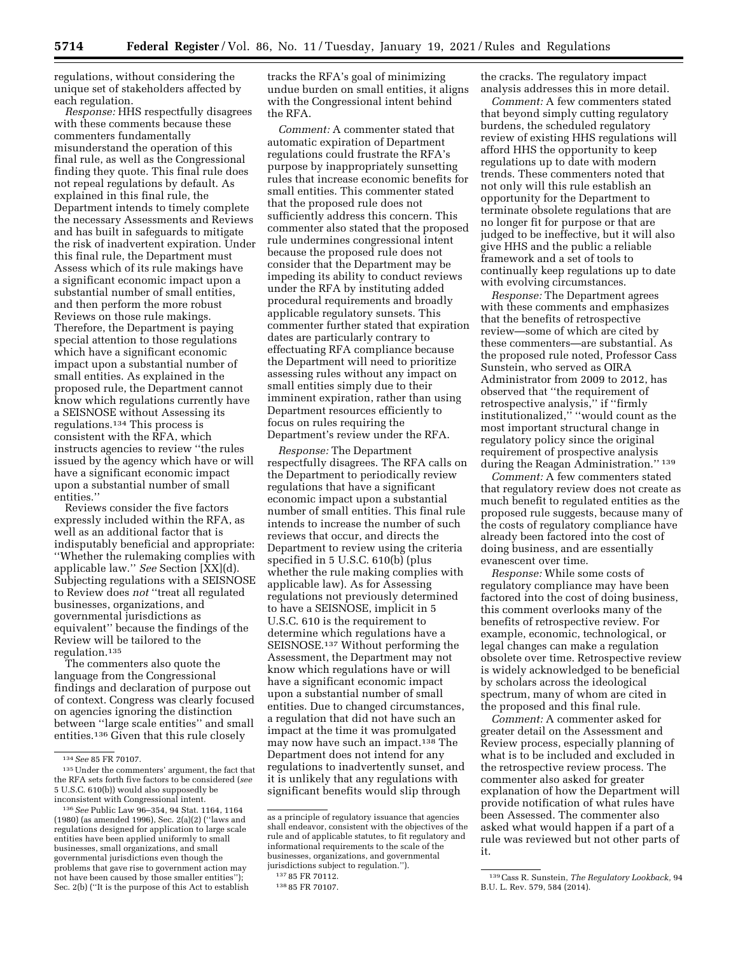regulations, without considering the unique set of stakeholders affected by each regulation.

*Response:* HHS respectfully disagrees with these comments because these commenters fundamentally misunderstand the operation of this final rule, as well as the Congressional finding they quote. This final rule does not repeal regulations by default. As explained in this final rule, the Department intends to timely complete the necessary Assessments and Reviews and has built in safeguards to mitigate the risk of inadvertent expiration. Under this final rule, the Department must Assess which of its rule makings have a significant economic impact upon a substantial number of small entities, and then perform the more robust Reviews on those rule makings. Therefore, the Department is paying special attention to those regulations which have a significant economic impact upon a substantial number of small entities. As explained in the proposed rule, the Department cannot know which regulations currently have a SEISNOSE without Assessing its regulations.134 This process is consistent with the RFA, which instructs agencies to review ''the rules issued by the agency which have or will have a significant economic impact upon a substantial number of small entities.''

Reviews consider the five factors expressly included within the RFA, as well as an additional factor that is indisputably beneficial and appropriate: ''Whether the rulemaking complies with applicable law.'' *See* Section [XX](d). Subjecting regulations with a SEISNOSE to Review does *not* ''treat all regulated businesses, organizations, and governmental jurisdictions as equivalent'' because the findings of the Review will be tailored to the regulation.135

The commenters also quote the language from the Congressional findings and declaration of purpose out of context. Congress was clearly focused on agencies ignoring the distinction between ''large scale entities'' and small entities.136 Given that this rule closely

tracks the RFA's goal of minimizing undue burden on small entities, it aligns with the Congressional intent behind the RFA.

*Comment:* A commenter stated that automatic expiration of Department regulations could frustrate the RFA's purpose by inappropriately sunsetting rules that increase economic benefits for small entities. This commenter stated that the proposed rule does not sufficiently address this concern. This commenter also stated that the proposed rule undermines congressional intent because the proposed rule does not consider that the Department may be impeding its ability to conduct reviews under the RFA by instituting added procedural requirements and broadly applicable regulatory sunsets. This commenter further stated that expiration dates are particularly contrary to effectuating RFA compliance because the Department will need to prioritize assessing rules without any impact on small entities simply due to their imminent expiration, rather than using Department resources efficiently to focus on rules requiring the Department's review under the RFA.

*Response:* The Department respectfully disagrees. The RFA calls on the Department to periodically review regulations that have a significant economic impact upon a substantial number of small entities. This final rule intends to increase the number of such reviews that occur, and directs the Department to review using the criteria specified in 5 U.S.C. 610(b) (plus whether the rule making complies with applicable law). As for Assessing regulations not previously determined to have a SEISNOSE, implicit in 5 U.S.C. 610 is the requirement to determine which regulations have a SEISNOSE.137 Without performing the Assessment, the Department may not know which regulations have or will have a significant economic impact upon a substantial number of small entities. Due to changed circumstances, a regulation that did not have such an impact at the time it was promulgated may now have such an impact.138 The Department does not intend for any regulations to inadvertently sunset, and it is unlikely that any regulations with significant benefits would slip through

the cracks. The regulatory impact analysis addresses this in more detail.

*Comment:* A few commenters stated that beyond simply cutting regulatory burdens, the scheduled regulatory review of existing HHS regulations will afford HHS the opportunity to keep regulations up to date with modern trends. These commenters noted that not only will this rule establish an opportunity for the Department to terminate obsolete regulations that are no longer fit for purpose or that are judged to be ineffective, but it will also give HHS and the public a reliable framework and a set of tools to continually keep regulations up to date with evolving circumstances.

*Response:* The Department agrees with these comments and emphasizes that the benefits of retrospective review—some of which are cited by these commenters—are substantial. As the proposed rule noted, Professor Cass Sunstein, who served as OIRA Administrator from 2009 to 2012, has observed that ''the requirement of retrospective analysis,'' if ''firmly institutionalized,'' ''would count as the most important structural change in regulatory policy since the original requirement of prospective analysis during the Reagan Administration."<sup>139</sup>

*Comment:* A few commenters stated that regulatory review does not create as much benefit to regulated entities as the proposed rule suggests, because many of the costs of regulatory compliance have already been factored into the cost of doing business, and are essentially evanescent over time.

*Response:* While some costs of regulatory compliance may have been factored into the cost of doing business, this comment overlooks many of the benefits of retrospective review. For example, economic, technological, or legal changes can make a regulation obsolete over time. Retrospective review is widely acknowledged to be beneficial by scholars across the ideological spectrum, many of whom are cited in the proposed and this final rule.

*Comment:* A commenter asked for greater detail on the Assessment and Review process, especially planning of what is to be included and excluded in the retrospective review process. The commenter also asked for greater explanation of how the Department will provide notification of what rules have been Assessed. The commenter also asked what would happen if a part of a rule was reviewed but not other parts of it.

<sup>134</sup>*See* 85 FR 70107.

<sup>135</sup>Under the commenters' argument, the fact that the RFA sets forth five factors to be considered (*see*  5 U.S.C. 610(b)) would also supposedly be inconsistent with Congressional intent.

<sup>136</sup>*See* Public Law 96–354, 94 Stat. 1164, 1164 (1980) (as amended 1996), Sec. 2(a)(2) (''laws and regulations designed for application to large scale entities have been applied uniformly to small businesses, small organizations, and small governmental jurisdictions even though the problems that gave rise to government action may not have been caused by those smaller entities''); Sec. 2(b) (''It is the purpose of this Act to establish

as a principle of regulatory issuance that agencies shall endeavor, consistent with the objectives of the rule and of applicable statutes, to fit regulatory and informational requirements to the scale of the businesses, organizations, and governmental jurisdictions subject to regulation.'').

<sup>137</sup> 85 FR 70112.

<sup>138</sup> 85 FR 70107.

<sup>139</sup>Cass R. Sunstein, *The Regulatory Lookback,* 94 B.U. L. Rev. 579, 584 (2014).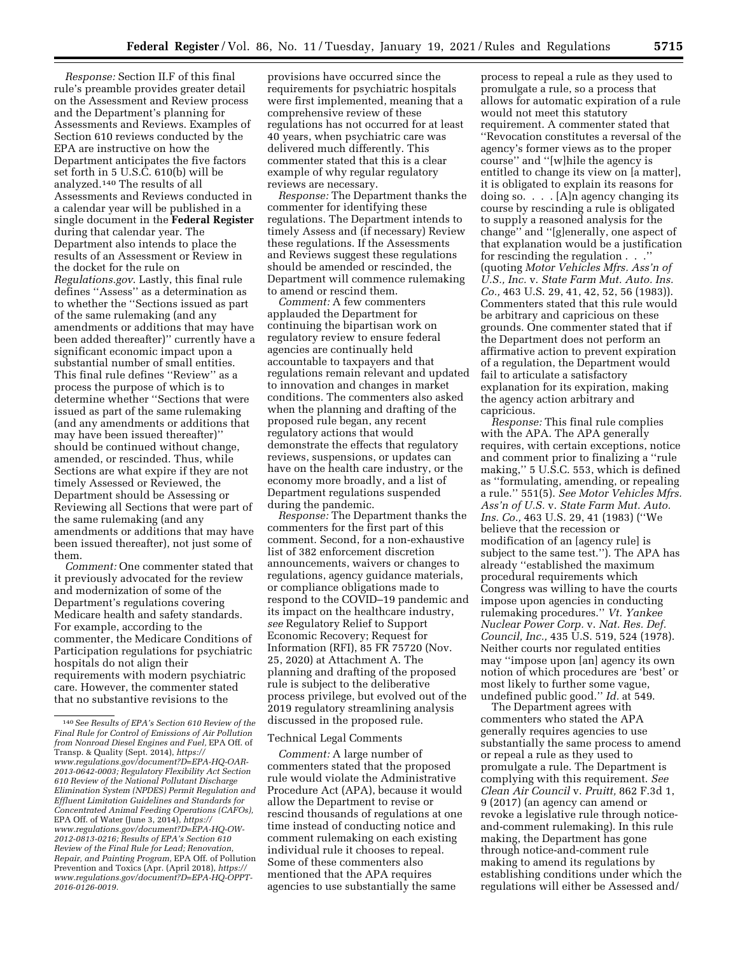*Response:* Section II.F of this final rule's preamble provides greater detail on the Assessment and Review process and the Department's planning for Assessments and Reviews. Examples of Section 610 reviews conducted by the EPA are instructive on how the Department anticipates the five factors set forth in 5 U.S.C. 610(b) will be analyzed.140 The results of all Assessments and Reviews conducted in a calendar year will be published in a single document in the **Federal Register**  during that calendar year. The Department also intends to place the results of an Assessment or Review in the docket for the rule on *Regulations.gov*. Lastly, this final rule defines ''Assess'' as a determination as to whether the ''Sections issued as part of the same rulemaking (and any amendments or additions that may have been added thereafter)'' currently have a significant economic impact upon a substantial number of small entities. This final rule defines ''Review'' as a process the purpose of which is to determine whether ''Sections that were issued as part of the same rulemaking (and any amendments or additions that may have been issued thereafter)'' should be continued without change, amended, or rescinded. Thus, while Sections are what expire if they are not timely Assessed or Reviewed, the Department should be Assessing or Reviewing all Sections that were part of the same rulemaking (and any amendments or additions that may have been issued thereafter), not just some of them.

*Comment:* One commenter stated that it previously advocated for the review and modernization of some of the Department's regulations covering Medicare health and safety standards. For example, according to the commenter, the Medicare Conditions of Participation regulations for psychiatric hospitals do not align their requirements with modern psychiatric care. However, the commenter stated that no substantive revisions to the

provisions have occurred since the requirements for psychiatric hospitals were first implemented, meaning that a comprehensive review of these regulations has not occurred for at least 40 years, when psychiatric care was delivered much differently. This commenter stated that this is a clear example of why regular regulatory reviews are necessary.

*Response:* The Department thanks the commenter for identifying these regulations. The Department intends to timely Assess and (if necessary) Review these regulations. If the Assessments and Reviews suggest these regulations should be amended or rescinded, the Department will commence rulemaking to amend or rescind them.

*Comment:* A few commenters applauded the Department for continuing the bipartisan work on regulatory review to ensure federal agencies are continually held accountable to taxpayers and that regulations remain relevant and updated to innovation and changes in market conditions. The commenters also asked when the planning and drafting of the proposed rule began, any recent regulatory actions that would demonstrate the effects that regulatory reviews, suspensions, or updates can have on the health care industry, or the economy more broadly, and a list of Department regulations suspended during the pandemic.

*Response:* The Department thanks the commenters for the first part of this comment. Second, for a non-exhaustive list of 382 enforcement discretion announcements, waivers or changes to regulations, agency guidance materials, or compliance obligations made to respond to the COVID–19 pandemic and its impact on the healthcare industry, *see* Regulatory Relief to Support Economic Recovery; Request for Information (RFI), 85 FR 75720 (Nov. 25, 2020) at Attachment A. The planning and drafting of the proposed rule is subject to the deliberative process privilege, but evolved out of the 2019 regulatory streamlining analysis discussed in the proposed rule.

#### Technical Legal Comments

*Comment:* A large number of commenters stated that the proposed rule would violate the Administrative Procedure Act (APA), because it would allow the Department to revise or rescind thousands of regulations at one time instead of conducting notice and comment rulemaking on each existing individual rule it chooses to repeal. Some of these commenters also mentioned that the APA requires agencies to use substantially the same

process to repeal a rule as they used to promulgate a rule, so a process that allows for automatic expiration of a rule would not meet this statutory requirement. A commenter stated that ''Revocation constitutes a reversal of the agency's former views as to the proper course'' and ''[w]hile the agency is entitled to change its view on [a matter], it is obligated to explain its reasons for doing so. . . . [A]n agency changing its course by rescinding a rule is obligated to supply a reasoned analysis for the change'' and ''[g]enerally, one aspect of that explanation would be a justification for rescinding the regulation . . .'' (quoting *Motor Vehicles Mfrs. Ass'n of U.S., Inc.* v. *State Farm Mut. Auto. Ins. Co.,* 463 U.S. 29, 41, 42, 52, 56 (1983)). Commenters stated that this rule would be arbitrary and capricious on these grounds. One commenter stated that if the Department does not perform an affirmative action to prevent expiration of a regulation, the Department would fail to articulate a satisfactory explanation for its expiration, making the agency action arbitrary and capricious.

*Response:* This final rule complies with the APA. The APA generally requires, with certain exceptions, notice and comment prior to finalizing a ''rule making,'' 5 U.S.C. 553, which is defined as ''formulating, amending, or repealing a rule.'' 551(5). *See Motor Vehicles Mfrs. Ass'n of U.S.* v. *State Farm Mut. Auto. Ins. Co.,* 463 U.S. 29, 41 (1983) (''We believe that the recession or modification of an [agency rule] is subject to the same test.''). The APA has already ''established the maximum procedural requirements which Congress was willing to have the courts impose upon agencies in conducting rulemaking procedures.'' *Vt. Yankee Nuclear Power Corp.* v. *Nat. Res. Def. Council, Inc.,* 435 U.S. 519, 524 (1978). Neither courts nor regulated entities may ''impose upon [an] agency its own notion of which procedures are 'best' or most likely to further some vague, undefined public good.'' *Id.* at 549.

The Department agrees with commenters who stated the APA generally requires agencies to use substantially the same process to amend or repeal a rule as they used to promulgate a rule. The Department is complying with this requirement. *See Clean Air Council* v. *Pruitt,* 862 F.3d 1, 9 (2017) (an agency can amend or revoke a legislative rule through noticeand-comment rulemaking). In this rule making, the Department has gone through notice-and-comment rule making to amend its regulations by establishing conditions under which the regulations will either be Assessed and/

<sup>140</sup>*See Results of EPA's Section 610 Review of the Final Rule for Control of Emissions of Air Pollution from Nonroad Diesel Engines and Fuel,* EPA Off. of Transp. & Quality (Sept. 2014), *[https://](https://www.regulations.gov/document?D=EPA-HQ-OAR-2013-0642-0003) [www.regulations.gov/document?D=EPA-HQ-OAR-](https://www.regulations.gov/document?D=EPA-HQ-OAR-2013-0642-0003)[2013-0642-0003;](https://www.regulations.gov/document?D=EPA-HQ-OAR-2013-0642-0003) Regulatory Flexibility Act Section 610 Review of the National Pollutant Discharge Elimination System (NPDES) Permit Regulation and Effluent Limitation Guidelines and Standards for Concentrated Animal Feeding Operations (CAFOs),*  EPA Off. of Water (June 3, 2014), *[https://](https://www.regulations.gov/document?D=EPA-HQ-OW-2012-0813-0216) [www.regulations.gov/document?D=EPA-HQ-OW-](https://www.regulations.gov/document?D=EPA-HQ-OW-2012-0813-0216)[2012-0813-0216;](https://www.regulations.gov/document?D=EPA-HQ-OW-2012-0813-0216) Results of EPA's Section 610 Review of the Final Rule for Lead; Renovation, Repair, and Painting Program,* EPA Off. of Pollution Prevention and Toxics (Apr. (April 2018), *[https://](https://www.regulations.gov/document?D=EPA-HQ-OPPT-2016-0126-0019)  [www.regulations.gov/document?D=EPA-HQ-OPPT-](https://www.regulations.gov/document?D=EPA-HQ-OPPT-2016-0126-0019)[2016-0126-0019.](https://www.regulations.gov/document?D=EPA-HQ-OPPT-2016-0126-0019)*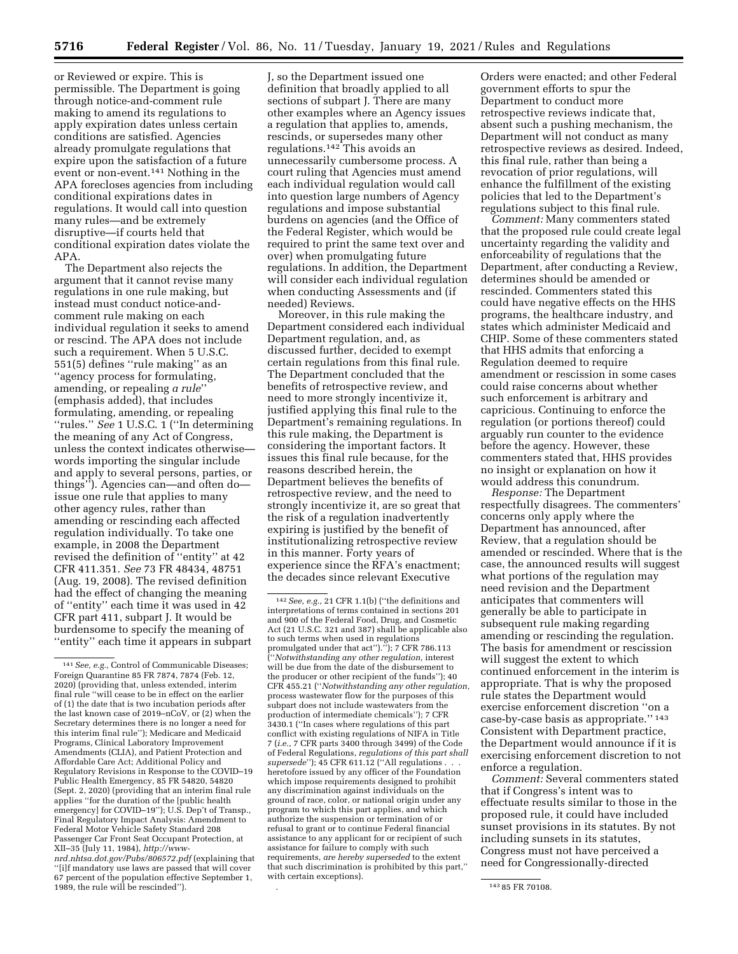or Reviewed or expire. This is permissible. The Department is going through notice-and-comment rule making to amend its regulations to apply expiration dates unless certain conditions are satisfied. Agencies already promulgate regulations that expire upon the satisfaction of a future event or non-event.141 Nothing in the APA forecloses agencies from including conditional expirations dates in regulations. It would call into question many rules—and be extremely disruptive—if courts held that conditional expiration dates violate the APA.

The Department also rejects the argument that it cannot revise many regulations in one rule making, but instead must conduct notice-andcomment rule making on each individual regulation it seeks to amend or rescind. The APA does not include such a requirement. When 5 U.S.C. 551(5) defines ''rule making'' as an ''agency process for formulating, amending, or repealing *a rule*'' (emphasis added), that includes formulating, amending, or repealing ''rules.'' *See* 1 U.S.C. 1 (''In determining the meaning of any Act of Congress, unless the context indicates otherwise words importing the singular include and apply to several persons, parties, or things''). Agencies can—and often do issue one rule that applies to many other agency rules, rather than amending or rescinding each affected regulation individually. To take one example, in 2008 the Department revised the definition of ''entity'' at 42 CFR 411.351. *See* 73 FR 48434, 48751 (Aug. 19, 2008). The revised definition had the effect of changing the meaning of ''entity'' each time it was used in 42 CFR part 411, subpart J. It would be burdensome to specify the meaning of ''entity'' each time it appears in subpart

*[nrd.nhtsa.dot.gov/Pubs/806572.pdf](http://www-nrd.nhtsa.dot.gov/Pubs/806572.pdf)* (explaining that ''[i]f mandatory use laws are passed that will cover 67 percent of the population effective September 1, 1989, the rule will be rescinded'').

J, so the Department issued one definition that broadly applied to all sections of subpart J. There are many other examples where an Agency issues a regulation that applies to, amends, rescinds, or supersedes many other regulations.142 This avoids an unnecessarily cumbersome process. A court ruling that Agencies must amend each individual regulation would call into question large numbers of Agency regulations and impose substantial burdens on agencies (and the Office of the Federal Register, which would be required to print the same text over and over) when promulgating future regulations. In addition, the Department will consider each individual regulation when conducting Assessments and (if needed) Reviews.

Moreover, in this rule making the Department considered each individual Department regulation, and, as discussed further, decided to exempt certain regulations from this final rule. The Department concluded that the benefits of retrospective review, and need to more strongly incentivize it, justified applying this final rule to the Department's remaining regulations. In this rule making, the Department is considering the important factors. It issues this final rule because, for the reasons described herein, the Department believes the benefits of retrospective review, and the need to strongly incentivize it, are so great that the risk of a regulation inadvertently expiring is justified by the benefit of institutionalizing retrospective review in this manner. Forty years of experience since the RFA's enactment; the decades since relevant Executive

Orders were enacted; and other Federal government efforts to spur the Department to conduct more retrospective reviews indicate that, absent such a pushing mechanism, the Department will not conduct as many retrospective reviews as desired. Indeed, this final rule, rather than being a revocation of prior regulations, will enhance the fulfillment of the existing policies that led to the Department's regulations subject to this final rule.

*Comment:* Many commenters stated that the proposed rule could create legal uncertainty regarding the validity and enforceability of regulations that the Department, after conducting a Review, determines should be amended or rescinded. Commenters stated this could have negative effects on the HHS programs, the healthcare industry, and states which administer Medicaid and CHIP. Some of these commenters stated that HHS admits that enforcing a Regulation deemed to require amendment or rescission in some cases could raise concerns about whether such enforcement is arbitrary and capricious. Continuing to enforce the regulation (or portions thereof) could arguably run counter to the evidence before the agency. However, these commenters stated that, HHS provides no insight or explanation on how it would address this conundrum.

*Response:* The Department respectfully disagrees. The commenters' concerns only apply where the Department has announced, after Review, that a regulation should be amended or rescinded. Where that is the case, the announced results will suggest what portions of the regulation may need revision and the Department anticipates that commenters will generally be able to participate in subsequent rule making regarding amending or rescinding the regulation. The basis for amendment or rescission will suggest the extent to which continued enforcement in the interim is appropriate. That is why the proposed rule states the Department would exercise enforcement discretion ''on a case-by-case basis as appropriate.'' 143 Consistent with Department practice, the Department would announce if it is exercising enforcement discretion to not enforce a regulation.

*Comment:* Several commenters stated that if Congress's intent was to effectuate results similar to those in the proposed rule, it could have included sunset provisions in its statutes. By not including sunsets in its statutes, Congress must not have perceived a need for Congressionally-directed

<sup>141</sup>*See, e.g.,* Control of Communicable Diseases; Foreign Quarantine 85 FR 7874, 7874 (Feb. 12, 2020) (providing that, unless extended, interim final rule ''will cease to be in effect on the earlier of (1) the date that is two incubation periods after the last known case of 2019–nCoV, or (2) when the Secretary determines there is no longer a need for this interim final rule''); Medicare and Medicaid Programs, Clinical Laboratory Improvement Amendments (CLIA), and Patient Protection and Affordable Care Act; Additional Policy and Regulatory Revisions in Response to the COVID–19 Public Health Emergency, 85 FR 54820, 54820 (Sept. 2, 2020) (providing that an interim final rule applies ''for the duration of the [public health emergency] for COVID–19''); U.S. Dep't of Transp., Final Regulatory Impact Analysis: Amendment to Federal Motor Vehicle Safety Standard 208 Passenger Car Front Seat Occupant Protection, at XII–35 (July 11, 1984), *[http://www-](http://www-nrd.nhtsa.dot.gov/Pubs/806572.pdf)*

<sup>142</sup>*See, e.g.,* 21 CFR 1.1(b) (''the definitions and interpretations of terms contained in sections 201 and 900 of the Federal Food, Drug, and Cosmetic Act (21 U.S.C. 321 and 387) shall be applicable also to such terms when used in regulations promulgated under that act")."); 7 CFR 786.113 (''*Notwithstanding any other regulation,* interest will be due from the date of the disbursement to the producer or other recipient of the funds''); 40 CFR 455.21 (''*Notwithstanding any other regulation,*  process wastewater flow for the purposes of this subpart does not include wastewaters from the production of intermediate chemicals''); 7 CFR 3430.1 (''In cases where regulations of this part conflict with existing regulations of NIFA in Title 7 (*i.e.,* 7 CFR parts 3400 through 3499) of the Code of Federal Regulations, *regulations of this part shall*  supersede''); 45 CFR 611.12 ("All regulations heretofore issued by any officer of the Foundation which impose requirements designed to prohibit any discrimination against individuals on the ground of race, color, or national origin under any program to which this part applies, and which authorize the suspension or termination of or refusal to grant or to continue Federal financial assistance to any applicant for or recipient of such assistance for failure to comply with such requirements, *are hereby superseded* to the extent that such discrimination is prohibited by this part,'' with certain exceptions).

<sup>.</sup> 143 85 FR 70108.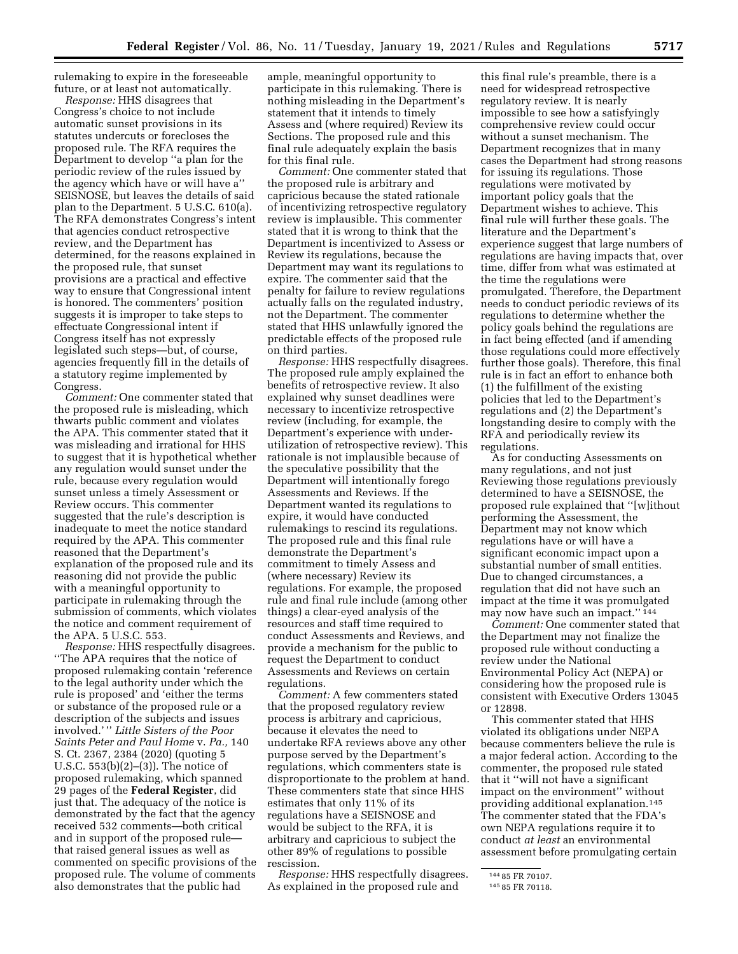rulemaking to expire in the foreseeable future, or at least not automatically.

*Response:* HHS disagrees that Congress's choice to not include automatic sunset provisions in its statutes undercuts or forecloses the proposed rule. The RFA requires the Department to develop ''a plan for the periodic review of the rules issued by the agency which have or will have a'' SEISNOSE, but leaves the details of said plan to the Department. 5 U.S.C. 610(a). The RFA demonstrates Congress's intent that agencies conduct retrospective review, and the Department has determined, for the reasons explained in the proposed rule, that sunset provisions are a practical and effective way to ensure that Congressional intent is honored. The commenters' position suggests it is improper to take steps to effectuate Congressional intent if Congress itself has not expressly legislated such steps—but, of course, agencies frequently fill in the details of a statutory regime implemented by Congress.

*Comment:* One commenter stated that the proposed rule is misleading, which thwarts public comment and violates the APA. This commenter stated that it was misleading and irrational for HHS to suggest that it is hypothetical whether any regulation would sunset under the rule, because every regulation would sunset unless a timely Assessment or Review occurs. This commenter suggested that the rule's description is inadequate to meet the notice standard required by the APA. This commenter reasoned that the Department's explanation of the proposed rule and its reasoning did not provide the public with a meaningful opportunity to participate in rulemaking through the submission of comments, which violates the notice and comment requirement of the APA. 5 U.S.C. 553.

*Response:* HHS respectfully disagrees. ''The APA requires that the notice of proposed rulemaking contain 'reference to the legal authority under which the rule is proposed' and 'either the terms or substance of the proposed rule or a description of the subjects and issues involved.' '' *Little Sisters of the Poor Saints Peter and Paul Home* v. *Pa.,* 140 S. Ct. 2367, 2384 (2020) (quoting 5 U.S.C. 553(b)(2)–(3)). The notice of proposed rulemaking, which spanned 29 pages of the **Federal Register**, did just that. The adequacy of the notice is demonstrated by the fact that the agency received 532 comments—both critical and in support of the proposed rule that raised general issues as well as commented on specific provisions of the proposed rule. The volume of comments also demonstrates that the public had

ample, meaningful opportunity to participate in this rulemaking. There is nothing misleading in the Department's statement that it intends to timely Assess and (where required) Review its Sections. The proposed rule and this final rule adequately explain the basis for this final rule.

*Comment:* One commenter stated that the proposed rule is arbitrary and capricious because the stated rationale of incentivizing retrospective regulatory review is implausible. This commenter stated that it is wrong to think that the Department is incentivized to Assess or Review its regulations, because the Department may want its regulations to expire. The commenter said that the penalty for failure to review regulations actually falls on the regulated industry, not the Department. The commenter stated that HHS unlawfully ignored the predictable effects of the proposed rule on third parties.

*Response:* HHS respectfully disagrees. The proposed rule amply explained the benefits of retrospective review. It also explained why sunset deadlines were necessary to incentivize retrospective review (including, for example, the Department's experience with underutilization of retrospective review). This rationale is not implausible because of the speculative possibility that the Department will intentionally forego Assessments and Reviews. If the Department wanted its regulations to expire, it would have conducted rulemakings to rescind its regulations. The proposed rule and this final rule demonstrate the Department's commitment to timely Assess and (where necessary) Review its regulations. For example, the proposed rule and final rule include (among other things) a clear-eyed analysis of the resources and staff time required to conduct Assessments and Reviews, and provide a mechanism for the public to request the Department to conduct Assessments and Reviews on certain regulations.

*Comment:* A few commenters stated that the proposed regulatory review process is arbitrary and capricious, because it elevates the need to undertake RFA reviews above any other purpose served by the Department's regulations, which commenters state is disproportionate to the problem at hand. These commenters state that since HHS estimates that only 11% of its regulations have a SEISNOSE and would be subject to the RFA, it is arbitrary and capricious to subject the other 89% of regulations to possible rescission.

*Response:* HHS respectfully disagrees. As explained in the proposed rule and

this final rule's preamble, there is a need for widespread retrospective regulatory review. It is nearly impossible to see how a satisfyingly comprehensive review could occur without a sunset mechanism. The Department recognizes that in many cases the Department had strong reasons for issuing its regulations. Those regulations were motivated by important policy goals that the Department wishes to achieve. This final rule will further these goals. The literature and the Department's experience suggest that large numbers of regulations are having impacts that, over time, differ from what was estimated at the time the regulations were promulgated. Therefore, the Department needs to conduct periodic reviews of its regulations to determine whether the policy goals behind the regulations are in fact being effected (and if amending those regulations could more effectively further those goals). Therefore, this final rule is in fact an effort to enhance both (1) the fulfillment of the existing policies that led to the Department's regulations and (2) the Department's longstanding desire to comply with the RFA and periodically review its regulations.

As for conducting Assessments on many regulations, and not just Reviewing those regulations previously determined to have a SEISNOSE, the proposed rule explained that ''[w]ithout performing the Assessment, the Department may not know which regulations have or will have a significant economic impact upon a substantial number of small entities. Due to changed circumstances, a regulation that did not have such an impact at the time it was promulgated may now have such an impact.'' 144

*Comment:* One commenter stated that the Department may not finalize the proposed rule without conducting a review under the National Environmental Policy Act (NEPA) or considering how the proposed rule is consistent with Executive Orders 13045 or 12898.

This commenter stated that HHS violated its obligations under NEPA because commenters believe the rule is a major federal action. According to the commenter, the proposed rule stated that it ''will not have a significant impact on the environment'' without providing additional explanation.145 The commenter stated that the FDA's own NEPA regulations require it to conduct *at least* an environmental assessment before promulgating certain

<sup>144</sup> 85 FR 70107.

<sup>145</sup> 85 FR 70118.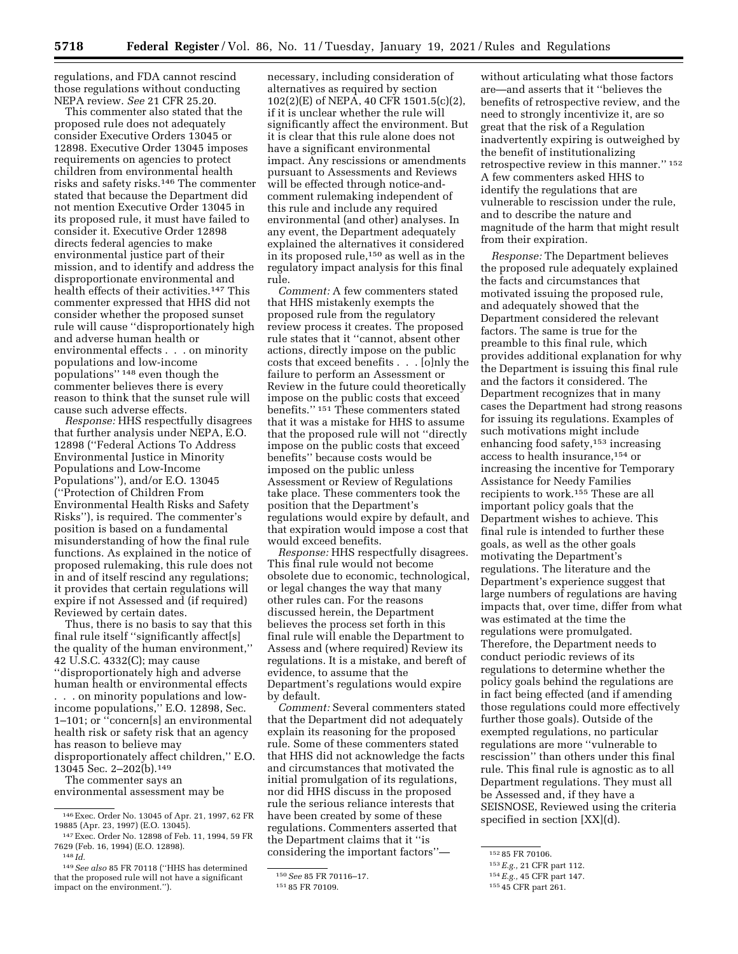regulations, and FDA cannot rescind those regulations without conducting NEPA review. *See* 21 CFR 25.20.

This commenter also stated that the proposed rule does not adequately consider Executive Orders 13045 or 12898. Executive Order 13045 imposes requirements on agencies to protect children from environmental health risks and safety risks.146 The commenter stated that because the Department did not mention Executive Order 13045 in its proposed rule, it must have failed to consider it. Executive Order 12898 directs federal agencies to make environmental justice part of their mission, and to identify and address the disproportionate environmental and health effects of their activities.147 This commenter expressed that HHS did not consider whether the proposed sunset rule will cause ''disproportionately high and adverse human health or environmental effects . . . on minority populations and low-income populations'' 148 even though the commenter believes there is every reason to think that the sunset rule will cause such adverse effects.

*Response:* HHS respectfully disagrees that further analysis under NEPA, E.O. 12898 (''Federal Actions To Address Environmental Justice in Minority Populations and Low-Income Populations''), and/or E.O. 13045 (''Protection of Children From Environmental Health Risks and Safety Risks''), is required. The commenter's position is based on a fundamental misunderstanding of how the final rule functions. As explained in the notice of proposed rulemaking, this rule does not in and of itself rescind any regulations; it provides that certain regulations will expire if not Assessed and (if required) Reviewed by certain dates.

Thus, there is no basis to say that this final rule itself ''significantly affect[s] the quality of the human environment,'' 42 U.S.C. 4332(C); may cause ''disproportionately high and adverse human health or environmental effects . . . on minority populations and lowincome populations,'' E.O. 12898, Sec. 1–101; or ''concern[s] an environmental health risk or safety risk that an agency has reason to believe may disproportionately affect children,'' E.O. 13045 Sec. 2–202(b).149

The commenter says an

environmental assessment may be

necessary, including consideration of alternatives as required by section 102(2)(E) of NEPA, 40 CFR 1501.5(c)(2), if it is unclear whether the rule will significantly affect the environment. But it is clear that this rule alone does not have a significant environmental impact. Any rescissions or amendments pursuant to Assessments and Reviews will be effected through notice-andcomment rulemaking independent of this rule and include any required environmental (and other) analyses. In any event, the Department adequately explained the alternatives it considered in its proposed rule,150 as well as in the regulatory impact analysis for this final rule.

*Comment:* A few commenters stated that HHS mistakenly exempts the proposed rule from the regulatory review process it creates. The proposed rule states that it ''cannot, absent other actions, directly impose on the public costs that exceed benefits . . . [o]nly the failure to perform an Assessment or Review in the future could theoretically impose on the public costs that exceed benefits.'' 151 These commenters stated that it was a mistake for HHS to assume that the proposed rule will not ''directly impose on the public costs that exceed benefits'' because costs would be imposed on the public unless Assessment or Review of Regulations take place. These commenters took the position that the Department's regulations would expire by default, and that expiration would impose a cost that would exceed benefits.

*Response:* HHS respectfully disagrees. This final rule would not become obsolete due to economic, technological, or legal changes the way that many other rules can. For the reasons discussed herein, the Department believes the process set forth in this final rule will enable the Department to Assess and (where required) Review its regulations. It is a mistake, and bereft of evidence, to assume that the Department's regulations would expire by default.

*Comment:* Several commenters stated that the Department did not adequately explain its reasoning for the proposed rule. Some of these commenters stated that HHS did not acknowledge the facts and circumstances that motivated the initial promulgation of its regulations, nor did HHS discuss in the proposed rule the serious reliance interests that have been created by some of these regulations. Commenters asserted that the Department claims that it ''is considering the important factors''—

without articulating what those factors are—and asserts that it ''believes the benefits of retrospective review, and the need to strongly incentivize it, are so great that the risk of a Regulation inadvertently expiring is outweighed by

retrospective review in this manner.'' 152 A few commenters asked HHS to identify the regulations that are

the benefit of institutionalizing

provides additional explanation for why the Department is issuing this final rule and the factors it considered. The Department recognizes that in many cases the Department had strong reasons for issuing its regulations. Examples of such motivations might include enhancing food safety,153 increasing access to health insurance,154 or increasing the incentive for Temporary Assistance for Needy Families recipients to work.155 These are all important policy goals that the Department wishes to achieve. This final rule is intended to further these goals, as well as the other goals motivating the Department's regulations. The literature and the Department's experience suggest that large numbers of regulations are having impacts that, over time, differ from what was estimated at the time the regulations were promulgated. Therefore, the Department needs to conduct periodic reviews of its regulations to determine whether the policy goals behind the regulations are in fact being effected (and if amending those regulations could more effectively further those goals). Outside of the exempted regulations, no particular regulations are more ''vulnerable to rescission'' than others under this final rule. This final rule is agnostic as to all Department regulations. They must all be Assessed and, if they have a SEISNOSE, Reviewed using the criteria specified in section [XX](d).

<sup>146</sup>Exec. Order No. 13045 of Apr. 21, 1997, 62 FR 19885 (Apr. 23, 1997) (E.O. 13045).

<sup>147</sup>Exec. Order No. 12898 of Feb. 11, 1994, 59 FR 7629 (Feb. 16, 1994) (E.O. 12898).

<sup>148</sup> *Id.* 

<sup>149</sup>*See also* 85 FR 70118 (''HHS has determined that the proposed rule will not have a significant impact on the environment.'').

<sup>150</sup>*See* 85 FR 70116–17. 151 85 FR 70109.

vulnerable to rescission under the rule, and to describe the nature and magnitude of the harm that might result from their expiration. *Response:* The Department believes the proposed rule adequately explained the facts and circumstances that motivated issuing the proposed rule, and adequately showed that the Department considered the relevant factors. The same is true for the preamble to this final rule, which

<sup>152</sup> 85 FR 70106.

<sup>153</sup>*E.g.,* 21 CFR part 112.

<sup>154</sup>*E.g.,* 45 CFR part 147.

<sup>155</sup> 45 CFR part 261.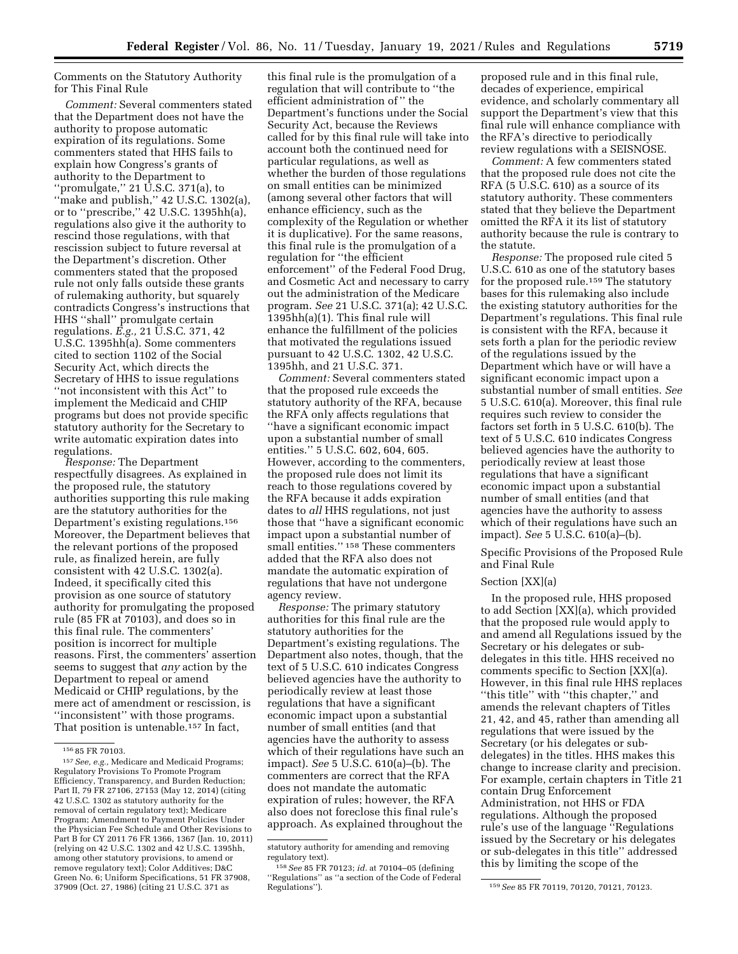Comments on the Statutory Authority for This Final Rule

*Comment:* Several commenters stated that the Department does not have the authority to propose automatic expiration of its regulations. Some commenters stated that HHS fails to explain how Congress's grants of authority to the Department to ''promulgate,'' 21 U.S.C. 371(a), to "make and publish," 42 U.S.C. 1302(a), or to ''prescribe,'' 42 U.S.C. 1395hh(a), regulations also give it the authority to rescind those regulations, with that rescission subject to future reversal at the Department's discretion. Other commenters stated that the proposed rule not only falls outside these grants of rulemaking authority, but squarely contradicts Congress's instructions that HHS ''shall'' promulgate certain regulations. *E.g.,* 21 U.S.C. 371, 42 U.S.C. 1395hh(a). Some commenters cited to section 1102 of the Social Security Act, which directs the Secretary of HHS to issue regulations ''not inconsistent with this Act'' to implement the Medicaid and CHIP programs but does not provide specific statutory authority for the Secretary to write automatic expiration dates into regulations.

*Response:* The Department respectfully disagrees. As explained in the proposed rule, the statutory authorities supporting this rule making are the statutory authorities for the Department's existing regulations.156 Moreover, the Department believes that the relevant portions of the proposed rule, as finalized herein, are fully consistent with 42 U.S.C. 1302(a). Indeed, it specifically cited this provision as one source of statutory authority for promulgating the proposed rule (85 FR at 70103), and does so in this final rule. The commenters' position is incorrect for multiple reasons. First, the commenters' assertion seems to suggest that *any* action by the Department to repeal or amend Medicaid or CHIP regulations, by the mere act of amendment or rescission, is ''inconsistent'' with those programs. That position is untenable.157 In fact,

this final rule is the promulgation of a regulation that will contribute to ''the efficient administration of '' the Department's functions under the Social Security Act, because the Reviews called for by this final rule will take into account both the continued need for particular regulations, as well as whether the burden of those regulations on small entities can be minimized (among several other factors that will enhance efficiency, such as the complexity of the Regulation or whether it is duplicative). For the same reasons, this final rule is the promulgation of a regulation for ''the efficient enforcement'' of the Federal Food Drug, and Cosmetic Act and necessary to carry out the administration of the Medicare program. *See* 21 U.S.C. 371(a); 42 U.S.C. 1395hh(a)(1). This final rule will enhance the fulfillment of the policies that motivated the regulations issued pursuant to 42 U.S.C. 1302, 42 U.S.C. 1395hh, and 21 U.S.C. 371.

*Comment:* Several commenters stated that the proposed rule exceeds the statutory authority of the RFA, because the RFA only affects regulations that ''have a significant economic impact upon a substantial number of small entities.'' 5 U.S.C. 602, 604, 605. However, according to the commenters, the proposed rule does not limit its reach to those regulations covered by the RFA because it adds expiration dates to *all* HHS regulations, not just those that ''have a significant economic impact upon a substantial number of small entities.'' 158 These commenters added that the RFA also does not mandate the automatic expiration of regulations that have not undergone agency review.

*Response:* The primary statutory authorities for this final rule are the statutory authorities for the Department's existing regulations. The Department also notes, though, that the text of 5 U.S.C. 610 indicates Congress believed agencies have the authority to periodically review at least those regulations that have a significant economic impact upon a substantial number of small entities (and that agencies have the authority to assess which of their regulations have such an impact). *See* 5 U.S.C. 610(a)–(b). The commenters are correct that the RFA does not mandate the automatic expiration of rules; however, the RFA also does not foreclose this final rule's approach. As explained throughout the

proposed rule and in this final rule, decades of experience, empirical evidence, and scholarly commentary all support the Department's view that this final rule will enhance compliance with the RFA's directive to periodically review regulations with a SEISNOSE.

*Comment:* A few commenters stated that the proposed rule does not cite the RFA (5 U.S.C. 610) as a source of its statutory authority. These commenters stated that they believe the Department omitted the RFA it its list of statutory authority because the rule is contrary to the statute.

*Response:* The proposed rule cited 5 U.S.C. 610 as one of the statutory bases for the proposed rule.159 The statutory bases for this rulemaking also include the existing statutory authorities for the Department's regulations. This final rule is consistent with the RFA, because it sets forth a plan for the periodic review of the regulations issued by the Department which have or will have a significant economic impact upon a substantial number of small entities. *See*  5 U.S.C. 610(a). Moreover, this final rule requires such review to consider the factors set forth in 5 U.S.C. 610(b). The text of 5 U.S.C. 610 indicates Congress believed agencies have the authority to periodically review at least those regulations that have a significant economic impact upon a substantial number of small entities (and that agencies have the authority to assess which of their regulations have such an impact). *See* 5 U.S.C. 610(a)–(b).

Specific Provisions of the Proposed Rule and Final Rule

### Section [XX](a)

In the proposed rule, HHS proposed to add Section [XX](a), which provided that the proposed rule would apply to and amend all Regulations issued by the Secretary or his delegates or subdelegates in this title. HHS received no comments specific to Section [XX](a). However, in this final rule HHS replaces ''this title'' with ''this chapter,'' and amends the relevant chapters of Titles 21, 42, and 45, rather than amending all regulations that were issued by the Secretary (or his delegates or subdelegates) in the titles. HHS makes this change to increase clarity and precision. For example, certain chapters in Title 21 contain Drug Enforcement Administration, not HHS or FDA regulations. Although the proposed rule's use of the language ''Regulations issued by the Secretary or his delegates or sub-delegates in this title'' addressed this by limiting the scope of the

<sup>156</sup> 85 FR 70103.

<sup>157</sup>*See, e.g.,* Medicare and Medicaid Programs; Regulatory Provisions To Promote Program Efficiency, Transparency, and Burden Reduction; Part II, 79 FR 27106, 27153 (May 12, 2014) (citing 42 U.S.C. 1302 as statutory authority for the removal of certain regulatory text); Medicare Program; Amendment to Payment Policies Under the Physician Fee Schedule and Other Revisions to Part B for CY 2011 76 FR 1366, 1367 (Jan. 10, 2011) (relying on 42 U.S.C. 1302 and 42 U.S.C. 1395hh, among other statutory provisions, to amend or remove regulatory text); Color Additives; D&C Green No. 6; Uniform Specifications, 51 FR 37908, 37909 (Oct. 27, 1986) (citing 21 U.S.C. 371 as

statutory authority for amending and removing regulatory text).

<sup>158</sup>*See* 85 FR 70123; *id.* at 70104–05 (defining ''Regulations'' as ''a section of the Code of Federal

<sup>159</sup> See 85 FR 70119, 70120, 70121, 70123.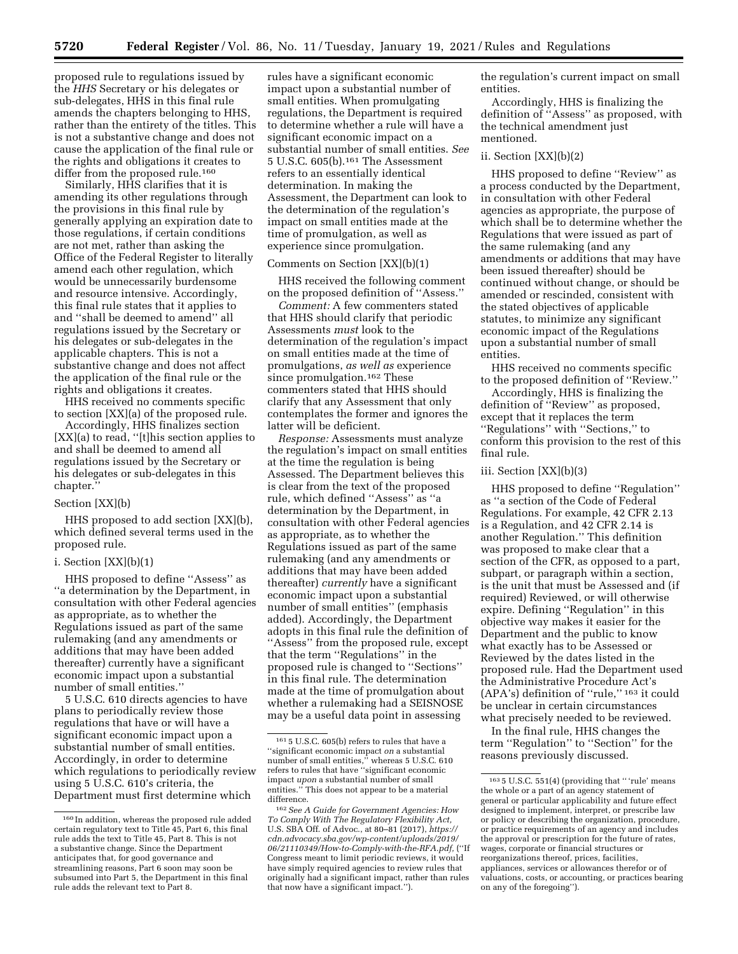proposed rule to regulations issued by the *HHS* Secretary or his delegates or sub-delegates, HHS in this final rule amends the chapters belonging to HHS, rather than the entirety of the titles. This is not a substantive change and does not cause the application of the final rule or the rights and obligations it creates to differ from the proposed rule.<sup>160</sup>

Similarly, HHS clarifies that it is amending its other regulations through the provisions in this final rule by generally applying an expiration date to those regulations, if certain conditions are not met, rather than asking the Office of the Federal Register to literally amend each other regulation, which would be unnecessarily burdensome and resource intensive. Accordingly, this final rule states that it applies to and ''shall be deemed to amend'' all regulations issued by the Secretary or his delegates or sub-delegates in the applicable chapters. This is not a substantive change and does not affect the application of the final rule or the rights and obligations it creates.

HHS received no comments specific to section [XX](a) of the proposed rule.

Accordingly, HHS finalizes section [XX](a) to read, ''[t]his section applies to and shall be deemed to amend all regulations issued by the Secretary or his delegates or sub-delegates in this chapter.''

### Section [XX](b)

HHS proposed to add section [XX](b), which defined several terms used in the proposed rule.

### i. Section [XX](b)(1)

HHS proposed to define ''Assess'' as ''a determination by the Department, in consultation with other Federal agencies as appropriate, as to whether the Regulations issued as part of the same rulemaking (and any amendments or additions that may have been added thereafter) currently have a significant economic impact upon a substantial number of small entities.''

5 U.S.C. 610 directs agencies to have plans to periodically review those regulations that have or will have a significant economic impact upon a substantial number of small entities. Accordingly, in order to determine which regulations to periodically review using 5 U.S.C. 610's criteria, the Department must first determine which

rules have a significant economic impact upon a substantial number of small entities. When promulgating regulations, the Department is required to determine whether a rule will have a significant economic impact on a substantial number of small entities. *See*  5 U.S.C. 605(b).161 The Assessment refers to an essentially identical determination. In making the Assessment, the Department can look to the determination of the regulation's impact on small entities made at the time of promulgation, as well as experience since promulgation.

### Comments on Section [XX](b)(1)

HHS received the following comment on the proposed definition of ''Assess.''

*Comment:* A few commenters stated that HHS should clarify that periodic Assessments *must* look to the determination of the regulation's impact on small entities made at the time of promulgations, *as well as* experience since promulgation.<sup>162</sup> These commenters stated that HHS should clarify that any Assessment that only contemplates the former and ignores the latter will be deficient.

*Response:* Assessments must analyze the regulation's impact on small entities at the time the regulation is being Assessed. The Department believes this is clear from the text of the proposed rule, which defined ''Assess'' as ''a determination by the Department, in consultation with other Federal agencies as appropriate, as to whether the Regulations issued as part of the same rulemaking (and any amendments or additions that may have been added thereafter) *currently* have a significant economic impact upon a substantial number of small entities'' (emphasis added). Accordingly, the Department adopts in this final rule the definition of ''Assess'' from the proposed rule, except that the term ''Regulations'' in the proposed rule is changed to ''Sections'' in this final rule. The determination made at the time of promulgation about whether a rulemaking had a SEISNOSE may be a useful data point in assessing

the regulation's current impact on small entities.

Accordingly, HHS is finalizing the definition of ''Assess'' as proposed, with the technical amendment just mentioned.

### ii. Section [XX](b)(2)

HHS proposed to define ''Review'' as a process conducted by the Department, in consultation with other Federal agencies as appropriate, the purpose of which shall be to determine whether the Regulations that were issued as part of the same rulemaking (and any amendments or additions that may have been issued thereafter) should be continued without change, or should be amended or rescinded, consistent with the stated objectives of applicable statutes, to minimize any significant economic impact of the Regulations upon a substantial number of small entities.

HHS received no comments specific to the proposed definition of ''Review.''

Accordingly, HHS is finalizing the definition of ''Review'' as proposed, except that it replaces the term ''Regulations'' with ''Sections,'' to conform this provision to the rest of this final rule.

#### iii. Section [XX](b)(3)

HHS proposed to define ''Regulation'' as ''a section of the Code of Federal Regulations. For example, 42 CFR 2.13 is a Regulation, and 42 CFR 2.14 is another Regulation.'' This definition was proposed to make clear that a section of the CFR, as opposed to a part, subpart, or paragraph within a section, is the unit that must be Assessed and (if required) Reviewed, or will otherwise expire. Defining ''Regulation'' in this objective way makes it easier for the Department and the public to know what exactly has to be Assessed or Reviewed by the dates listed in the proposed rule. Had the Department used the Administrative Procedure Act's (APA's) definition of ''rule,'' 163 it could be unclear in certain circumstances what precisely needed to be reviewed.

In the final rule, HHS changes the term ''Regulation'' to ''Section'' for the reasons previously discussed.

<sup>160</sup> In addition, whereas the proposed rule added certain regulatory text to Title 45, Part 6, this final rule adds the text to Title 45, Part 8. This is not a substantive change. Since the Department anticipates that, for good governance and streamlining reasons, Part 6 soon may soon be subsumed into Part 5, the Department in this final rule adds the relevant text to Part 8.

<sup>161</sup> 5 U.S.C. 605(b) refers to rules that have a ''significant economic impact *on* a substantial number of small entities,'' whereas 5 U.S.C. 610 refers to rules that have ''significant economic impact *upon* a substantial number of small entities.'' This does not appear to be a material difference.

<sup>162</sup>*See A Guide for Government Agencies: How To Comply With The Regulatory Flexibility Act,*  U.S. SBA Off. of Advoc., at 80–81 (2017), *[https://](https://cdn.advocacy.sba.gov/wp-content/uploads/2019/06/21110349/How-to-Comply-with-the-RFA.pdf)  [cdn.advocacy.sba.gov/wp-content/uploads/2019/](https://cdn.advocacy.sba.gov/wp-content/uploads/2019/06/21110349/How-to-Comply-with-the-RFA.pdf) [06/21110349/How-to-Comply-with-the-RFA.pdf,](https://cdn.advocacy.sba.gov/wp-content/uploads/2019/06/21110349/How-to-Comply-with-the-RFA.pdf)* (''If Congress meant to limit periodic reviews, it would have simply required agencies to review rules that originally had a significant impact, rather than rules that now have a significant impact.'').

<sup>163</sup> 5 U.S.C. 551(4) (providing that '' 'rule' means the whole or a part of an agency statement of general or particular applicability and future effect designed to implement, interpret, or prescribe law or policy or describing the organization, procedure, or practice requirements of an agency and includes the approval or prescription for the future of rates, wages, corporate or financial structures or reorganizations thereof, prices, facilities, appliances, services or allowances therefor or of valuations, costs, or accounting, or practices bearing on any of the foregoing'').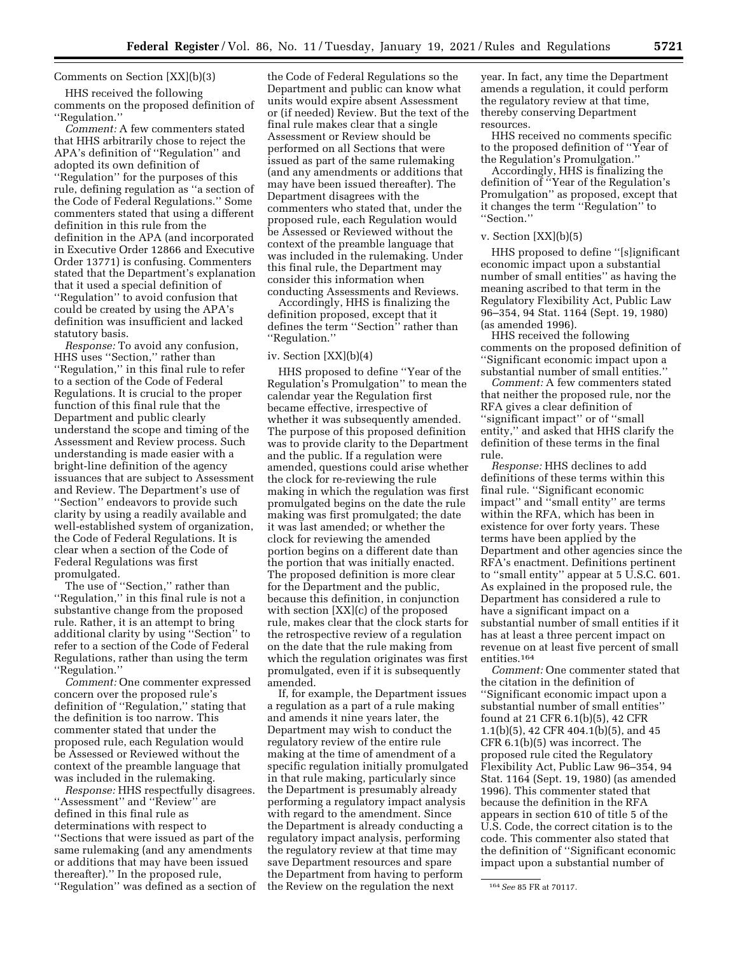# Comments on Section [XX](b)(3)

HHS received the following comments on the proposed definition of ''Regulation.''

*Comment:* A few commenters stated that HHS arbitrarily chose to reject the APA's definition of ''Regulation'' and adopted its own definition of ''Regulation'' for the purposes of this rule, defining regulation as ''a section of the Code of Federal Regulations.'' Some commenters stated that using a different definition in this rule from the definition in the APA (and incorporated in Executive Order 12866 and Executive Order 13771) is confusing. Commenters stated that the Department's explanation that it used a special definition of ''Regulation'' to avoid confusion that could be created by using the APA's definition was insufficient and lacked statutory basis.

*Response:* To avoid any confusion, HHS uses ''Section,'' rather than ''Regulation,'' in this final rule to refer to a section of the Code of Federal Regulations. It is crucial to the proper function of this final rule that the Department and public clearly understand the scope and timing of the Assessment and Review process. Such understanding is made easier with a bright-line definition of the agency issuances that are subject to Assessment and Review. The Department's use of ''Section'' endeavors to provide such clarity by using a readily available and well-established system of organization, the Code of Federal Regulations. It is clear when a section of the Code of Federal Regulations was first promulgated.

The use of "Section," rather than ''Regulation,'' in this final rule is not a substantive change from the proposed rule. Rather, it is an attempt to bring additional clarity by using ''Section'' to refer to a section of the Code of Federal Regulations, rather than using the term ''Regulation.''

*Comment:* One commenter expressed concern over the proposed rule's definition of ''Regulation,'' stating that the definition is too narrow. This commenter stated that under the proposed rule, each Regulation would be Assessed or Reviewed without the context of the preamble language that was included in the rulemaking.

*Response:* HHS respectfully disagrees. ''Assessment'' and ''Review'' are defined in this final rule as determinations with respect to ''Sections that were issued as part of the same rulemaking (and any amendments or additions that may have been issued thereafter).'' In the proposed rule, ''Regulation'' was defined as a section of

the Code of Federal Regulations so the Department and public can know what units would expire absent Assessment or (if needed) Review. But the text of the final rule makes clear that a single Assessment or Review should be performed on all Sections that were issued as part of the same rulemaking (and any amendments or additions that may have been issued thereafter). The Department disagrees with the commenters who stated that, under the proposed rule, each Regulation would be Assessed or Reviewed without the context of the preamble language that was included in the rulemaking. Under this final rule, the Department may consider this information when conducting Assessments and Reviews.

Accordingly, HHS is finalizing the definition proposed, except that it defines the term ''Section'' rather than ''Regulation.''

### iv. Section [XX](b)(4)

HHS proposed to define ''Year of the Regulation's Promulgation'' to mean the calendar year the Regulation first became effective, irrespective of whether it was subsequently amended. The purpose of this proposed definition was to provide clarity to the Department and the public. If a regulation were amended, questions could arise whether the clock for re-reviewing the rule making in which the regulation was first promulgated begins on the date the rule making was first promulgated; the date it was last amended; or whether the clock for reviewing the amended portion begins on a different date than the portion that was initially enacted. The proposed definition is more clear for the Department and the public, because this definition, in conjunction with section [XX](c) of the proposed rule, makes clear that the clock starts for the retrospective review of a regulation on the date that the rule making from which the regulation originates was first promulgated, even if it is subsequently amended.

If, for example, the Department issues a regulation as a part of a rule making and amends it nine years later, the Department may wish to conduct the regulatory review of the entire rule making at the time of amendment of a specific regulation initially promulgated in that rule making, particularly since the Department is presumably already performing a regulatory impact analysis with regard to the amendment. Since the Department is already conducting a regulatory impact analysis, performing the regulatory review at that time may save Department resources and spare the Department from having to perform the Review on the regulation the next

year. In fact, any time the Department amends a regulation, it could perform the regulatory review at that time, thereby conserving Department resources.

HHS received no comments specific to the proposed definition of ''Year of the Regulation's Promulgation.''

Accordingly, HHS is finalizing the definition of ''Year of the Regulation's Promulgation'' as proposed, except that it changes the term ''Regulation'' to ''Section.''

### v. Section [XX](b)(5)

HHS proposed to define ''[s]ignificant economic impact upon a substantial number of small entities'' as having the meaning ascribed to that term in the Regulatory Flexibility Act, Public Law 96–354, 94 Stat. 1164 (Sept. 19, 1980) (as amended 1996).

HHS received the following comments on the proposed definition of ''Significant economic impact upon a substantial number of small entities.''

*Comment:* A few commenters stated that neither the proposed rule, nor the RFA gives a clear definition of ''significant impact'' or of ''small entity,'' and asked that HHS clarify the definition of these terms in the final rule.

*Response:* HHS declines to add definitions of these terms within this final rule. ''Significant economic impact'' and ''small entity'' are terms within the RFA, which has been in existence for over forty years. These terms have been applied by the Department and other agencies since the RFA's enactment. Definitions pertinent to ''small entity'' appear at 5 U.S.C. 601. As explained in the proposed rule, the Department has considered a rule to have a significant impact on a substantial number of small entities if it has at least a three percent impact on revenue on at least five percent of small entities.164

*Comment:* One commenter stated that the citation in the definition of ''Significant economic impact upon a substantial number of small entities'' found at 21 CFR 6.1(b)(5), 42 CFR 1.1(b)(5), 42 CFR 404.1(b)(5), and 45 CFR 6.1(b)(5) was incorrect. The proposed rule cited the Regulatory Flexibility Act, Public Law 96–354, 94 Stat. 1164 (Sept. 19, 1980) (as amended 1996). This commenter stated that because the definition in the RFA appears in section 610 of title 5 of the U.S. Code, the correct citation is to the code. This commenter also stated that the definition of ''Significant economic impact upon a substantial number of

<sup>164</sup>*See* 85 FR at 70117.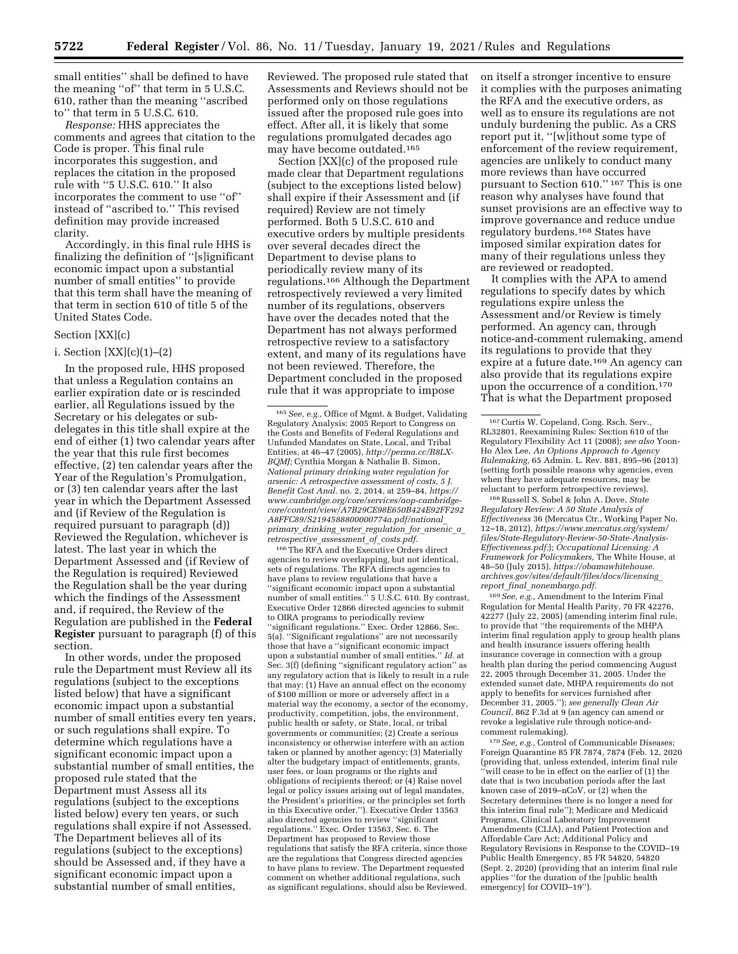small entities'' shall be defined to have the meaning ''of'' that term in 5 U.S.C. 610, rather than the meaning ''ascribed to'' that term in 5 U.S.C. 610.

*Response:* HHS appreciates the comments and agrees that citation to the Code is proper. This final rule incorporates this suggestion, and replaces the citation in the proposed rule with ''5 U.S.C. 610.'' It also incorporates the comment to use ''of'' instead of ''ascribed to.'' This revised definition may provide increased clarity.

Accordingly, in this final rule HHS is finalizing the definition of ''[s]ignificant economic impact upon a substantial number of small entities'' to provide that this term shall have the meaning of that term in section 610 of title 5 of the United States Code.

### Section [XX](c)

### i. Section  $[XX](c)(1)–(2)$

In the proposed rule, HHS proposed that unless a Regulation contains an earlier expiration date or is rescinded earlier, all Regulations issued by the Secretary or his delegates or subdelegates in this title shall expire at the end of either (1) two calendar years after the year that this rule first becomes effective, (2) ten calendar years after the Year of the Regulation's Promulgation, or (3) ten calendar years after the last year in which the Department Assessed and (if Review of the Regulation is required pursuant to paragraph (d)) Reviewed the Regulation, whichever is latest. The last year in which the Department Assessed and (if Review of the Regulation is required) Reviewed the Regulation shall be the year during which the findings of the Assessment and, if required, the Review of the Regulation are published in the **Federal Register** pursuant to paragraph (f) of this section.

In other words, under the proposed rule the Department must Review all its regulations (subject to the exceptions listed below) that have a significant economic impact upon a substantial number of small entities every ten years, or such regulations shall expire. To determine which regulations have a significant economic impact upon a substantial number of small entities, the proposed rule stated that the Department must Assess all its regulations (subject to the exceptions listed below) every ten years, or such regulations shall expire if not Assessed. The Department believes all of its regulations (subject to the exceptions) should be Assessed and, if they have a significant economic impact upon a substantial number of small entities,

Reviewed. The proposed rule stated that Assessments and Reviews should not be performed only on those regulations issued after the proposed rule goes into effect. After all, it is likely that some regulations promulgated decades ago may have become outdated.165

Section [XX](c) of the proposed rule made clear that Department regulations (subject to the exceptions listed below) shall expire if their Assessment and (if required) Review are not timely performed. Both 5 U.S.C. 610 and executive orders by multiple presidents over several decades direct the Department to devise plans to periodically review many of its regulations.166 Although the Department retrospectively reviewed a very limited number of its regulations, observers have over the decades noted that the Department has not always performed retrospective review to a satisfactory extent, and many of its regulations have not been reviewed. Therefore, the Department concluded in the proposed rule that it was appropriate to impose

166The RFA and the Executive Orders direct agencies to review overlapping, but not identical, sets of regulations. The RFA directs agencies to have plans to review regulations that have a ''significant economic impact upon a substantial number of small entities.'' 5 U.S.C. 610. By contrast, Executive Order 12866 directed agencies to submit to OIRA programs to periodically review ''significant regulations.'' Exec. Order 12866, Sec. 5(a). ''Significant regulations'' are not necessarily those that have a ''significant economic impact upon a substantial number of small entities.'' *Id.* at Sec. 3(f) (defining ''significant regulatory action'' as any regulatory action that is likely to result in a rule that may: (1) Have an annual effect on the economy of \$100 million or more or adversely affect in a material way the economy, a sector of the economy, productivity, competition, jobs, the environment, public health or safety, or State, local, or tribal governments or communities; (2) Create a serious inconsistency or otherwise interfere with an action taken or planned by another agency; (3) Materially alter the budgetary impact of entitlements, grants, user fees, or loan programs or the rights and obligations of recipients thereof; or (4) Raise novel legal or policy issues arising out of legal mandates, the President's priorities, or the principles set forth in this Executive order.''). Executive Order 13563 also directed agencies to review ''significant regulations.'' Exec. Order 13563, Sec. 6. The Department has proposed to Review those regulations that satisfy the RFA criteria, since those are the regulations that Congress directed agencies to have plans to review. The Department requested comment on whether additional regulations, such as significant regulations, should also be Reviewed.

on itself a stronger incentive to ensure it complies with the purposes animating the RFA and the executive orders, as well as to ensure its regulations are not unduly burdening the public. As a CRS report put it, ''[w]ithout some type of enforcement of the review requirement, agencies are unlikely to conduct many more reviews than have occurred pursuant to Section 610.'' 167 This is one reason why analyses have found that sunset provisions are an effective way to improve governance and reduce undue regulatory burdens.168 States have imposed similar expiration dates for many of their regulations unless they are reviewed or readopted.

It complies with the APA to amend regulations to specify dates by which regulations expire unless the Assessment and/or Review is timely performed. An agency can, through notice-and-comment rulemaking, amend its regulations to provide that they expire at a future date.169 An agency can also provide that its regulations expire upon the occurrence of a condition.170 That is what the Department proposed

168Russell S. Sobel & John A. Dove, *State Regulatory Review: A 50 State Analysis of Effectiveness* 36 (Mercatus Ctr., Working Paper No. 12–18, 2012), *[https://www.mercatus.org/system/](https://www.mercatus.org/system/files/State-Regulatory-Review-50-State-Analysis-Effectiveness.pdf)  [files/State-Regulatory-Review-50-State-Analysis-](https://www.mercatus.org/system/files/State-Regulatory-Review-50-State-Analysis-Effectiveness.pdf)[Effectiveness.pdf;](https://www.mercatus.org/system/files/State-Regulatory-Review-50-State-Analysis-Effectiveness.pdf)*); *Occupational Licensing: A Framework for Policymakers,* The White House, at 48–50 (July 2015), *[https://obamawhitehouse.](https://obamawhitehouse.archives.gov/sites/default/files/docs/licensing_report_final_nonembargo.pdf) [archives.gov/sites/default/files/docs/licensing](https://obamawhitehouse.archives.gov/sites/default/files/docs/licensing_report_final_nonembargo.pdf)*\_ *report*\_*final*\_*[nonembargo.pdf.](https://obamawhitehouse.archives.gov/sites/default/files/docs/licensing_report_final_nonembargo.pdf)* 

169*See, e.g.,* Amendment to the Interim Final Regulation for Mental Health Parity, 70 FR 42276, 42277 (July 22, 2005) (amending interim final rule, to provide that ''the requirements of the MHPA interim final regulation apply to group health plans and health insurance issuers offering health insurance coverage in connection with a group health plan during the period commencing August 22, 2005 through December 31, 2005. Under the extended sunset date, MHPA requirements do not apply to benefits for services furnished after December 31, 2005.''); *see generally Clean Air Council,* 862 F.3d at 9 (an agency can amend or revoke a legislative rule through notice-andcomment rulemaking).

170*See, e.g.,* Control of Communicable Diseases; Foreign Quarantine 85 FR 7874, 7874 (Feb. 12, 2020 (providing that, unless extended, interim final rule ''will cease to be in effect on the earlier of (1) the date that is two incubation periods after the last known case of 2019–nCoV, or (2) when the Secretary determines there is no longer a need for this interim final rule''); Medicare and Medicaid Programs, Clinical Laboratory Improvement Amendments (CLIA), and Patient Protection and Affordable Care Act; Additional Policy and Regulatory Revisions in Response to the COVID–19 Public Health Emergency, 85 FR 54820, 54820 (Sept. 2, 2020) (providing that an interim final rule applies ''for the duration of the [public health emergency] for COVID–19'').

<sup>165</sup>*See, e.g.,* Office of Mgmt. & Budget, Validating Regulatory Analysis: 2005 Report to Congress on the Costs and Benefits of Federal Regulations and Unfunded Mandates on State, Local, and Tribal Entities, at 46–47 (2005), *[http://perma.cc/R8LX-](http://perma.cc/R8LX-BQMJ)[BQMJ;](http://perma.cc/R8LX-BQMJ)* Cynthia Morgan & Nathalie B. Simon, *National primary drinking water regulation for arsenic: A retrospective assessment of costs, 5 J. Benefit Cost Anal.* no. 2, 2014, at 259–84, *[https://](https://www.cambridge.org/core/services/aop-cambridge-core/content/view/A7B29CE98E650B424E92FF292A8FFC89/S2194588800000774a.pdf/national_primary_drinking_water_regulation_for_arsenic_a_retrospective_assessment_of_costs.pdf) [www.cambridge.org/core/services/aop-cambridge](https://www.cambridge.org/core/services/aop-cambridge-core/content/view/A7B29CE98E650B424E92FF292A8FFC89/S2194588800000774a.pdf/national_primary_drinking_water_regulation_for_arsenic_a_retrospective_assessment_of_costs.pdf)[core/content/view/A7B29CE98E650B424E92FF292](https://www.cambridge.org/core/services/aop-cambridge-core/content/view/A7B29CE98E650B424E92FF292A8FFC89/S2194588800000774a.pdf/national_primary_drinking_water_regulation_for_arsenic_a_retrospective_assessment_of_costs.pdf) [A8FFC89/S2194588800000774a.pdf/national](https://www.cambridge.org/core/services/aop-cambridge-core/content/view/A7B29CE98E650B424E92FF292A8FFC89/S2194588800000774a.pdf/national_primary_drinking_water_regulation_for_arsenic_a_retrospective_assessment_of_costs.pdf)*\_ *primary*\_*drinking*\_*water*\_*[regulation](https://www.cambridge.org/core/services/aop-cambridge-core/content/view/A7B29CE98E650B424E92FF292A8FFC89/S2194588800000774a.pdf/national_primary_drinking_water_regulation_for_arsenic_a_retrospective_assessment_of_costs.pdf)*\_*for*\_*arsenic*\_*a*\_ *[retrospective](https://www.cambridge.org/core/services/aop-cambridge-core/content/view/A7B29CE98E650B424E92FF292A8FFC89/S2194588800000774a.pdf/national_primary_drinking_water_regulation_for_arsenic_a_retrospective_assessment_of_costs.pdf)*\_*assessment*\_*of*\_*costs.pdf.* 

<sup>167</sup>Curtis W. Copeland, Cong. Rsch. Serv., RL32801, Reexamining Rules: Section 610 of the Regulatory Flexibility Act 11 (2008); *see also* Yoon-Ho Alex Lee, *An Options Approach to Agency Rulemaking,* 65 Admin. L. Rev. 881, 895–96 (2013) (setting forth possible reasons why agencies, even when they have adequate resources, may be reluctant to perform retrospective reviews).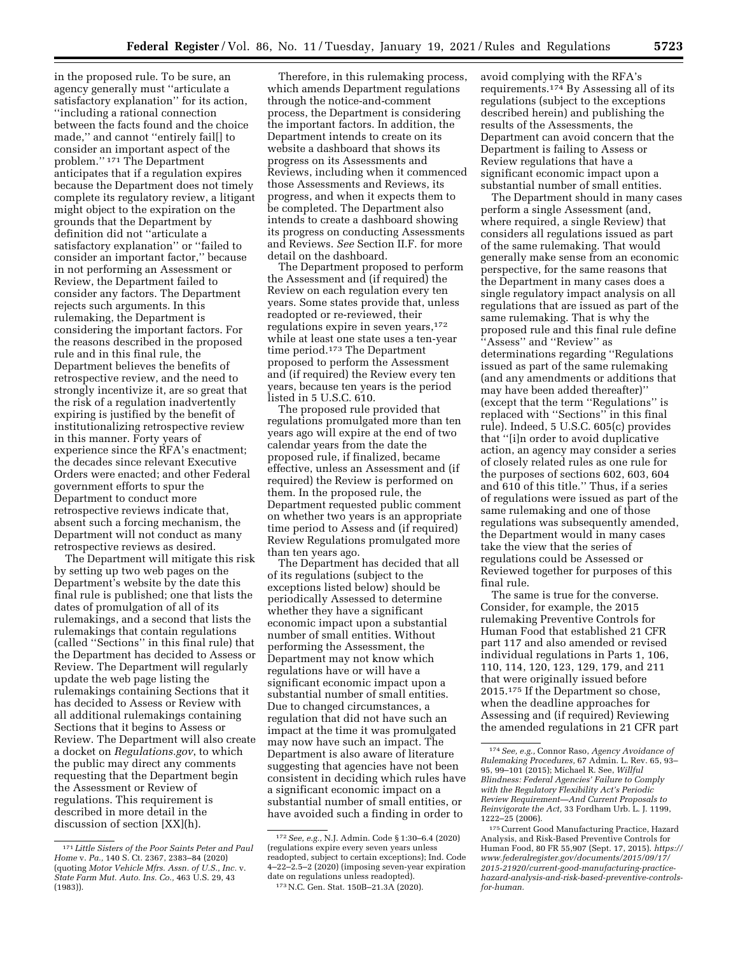in the proposed rule. To be sure, an agency generally must ''articulate a satisfactory explanation'' for its action, ''including a rational connection between the facts found and the choice made,'' and cannot ''entirely fail[] to consider an important aspect of the problem.'' 171 The Department anticipates that if a regulation expires because the Department does not timely complete its regulatory review, a litigant might object to the expiration on the grounds that the Department by definition did not ''articulate a satisfactory explanation'' or ''failed to consider an important factor,'' because in not performing an Assessment or Review, the Department failed to consider any factors. The Department rejects such arguments. In this rulemaking, the Department is considering the important factors. For the reasons described in the proposed rule and in this final rule, the Department believes the benefits of retrospective review, and the need to strongly incentivize it, are so great that the risk of a regulation inadvertently expiring is justified by the benefit of institutionalizing retrospective review in this manner. Forty years of experience since the RFA's enactment; the decades since relevant Executive Orders were enacted; and other Federal government efforts to spur the Department to conduct more retrospective reviews indicate that, absent such a forcing mechanism, the Department will not conduct as many retrospective reviews as desired.

The Department will mitigate this risk by setting up two web pages on the Department's website by the date this final rule is published; one that lists the dates of promulgation of all of its rulemakings, and a second that lists the rulemakings that contain regulations (called ''Sections'' in this final rule) that the Department has decided to Assess or Review. The Department will regularly update the web page listing the rulemakings containing Sections that it has decided to Assess or Review with all additional rulemakings containing Sections that it begins to Assess or Review. The Department will also create a docket on *Regulations.gov*, to which the public may direct any comments requesting that the Department begin the Assessment or Review of regulations. This requirement is described in more detail in the discussion of section [XX](h).

Therefore, in this rulemaking process, which amends Department regulations through the notice-and-comment process, the Department is considering the important factors. In addition, the Department intends to create on its website a dashboard that shows its progress on its Assessments and Reviews, including when it commenced those Assessments and Reviews, its progress, and when it expects them to be completed. The Department also intends to create a dashboard showing its progress on conducting Assessments and Reviews. *See* Section II.F. for more detail on the dashboard.

The Department proposed to perform the Assessment and (if required) the Review on each regulation every ten years. Some states provide that, unless readopted or re-reviewed, their regulations expire in seven years,<sup>172</sup> while at least one state uses a ten-year time period.173 The Department proposed to perform the Assessment and (if required) the Review every ten years, because ten years is the period listed in 5 U.S.C. 610.

The proposed rule provided that regulations promulgated more than ten years ago will expire at the end of two calendar years from the date the proposed rule, if finalized, became effective, unless an Assessment and (if required) the Review is performed on them. In the proposed rule, the Department requested public comment on whether two years is an appropriate time period to Assess and (if required) Review Regulations promulgated more than ten years ago.

The Department has decided that all of its regulations (subject to the exceptions listed below) should be periodically Assessed to determine whether they have a significant economic impact upon a substantial number of small entities. Without performing the Assessment, the Department may not know which regulations have or will have a significant economic impact upon a substantial number of small entities. Due to changed circumstances, a regulation that did not have such an impact at the time it was promulgated may now have such an impact. The Department is also aware of literature suggesting that agencies have not been consistent in deciding which rules have a significant economic impact on a substantial number of small entities, or have avoided such a finding in order to

173N.C. Gen. Stat. 150B–21.3A (2020).

avoid complying with the RFA's requirements.174 By Assessing all of its regulations (subject to the exceptions described herein) and publishing the results of the Assessments, the Department can avoid concern that the Department is failing to Assess or Review regulations that have a significant economic impact upon a substantial number of small entities.

The Department should in many cases perform a single Assessment (and, where required, a single Review) that considers all regulations issued as part of the same rulemaking. That would generally make sense from an economic perspective, for the same reasons that the Department in many cases does a single regulatory impact analysis on all regulations that are issued as part of the same rulemaking. That is why the proposed rule and this final rule define ''Assess'' and ''Review'' as determinations regarding ''Regulations issued as part of the same rulemaking (and any amendments or additions that may have been added thereafter)'' (except that the term ''Regulations'' is replaced with ''Sections'' in this final rule). Indeed, 5 U.S.C. 605(c) provides that ''[i]n order to avoid duplicative action, an agency may consider a series of closely related rules as one rule for the purposes of sections 602, 603, 604 and 610 of this title.'' Thus, if a series of regulations were issued as part of the same rulemaking and one of those regulations was subsequently amended, the Department would in many cases take the view that the series of regulations could be Assessed or Reviewed together for purposes of this final rule.

The same is true for the converse. Consider, for example, the 2015 rulemaking Preventive Controls for Human Food that established 21 CFR part 117 and also amended or revised individual regulations in Parts 1, 106, 110, 114, 120, 123, 129, 179, and 211 that were originally issued before 2015.175 If the Department so chose, when the deadline approaches for Assessing and (if required) Reviewing the amended regulations in 21 CFR part

<sup>171</sup> *Little Sisters of the Poor Saints Peter and Paul Home* v. *Pa.,* 140 S. Ct. 2367, 2383–84 (2020) (quoting *Motor Vehicle Mfrs. Assn. of U.S., Inc.* v. *State Farm Mut. Auto. Ins. Co.,* 463 U.S. 29, 43 (1983)).

<sup>172</sup>*See, e.g.,* N.J. Admin. Code § 1:30–6.4 (2020) (regulations expire every seven years unless readopted, subject to certain exceptions); Ind. Code 4–22–2.5–2 (2020) (imposing seven-year expiration date on regulations unless readopted).

<sup>174</sup>*See, e.g.,* Connor Raso, *Agency Avoidance of Rulemaking Procedures,* 67 Admin. L. Rev. 65, 93– 95, 99–101 (2015); Michael R. See, *Willful Blindness: Federal Agencies' Failure to Comply with the Regulatory Flexibility Act's Periodic Review Requirement—And Current Proposals to Reinvigorate the Act,* 33 Fordham Urb. L. J. 1199, 1222–25 (2006).

<sup>175</sup>Current Good Manufacturing Practice, Hazard Analysis, and Risk-Based Preventive Controls for Human Food, 80 FR 55,907 (Sept. 17, 2015). *[https://](https://www.federalregister.gov/documents/2015/09/17/2015-21920/current-good-manufacturing-practice-hazard-analysis-and-risk-based-preventive-controls-for-human)  [www.federalregister.gov/documents/2015/09/17/](https://www.federalregister.gov/documents/2015/09/17/2015-21920/current-good-manufacturing-practice-hazard-analysis-and-risk-based-preventive-controls-for-human)  2015-21920/current-good-manufacturing-practice[hazard-analysis-and-risk-based-preventive-controls](https://www.federalregister.gov/documents/2015/09/17/2015-21920/current-good-manufacturing-practice-hazard-analysis-and-risk-based-preventive-controls-for-human)[for-human](https://www.federalregister.gov/documents/2015/09/17/2015-21920/current-good-manufacturing-practice-hazard-analysis-and-risk-based-preventive-controls-for-human).*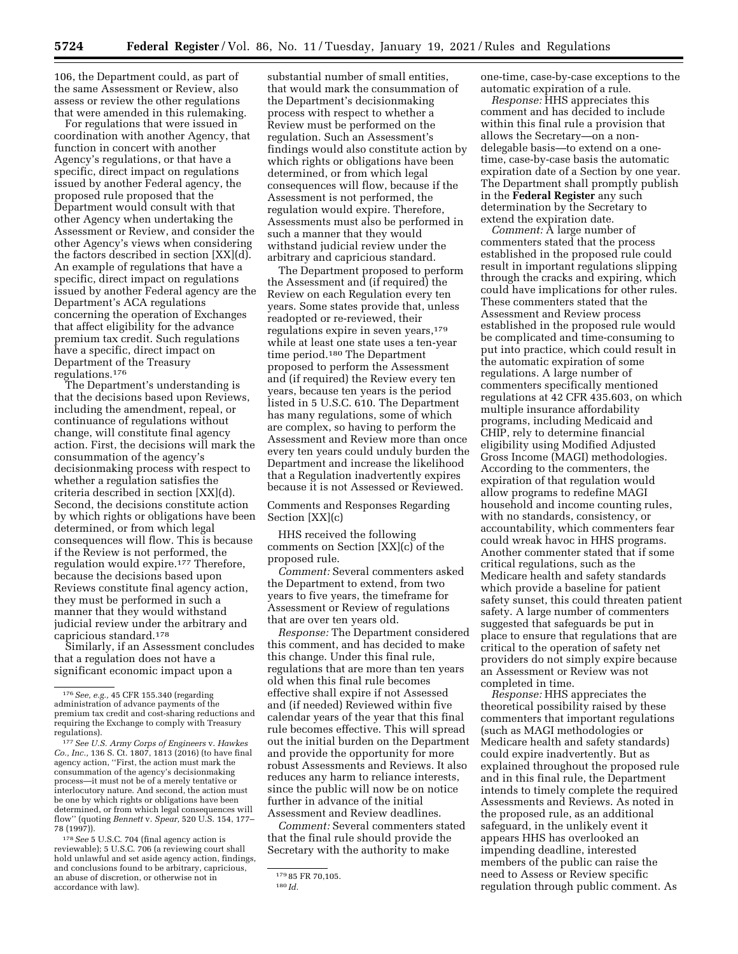106, the Department could, as part of the same Assessment or Review, also assess or review the other regulations that were amended in this rulemaking.

For regulations that were issued in coordination with another Agency, that function in concert with another Agency's regulations, or that have a specific, direct impact on regulations issued by another Federal agency, the proposed rule proposed that the Department would consult with that other Agency when undertaking the Assessment or Review, and consider the other Agency's views when considering the factors described in section [XX](d). An example of regulations that have a specific, direct impact on regulations issued by another Federal agency are the Department's ACA regulations concerning the operation of Exchanges that affect eligibility for the advance premium tax credit. Such regulations have a specific, direct impact on Department of the Treasury regulations.176

The Department's understanding is that the decisions based upon Reviews, including the amendment, repeal, or continuance of regulations without change, will constitute final agency action. First, the decisions will mark the consummation of the agency's decisionmaking process with respect to whether a regulation satisfies the criteria described in section [XX](d). Second, the decisions constitute action by which rights or obligations have been determined, or from which legal consequences will flow. This is because if the Review is not performed, the regulation would expire.177 Therefore, because the decisions based upon Reviews constitute final agency action, they must be performed in such a manner that they would withstand judicial review under the arbitrary and capricious standard.178

Similarly, if an Assessment concludes that a regulation does not have a significant economic impact upon a

178*See* 5 U.S.C. 704 (final agency action is reviewable); 5 U.S.C. 706 (a reviewing court shall hold unlawful and set aside agency action, findings, and conclusions found to be arbitrary, capricious, an abuse of discretion, or otherwise not in accordance with law).

substantial number of small entities, that would mark the consummation of the Department's decisionmaking process with respect to whether a Review must be performed on the regulation. Such an Assessment's findings would also constitute action by which rights or obligations have been determined, or from which legal consequences will flow, because if the Assessment is not performed, the regulation would expire. Therefore, Assessments must also be performed in such a manner that they would withstand judicial review under the arbitrary and capricious standard.

The Department proposed to perform the Assessment and (if required) the Review on each Regulation every ten years. Some states provide that, unless readopted or re-reviewed, their regulations expire in seven years,<sup>179</sup> while at least one state uses a ten-year time period.<sup>180</sup> The Department proposed to perform the Assessment and (if required) the Review every ten years, because ten years is the period listed in 5 U.S.C. 610. The Department has many regulations, some of which are complex, so having to perform the Assessment and Review more than once every ten years could unduly burden the Department and increase the likelihood that a Regulation inadvertently expires because it is not Assessed or Reviewed.

## Comments and Responses Regarding Section [XX](c)

HHS received the following comments on Section [XX](c) of the proposed rule.

*Comment:* Several commenters asked the Department to extend, from two years to five years, the timeframe for Assessment or Review of regulations that are over ten years old.

*Response:* The Department considered this comment, and has decided to make this change. Under this final rule, regulations that are more than ten years old when this final rule becomes effective shall expire if not Assessed and (if needed) Reviewed within five calendar years of the year that this final rule becomes effective. This will spread out the initial burden on the Department and provide the opportunity for more robust Assessments and Reviews. It also reduces any harm to reliance interests, since the public will now be on notice further in advance of the initial Assessment and Review deadlines.

*Comment:* Several commenters stated that the final rule should provide the Secretary with the authority to make

*Response:* HHS appreciates this comment and has decided to include within this final rule a provision that allows the Secretary—on a nondelegable basis—to extend on a onetime, case-by-case basis the automatic expiration date of a Section by one year. The Department shall promptly publish in the **Federal Register** any such determination by the Secretary to extend the expiration date.

*Comment:* A large number of commenters stated that the process established in the proposed rule could result in important regulations slipping through the cracks and expiring, which could have implications for other rules. These commenters stated that the Assessment and Review process established in the proposed rule would be complicated and time-consuming to put into practice, which could result in the automatic expiration of some regulations. A large number of commenters specifically mentioned regulations at 42 CFR 435.603, on which multiple insurance affordability programs, including Medicaid and CHIP, rely to determine financial eligibility using Modified Adjusted Gross Income (MAGI) methodologies. According to the commenters, the expiration of that regulation would allow programs to redefine MAGI household and income counting rules, with no standards, consistency, or accountability, which commenters fear could wreak havoc in HHS programs. Another commenter stated that if some critical regulations, such as the Medicare health and safety standards which provide a baseline for patient safety sunset, this could threaten patient safety. A large number of commenters suggested that safeguards be put in place to ensure that regulations that are critical to the operation of safety net providers do not simply expire because an Assessment or Review was not completed in time.

*Response:* HHS appreciates the theoretical possibility raised by these commenters that important regulations (such as MAGI methodologies or Medicare health and safety standards) could expire inadvertently. But as explained throughout the proposed rule and in this final rule, the Department intends to timely complete the required Assessments and Reviews. As noted in the proposed rule, as an additional safeguard, in the unlikely event it appears HHS has overlooked an impending deadline, interested members of the public can raise the need to Assess or Review specific regulation through public comment. As

<sup>176</sup>*See, e.g.,* 45 CFR 155.340 (regarding administration of advance payments of the premium tax credit and cost-sharing reductions and requiring the Exchange to comply with Treasury regulations).

<sup>177</sup>*See U.S. Army Corps of Engineers* v. *Hawkes Co., Inc.,* 136 S. Ct. 1807, 1813 (2016) (to have final agency action, ''First, the action must mark the consummation of the agency's decisionmaking process—it must not be of a merely tentative or interlocutory nature. And second, the action must be one by which rights or obligations have been determined, or from which legal consequences will flow'' (quoting *Bennett* v. *Spear,* 520 U.S. 154, 177– 78 (1997)).

<sup>179</sup> 85 FR 70,105. 180 *Id.* 

one-time, case-by-case exceptions to the automatic expiration of a rule.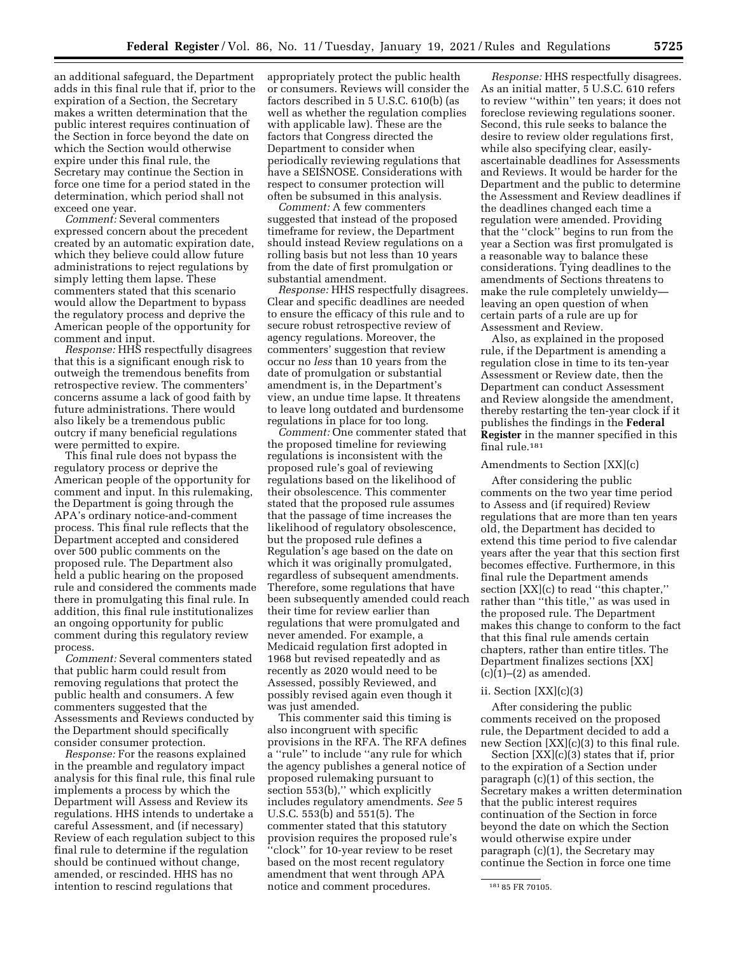an additional safeguard, the Department adds in this final rule that if, prior to the expiration of a Section, the Secretary makes a written determination that the public interest requires continuation of the Section in force beyond the date on which the Section would otherwise expire under this final rule, the Secretary may continue the Section in force one time for a period stated in the determination, which period shall not exceed one year.

*Comment:* Several commenters expressed concern about the precedent created by an automatic expiration date, which they believe could allow future administrations to reject regulations by simply letting them lapse. These commenters stated that this scenario would allow the Department to bypass the regulatory process and deprive the American people of the opportunity for comment and input.

*Response:* HHS respectfully disagrees that this is a significant enough risk to outweigh the tremendous benefits from retrospective review. The commenters' concerns assume a lack of good faith by future administrations. There would also likely be a tremendous public outcry if many beneficial regulations were permitted to expire.

This final rule does not bypass the regulatory process or deprive the American people of the opportunity for comment and input. In this rulemaking, the Department is going through the APA's ordinary notice-and-comment process. This final rule reflects that the Department accepted and considered over 500 public comments on the proposed rule. The Department also held a public hearing on the proposed rule and considered the comments made there in promulgating this final rule. In addition, this final rule institutionalizes an ongoing opportunity for public comment during this regulatory review process.

*Comment:* Several commenters stated that public harm could result from removing regulations that protect the public health and consumers. A few commenters suggested that the Assessments and Reviews conducted by the Department should specifically consider consumer protection.

*Response:* For the reasons explained in the preamble and regulatory impact analysis for this final rule, this final rule implements a process by which the Department will Assess and Review its regulations. HHS intends to undertake a careful Assessment, and (if necessary) Review of each regulation subject to this final rule to determine if the regulation should be continued without change, amended, or rescinded. HHS has no intention to rescind regulations that

appropriately protect the public health or consumers. Reviews will consider the factors described in 5 U.S.C. 610(b) (as well as whether the regulation complies with applicable law). These are the factors that Congress directed the Department to consider when periodically reviewing regulations that have a SEISNOSE. Considerations with respect to consumer protection will often be subsumed in this analysis.

*Comment:* A few commenters suggested that instead of the proposed timeframe for review, the Department should instead Review regulations on a rolling basis but not less than 10 years from the date of first promulgation or substantial amendment.

*Response:* HHS respectfully disagrees. Clear and specific deadlines are needed to ensure the efficacy of this rule and to secure robust retrospective review of agency regulations. Moreover, the commenters' suggestion that review occur no *less* than 10 years from the date of promulgation or substantial amendment is, in the Department's view, an undue time lapse. It threatens to leave long outdated and burdensome regulations in place for too long.

*Comment:* One commenter stated that the proposed timeline for reviewing regulations is inconsistent with the proposed rule's goal of reviewing regulations based on the likelihood of their obsolescence. This commenter stated that the proposed rule assumes that the passage of time increases the likelihood of regulatory obsolescence, but the proposed rule defines a Regulation's age based on the date on which it was originally promulgated, regardless of subsequent amendments. Therefore, some regulations that have been subsequently amended could reach their time for review earlier than regulations that were promulgated and never amended. For example, a Medicaid regulation first adopted in 1968 but revised repeatedly and as recently as 2020 would need to be Assessed, possibly Reviewed, and possibly revised again even though it was just amended.

This commenter said this timing is also incongruent with specific provisions in the RFA. The RFA defines a ''rule'' to include ''any rule for which the agency publishes a general notice of proposed rulemaking pursuant to section 553(b),'' which explicitly includes regulatory amendments. *See* 5 U.S.C. 553(b) and 551(5). The commenter stated that this statutory provision requires the proposed rule's ''clock'' for 10-year review to be reset based on the most recent regulatory amendment that went through APA notice and comment procedures.

*Response:* HHS respectfully disagrees. As an initial matter, 5 U.S.C. 610 refers to review ''within'' ten years; it does not foreclose reviewing regulations sooner. Second, this rule seeks to balance the desire to review older regulations first, while also specifying clear, easilyascertainable deadlines for Assessments and Reviews. It would be harder for the Department and the public to determine the Assessment and Review deadlines if the deadlines changed each time a regulation were amended. Providing that the ''clock'' begins to run from the year a Section was first promulgated is a reasonable way to balance these considerations. Tying deadlines to the amendments of Sections threatens to make the rule completely unwieldy leaving an open question of when certain parts of a rule are up for Assessment and Review.

Also, as explained in the proposed rule, if the Department is amending a regulation close in time to its ten-year Assessment or Review date, then the Department can conduct Assessment and Review alongside the amendment, thereby restarting the ten-year clock if it publishes the findings in the **Federal Register** in the manner specified in this final rule.181

#### Amendments to Section [XX](c)

After considering the public comments on the two year time period to Assess and (if required) Review regulations that are more than ten years old, the Department has decided to extend this time period to five calendar years after the year that this section first becomes effective. Furthermore, in this final rule the Department amends section [XX](c) to read "this chapter," rather than ''this title,'' as was used in the proposed rule. The Department makes this change to conform to the fact that this final rule amends certain chapters, rather than entire titles. The Department finalizes sections [XX]  $(c)(1)$ – $(2)$  as amended.

#### ii. Section [XX](c)(3)

After considering the public comments received on the proposed rule, the Department decided to add a new Section [XX](c)(3) to this final rule.

Section [XX](c)(3) states that if, prior to the expiration of a Section under paragraph (c)(1) of this section, the Secretary makes a written determination that the public interest requires continuation of the Section in force beyond the date on which the Section would otherwise expire under paragraph (c)(1), the Secretary may continue the Section in force one time

<sup>181</sup> 85 FR 70105.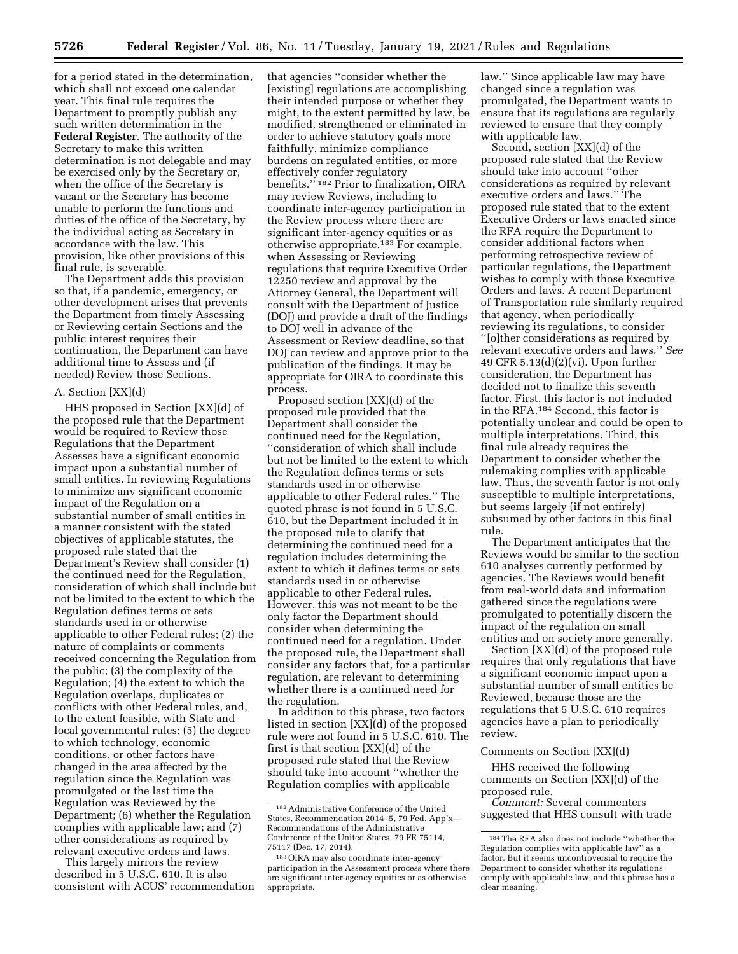for a period stated in the determination, which shall not exceed one calendar year. This final rule requires the Department to promptly publish any such written determination in the **Federal Register**. The authority of the Secretary to make this written determination is not delegable and may be exercised only by the Secretary or, when the office of the Secretary is vacant or the Secretary has become unable to perform the functions and duties of the office of the Secretary, by the individual acting as Secretary in accordance with the law. This provision, like other provisions of this final rule, is severable.

The Department adds this provision so that, if a pandemic, emergency, or other development arises that prevents the Department from timely Assessing or Reviewing certain Sections and the public interest requires their continuation, the Department can have additional time to Assess and (if needed) Review those Sections.

### A. Section [XX](d)

HHS proposed in Section [XX](d) of the proposed rule that the Department would be required to Review those Regulations that the Department Assesses have a significant economic impact upon a substantial number of small entities. In reviewing Regulations to minimize any significant economic impact of the Regulation on a substantial number of small entities in a manner consistent with the stated objectives of applicable statutes, the proposed rule stated that the Department's Review shall consider (1) the continued need for the Regulation, consideration of which shall include but not be limited to the extent to which the Regulation defines terms or sets standards used in or otherwise applicable to other Federal rules; (2) the nature of complaints or comments received concerning the Regulation from the public; (3) the complexity of the Regulation; (4) the extent to which the Regulation overlaps, duplicates or conflicts with other Federal rules, and, to the extent feasible, with State and local governmental rules; (5) the degree to which technology, economic conditions, or other factors have changed in the area affected by the regulation since the Regulation was promulgated or the last time the Regulation was Reviewed by the Department; (6) whether the Regulation complies with applicable law; and (7) other considerations as required by relevant executive orders and laws.

This largely mirrors the review described in 5 U.S.C. 610. It is also consistent with ACUS' recommendation

that agencies ''consider whether the [existing] regulations are accomplishing their intended purpose or whether they might, to the extent permitted by law, be modified, strengthened or eliminated in order to achieve statutory goals more faithfully, minimize compliance burdens on regulated entities, or more effectively confer regulatory benefits."<sup>182</sup> Prior to finalization, OIRA may review Reviews, including to coordinate inter-agency participation in the Review process where there are significant inter-agency equities or as otherwise appropriate.183 For example, when Assessing or Reviewing regulations that require Executive Order 12250 review and approval by the Attorney General, the Department will consult with the Department of Justice (DOJ) and provide a draft of the findings to DOJ well in advance of the Assessment or Review deadline, so that DOJ can review and approve prior to the publication of the findings. It may be appropriate for OIRA to coordinate this process.

Proposed section [XX](d) of the proposed rule provided that the Department shall consider the continued need for the Regulation, ''consideration of which shall include but not be limited to the extent to which the Regulation defines terms or sets standards used in or otherwise applicable to other Federal rules.'' The quoted phrase is not found in 5 U.S.C. 610, but the Department included it in the proposed rule to clarify that determining the continued need for a regulation includes determining the extent to which it defines terms or sets standards used in or otherwise applicable to other Federal rules. However, this was not meant to be the only factor the Department should consider when determining the continued need for a regulation. Under the proposed rule, the Department shall consider any factors that, for a particular regulation, are relevant to determining whether there is a continued need for the regulation.

In addition to this phrase, two factors listed in section [XX](d) of the proposed rule were not found in 5 U.S.C. 610. The first is that section [XX](d) of the proposed rule stated that the Review should take into account ''whether the Regulation complies with applicable

law.'' Since applicable law may have changed since a regulation was promulgated, the Department wants to ensure that its regulations are regularly reviewed to ensure that they comply with applicable law.

Second, section [XX](d) of the proposed rule stated that the Review should take into account ''other considerations as required by relevant executive orders and laws.'' The proposed rule stated that to the extent Executive Orders or laws enacted since the RFA require the Department to consider additional factors when performing retrospective review of particular regulations, the Department wishes to comply with those Executive Orders and laws. A recent Department of Transportation rule similarly required that agency, when periodically reviewing its regulations, to consider ''[o]ther considerations as required by relevant executive orders and laws.'' *See*  49 CFR 5.13(d)(2)(vi). Upon further consideration, the Department has decided not to finalize this seventh factor. First, this factor is not included in the RFA.184 Second, this factor is potentially unclear and could be open to multiple interpretations. Third, this final rule already requires the Department to consider whether the rulemaking complies with applicable law. Thus, the seventh factor is not only susceptible to multiple interpretations, but seems largely (if not entirely) subsumed by other factors in this final rule.

The Department anticipates that the Reviews would be similar to the section 610 analyses currently performed by agencies. The Reviews would benefit from real-world data and information gathered since the regulations were promulgated to potentially discern the impact of the regulation on small entities and on society more generally.

Section [XX](d) of the proposed rule requires that only regulations that have a significant economic impact upon a substantial number of small entities be Reviewed, because those are the regulations that 5 U.S.C. 610 requires agencies have a plan to periodically review.

#### Comments on Section [XX](d)

HHS received the following comments on Section [XX](d) of the proposed rule.

*Comment:* Several commenters suggested that HHS consult with trade

<sup>182</sup>Administrative Conference of the United States, Recommendation 2014–5, 79 Fed. App'x— Recommendations of the Administrative Conference of the United States, 79 FR 75114, 75117 (Dec. 17, 2014).

<sup>183</sup>OIRA may also coordinate inter-agency participation in the Assessment process where there are significant inter-agency equities or as otherwise appropriate.

<sup>184</sup>The RFA also does not include ''whether the Regulation complies with applicable law'' as a factor. But it seems uncontroversial to require the Department to consider whether its regulations comply with applicable law, and this phrase has a clear meaning.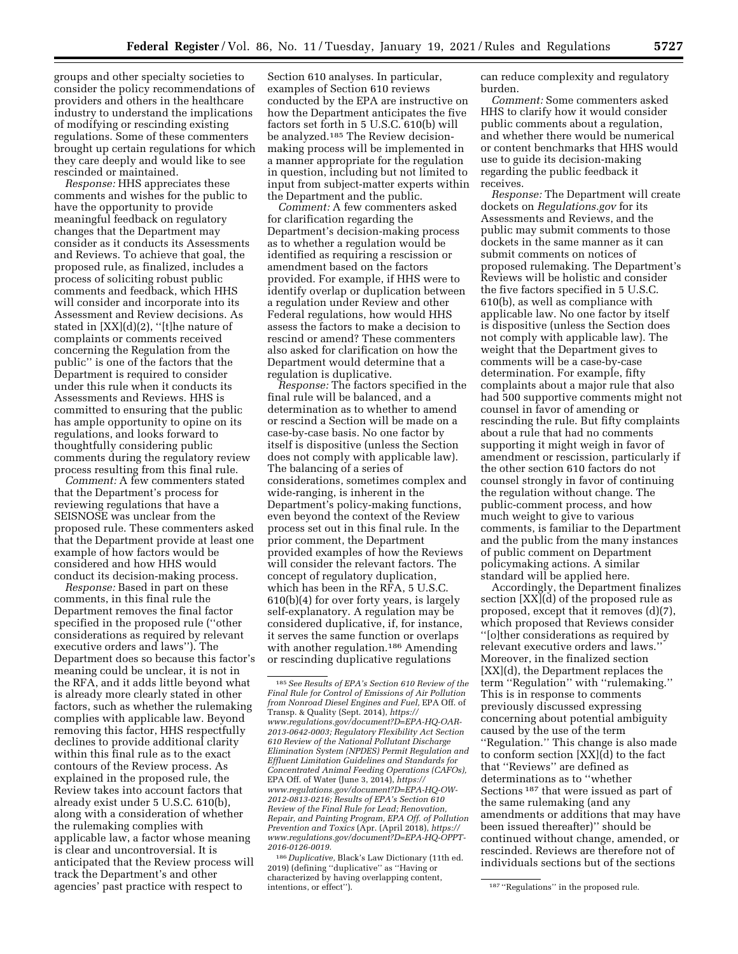groups and other specialty societies to consider the policy recommendations of providers and others in the healthcare industry to understand the implications of modifying or rescinding existing regulations. Some of these commenters brought up certain regulations for which they care deeply and would like to see rescinded or maintained.

*Response:* HHS appreciates these comments and wishes for the public to have the opportunity to provide meaningful feedback on regulatory changes that the Department may consider as it conducts its Assessments and Reviews. To achieve that goal, the proposed rule, as finalized, includes a process of soliciting robust public comments and feedback, which HHS will consider and incorporate into its Assessment and Review decisions. As stated in [XX](d)(2), ''[t]he nature of complaints or comments received concerning the Regulation from the public'' is one of the factors that the Department is required to consider under this rule when it conducts its Assessments and Reviews. HHS is committed to ensuring that the public has ample opportunity to opine on its regulations, and looks forward to thoughtfully considering public comments during the regulatory review process resulting from this final rule.

*Comment:* A few commenters stated that the Department's process for reviewing regulations that have a SEISNOSE was unclear from the proposed rule. These commenters asked that the Department provide at least one example of how factors would be considered and how HHS would conduct its decision-making process.

*Response:* Based in part on these comments, in this final rule the Department removes the final factor specified in the proposed rule (''other considerations as required by relevant executive orders and laws''). The Department does so because this factor's meaning could be unclear, it is not in the RFA, and it adds little beyond what is already more clearly stated in other factors, such as whether the rulemaking complies with applicable law. Beyond removing this factor, HHS respectfully declines to provide additional clarity within this final rule as to the exact contours of the Review process. As explained in the proposed rule, the Review takes into account factors that already exist under 5 U.S.C. 610(b), along with a consideration of whether the rulemaking complies with applicable law, a factor whose meaning is clear and uncontroversial. It is anticipated that the Review process will track the Department's and other agencies' past practice with respect to

Section 610 analyses. In particular, examples of Section 610 reviews conducted by the EPA are instructive on how the Department anticipates the five factors set forth in 5 U.S.C. 610(b) will be analyzed.<sup>185</sup> The Review decisionmaking process will be implemented in a manner appropriate for the regulation in question, including but not limited to input from subject-matter experts within the Department and the public.

*Comment:* A few commenters asked for clarification regarding the Department's decision-making process as to whether a regulation would be identified as requiring a rescission or amendment based on the factors provided. For example, if HHS were to identify overlap or duplication between a regulation under Review and other Federal regulations, how would HHS assess the factors to make a decision to rescind or amend? These commenters also asked for clarification on how the Department would determine that a regulation is duplicative.

*Response:* The factors specified in the final rule will be balanced, and a determination as to whether to amend or rescind a Section will be made on a case-by-case basis. No one factor by itself is dispositive (unless the Section does not comply with applicable law). The balancing of a series of considerations, sometimes complex and wide-ranging, is inherent in the Department's policy-making functions, even beyond the context of the Review process set out in this final rule. In the prior comment, the Department provided examples of how the Reviews will consider the relevant factors. The concept of regulatory duplication, which has been in the RFA, 5 U.S.C. 610(b)(4) for over forty years, is largely self-explanatory. A regulation may be considered duplicative, if, for instance, it serves the same function or overlaps with another regulation.<sup>186</sup> Amending or rescinding duplicative regulations

186 *Duplicative,* Black's Law Dictionary (11th ed. 2019) (defining ''duplicative'' as ''Having or characterized by having overlapping content,

can reduce complexity and regulatory burden.

*Comment:* Some commenters asked HHS to clarify how it would consider public comments about a regulation, and whether there would be numerical or content benchmarks that HHS would use to guide its decision-making regarding the public feedback it receives.

*Response:* The Department will create dockets on *Regulations.gov* for its Assessments and Reviews, and the public may submit comments to those dockets in the same manner as it can submit comments on notices of proposed rulemaking. The Department's Reviews will be holistic and consider the five factors specified in 5 U.S.C. 610(b), as well as compliance with applicable law. No one factor by itself is dispositive (unless the Section does not comply with applicable law). The weight that the Department gives to comments will be a case-by-case determination. For example, fifty complaints about a major rule that also had 500 supportive comments might not counsel in favor of amending or rescinding the rule. But fifty complaints about a rule that had no comments supporting it might weigh in favor of amendment or rescission, particularly if the other section 610 factors do not counsel strongly in favor of continuing the regulation without change. The public-comment process, and how much weight to give to various comments, is familiar to the Department and the public from the many instances of public comment on Department policymaking actions. A similar standard will be applied here.

Accordingly, the Department finalizes section [XX](d) of the proposed rule as proposed, except that it removes (d)(7), which proposed that Reviews consider ''[o]ther considerations as required by relevant executive orders and laws.'' Moreover, in the finalized section [XX](d), the Department replaces the term ''Regulation'' with ''rulemaking.'' This is in response to comments previously discussed expressing concerning about potential ambiguity caused by the use of the term ''Regulation.'' This change is also made to conform section [XX](d) to the fact that ''Reviews'' are defined as determinations as to ''whether Sections 187 that were issued as part of the same rulemaking (and any amendments or additions that may have been issued thereafter)'' should be continued without change, amended, or rescinded. Reviews are therefore not of individuals sections but of the sections

<sup>185</sup>*See Results of EPA's Section 610 Review of the Final Rule for Control of Emissions of Air Pollution from Nonroad Diesel Engines and Fuel,* EPA Off. of Transp. & Quality (Sept. 2014), *[https://](https://www.regulations.gov/document?D=EPA-HQ-OAR-2013-0642-0003) [www.regulations.gov/document?D=EPA-HQ-OAR-](https://www.regulations.gov/document?D=EPA-HQ-OAR-2013-0642-0003)[2013-0642-0003;](https://www.regulations.gov/document?D=EPA-HQ-OAR-2013-0642-0003) Regulatory Flexibility Act Section 610 Review of the National Pollutant Discharge Elimination System (NPDES) Permit Regulation and Effluent Limitation Guidelines and Standards for Concentrated Animal Feeding Operations (CAFOs),*  EPA Off. of Water (June 3, 2014), *[https://](https://www.regulations.gov/document?D=EPA-HQ-OW-2012-0813-0216) [www.regulations.gov/document?D=EPA-HQ-OW-](https://www.regulations.gov/document?D=EPA-HQ-OW-2012-0813-0216)[2012-0813-0216;](https://www.regulations.gov/document?D=EPA-HQ-OW-2012-0813-0216) Results of EPA's Section 610 Review of the Final Rule for Lead; Renovation, Repair, and Painting Program, EPA Off. of Pollution Prevention and Toxics* (Apr. (April 2018), *[https://](https://www.regulations.gov/document?D=EPA-HQ-OPPT-2016-0126-0019)  [www.regulations.gov/document?D=EPA-HQ-OPPT-](https://www.regulations.gov/document?D=EPA-HQ-OPPT-2016-0126-0019)[2016-0126-0019.](https://www.regulations.gov/document?D=EPA-HQ-OPPT-2016-0126-0019)* 

<sup>&</sup>lt;sup>187</sup> "Regulations" in the proposed rule.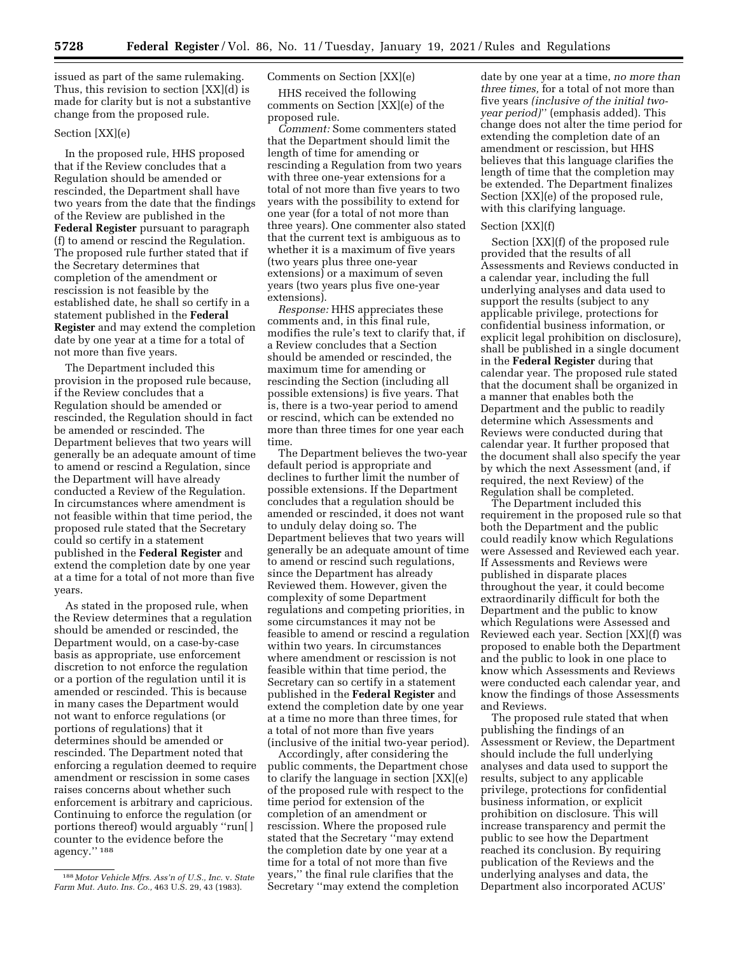issued as part of the same rulemaking. Thus, this revision to section [XX](d) is made for clarity but is not a substantive change from the proposed rule.

### Section [XX](e)

In the proposed rule, HHS proposed that if the Review concludes that a Regulation should be amended or rescinded, the Department shall have two years from the date that the findings of the Review are published in the **Federal Register** pursuant to paragraph (f) to amend or rescind the Regulation. The proposed rule further stated that if the Secretary determines that completion of the amendment or rescission is not feasible by the established date, he shall so certify in a statement published in the **Federal Register** and may extend the completion date by one year at a time for a total of not more than five years.

The Department included this provision in the proposed rule because, if the Review concludes that a Regulation should be amended or rescinded, the Regulation should in fact be amended or rescinded. The Department believes that two years will generally be an adequate amount of time to amend or rescind a Regulation, since the Department will have already conducted a Review of the Regulation. In circumstances where amendment is not feasible within that time period, the proposed rule stated that the Secretary could so certify in a statement published in the **Federal Register** and extend the completion date by one year at a time for a total of not more than five years.

As stated in the proposed rule, when the Review determines that a regulation should be amended or rescinded, the Department would, on a case-by-case basis as appropriate, use enforcement discretion to not enforce the regulation or a portion of the regulation until it is amended or rescinded. This is because in many cases the Department would not want to enforce regulations (or portions of regulations) that it determines should be amended or rescinded. The Department noted that enforcing a regulation deemed to require amendment or rescission in some cases raises concerns about whether such enforcement is arbitrary and capricious. Continuing to enforce the regulation (or portions thereof) would arguably ''run[ ] counter to the evidence before the agency.'' 188

## Comments on Section [XX](e)

HHS received the following comments on Section [XX](e) of the proposed rule.

*Comment:* Some commenters stated that the Department should limit the length of time for amending or rescinding a Regulation from two years with three one-year extensions for a total of not more than five years to two years with the possibility to extend for one year (for a total of not more than three years). One commenter also stated that the current text is ambiguous as to whether it is a maximum of five years (two years plus three one-year extensions) or a maximum of seven years (two years plus five one-year extensions).

*Response:* HHS appreciates these comments and, in this final rule, modifies the rule's text to clarify that, if a Review concludes that a Section should be amended or rescinded, the maximum time for amending or rescinding the Section (including all possible extensions) is five years. That is, there is a two-year period to amend or rescind, which can be extended no more than three times for one year each time.

The Department believes the two-year default period is appropriate and declines to further limit the number of possible extensions. If the Department concludes that a regulation should be amended or rescinded, it does not want to unduly delay doing so. The Department believes that two years will generally be an adequate amount of time to amend or rescind such regulations, since the Department has already Reviewed them. However, given the complexity of some Department regulations and competing priorities, in some circumstances it may not be feasible to amend or rescind a regulation within two years. In circumstances where amendment or rescission is not feasible within that time period, the Secretary can so certify in a statement published in the **Federal Register** and extend the completion date by one year at a time no more than three times, for a total of not more than five years (inclusive of the initial two-year period).

Accordingly, after considering the public comments, the Department chose to clarify the language in section [XX](e) of the proposed rule with respect to the time period for extension of the completion of an amendment or rescission. Where the proposed rule stated that the Secretary ''may extend the completion date by one year at a time for a total of not more than five years,'' the final rule clarifies that the Secretary ''may extend the completion

date by one year at a time, *no more than three times,* for a total of not more than five years *(inclusive of the initial twoyear period)*'' (emphasis added). This change does not alter the time period for extending the completion date of an amendment or rescission, but HHS believes that this language clarifies the length of time that the completion may be extended. The Department finalizes Section [XX](e) of the proposed rule, with this clarifying language.

### Section [XX](f)

Section [XX](f) of the proposed rule provided that the results of all Assessments and Reviews conducted in a calendar year, including the full underlying analyses and data used to support the results (subject to any applicable privilege, protections for confidential business information, or explicit legal prohibition on disclosure), shall be published in a single document in the **Federal Register** during that calendar year. The proposed rule stated that the document shall be organized in a manner that enables both the Department and the public to readily determine which Assessments and Reviews were conducted during that calendar year. It further proposed that the document shall also specify the year by which the next Assessment (and, if required, the next Review) of the Regulation shall be completed.

The Department included this requirement in the proposed rule so that both the Department and the public could readily know which Regulations were Assessed and Reviewed each year. If Assessments and Reviews were published in disparate places throughout the year, it could become extraordinarily difficult for both the Department and the public to know which Regulations were Assessed and Reviewed each year. Section [XX](f) was proposed to enable both the Department and the public to look in one place to know which Assessments and Reviews were conducted each calendar year, and know the findings of those Assessments and Reviews.

The proposed rule stated that when publishing the findings of an Assessment or Review, the Department should include the full underlying analyses and data used to support the results, subject to any applicable privilege, protections for confidential business information, or explicit prohibition on disclosure. This will increase transparency and permit the public to see how the Department reached its conclusion. By requiring publication of the Reviews and the underlying analyses and data, the Department also incorporated ACUS'

<sup>188</sup> *Motor Vehicle Mfrs. Ass'n of U.S., Inc.* v. *State Farm Mut. Auto. Ins. Co.,* 463 U.S. 29, 43 (1983).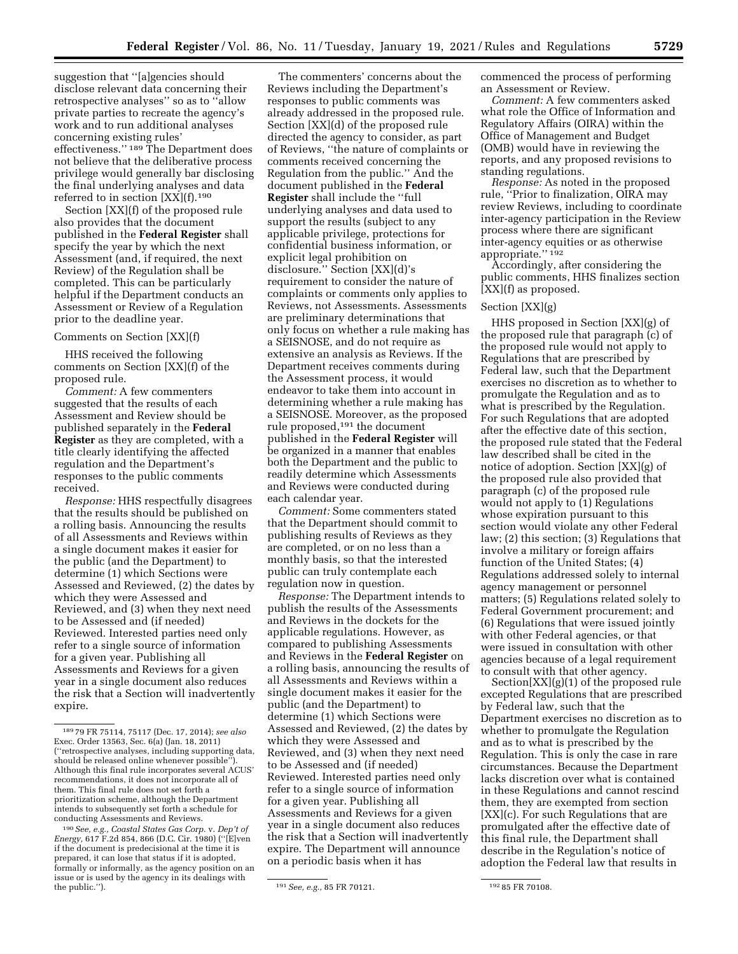suggestion that ''[a]gencies should disclose relevant data concerning their retrospective analyses'' so as to ''allow private parties to recreate the agency's work and to run additional analyses concerning existing rules' effectiveness.'' 189 The Department does not believe that the deliberative process privilege would generally bar disclosing the final underlying analyses and data referred to in section [XX](f).190

Section [XX](f) of the proposed rule also provides that the document published in the **Federal Register** shall specify the year by which the next Assessment (and, if required, the next Review) of the Regulation shall be completed. This can be particularly helpful if the Department conducts an Assessment or Review of a Regulation prior to the deadline year.

### Comments on Section [XX](f)

HHS received the following comments on Section [XX](f) of the proposed rule.

*Comment:* A few commenters suggested that the results of each Assessment and Review should be published separately in the **Federal Register** as they are completed, with a title clearly identifying the affected regulation and the Department's responses to the public comments received.

*Response:* HHS respectfully disagrees that the results should be published on a rolling basis. Announcing the results of all Assessments and Reviews within a single document makes it easier for the public (and the Department) to determine (1) which Sections were Assessed and Reviewed, (2) the dates by which they were Assessed and Reviewed, and (3) when they next need to be Assessed and (if needed) Reviewed. Interested parties need only refer to a single source of information for a given year. Publishing all Assessments and Reviews for a given year in a single document also reduces the risk that a Section will inadvertently expire.

The commenters' concerns about the Reviews including the Department's responses to public comments was already addressed in the proposed rule. Section [XX](d) of the proposed rule directed the agency to consider, as part of Reviews, ''the nature of complaints or comments received concerning the Regulation from the public.'' And the document published in the **Federal Register** shall include the ''full underlying analyses and data used to support the results (subject to any applicable privilege, protections for confidential business information, or explicit legal prohibition on disclosure.'' Section [XX](d)'s requirement to consider the nature of complaints or comments only applies to Reviews, not Assessments. Assessments are preliminary determinations that only focus on whether a rule making has a SEISNOSE, and do not require as extensive an analysis as Reviews. If the Department receives comments during the Assessment process, it would endeavor to take them into account in determining whether a rule making has a SEISNOSE. Moreover, as the proposed rule proposed,191 the document published in the **Federal Register** will be organized in a manner that enables both the Department and the public to readily determine which Assessments and Reviews were conducted during each calendar year.

*Comment:* Some commenters stated that the Department should commit to publishing results of Reviews as they are completed, or on no less than a monthly basis, so that the interested public can truly contemplate each regulation now in question.

*Response:* The Department intends to publish the results of the Assessments and Reviews in the dockets for the applicable regulations. However, as compared to publishing Assessments and Reviews in the **Federal Register** on a rolling basis, announcing the results of all Assessments and Reviews within a single document makes it easier for the public (and the Department) to determine (1) which Sections were Assessed and Reviewed, (2) the dates by which they were Assessed and Reviewed, and (3) when they next need to be Assessed and (if needed) Reviewed. Interested parties need only refer to a single source of information for a given year. Publishing all Assessments and Reviews for a given year in a single document also reduces the risk that a Section will inadvertently expire. The Department will announce on a periodic basis when it has

commenced the process of performing an Assessment or Review.

*Comment:* A few commenters asked what role the Office of Information and Regulatory Affairs (OIRA) within the Office of Management and Budget (OMB) would have in reviewing the reports, and any proposed revisions to standing regulations.

*Response:* As noted in the proposed rule, ''Prior to finalization, OIRA may review Reviews, including to coordinate inter-agency participation in the Review process where there are significant inter-agency equities or as otherwise appropriate.'' 192

Accordingly, after considering the public comments, HHS finalizes section [XX](f) as proposed.

### Section [XX](g)

HHS proposed in Section [XX](g) of the proposed rule that paragraph (c) of the proposed rule would not apply to Regulations that are prescribed by Federal law, such that the Department exercises no discretion as to whether to promulgate the Regulation and as to what is prescribed by the Regulation. For such Regulations that are adopted after the effective date of this section, the proposed rule stated that the Federal law described shall be cited in the notice of adoption. Section [XX](g) of the proposed rule also provided that paragraph (c) of the proposed rule would not apply to (1) Regulations whose expiration pursuant to this section would violate any other Federal law; (2) this section; (3) Regulations that involve a military or foreign affairs function of the United States; (4) Regulations addressed solely to internal agency management or personnel matters; (5) Regulations related solely to Federal Government procurement; and (6) Regulations that were issued jointly with other Federal agencies, or that were issued in consultation with other agencies because of a legal requirement to consult with that other agency.

Section[XX](g)(1) of the proposed rule excepted Regulations that are prescribed by Federal law, such that the Department exercises no discretion as to whether to promulgate the Regulation and as to what is prescribed by the Regulation. This is only the case in rare circumstances. Because the Department lacks discretion over what is contained in these Regulations and cannot rescind them, they are exempted from section [XX](c). For such Regulations that are promulgated after the effective date of this final rule, the Department shall describe in the Regulation's notice of adoption the Federal law that results in

<sup>189</sup> 79 FR 75114, 75117 (Dec. 17, 2014); *see also*  Exec. Order 13563, Sec. 6(a) (Jan. 18, 2011) (''retrospective analyses, including supporting data, should be released online whenever possible" Although this final rule incorporates several ACUS' recommendations, it does not incorporate all of them. This final rule does not set forth a prioritization scheme, although the Department intends to subsequently set forth a schedule for conducting Assessments and Reviews.

<sup>190</sup>*See, e.g., Coastal States Gas Corp.* v. *Dep't of Energy,* 617 F.2d 854, 866 (D.C. Cir. 1980) (''[E]ven if the document is predecisional at the time it is prepared, it can lose that status if it is adopted, formally or informally, as the agency position on an issue or is used by the agency in its dealings with

<sup>&</sup>lt;sup>191</sup> See, e.g., 85 FR 70121. <sup>192</sup> 85 FR 70108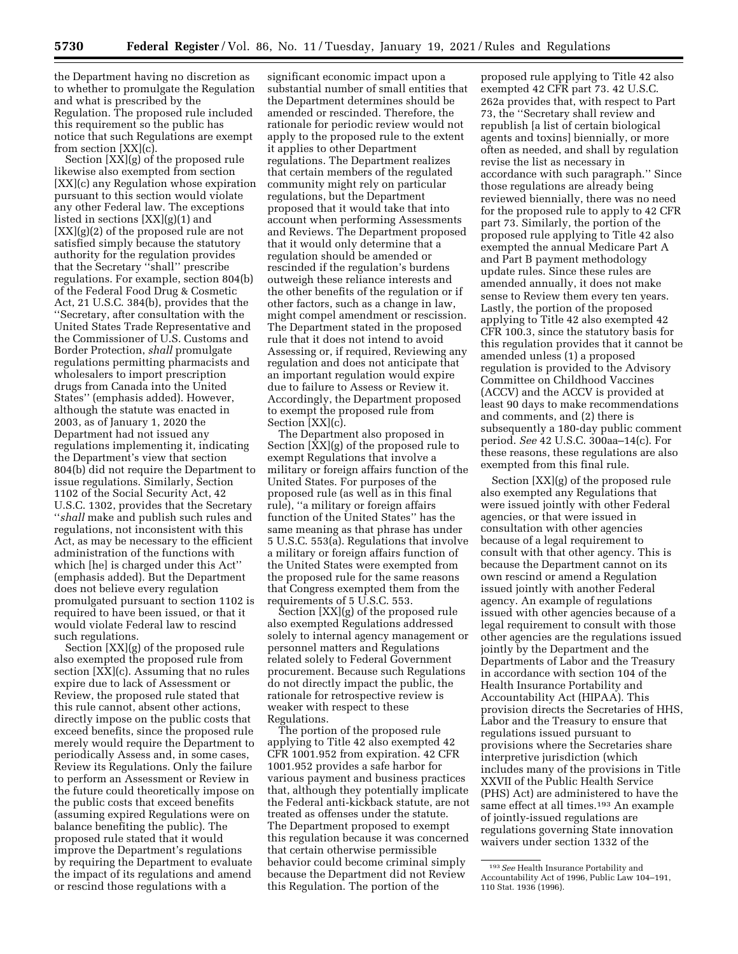the Department having no discretion as to whether to promulgate the Regulation and what is prescribed by the Regulation. The proposed rule included this requirement so the public has notice that such Regulations are exempt from section [XX](c).

Section [XX](g) of the proposed rule likewise also exempted from section [XX](c) any Regulation whose expiration pursuant to this section would violate any other Federal law. The exceptions listed in sections [XX](g)(1) and [XX](g)(2) of the proposed rule are not satisfied simply because the statutory authority for the regulation provides that the Secretary ''shall'' prescribe regulations. For example, section 804(b) of the Federal Food Drug & Cosmetic Act, 21 U.S.C. 384(b), provides that the ''Secretary, after consultation with the United States Trade Representative and the Commissioner of U.S. Customs and Border Protection, *shall* promulgate regulations permitting pharmacists and wholesalers to import prescription drugs from Canada into the United States'' (emphasis added). However, although the statute was enacted in 2003, as of January 1, 2020 the Department had not issued any regulations implementing it, indicating the Department's view that section 804(b) did not require the Department to issue regulations. Similarly, Section 1102 of the Social Security Act, 42 U.S.C. 1302, provides that the Secretary ''*shall* make and publish such rules and regulations, not inconsistent with this Act, as may be necessary to the efficient administration of the functions with which [he] is charged under this Act'' (emphasis added). But the Department does not believe every regulation promulgated pursuant to section 1102 is required to have been issued, or that it would violate Federal law to rescind such regulations.

Section [XX](g) of the proposed rule also exempted the proposed rule from section [XX](c). Assuming that no rules expire due to lack of Assessment or Review, the proposed rule stated that this rule cannot, absent other actions, directly impose on the public costs that exceed benefits, since the proposed rule merely would require the Department to periodically Assess and, in some cases, Review its Regulations. Only the failure to perform an Assessment or Review in the future could theoretically impose on the public costs that exceed benefits (assuming expired Regulations were on balance benefiting the public). The proposed rule stated that it would improve the Department's regulations by requiring the Department to evaluate the impact of its regulations and amend or rescind those regulations with a

significant economic impact upon a substantial number of small entities that the Department determines should be amended or rescinded. Therefore, the rationale for periodic review would not apply to the proposed rule to the extent it applies to other Department regulations. The Department realizes that certain members of the regulated community might rely on particular regulations, but the Department proposed that it would take that into account when performing Assessments and Reviews. The Department proposed that it would only determine that a regulation should be amended or rescinded if the regulation's burdens outweigh these reliance interests and the other benefits of the regulation or if other factors, such as a change in law, might compel amendment or rescission. The Department stated in the proposed rule that it does not intend to avoid Assessing or, if required, Reviewing any regulation and does not anticipate that an important regulation would expire due to failure to Assess or Review it. Accordingly, the Department proposed to exempt the proposed rule from Section [XX](c).

The Department also proposed in Section [XX](g) of the proposed rule to exempt Regulations that involve a military or foreign affairs function of the United States. For purposes of the proposed rule (as well as in this final rule), ''a military or foreign affairs function of the United States'' has the same meaning as that phrase has under 5 U.S.C. 553(a). Regulations that involve a military or foreign affairs function of the United States were exempted from the proposed rule for the same reasons that Congress exempted them from the requirements of 5 U.S.C. 553.

Section [XX](g) of the proposed rule also exempted Regulations addressed solely to internal agency management or personnel matters and Regulations related solely to Federal Government procurement. Because such Regulations do not directly impact the public, the rationale for retrospective review is weaker with respect to these Regulations.

The portion of the proposed rule applying to Title 42 also exempted 42 CFR 1001.952 from expiration. 42 CFR 1001.952 provides a safe harbor for various payment and business practices that, although they potentially implicate the Federal anti-kickback statute, are not treated as offenses under the statute. The Department proposed to exempt this regulation because it was concerned that certain otherwise permissible behavior could become criminal simply because the Department did not Review this Regulation. The portion of the

proposed rule applying to Title 42 also exempted 42 CFR part 73. 42 U.S.C. 262a provides that, with respect to Part 73, the ''Secretary shall review and republish [a list of certain biological agents and toxins] biennially, or more often as needed, and shall by regulation revise the list as necessary in accordance with such paragraph.'' Since those regulations are already being reviewed biennially, there was no need for the proposed rule to apply to 42 CFR part 73. Similarly, the portion of the proposed rule applying to Title 42 also exempted the annual Medicare Part A and Part B payment methodology update rules. Since these rules are amended annually, it does not make sense to Review them every ten years. Lastly, the portion of the proposed applying to Title 42 also exempted 42 CFR 100.3, since the statutory basis for this regulation provides that it cannot be amended unless (1) a proposed regulation is provided to the Advisory Committee on Childhood Vaccines (ACCV) and the ACCV is provided at least 90 days to make recommendations and comments, and (2) there is subsequently a 180-day public comment period. *See* 42 U.S.C. 300aa–14(c). For these reasons, these regulations are also exempted from this final rule.

Section [XX](g) of the proposed rule also exempted any Regulations that were issued jointly with other Federal agencies, or that were issued in consultation with other agencies because of a legal requirement to consult with that other agency. This is because the Department cannot on its own rescind or amend a Regulation issued jointly with another Federal agency. An example of regulations issued with other agencies because of a legal requirement to consult with those other agencies are the regulations issued jointly by the Department and the Departments of Labor and the Treasury in accordance with section 104 of the Health Insurance Portability and Accountability Act (HIPAA). This provision directs the Secretaries of HHS, Labor and the Treasury to ensure that regulations issued pursuant to provisions where the Secretaries share interpretive jurisdiction (which includes many of the provisions in Title XXVII of the Public Health Service (PHS) Act) are administered to have the same effect at all times.<sup>193</sup> An example of jointly-issued regulations are regulations governing State innovation waivers under section 1332 of the

<sup>193</sup>*See* Health Insurance Portability and Accountability Act of 1996, Public Law 104–191, 110 Stat. 1936 (1996).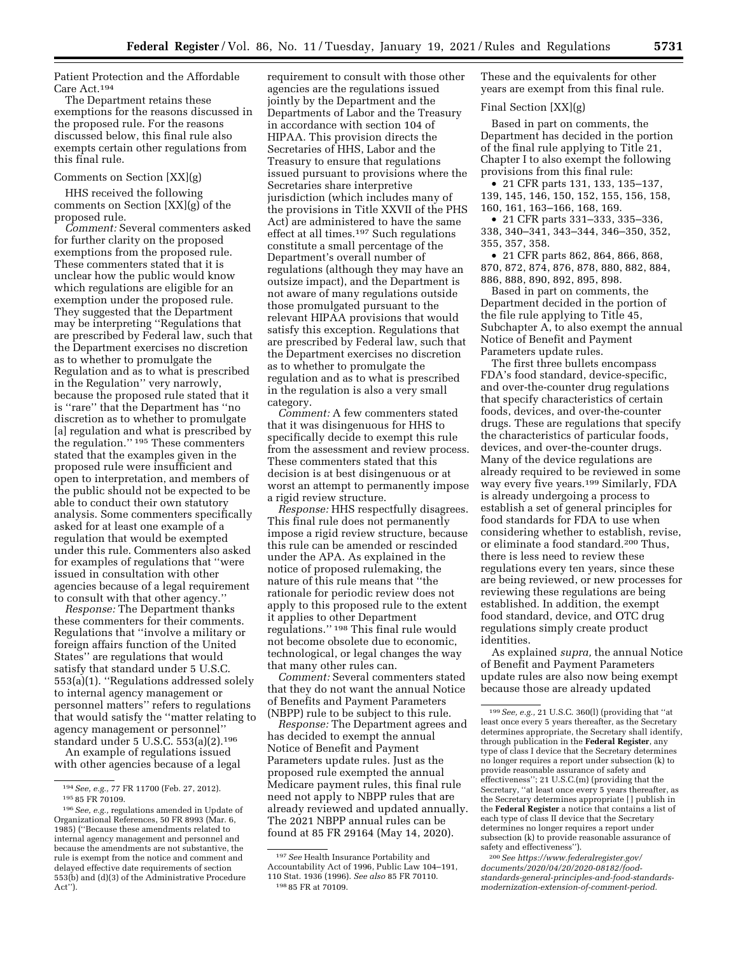Patient Protection and the Affordable Care Act.194

The Department retains these exemptions for the reasons discussed in the proposed rule. For the reasons discussed below, this final rule also exempts certain other regulations from this final rule.

### Comments on Section [XX](g)

HHS received the following comments on Section [XX](g) of the proposed rule.

*Comment:* Several commenters asked for further clarity on the proposed exemptions from the proposed rule. These commenters stated that it is unclear how the public would know which regulations are eligible for an exemption under the proposed rule. They suggested that the Department may be interpreting ''Regulations that are prescribed by Federal law, such that the Department exercises no discretion as to whether to promulgate the Regulation and as to what is prescribed in the Regulation'' very narrowly, because the proposed rule stated that it is ''rare'' that the Department has ''no discretion as to whether to promulgate [a] regulation and what is prescribed by the regulation.'' 195 These commenters stated that the examples given in the proposed rule were insufficient and open to interpretation, and members of the public should not be expected to be able to conduct their own statutory analysis. Some commenters specifically asked for at least one example of a regulation that would be exempted under this rule. Commenters also asked for examples of regulations that ''were issued in consultation with other agencies because of a legal requirement to consult with that other agency.''

*Response:* The Department thanks these commenters for their comments. Regulations that ''involve a military or foreign affairs function of the United States'' are regulations that would satisfy that standard under 5 U.S.C. 553(a)(1). ''Regulations addressed solely to internal agency management or personnel matters'' refers to regulations that would satisfy the ''matter relating to agency management or personnel'' standard under 5 U.S.C. 553(a)(2).196

An example of regulations issued with other agencies because of a legal

requirement to consult with those other agencies are the regulations issued jointly by the Department and the Departments of Labor and the Treasury in accordance with section 104 of HIPAA. This provision directs the Secretaries of HHS, Labor and the Treasury to ensure that regulations issued pursuant to provisions where the Secretaries share interpretive jurisdiction (which includes many of the provisions in Title XXVII of the PHS Act) are administered to have the same effect at all times.197 Such regulations constitute a small percentage of the Department's overall number of regulations (although they may have an outsize impact), and the Department is not aware of many regulations outside those promulgated pursuant to the relevant HIPAA provisions that would satisfy this exception. Regulations that are prescribed by Federal law, such that the Department exercises no discretion as to whether to promulgate the regulation and as to what is prescribed in the regulation is also a very small category.

*Comment:* A few commenters stated that it was disingenuous for HHS to specifically decide to exempt this rule from the assessment and review process. These commenters stated that this decision is at best disingenuous or at worst an attempt to permanently impose a rigid review structure.

*Response:* HHS respectfully disagrees. This final rule does not permanently impose a rigid review structure, because this rule can be amended or rescinded under the APA. As explained in the notice of proposed rulemaking, the nature of this rule means that ''the rationale for periodic review does not apply to this proposed rule to the extent it applies to other Department regulations.'' 198 This final rule would not become obsolete due to economic, technological, or legal changes the way that many other rules can.

*Comment:* Several commenters stated that they do not want the annual Notice of Benefits and Payment Parameters (NBPP) rule to be subject to this rule.

*Response:* The Department agrees and has decided to exempt the annual Notice of Benefit and Payment Parameters update rules. Just as the proposed rule exempted the annual Medicare payment rules, this final rule need not apply to NBPP rules that are already reviewed and updated annually. The 2021 NBPP annual rules can be found at 85 FR 29164 (May 14, 2020).

These and the equivalents for other years are exempt from this final rule.

## Final Section [XX](g)

Based in part on comments, the Department has decided in the portion of the final rule applying to Title 21, Chapter I to also exempt the following provisions from this final rule:

• 21 CFR parts 131, 133, 135–137, 139, 145, 146, 150, 152, 155, 156, 158, 160, 161, 163–166, 168, 169.

• 21 CFR parts 331–333, 335–336, 338, 340–341, 343–344, 346–350, 352, 355, 357, 358.

• 21 CFR parts 862, 864, 866, 868, 870, 872, 874, 876, 878, 880, 882, 884, 886, 888, 890, 892, 895, 898.

Based in part on comments, the Department decided in the portion of the file rule applying to Title 45, Subchapter A, to also exempt the annual Notice of Benefit and Payment Parameters update rules.

The first three bullets encompass FDA's food standard, device-specific, and over-the-counter drug regulations that specify characteristics of certain foods, devices, and over-the-counter drugs. These are regulations that specify the characteristics of particular foods, devices, and over-the-counter drugs. Many of the device regulations are already required to be reviewed in some way every five years.199 Similarly, FDA is already undergoing a process to establish a set of general principles for food standards for FDA to use when considering whether to establish, revise, or eliminate a food standard.200 Thus, there is less need to review these regulations every ten years, since these are being reviewed, or new processes for reviewing these regulations are being established. In addition, the exempt food standard, device, and OTC drug regulations simply create product identities.

As explained *supra,* the annual Notice of Benefit and Payment Parameters update rules are also now being exempt because those are already updated

200*Se[e https://www.federalregister.gov/](https://www.federalregister.gov/documents/2020/04/20/2020-08182/food-standards-general-principles-and-food-standards-modernization-extension-of-comment-period)  [documents/2020/04/20/2020-08182/food](https://www.federalregister.gov/documents/2020/04/20/2020-08182/food-standards-general-principles-and-food-standards-modernization-extension-of-comment-period)[standards-general-principles-and-food-standards](https://www.federalregister.gov/documents/2020/04/20/2020-08182/food-standards-general-principles-and-food-standards-modernization-extension-of-comment-period)[modernization-extension-of-comment-period.](https://www.federalregister.gov/documents/2020/04/20/2020-08182/food-standards-general-principles-and-food-standards-modernization-extension-of-comment-period)* 

<sup>194</sup>*See, e.g.,* 77 FR 11700 (Feb. 27, 2012).

<sup>195</sup> 85 FR 70109.

<sup>196</sup>*See, e.g.,* regulations amended in Update of Organizational References, 50 FR 8993 (Mar. 6, 1985) (''Because these amendments related to internal agency management and personnel and because the amendments are not substantive, the rule is exempt from the notice and comment and delayed effective date requirements of section 553(b) and (d)(3) of the Administrative Procedure Act'').

<sup>197</sup>*See* Health Insurance Portability and Accountability Act of 1996, Public Law 104–191, 110 Stat. 1936 (1996). *See also* 85 FR 70110. 198 85 FR at 70109.

<sup>199</sup>*See, e.g.,* 21 U.S.C. 360(l) (providing that ''at least once every 5 years thereafter, as the Secretary determines appropriate, the Secretary shall identify, through publication in the **Federal Register**, any type of class I device that the Secretary determines no longer requires a report under subsection (k) to provide reasonable assurance of safety and effectiveness''; 21 U.S.C.(m) (providing that the Secretary, ''at least once every 5 years thereafter, as the Secretary determines appropriate [ ] publish in the **Federal Register** a notice that contains a list of each type of class II device that the Secretary determines no longer requires a report under subsection (k) to provide reasonable assurance of safety and effectiveness'').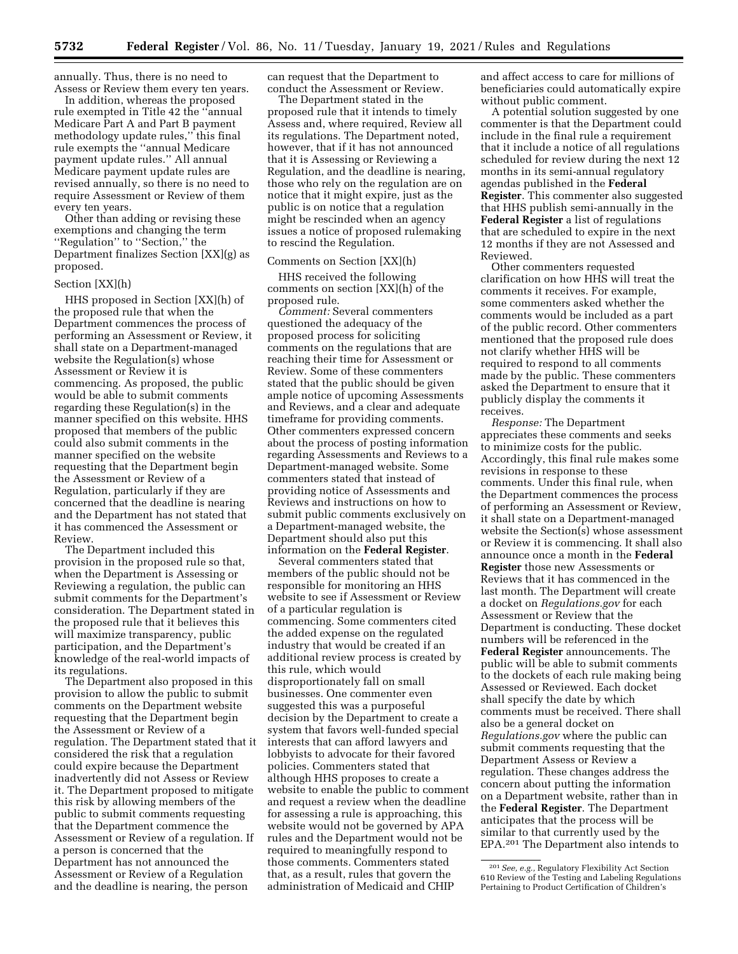annually. Thus, there is no need to Assess or Review them every ten years.

In addition, whereas the proposed rule exempted in Title 42 the ''annual Medicare Part A and Part B payment methodology update rules,'' this final rule exempts the ''annual Medicare payment update rules.'' All annual Medicare payment update rules are revised annually, so there is no need to require Assessment or Review of them every ten years.

Other than adding or revising these exemptions and changing the term ''Regulation'' to ''Section,'' the Department finalizes Section [XX](g) as proposed.

#### Section [XX](h)

HHS proposed in Section [XX](h) of the proposed rule that when the Department commences the process of performing an Assessment or Review, it shall state on a Department-managed website the Regulation(s) whose Assessment or Review it is commencing. As proposed, the public would be able to submit comments regarding these Regulation(s) in the manner specified on this website. HHS proposed that members of the public could also submit comments in the manner specified on the website requesting that the Department begin the Assessment or Review of a Regulation, particularly if they are concerned that the deadline is nearing and the Department has not stated that it has commenced the Assessment or Review.

The Department included this provision in the proposed rule so that, when the Department is Assessing or Reviewing a regulation, the public can submit comments for the Department's consideration. The Department stated in the proposed rule that it believes this will maximize transparency, public participation, and the Department's knowledge of the real-world impacts of its regulations.

The Department also proposed in this provision to allow the public to submit comments on the Department website requesting that the Department begin the Assessment or Review of a regulation. The Department stated that it considered the risk that a regulation could expire because the Department inadvertently did not Assess or Review it. The Department proposed to mitigate this risk by allowing members of the public to submit comments requesting that the Department commence the Assessment or Review of a regulation. If a person is concerned that the Department has not announced the Assessment or Review of a Regulation and the deadline is nearing, the person

can request that the Department to conduct the Assessment or Review.

The Department stated in the proposed rule that it intends to timely Assess and, where required, Review all its regulations. The Department noted, however, that if it has not announced that it is Assessing or Reviewing a Regulation, and the deadline is nearing, those who rely on the regulation are on notice that it might expire, just as the public is on notice that a regulation might be rescinded when an agency issues a notice of proposed rulemaking to rescind the Regulation.

### Comments on Section [XX](h)

HHS received the following comments on section [XX](h) of the proposed rule.

*Comment:* Several commenters questioned the adequacy of the proposed process for soliciting comments on the regulations that are reaching their time for Assessment or Review. Some of these commenters stated that the public should be given ample notice of upcoming Assessments and Reviews, and a clear and adequate timeframe for providing comments. Other commenters expressed concern about the process of posting information regarding Assessments and Reviews to a Department-managed website. Some commenters stated that instead of providing notice of Assessments and Reviews and instructions on how to submit public comments exclusively on a Department-managed website, the Department should also put this information on the **Federal Register**.

Several commenters stated that members of the public should not be responsible for monitoring an HHS website to see if Assessment or Review of a particular regulation is commencing. Some commenters cited the added expense on the regulated industry that would be created if an additional review process is created by this rule, which would disproportionately fall on small businesses. One commenter even suggested this was a purposeful decision by the Department to create a system that favors well-funded special interests that can afford lawyers and lobbyists to advocate for their favored policies. Commenters stated that although HHS proposes to create a website to enable the public to comment and request a review when the deadline for assessing a rule is approaching, this website would not be governed by APA rules and the Department would not be required to meaningfully respond to those comments. Commenters stated that, as a result, rules that govern the administration of Medicaid and CHIP

and affect access to care for millions of beneficiaries could automatically expire without public comment.

A potential solution suggested by one commenter is that the Department could include in the final rule a requirement that it include a notice of all regulations scheduled for review during the next 12 months in its semi-annual regulatory agendas published in the **Federal Register**. This commenter also suggested that HHS publish semi-annually in the **Federal Register** a list of regulations that are scheduled to expire in the next 12 months if they are not Assessed and Reviewed.

Other commenters requested clarification on how HHS will treat the comments it receives. For example, some commenters asked whether the comments would be included as a part of the public record. Other commenters mentioned that the proposed rule does not clarify whether HHS will be required to respond to all comments made by the public. These commenters asked the Department to ensure that it publicly display the comments it receives.

*Response:* The Department appreciates these comments and seeks to minimize costs for the public. Accordingly, this final rule makes some revisions in response to these comments. Under this final rule, when the Department commences the process of performing an Assessment or Review, it shall state on a Department-managed website the Section(s) whose assessment or Review it is commencing. It shall also announce once a month in the **Federal Register** those new Assessments or Reviews that it has commenced in the last month. The Department will create a docket on *Regulations.gov* for each Assessment or Review that the Department is conducting. These docket numbers will be referenced in the **Federal Register** announcements. The public will be able to submit comments to the dockets of each rule making being Assessed or Reviewed. Each docket shall specify the date by which comments must be received. There shall also be a general docket on *Regulations.gov* where the public can submit comments requesting that the Department Assess or Review a regulation. These changes address the concern about putting the information on a Department website, rather than in the **Federal Register**. The Department anticipates that the process will be similar to that currently used by the EPA.201 The Department also intends to

<sup>201</sup>*See, e.g.,* Regulatory Flexibility Act Section 610 Review of the Testing and Labeling Regulations Pertaining to Product Certification of Children's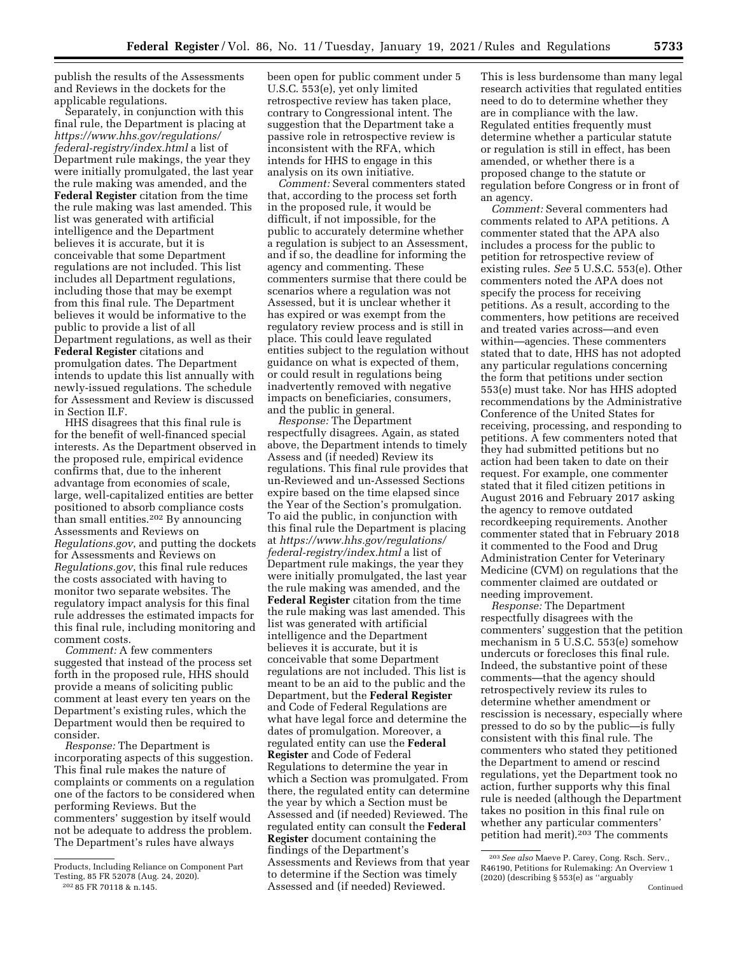publish the results of the Assessments and Reviews in the dockets for the applicable regulations.

Separately, in conjunction with this final rule, the Department is placing at *[https://www.hhs.gov/regulations/](https://www.hhs.gov/regulations/federal-registry/index.html) [federal-registry/index.html](https://www.hhs.gov/regulations/federal-registry/index.html)* a list of Department rule makings, the year they were initially promulgated, the last year the rule making was amended, and the **Federal Register** citation from the time the rule making was last amended. This list was generated with artificial intelligence and the Department believes it is accurate, but it is conceivable that some Department regulations are not included. This list includes all Department regulations, including those that may be exempt from this final rule. The Department believes it would be informative to the public to provide a list of all Department regulations, as well as their **Federal Register** citations and promulgation dates. The Department intends to update this list annually with newly-issued regulations. The schedule for Assessment and Review is discussed in Section II.F.

HHS disagrees that this final rule is for the benefit of well-financed special interests. As the Department observed in the proposed rule, empirical evidence confirms that, due to the inherent advantage from economies of scale, large, well-capitalized entities are better positioned to absorb compliance costs than small entities.202 By announcing Assessments and Reviews on *Regulations.gov*, and putting the dockets for Assessments and Reviews on *Regulations.gov*, this final rule reduces the costs associated with having to monitor two separate websites. The regulatory impact analysis for this final rule addresses the estimated impacts for this final rule, including monitoring and comment costs.

*Comment:* A few commenters suggested that instead of the process set forth in the proposed rule, HHS should provide a means of soliciting public comment at least every ten years on the Department's existing rules, which the Department would then be required to consider.

*Response:* The Department is incorporating aspects of this suggestion. This final rule makes the nature of complaints or comments on a regulation one of the factors to be considered when performing Reviews. But the commenters' suggestion by itself would not be adequate to address the problem. The Department's rules have always

been open for public comment under 5 U.S.C. 553(e), yet only limited retrospective review has taken place, contrary to Congressional intent. The suggestion that the Department take a passive role in retrospective review is inconsistent with the RFA, which intends for HHS to engage in this analysis on its own initiative.

*Comment:* Several commenters stated that, according to the process set forth in the proposed rule, it would be difficult, if not impossible, for the public to accurately determine whether a regulation is subject to an Assessment, and if so, the deadline for informing the agency and commenting. These commenters surmise that there could be scenarios where a regulation was not Assessed, but it is unclear whether it has expired or was exempt from the regulatory review process and is still in place. This could leave regulated entities subject to the regulation without guidance on what is expected of them, or could result in regulations being inadvertently removed with negative impacts on beneficiaries, consumers, and the public in general.

*Response:* The Department respectfully disagrees. Again, as stated above, the Department intends to timely Assess and (if needed) Review its regulations. This final rule provides that un-Reviewed and un-Assessed Sections expire based on the time elapsed since the Year of the Section's promulgation. To aid the public, in conjunction with this final rule the Department is placing at *[https://www.hhs.gov/regulations/](https://www.hhs.gov/regulations/federal-registry/index.html) [federal-registry/index.html](https://www.hhs.gov/regulations/federal-registry/index.html)* a list of Department rule makings, the year they were initially promulgated, the last year the rule making was amended, and the **Federal Register** citation from the time the rule making was last amended. This list was generated with artificial intelligence and the Department believes it is accurate, but it is conceivable that some Department regulations are not included. This list is meant to be an aid to the public and the Department, but the **Federal Register**  and Code of Federal Regulations are what have legal force and determine the dates of promulgation. Moreover, a regulated entity can use the **Federal Register** and Code of Federal Regulations to determine the year in which a Section was promulgated. From there, the regulated entity can determine the year by which a Section must be Assessed and (if needed) Reviewed. The regulated entity can consult the **Federal Register** document containing the findings of the Department's Assessments and Reviews from that year to determine if the Section was timely Assessed and (if needed) Reviewed.

This is less burdensome than many legal research activities that regulated entities need to do to determine whether they are in compliance with the law. Regulated entities frequently must determine whether a particular statute or regulation is still in effect, has been amended, or whether there is a proposed change to the statute or regulation before Congress or in front of an agency.

*Comment:* Several commenters had comments related to APA petitions. A commenter stated that the APA also includes a process for the public to petition for retrospective review of existing rules. *See* 5 U.S.C. 553(e). Other commenters noted the APA does not specify the process for receiving petitions. As a result, according to the commenters, how petitions are received and treated varies across—and even within—agencies. These commenters stated that to date, HHS has not adopted any particular regulations concerning the form that petitions under section 553(e) must take. Nor has HHS adopted recommendations by the Administrative Conference of the United States for receiving, processing, and responding to petitions. A few commenters noted that they had submitted petitions but no action had been taken to date on their request. For example, one commenter stated that it filed citizen petitions in August 2016 and February 2017 asking the agency to remove outdated recordkeeping requirements. Another commenter stated that in February 2018 it commented to the Food and Drug Administration Center for Veterinary Medicine (CVM) on regulations that the commenter claimed are outdated or needing improvement.

*Response:* The Department respectfully disagrees with the commenters' suggestion that the petition mechanism in 5 U.S.C. 553(e) somehow undercuts or forecloses this final rule. Indeed, the substantive point of these comments—that the agency should retrospectively review its rules to determine whether amendment or rescission is necessary, especially where pressed to do so by the public—is fully consistent with this final rule. The commenters who stated they petitioned the Department to amend or rescind regulations, yet the Department took no action, further supports why this final rule is needed (although the Department takes no position in this final rule on whether any particular commenters' petition had merit).203 The comments

Products, Including Reliance on Component Part Testing, 85 FR 52078 (Aug. 24, 2020). 202 85 FR 70118 & n.145.

<sup>203</sup>*See also* Maeve P. Carey, Cong. Rsch. Serv., R46190, Petitions for Rulemaking: An Overview 1 (2020) (describing § 553(e) as ''arguably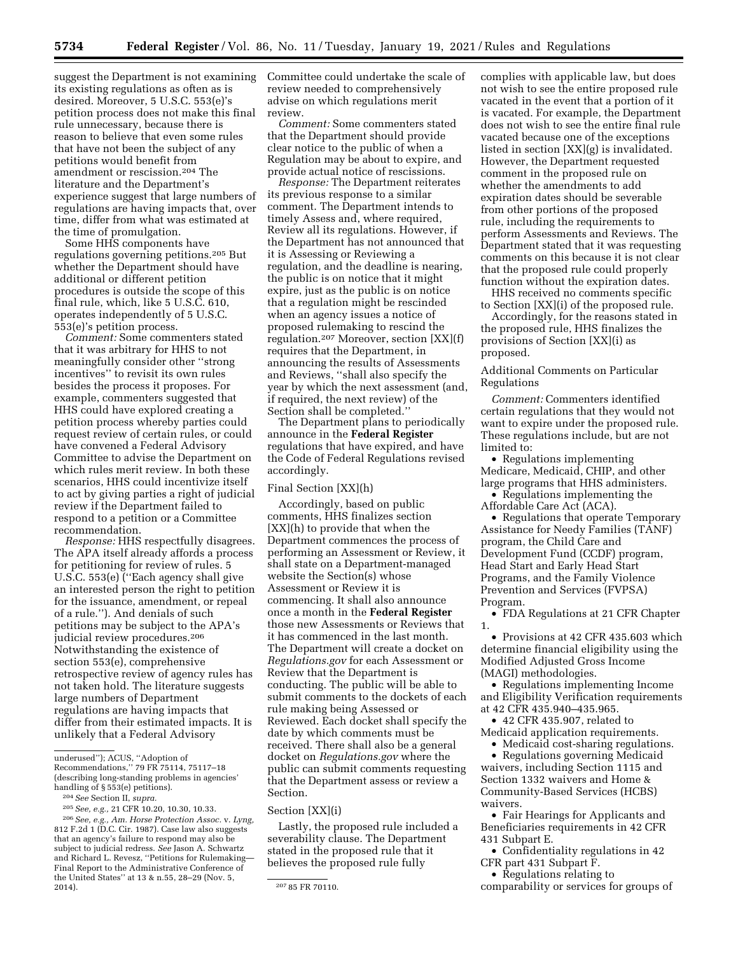suggest the Department is not examining its existing regulations as often as is desired. Moreover, 5 U.S.C. 553(e)'s petition process does not make this final rule unnecessary, because there is reason to believe that even some rules that have not been the subject of any petitions would benefit from amendment or rescission.204 The literature and the Department's experience suggest that large numbers of regulations are having impacts that, over time, differ from what was estimated at the time of promulgation.

Some HHS components have regulations governing petitions.205 But whether the Department should have additional or different petition procedures is outside the scope of this final rule, which, like 5 U.S.C. 610, operates independently of 5 U.S.C. 553(e)'s petition process.

*Comment:* Some commenters stated that it was arbitrary for HHS to not meaningfully consider other ''strong incentives'' to revisit its own rules besides the process it proposes. For example, commenters suggested that HHS could have explored creating a petition process whereby parties could request review of certain rules, or could have convened a Federal Advisory Committee to advise the Department on which rules merit review. In both these scenarios, HHS could incentivize itself to act by giving parties a right of judicial review if the Department failed to respond to a petition or a Committee recommendation.

*Response:* HHS respectfully disagrees. The APA itself already affords a process for petitioning for review of rules. 5 U.S.C. 553(e) (''Each agency shall give an interested person the right to petition for the issuance, amendment, or repeal of a rule.''). And denials of such petitions may be subject to the APA's judicial review procedures.206 Notwithstanding the existence of section 553(e), comprehensive retrospective review of agency rules has not taken hold. The literature suggests large numbers of Department regulations are having impacts that differ from their estimated impacts. It is unlikely that a Federal Advisory

Recommendations,'' 79 FR 75114, 75117–18 (describing long-standing problems in agencies' handling of § 553(e) petitions).

206*See, e.g., Am. Horse Protection Assoc.* v. *Lyng,*  812 F.2d 1 (D.C. Cir. 1987). Case law also suggests that an agency's failure to respond may also be subject to judicial redress. *See* Jason A. Schwartz and Richard L. Revesz, ''Petitions for Rulemaking— Final Report to the Administrative Conference of the United States'' at 13 & n.55, 28–29 (Nov. 5,

Committee could undertake the scale of review needed to comprehensively advise on which regulations merit review.

*Comment:* Some commenters stated that the Department should provide clear notice to the public of when a Regulation may be about to expire, and provide actual notice of rescissions.

*Response:* The Department reiterates its previous response to a similar comment. The Department intends to timely Assess and, where required, Review all its regulations. However, if the Department has not announced that it is Assessing or Reviewing a regulation, and the deadline is nearing, the public is on notice that it might expire, just as the public is on notice that a regulation might be rescinded when an agency issues a notice of proposed rulemaking to rescind the regulation.207 Moreover, section [XX](f) requires that the Department, in announcing the results of Assessments and Reviews, ''shall also specify the year by which the next assessment (and, if required, the next review) of the Section shall be completed.''

The Department plans to periodically announce in the **Federal Register**  regulations that have expired, and have the Code of Federal Regulations revised accordingly.

### Final Section [XX](h)

Accordingly, based on public comments, HHS finalizes section [XX](h) to provide that when the Department commences the process of performing an Assessment or Review, it shall state on a Department-managed website the Section(s) whose Assessment or Review it is commencing. It shall also announce once a month in the **Federal Register**  those new Assessments or Reviews that it has commenced in the last month. The Department will create a docket on *Regulations.gov* for each Assessment or Review that the Department is conducting. The public will be able to submit comments to the dockets of each rule making being Assessed or Reviewed. Each docket shall specify the date by which comments must be received. There shall also be a general docket on *Regulations.gov* where the public can submit comments requesting that the Department assess or review a Section.

#### Section [XX](i)

Lastly, the proposed rule included a severability clause. The Department stated in the proposed rule that it believes the proposed rule fully

complies with applicable law, but does not wish to see the entire proposed rule vacated in the event that a portion of it is vacated. For example, the Department does not wish to see the entire final rule vacated because one of the exceptions listed in section [XX](g) is invalidated. However, the Department requested comment in the proposed rule on whether the amendments to add expiration dates should be severable from other portions of the proposed rule, including the requirements to perform Assessments and Reviews. The Department stated that it was requesting comments on this because it is not clear that the proposed rule could properly function without the expiration dates.

HHS received no comments specific to Section [XX](i) of the proposed rule.

Accordingly, for the reasons stated in the proposed rule, HHS finalizes the provisions of Section [XX](i) as proposed.

Additional Comments on Particular Regulations

*Comment:* Commenters identified certain regulations that they would not want to expire under the proposed rule. These regulations include, but are not limited to:

• Regulations implementing Medicare, Medicaid, CHIP, and other large programs that HHS administers.

• Regulations implementing the Affordable Care Act (ACA).

• Regulations that operate Temporary Assistance for Needy Families (TANF) program, the Child Care and Development Fund (CCDF) program, Head Start and Early Head Start Programs, and the Family Violence Prevention and Services (FVPSA) Program.

• FDA Regulations at 21 CFR Chapter 1.

• Provisions at 42 CFR 435.603 which determine financial eligibility using the Modified Adjusted Gross Income (MAGI) methodologies.

• Regulations implementing Income and Eligibility Verification requirements at 42 CFR 435.940–435.965.

• 42 CFR 435.907, related to Medicaid application requirements.

• Medicaid cost-sharing regulations.

• Regulations governing Medicaid waivers, including Section 1115 and Section 1332 waivers and Home & Community-Based Services (HCBS) waivers.

• Fair Hearings for Applicants and Beneficiaries requirements in 42 CFR 431 Subpart E.

• Confidentiality regulations in 42 CFR part 431 Subpart F.

• Regulations relating to

comparability or services for groups of

underused''); ACUS, ''Adoption of

<sup>204</sup>*See* Section II, *supra.* 

<sup>205</sup>*See, e.g.,* 21 CFR 10.20, 10.30, 10.33.

<sup>207 85</sup> FR 70110.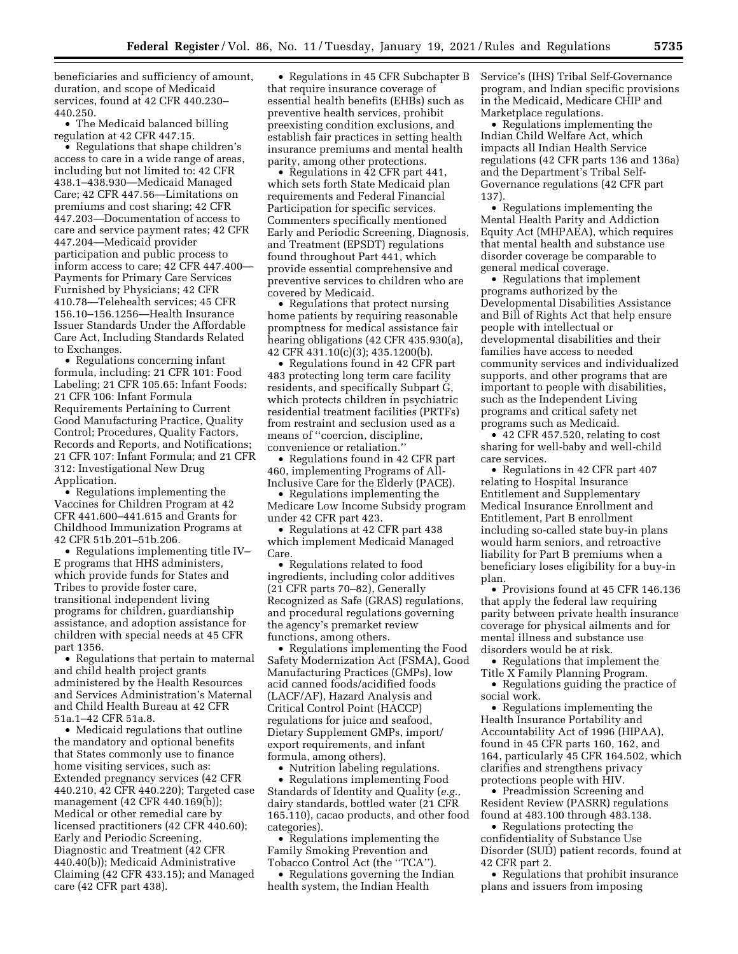beneficiaries and sufficiency of amount, duration, and scope of Medicaid services, found at 42 CFR 440.230– 440.250.

• The Medicaid balanced billing regulation at 42 CFR 447.15.

• Regulations that shape children's access to care in a wide range of areas, including but not limited to: 42 CFR 438.1–438.930—Medicaid Managed Care; 42 CFR 447.56—Limitations on premiums and cost sharing; 42 CFR 447.203—Documentation of access to care and service payment rates; 42 CFR 447.204—Medicaid provider participation and public process to inform access to care; 42 CFR 447.400— Payments for Primary Care Services Furnished by Physicians; 42 CFR 410.78—Telehealth services; 45 CFR 156.10–156.1256—Health Insurance Issuer Standards Under the Affordable Care Act, Including Standards Related to Exchanges.

• Regulations concerning infant formula, including: 21 CFR 101: Food Labeling; 21 CFR 105.65: Infant Foods; 21 CFR 106: Infant Formula Requirements Pertaining to Current Good Manufacturing Practice, Quality Control; Procedures, Quality Factors, Records and Reports, and Notifications; 21 CFR 107: Infant Formula; and 21 CFR 312: Investigational New Drug Application.

• Regulations implementing the Vaccines for Children Program at 42 CFR 441.600–441.615 and Grants for Childhood Immunization Programs at 42 CFR 51b.201–51b.206.

• Regulations implementing title IV– E programs that HHS administers, which provide funds for States and Tribes to provide foster care, transitional independent living programs for children, guardianship assistance, and adoption assistance for children with special needs at 45 CFR part 1356.

• Regulations that pertain to maternal and child health project grants administered by the Health Resources and Services Administration's Maternal and Child Health Bureau at 42 CFR 51a.1–42 CFR 51a.8.

• Medicaid regulations that outline the mandatory and optional benefits that States commonly use to finance home visiting services, such as: Extended pregnancy services (42 CFR 440.210, 42 CFR 440.220); Targeted case management (42 CFR 440.169(b)); Medical or other remedial care by licensed practitioners (42 CFR 440.60); Early and Periodic Screening, Diagnostic and Treatment (42 CFR 440.40(b)); Medicaid Administrative Claiming (42 CFR 433.15); and Managed care (42 CFR part 438).

• Regulations in 45 CFR Subchapter B that require insurance coverage of essential health benefits (EHBs) such as preventive health services, prohibit preexisting condition exclusions, and establish fair practices in setting health insurance premiums and mental health parity, among other protections.

• Regulations in 42 CFR part 441, which sets forth State Medicaid plan requirements and Federal Financial Participation for specific services. Commenters specifically mentioned Early and Periodic Screening, Diagnosis, and Treatment (EPSDT) regulations found throughout Part 441, which provide essential comprehensive and preventive services to children who are covered by Medicaid.

• Regulations that protect nursing home patients by requiring reasonable promptness for medical assistance fair hearing obligations (42 CFR 435.930(a), 42 CFR 431.10(c)(3); 435.1200(b).

• Regulations found in 42 CFR part 483 protecting long term care facility residents, and specifically Subpart G, which protects children in psychiatric residential treatment facilities (PRTFs) from restraint and seclusion used as a means of ''coercion, discipline, convenience or retaliation.''

• Regulations found in 42 CFR part 460, implementing Programs of All-Inclusive Care for the Elderly (PACE).

• Regulations implementing the Medicare Low Income Subsidy program under 42 CFR part 423.

• Regulations at 42 CFR part 438 which implement Medicaid Managed Care.

• Regulations related to food ingredients, including color additives (21 CFR parts 70–82), Generally Recognized as Safe (GRAS) regulations, and procedural regulations governing the agency's premarket review functions, among others.

• Regulations implementing the Food Safety Modernization Act (FSMA), Good Manufacturing Practices (GMPs), low acid canned foods/acidified foods (LACF/AF), Hazard Analysis and Critical Control Point (HACCP) regulations for juice and seafood, Dietary Supplement GMPs, import/ export requirements, and infant formula, among others).

• Nutrition labeling regulations.

• Regulations implementing Food Standards of Identity and Quality (*e.g.,*  dairy standards, bottled water (21 CFR 165.110), cacao products, and other food categories).

• Regulations implementing the Family Smoking Prevention and Tobacco Control Act (the ''TCA'').

• Regulations governing the Indian health system, the Indian Health

Service's (IHS) Tribal Self-Governance program, and Indian specific provisions in the Medicaid, Medicare CHIP and Marketplace regulations.

• Regulations implementing the Indian Child Welfare Act, which impacts all Indian Health Service regulations (42 CFR parts 136 and 136a) and the Department's Tribal Self-Governance regulations (42 CFR part 137).

• Regulations implementing the Mental Health Parity and Addiction Equity Act (MHPAEA), which requires that mental health and substance use disorder coverage be comparable to general medical coverage.

• Regulations that implement programs authorized by the Developmental Disabilities Assistance and Bill of Rights Act that help ensure people with intellectual or developmental disabilities and their families have access to needed community services and individualized supports, and other programs that are important to people with disabilities, such as the Independent Living programs and critical safety net programs such as Medicaid.

• 42 CFR 457.520, relating to cost sharing for well-baby and well-child care services.

• Regulations in 42 CFR part 407 relating to Hospital Insurance Entitlement and Supplementary Medical Insurance Enrollment and Entitlement, Part B enrollment including so-called state buy-in plans would harm seniors, and retroactive liability for Part B premiums when a beneficiary loses eligibility for a buy-in plan.

• Provisions found at 45 CFR 146.136 that apply the federal law requiring parity between private health insurance coverage for physical ailments and for mental illness and substance use disorders would be at risk.

• Regulations that implement the Title X Family Planning Program.

• Regulations guiding the practice of social work.

• Regulations implementing the Health Insurance Portability and Accountability Act of 1996 (HIPAA), found in 45 CFR parts 160, 162, and 164, particularly 45 CFR 164.502, which clarifies and strengthens privacy protections people with HIV.

• Preadmission Screening and Resident Review (PASRR) regulations found at 483.100 through 483.138.

• Regulations protecting the confidentiality of Substance Use Disorder (SUD) patient records, found at 42 CFR part 2.

• Regulations that prohibit insurance plans and issuers from imposing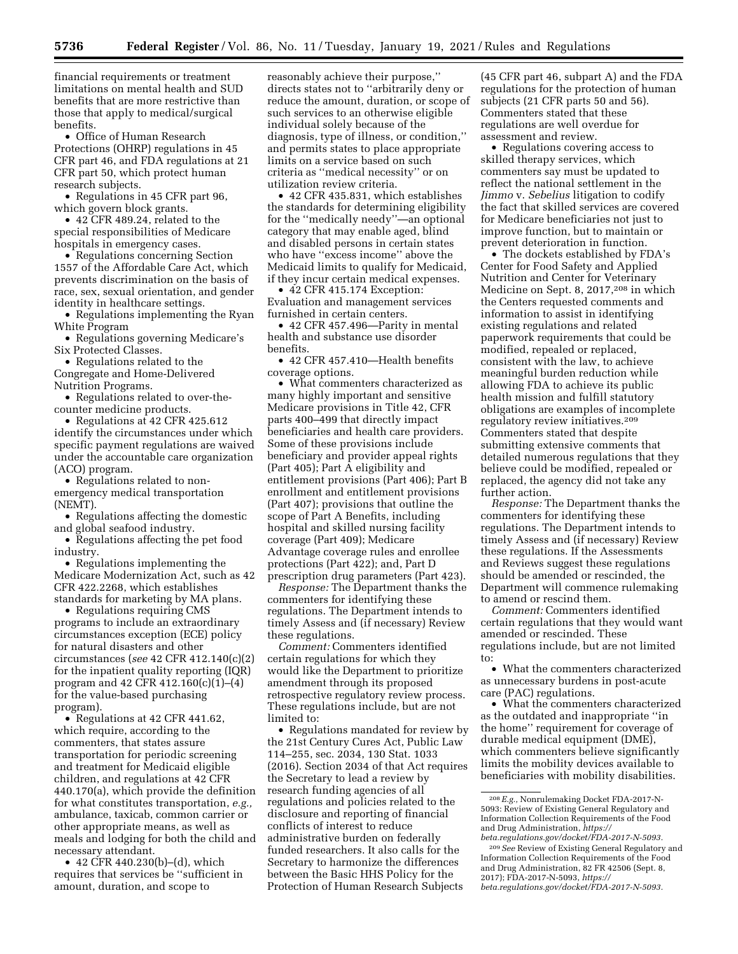financial requirements or treatment limitations on mental health and SUD benefits that are more restrictive than those that apply to medical/surgical benefits.

• Office of Human Research Protections (OHRP) regulations in 45 CFR part 46, and FDA regulations at 21 CFR part 50, which protect human research subjects.

• Regulations in 45 CFR part 96, which govern block grants.

• 42 CFR 489.24, related to the special responsibilities of Medicare hospitals in emergency cases.

• Regulations concerning Section 1557 of the Affordable Care Act, which prevents discrimination on the basis of race, sex, sexual orientation, and gender identity in healthcare settings.

• Regulations implementing the Ryan White Program

• Regulations governing Medicare's Six Protected Classes.

• Regulations related to the Congregate and Home-Delivered Nutrition Programs.

• Regulations related to over-thecounter medicine products.

• Regulations at 42 CFR 425.612 identify the circumstances under which specific payment regulations are waived under the accountable care organization (ACO) program.

• Regulations related to nonemergency medical transportation (NEMT).

• Regulations affecting the domestic and global seafood industry.

• Regulations affecting the pet food industry.

• Regulations implementing the Medicare Modernization Act, such as 42 CFR 422.2268, which establishes standards for marketing by MA plans.

• Regulations requiring CMS programs to include an extraordinary circumstances exception (ECE) policy for natural disasters and other circumstances (*see* 42 CFR 412.140(c)(2) for the inpatient quality reporting (IQR) program and 42 CFR 412.160(c)(1)–(4) for the value-based purchasing program).

• Regulations at 42 CFR 441.62, which require, according to the commenters, that states assure transportation for periodic screening and treatment for Medicaid eligible children, and regulations at 42 CFR 440.170(a), which provide the definition for what constitutes transportation, *e.g.,*  ambulance, taxicab, common carrier or other appropriate means, as well as meals and lodging for both the child and necessary attendant.

• 42 CFR 440.230(b)–(d), which requires that services be ''sufficient in amount, duration, and scope to

reasonably achieve their purpose,'' directs states not to ''arbitrarily deny or reduce the amount, duration, or scope of such services to an otherwise eligible individual solely because of the diagnosis, type of illness, or condition,'' and permits states to place appropriate limits on a service based on such criteria as ''medical necessity'' or on utilization review criteria.

• 42 CFR 435.831, which establishes the standards for determining eligibility for the ''medically needy''—an optional category that may enable aged, blind and disabled persons in certain states who have ''excess income'' above the Medicaid limits to qualify for Medicaid, if they incur certain medical expenses.

• 42 CFR 415.174 Exception: Evaluation and management services furnished in certain centers.

• 42 CFR 457.496—Parity in mental health and substance use disorder benefits.

• 42 CFR 457.410—Health benefits coverage options.

• What commenters characterized as many highly important and sensitive Medicare provisions in Title 42, CFR parts 400–499 that directly impact beneficiaries and health care providers. Some of these provisions include beneficiary and provider appeal rights (Part 405); Part A eligibility and entitlement provisions (Part 406); Part B enrollment and entitlement provisions (Part 407); provisions that outline the scope of Part A Benefits, including hospital and skilled nursing facility coverage (Part 409); Medicare Advantage coverage rules and enrollee protections (Part 422); and, Part D prescription drug parameters (Part 423).

*Response:* The Department thanks the commenters for identifying these regulations. The Department intends to timely Assess and (if necessary) Review these regulations.

*Comment:* Commenters identified certain regulations for which they would like the Department to prioritize amendment through its proposed retrospective regulatory review process. These regulations include, but are not limited to:

• Regulations mandated for review by the 21st Century Cures Act, Public Law 114–255, sec. 2034, 130 Stat. 1033 (2016). Section 2034 of that Act requires the Secretary to lead a review by research funding agencies of all regulations and policies related to the disclosure and reporting of financial conflicts of interest to reduce administrative burden on federally funded researchers. It also calls for the Secretary to harmonize the differences between the Basic HHS Policy for the Protection of Human Research Subjects

(45 CFR part 46, subpart A) and the FDA regulations for the protection of human subjects (21 CFR parts 50 and 56). Commenters stated that these regulations are well overdue for assessment and review.

• Regulations covering access to skilled therapy services, which commenters say must be updated to reflect the national settlement in the *Jimmo* v. *Sebelius* litigation to codify the fact that skilled services are covered for Medicare beneficiaries not just to improve function, but to maintain or prevent deterioration in function.

• The dockets established by FDA's Center for Food Safety and Applied Nutrition and Center for Veterinary Medicine on Sept. 8, 2017,208 in which the Centers requested comments and information to assist in identifying existing regulations and related paperwork requirements that could be modified, repealed or replaced, consistent with the law, to achieve meaningful burden reduction while allowing FDA to achieve its public health mission and fulfill statutory obligations are examples of incomplete regulatory review initiatives.209 Commenters stated that despite submitting extensive comments that detailed numerous regulations that they believe could be modified, repealed or replaced, the agency did not take any further action.

*Response:* The Department thanks the commenters for identifying these regulations. The Department intends to timely Assess and (if necessary) Review these regulations. If the Assessments and Reviews suggest these regulations should be amended or rescinded, the Department will commence rulemaking to amend or rescind them.

*Comment:* Commenters identified certain regulations that they would want amended or rescinded. These regulations include, but are not limited to:

• What the commenters characterized as unnecessary burdens in post-acute care (PAC) regulations.

• What the commenters characterized as the outdated and inappropriate ''in the home'' requirement for coverage of durable medical equipment (DME), which commenters believe significantly limits the mobility devices available to beneficiaries with mobility disabilities.

<sup>208</sup>*E.g.,* Nonrulemaking Docket FDA-2017-N-5093: Review of Existing General Regulatory and Information Collection Requirements of the Food and Drug Administration, *[https://](https://beta.regulations.gov/docket/FDA-2017-N-5093) [beta.regulations.gov/docket/FDA-2017-N-5093.](https://beta.regulations.gov/docket/FDA-2017-N-5093)* 

<sup>209</sup>*See* Review of Existing General Regulatory and Information Collection Requirements of the Food and Drug Administration, 82 FR 42506 (Sept. 8, 2017); FDA-2017-N-5093, *[https://](https://beta.regulations.gov/docket/FDA-2017-N-5093) [beta.regulations.gov/docket/FDA-2017-N-5093.](https://beta.regulations.gov/docket/FDA-2017-N-5093)*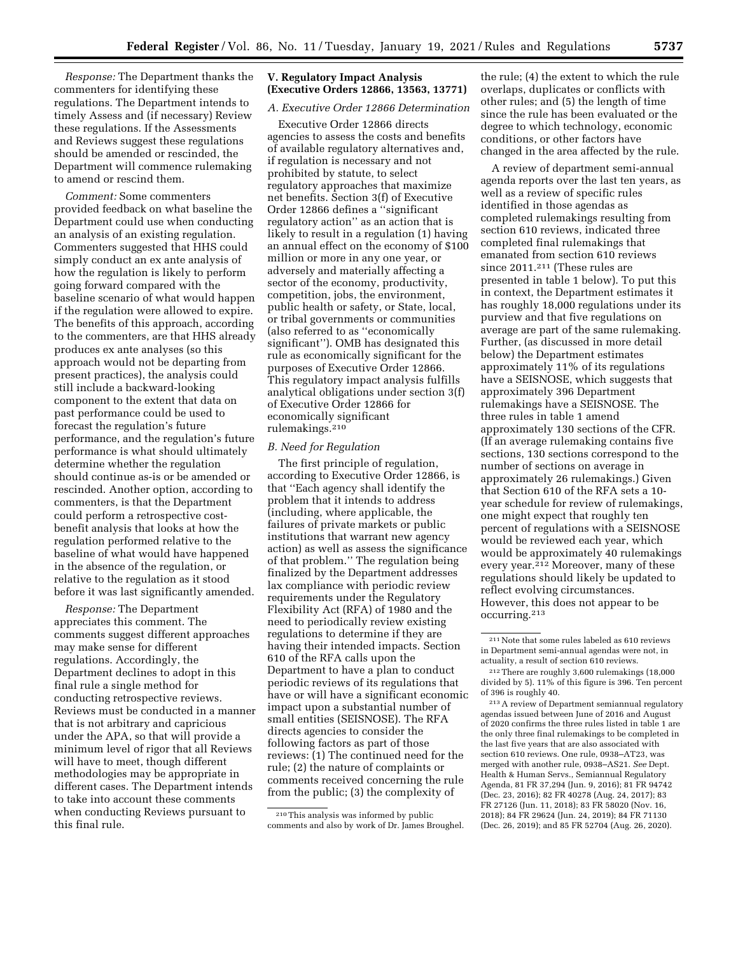*Response:* The Department thanks the commenters for identifying these regulations. The Department intends to timely Assess and (if necessary) Review these regulations. If the Assessments and Reviews suggest these regulations should be amended or rescinded, the Department will commence rulemaking to amend or rescind them.

*Comment:* Some commenters provided feedback on what baseline the Department could use when conducting an analysis of an existing regulation. Commenters suggested that HHS could simply conduct an ex ante analysis of how the regulation is likely to perform going forward compared with the baseline scenario of what would happen if the regulation were allowed to expire. The benefits of this approach, according to the commenters, are that HHS already produces ex ante analyses (so this approach would not be departing from present practices), the analysis could still include a backward-looking component to the extent that data on past performance could be used to forecast the regulation's future performance, and the regulation's future performance is what should ultimately determine whether the regulation should continue as-is or be amended or rescinded. Another option, according to commenters, is that the Department could perform a retrospective costbenefit analysis that looks at how the regulation performed relative to the baseline of what would have happened in the absence of the regulation, or relative to the regulation as it stood before it was last significantly amended.

*Response:* The Department appreciates this comment. The comments suggest different approaches may make sense for different regulations. Accordingly, the Department declines to adopt in this final rule a single method for conducting retrospective reviews. Reviews must be conducted in a manner that is not arbitrary and capricious under the APA, so that will provide a minimum level of rigor that all Reviews will have to meet, though different methodologies may be appropriate in different cases. The Department intends to take into account these comments when conducting Reviews pursuant to this final rule.

### **V. Regulatory Impact Analysis (Executive Orders 12866, 13563, 13771)**

#### *A. Executive Order 12866 Determination*

Executive Order 12866 directs agencies to assess the costs and benefits of available regulatory alternatives and, if regulation is necessary and not prohibited by statute, to select regulatory approaches that maximize net benefits. Section 3(f) of Executive Order 12866 defines a ''significant regulatory action'' as an action that is likely to result in a regulation (1) having an annual effect on the economy of \$100 million or more in any one year, or adversely and materially affecting a sector of the economy, productivity, competition, jobs, the environment, public health or safety, or State, local, or tribal governments or communities (also referred to as ''economically significant''). OMB has designated this rule as economically significant for the purposes of Executive Order 12866. This regulatory impact analysis fulfills analytical obligations under section 3(f) of Executive Order 12866 for economically significant rulemakings.210

#### *B. Need for Regulation*

The first principle of regulation, according to Executive Order 12866, is that ''Each agency shall identify the problem that it intends to address (including, where applicable, the failures of private markets or public institutions that warrant new agency action) as well as assess the significance of that problem.'' The regulation being finalized by the Department addresses lax compliance with periodic review requirements under the Regulatory Flexibility Act (RFA) of 1980 and the need to periodically review existing regulations to determine if they are having their intended impacts. Section 610 of the RFA calls upon the Department to have a plan to conduct periodic reviews of its regulations that have or will have a significant economic impact upon a substantial number of small entities (SEISNOSE). The RFA directs agencies to consider the following factors as part of those reviews: (1) The continued need for the rule; (2) the nature of complaints or comments received concerning the rule from the public; (3) the complexity of

the rule; (4) the extent to which the rule overlaps, duplicates or conflicts with other rules; and (5) the length of time since the rule has been evaluated or the degree to which technology, economic conditions, or other factors have changed in the area affected by the rule.

A review of department semi-annual agenda reports over the last ten years, as well as a review of specific rules identified in those agendas as completed rulemakings resulting from section 610 reviews, indicated three completed final rulemakings that emanated from section 610 reviews since 2011.211 (These rules are presented in table 1 below). To put this in context, the Department estimates it has roughly 18,000 regulations under its purview and that five regulations on average are part of the same rulemaking. Further, (as discussed in more detail below) the Department estimates approximately 11% of its regulations have a SEISNOSE, which suggests that approximately 396 Department rulemakings have a SEISNOSE. The three rules in table 1 amend approximately 130 sections of the CFR. (If an average rulemaking contains five sections, 130 sections correspond to the number of sections on average in approximately 26 rulemakings.) Given that Section 610 of the RFA sets a 10 year schedule for review of rulemakings, one might expect that roughly ten percent of regulations with a SEISNOSE would be reviewed each year, which would be approximately 40 rulemakings every year.212 Moreover, many of these regulations should likely be updated to reflect evolving circumstances. However, this does not appear to be occurring.213

<sup>210</sup>This analysis was informed by public comments and also by work of Dr. James Broughel.

<sup>211</sup>Note that some rules labeled as 610 reviews in Department semi-annual agendas were not, in actuality, a result of section 610 reviews.

<sup>212</sup>There are roughly 3,600 rulemakings (18,000 divided by 5). 11% of this figure is 396. Ten percent of 396 is roughly 40.

<sup>213</sup>A review of Department semiannual regulatory agendas issued between June of 2016 and August of 2020 confirms the three rules listed in table 1 are the only three final rulemakings to be completed in the last five years that are also associated with section 610 reviews. One rule, 0938–AT23, was merged with another rule, 0938–AS21. *See* Dept. Health & Human Servs., Semiannual Regulatory Agenda, 81 FR 37,294 (Jun. 9, 2016); 81 FR 94742 (Dec. 23, 2016); 82 FR 40278 (Aug. 24, 2017); 83 FR 27126 (Jun. 11, 2018); 83 FR 58020 (Nov. 16, 2018); 84 FR 29624 (Jun. 24, 2019); 84 FR 71130 (Dec. 26, 2019); and 85 FR 52704 (Aug. 26, 2020).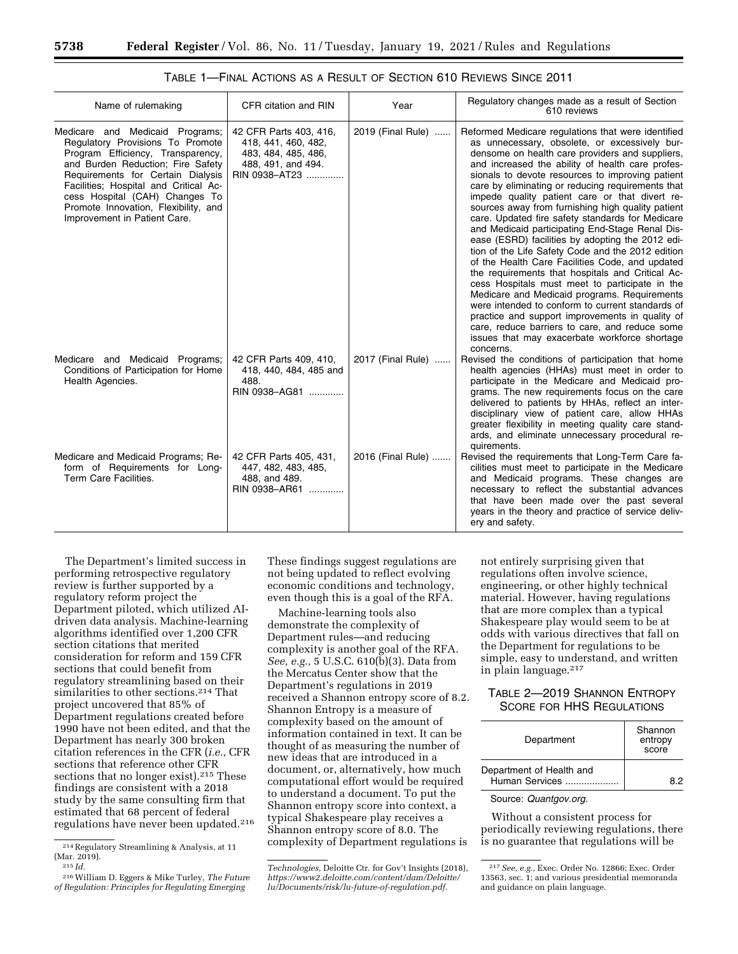| Name of rulemaking                                                                                                                                                                                                                                                                                                                    | CFR citation and RIN                                                                                        | Year              | Regulatory changes made as a result of Section<br>610 reviews                                                                                                                                                                                                                                                                                                                                                                                                                                                                                                                                                                                                                                                                                                                                                                                                                                                                                                                                                                                                              |
|---------------------------------------------------------------------------------------------------------------------------------------------------------------------------------------------------------------------------------------------------------------------------------------------------------------------------------------|-------------------------------------------------------------------------------------------------------------|-------------------|----------------------------------------------------------------------------------------------------------------------------------------------------------------------------------------------------------------------------------------------------------------------------------------------------------------------------------------------------------------------------------------------------------------------------------------------------------------------------------------------------------------------------------------------------------------------------------------------------------------------------------------------------------------------------------------------------------------------------------------------------------------------------------------------------------------------------------------------------------------------------------------------------------------------------------------------------------------------------------------------------------------------------------------------------------------------------|
| Medicare and Medicaid Programs;<br>Regulatory Provisions To Promote<br>Program Efficiency, Transparency,<br>and Burden Reduction; Fire Safety<br>Requirements for Certain Dialysis<br>Facilities; Hospital and Critical Ac-<br>cess Hospital (CAH) Changes To<br>Promote Innovation, Flexibility, and<br>Improvement in Patient Care. | 42 CFR Parts 403, 416,<br>418, 441, 460, 482,<br>483, 484, 485, 486,<br>488, 491, and 494.<br>RIN 0938-AT23 | 2019 (Final Rule) | Reformed Medicare regulations that were identified<br>as unnecessary, obsolete, or excessively bur-<br>densome on health care providers and suppliers,<br>and increased the ability of health care profes-<br>sionals to devote resources to improving patient<br>care by eliminating or reducing requirements that<br>impede quality patient care or that divert re-<br>sources away from furnishing high quality patient<br>care. Updated fire safety standards for Medicare<br>and Medicaid participating End-Stage Renal Dis-<br>ease (ESRD) facilities by adopting the 2012 edi-<br>tion of the Life Safety Code and the 2012 edition<br>of the Health Care Facilities Code, and updated<br>the requirements that hospitals and Critical Ac-<br>cess Hospitals must meet to participate in the<br>Medicare and Medicaid programs. Requirements<br>were intended to conform to current standards of<br>practice and support improvements in quality of<br>care, reduce barriers to care, and reduce some<br>issues that may exacerbate workforce shortage<br>concerns. |
| Medicare and Medicaid Programs;<br>Conditions of Participation for Home<br>Health Agencies.                                                                                                                                                                                                                                           | 42 CFR Parts 409, 410,<br>418, 440, 484, 485 and<br>488.<br>RIN 0938-AG81                                   | 2017 (Final Rule) | Revised the conditions of participation that home<br>health agencies (HHAs) must meet in order to<br>participate in the Medicare and Medicaid pro-<br>grams. The new requirements focus on the care<br>delivered to patients by HHAs, reflect an inter-<br>disciplinary view of patient care, allow HHAs<br>greater flexibility in meeting quality care stand-<br>ards, and eliminate unnecessary procedural re-<br>quirements.                                                                                                                                                                                                                                                                                                                                                                                                                                                                                                                                                                                                                                            |
| Medicare and Medicaid Programs; Re-<br>form of Requirements for Long-<br>Term Care Facilities.                                                                                                                                                                                                                                        | 42 CFR Parts 405, 431,<br>447, 482, 483, 485,<br>488, and 489.<br>RIN 0938-AR61                             | 2016 (Final Rule) | Revised the requirements that Long-Term Care fa-<br>cilities must meet to participate in the Medicare<br>and Medicaid programs. These changes are<br>necessary to reflect the substantial advances<br>that have been made over the past several<br>years in the theory and practice of service deliv-<br>ery and safety.                                                                                                                                                                                                                                                                                                                                                                                                                                                                                                                                                                                                                                                                                                                                                   |

TABLE 1—FINAL ACTIONS AS A RESULT OF SECTION 610 REVIEWS SINCE 2011

The Department's limited success in performing retrospective regulatory review is further supported by a regulatory reform project the Department piloted, which utilized AIdriven data analysis. Machine-learning algorithms identified over 1,200 CFR section citations that merited consideration for reform and 159 CFR sections that could benefit from regulatory streamlining based on their similarities to other sections.<sup>214</sup> That project uncovered that 85% of Department regulations created before 1990 have not been edited, and that the Department has nearly 300 broken citation references in the CFR (*i.e.,* CFR sections that reference other CFR sections that no longer exist).<sup>215</sup> These findings are consistent with a 2018 study by the same consulting firm that estimated that 68 percent of federal regulations have never been updated.216 These findings suggest regulations are not being updated to reflect evolving economic conditions and technology, even though this is a goal of the RFA.

Machine-learning tools also demonstrate the complexity of Department rules—and reducing complexity is another goal of the RFA. *See, e.g.,* 5 U.S.C. 610(b)(3). Data from the Mercatus Center show that the Department's regulations in 2019 received a Shannon entropy score of 8.2. Shannon Entropy is a measure of complexity based on the amount of information contained in text. It can be thought of as measuring the number of new ideas that are introduced in a document, or, alternatively, how much computational effort would be required to understand a document. To put the Shannon entropy score into context, a typical Shakespeare play receives a Shannon entropy score of 8.0. The complexity of Department regulations is

not entirely surprising given that regulations often involve science, engineering, or other highly technical material. However, having regulations that are more complex than a typical Shakespeare play would seem to be at odds with various directives that fall on the Department for regulations to be simple, easy to understand, and written in plain language.217

## TABLE 2—2019 SHANNON ENTROPY SCORE FOR HHS REGULATIONS

| Department                                 | Shannon<br>entropy<br>score |  |
|--------------------------------------------|-----------------------------|--|
| Department of Health and<br>Human Services | Rワ                          |  |

### Source: *Quantgov.org.*

Without a consistent process for periodically reviewing regulations, there is no guarantee that regulations will be

<sup>214</sup>Regulatory Streamlining & Analysis, at 11  $\frac{\text{(Mar. 2019)}}{215}$  *Id.* 

<sup>216</sup>William D. Eggers & Mike Turley, *The Future of Regulation: Principles for Regulating Emerging* 

*Technologies,* Deloitte Ctr. for Gov't Insights (2018), *[https://www2.deloitte.com/content/dam/Deloitte/](https://www2.deloitte.com/content/dam/Deloitte/lu/Documents/risk/lu-future-of-regulation.pdf)  [lu/Documents/risk/lu-future-of-regulation.pdf.](https://www2.deloitte.com/content/dam/Deloitte/lu/Documents/risk/lu-future-of-regulation.pdf)* 

<sup>217</sup>*See, e.g.,* Exec. Order No. 12866; Exec. Order 13563, sec. 1; and various presidential memoranda and guidance on plain language.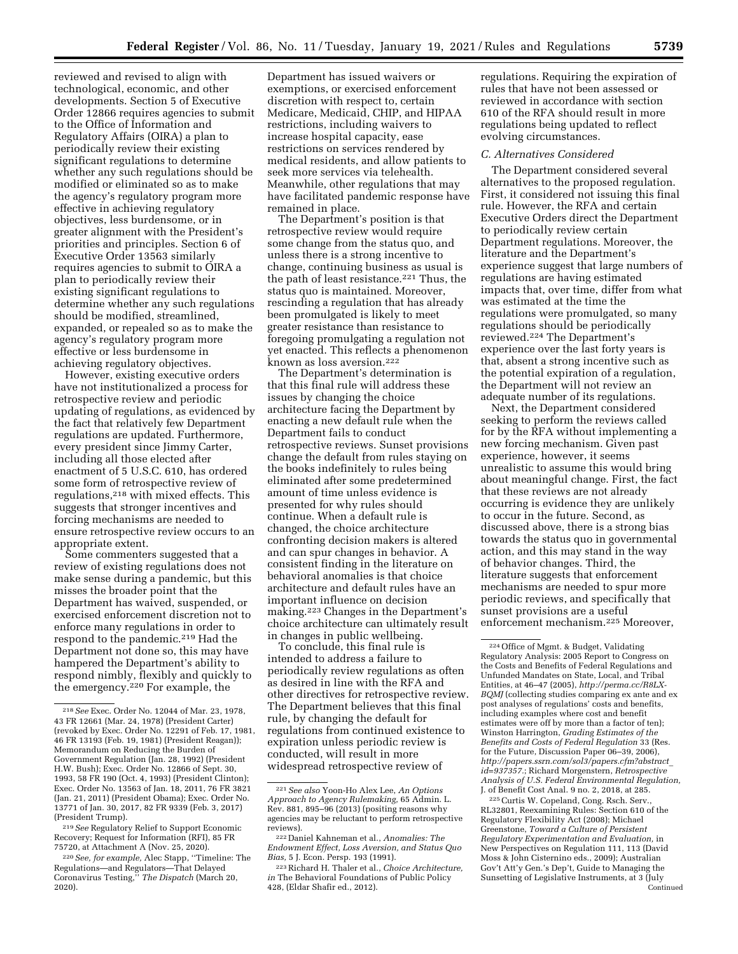reviewed and revised to align with technological, economic, and other developments. Section 5 of Executive Order 12866 requires agencies to submit to the Office of Information and Regulatory Affairs (OIRA) a plan to periodically review their existing significant regulations to determine whether any such regulations should be modified or eliminated so as to make the agency's regulatory program more effective in achieving regulatory objectives, less burdensome, or in greater alignment with the President's priorities and principles. Section 6 of Executive Order 13563 similarly requires agencies to submit to OIRA a plan to periodically review their existing significant regulations to determine whether any such regulations should be modified, streamlined, expanded, or repealed so as to make the agency's regulatory program more effective or less burdensome in achieving regulatory objectives.

However, existing executive orders have not institutionalized a process for retrospective review and periodic updating of regulations, as evidenced by the fact that relatively few Department regulations are updated. Furthermore, every president since Jimmy Carter, including all those elected after enactment of 5 U.S.C. 610, has ordered some form of retrospective review of regulations,218 with mixed effects. This suggests that stronger incentives and forcing mechanisms are needed to ensure retrospective review occurs to an appropriate extent.

Some commenters suggested that a review of existing regulations does not make sense during a pandemic, but this misses the broader point that the Department has waived, suspended, or exercised enforcement discretion not to enforce many regulations in order to respond to the pandemic.<sup>219</sup> Had the Department not done so, this may have hampered the Department's ability to respond nimbly, flexibly and quickly to the emergency.220 For example, the

Department has issued waivers or exemptions, or exercised enforcement discretion with respect to, certain Medicare, Medicaid, CHIP, and HIPAA restrictions, including waivers to increase hospital capacity, ease restrictions on services rendered by medical residents, and allow patients to seek more services via telehealth. Meanwhile, other regulations that may have facilitated pandemic response have remained in place.

The Department's position is that retrospective review would require some change from the status quo, and unless there is a strong incentive to change, continuing business as usual is the path of least resistance.<sup>221</sup> Thus, the status quo is maintained. Moreover, rescinding a regulation that has already been promulgated is likely to meet greater resistance than resistance to foregoing promulgating a regulation not yet enacted. This reflects a phenomenon known as loss aversion.222

The Department's determination is that this final rule will address these issues by changing the choice architecture facing the Department by enacting a new default rule when the Department fails to conduct retrospective reviews. Sunset provisions change the default from rules staying on the books indefinitely to rules being eliminated after some predetermined amount of time unless evidence is presented for why rules should continue. When a default rule is changed, the choice architecture confronting decision makers is altered and can spur changes in behavior. A consistent finding in the literature on behavioral anomalies is that choice architecture and default rules have an important influence on decision making.223 Changes in the Department's choice architecture can ultimately result in changes in public wellbeing.

To conclude, this final rule is intended to address a failure to periodically review regulations as often as desired in line with the RFA and other directives for retrospective review. The Department believes that this final rule, by changing the default for regulations from continued existence to expiration unless periodic review is conducted, will result in more widespread retrospective review of

regulations. Requiring the expiration of rules that have not been assessed or reviewed in accordance with section 610 of the RFA should result in more regulations being updated to reflect evolving circumstances.

#### *C. Alternatives Considered*

The Department considered several alternatives to the proposed regulation. First, it considered not issuing this final rule. However, the RFA and certain Executive Orders direct the Department to periodically review certain Department regulations. Moreover, the literature and the Department's experience suggest that large numbers of regulations are having estimated impacts that, over time, differ from what was estimated at the time the regulations were promulgated, so many regulations should be periodically reviewed.224 The Department's experience over the last forty years is that, absent a strong incentive such as the potential expiration of a regulation, the Department will not review an adequate number of its regulations.

Next, the Department considered seeking to perform the reviews called for by the RFA without implementing a new forcing mechanism. Given past experience, however, it seems unrealistic to assume this would bring about meaningful change. First, the fact that these reviews are not already occurring is evidence they are unlikely to occur in the future. Second, as discussed above, there is a strong bias towards the status quo in governmental action, and this may stand in the way of behavior changes. Third, the literature suggests that enforcement mechanisms are needed to spur more periodic reviews, and specifically that sunset provisions are a useful enforcement mechanism.225 Moreover,

225Curtis W. Copeland, Cong. Rsch. Serv., RL32801, Reexamining Rules: Section 610 of the Regulatory Flexibility Act (2008); Michael Greenstone, *Toward a Culture of Persistent Regulatory Experimentation and Evaluation,* in New Perspectives on Regulation 111, 113 (David Moss & John Cisternino eds., 2009); Australian Gov't Att'y Gen.'s Dep't, Guide to Managing the Sunsetting of Legislative Instruments, at 3 (July Continued

<sup>218</sup>*See* Exec. Order No. 12044 of Mar. 23, 1978, 43 FR 12661 (Mar. 24, 1978) (President Carter) (revoked by Exec. Order No. 12291 of Feb. 17, 1981, 46 FR 13193 (Feb. 19, 1981) (President Reagan)); Memorandum on Reducing the Burden of Government Regulation (Jan. 28, 1992) (President H.W. Bush); Exec. Order No. 12866 of Sept. 30, 1993, 58 FR 190 (Oct. 4, 1993) (President Clinton); Exec. Order No. 13563 of Jan. 18, 2011, 76 FR 3821 (Jan. 21, 2011) (President Obama); Exec. Order No. 13771 of Jan. 30, 2017, 82 FR 9339 (Feb. 3, 2017) (President Trump).

<sup>219</sup>*See* Regulatory Relief to Support Economic Recovery; Request for Information (RFI), 85 FR 75720, at Attachment A (Nov. 25, 2020).

<sup>220</sup>*See, for example,* Alec Stapp, ''Timeline: The Regulations—and Regulators—That Delayed Coronavirus Testing,'' *The Dispatch* (March 20, 2020).

<sup>221</sup>*See also* Yoon-Ho Alex Lee, *An Options Approach to Agency Rulemaking,* 65 Admin. L. Rev. 881, 895–96 (2013) (positing reasons why agencies may be reluctant to perform retrospective reviews). 222 Daniel Kahneman et al., *Anomalies: The* 

*Endowment Effect, Loss Aversion, and Status Quo Bias,* 5 J. Econ. Persp. 193 (1991).

<sup>223</sup>Richard H. Thaler et al., *Choice Architecture, in* The Behavioral Foundations of Public Policy 428, (Eldar Shafir ed., 2012).

<sup>224</sup>Office of Mgmt. & Budget, Validating Regulatory Analysis: 2005 Report to Congress on the Costs and Benefits of Federal Regulations and Unfunded Mandates on State, Local, and Tribal Entities, at 46–47 (2005), *[http://perma.cc/R8LX-](http://perma.cc/R8LX-BQMJ)[BQMJ](http://perma.cc/R8LX-BQMJ)* (collecting studies comparing ex ante and ex post analyses of regulations' costs and benefits, including examples where cost and benefit estimates were off by more than a factor of ten); Winston Harrington, *Grading Estimates of the Benefits and Costs of Federal Regulation* 33 (Res. for the Future, Discussion Paper 06–39, 2006), *[http://papers.ssrn.com/sol3/papers.cfm?abstract](http://papers.ssrn.com/sol3/papers.cfm?abstract_id=937357)*\_ *[id=937357.](http://papers.ssrn.com/sol3/papers.cfm?abstract_id=937357)*; Richard Morgenstern, *Retrospective Analysis of U.S. Federal Environmental Regulation,*  J. of Benefit Cost Anal. 9 no. 2, 2018, at 285.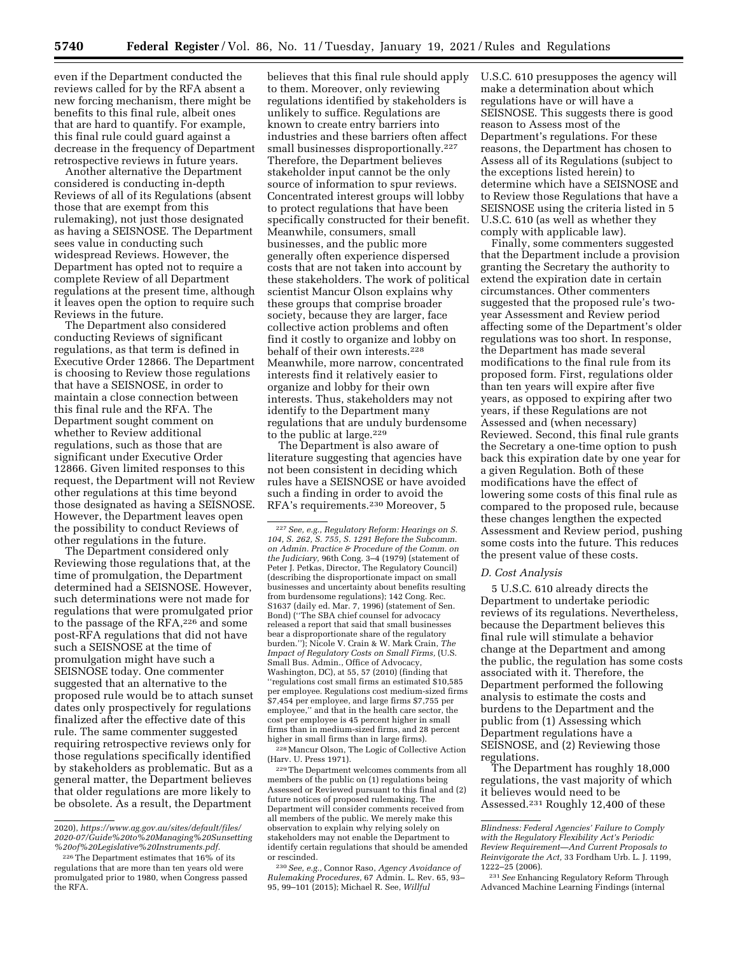even if the Department conducted the reviews called for by the RFA absent a new forcing mechanism, there might be benefits to this final rule, albeit ones that are hard to quantify. For example, this final rule could guard against a decrease in the frequency of Department retrospective reviews in future years.

Another alternative the Department considered is conducting in-depth Reviews of all of its Regulations (absent those that are exempt from this rulemaking), not just those designated as having a SEISNOSE. The Department sees value in conducting such widespread Reviews. However, the Department has opted not to require a complete Review of all Department regulations at the present time, although it leaves open the option to require such Reviews in the future.

The Department also considered conducting Reviews of significant regulations, as that term is defined in Executive Order 12866. The Department is choosing to Review those regulations that have a SEISNOSE, in order to maintain a close connection between this final rule and the RFA. The Department sought comment on whether to Review additional regulations, such as those that are significant under Executive Order 12866. Given limited responses to this request, the Department will not Review other regulations at this time beyond those designated as having a SEISNOSE. However, the Department leaves open the possibility to conduct Reviews of other regulations in the future.

The Department considered only Reviewing those regulations that, at the time of promulgation, the Department determined had a SEISNOSE. However, such determinations were not made for regulations that were promulgated prior to the passage of the RFA,226 and some post-RFA regulations that did not have such a SEISNOSE at the time of promulgation might have such a SEISNOSE today. One commenter suggested that an alternative to the proposed rule would be to attach sunset dates only prospectively for regulations finalized after the effective date of this rule. The same commenter suggested requiring retrospective reviews only for those regulations specifically identified by stakeholders as problematic. But as a general matter, the Department believes that older regulations are more likely to be obsolete. As a result, the Department

believes that this final rule should apply to them. Moreover, only reviewing regulations identified by stakeholders is unlikely to suffice. Regulations are known to create entry barriers into industries and these barriers often affect small businesses disproportionally.<sup>227</sup> Therefore, the Department believes stakeholder input cannot be the only source of information to spur reviews. Concentrated interest groups will lobby to protect regulations that have been specifically constructed for their benefit. Meanwhile, consumers, small businesses, and the public more generally often experience dispersed costs that are not taken into account by these stakeholders. The work of political scientist Mancur Olson explains why these groups that comprise broader society, because they are larger, face collective action problems and often find it costly to organize and lobby on behalf of their own interests.228 Meanwhile, more narrow, concentrated interests find it relatively easier to organize and lobby for their own interests. Thus, stakeholders may not identify to the Department many regulations that are unduly burdensome to the public at large.<sup>229</sup>

The Department is also aware of literature suggesting that agencies have not been consistent in deciding which rules have a SEISNOSE or have avoided such a finding in order to avoid the RFA's requirements.230 Moreover, 5

227*See, e.g., Regulatory Reform: Hearings on S. 104, S. 262, S. 755, S. 1291 Before the Subcomm. on Admin. Practice & Procedure of the Comm. on the Judiciary,* 96th Cong. 3–4 (1979) (statement of Peter J. Petkas, Director, The Regulatory Council) (describing the disproportionate impact on small businesses and uncertainty about benefits resulting from burdensome regulations); 142 Cong. Rec. S1637 (daily ed. Mar. 7, 1996) (statement of Sen. Bond) (''The SBA chief counsel for advocacy released a report that said that small businesses bear a disproportionate share of the regulatory burden.''); Nicole V. Crain & W. Mark Crain, *The Impact of Regulatory Costs on Small Firms,* (U.S. Small Bus. Admin., Office of Advocacy, Washington, DC), at 55, 57 (2010) (finding that ''regulations cost small firms an estimated \$10,585 per employee. Regulations cost medium-sized firms \$7,454 per employee, and large firms \$7,755 per employee,'' and that in the health care sector, the cost per employee is 45 percent higher in small firms than in medium-sized firms, and 28 percent higher in small firms than in large firms).

228Mancur Olson, The Logic of Collective Action (Harv. U. Press 1971).

229The Department welcomes comments from all members of the public on (1) regulations being Assessed or Reviewed pursuant to this final and (2) future notices of proposed rulemaking. The Department will consider comments received from all members of the public. We merely make this observation to explain why relying solely on stakeholders may not enable the Department to identify certain regulations that should be amended or rescinded.

230*See, e.g.,* Connor Raso, *Agency Avoidance of Rulemaking Procedures,* 67 Admin. L. Rev. 65, 93– 95, 99–101 (2015); Michael R. See, *Willful* 

U.S.C. 610 presupposes the agency will make a determination about which regulations have or will have a SEISNOSE. This suggests there is good reason to Assess most of the Department's regulations. For these reasons, the Department has chosen to Assess all of its Regulations (subject to the exceptions listed herein) to determine which have a SEISNOSE and to Review those Regulations that have a SEISNOSE using the criteria listed in 5 U.S.C. 610 (as well as whether they comply with applicable law).

Finally, some commenters suggested that the Department include a provision granting the Secretary the authority to extend the expiration date in certain circumstances. Other commenters suggested that the proposed rule's twoyear Assessment and Review period affecting some of the Department's older regulations was too short. In response, the Department has made several modifications to the final rule from its proposed form. First, regulations older than ten years will expire after five years, as opposed to expiring after two years, if these Regulations are not Assessed and (when necessary) Reviewed. Second, this final rule grants the Secretary a one-time option to push back this expiration date by one year for a given Regulation. Both of these modifications have the effect of lowering some costs of this final rule as compared to the proposed rule, because these changes lengthen the expected Assessment and Review period, pushing some costs into the future. This reduces the present value of these costs.

#### *D. Cost Analysis*

5 U.S.C. 610 already directs the Department to undertake periodic reviews of its regulations. Nevertheless, because the Department believes this final rule will stimulate a behavior change at the Department and among the public, the regulation has some costs associated with it. Therefore, the Department performed the following analysis to estimate the costs and burdens to the Department and the public from (1) Assessing which Department regulations have a SEISNOSE, and (2) Reviewing those regulations.

The Department has roughly 18,000 regulations, the vast majority of which it believes would need to be Assessed.231 Roughly 12,400 of these

<sup>2020),</sup> *[https://www.ag.gov.au/sites/default/files/](https://www.ag.gov.au/sites/default/files/2020-07/Guide%20to%20Managing%20Sunsetting%20of%20Legislative%20Instruments.pdf) [2020-07/Guide%20to%20Managing%20Sunsetting](https://www.ag.gov.au/sites/default/files/2020-07/Guide%20to%20Managing%20Sunsetting%20of%20Legislative%20Instruments.pdf) [%20of%20Legislative%20Instruments.pdf.](https://www.ag.gov.au/sites/default/files/2020-07/Guide%20to%20Managing%20Sunsetting%20of%20Legislative%20Instruments.pdf)* 

<sup>226</sup>The Department estimates that 16% of its regulations that are more than ten years old were promulgated prior to 1980, when Congress passed the RFA.

*Blindness: Federal Agencies' Failure to Comply with the Regulatory Flexibility Act's Periodic Review Requirement—And Current Proposals to Reinvigorate the Act,* 33 Fordham Urb. L. J. 1199, 1222–25 (2006).

<sup>231</sup>*See* Enhancing Regulatory Reform Through Advanced Machine Learning Findings (internal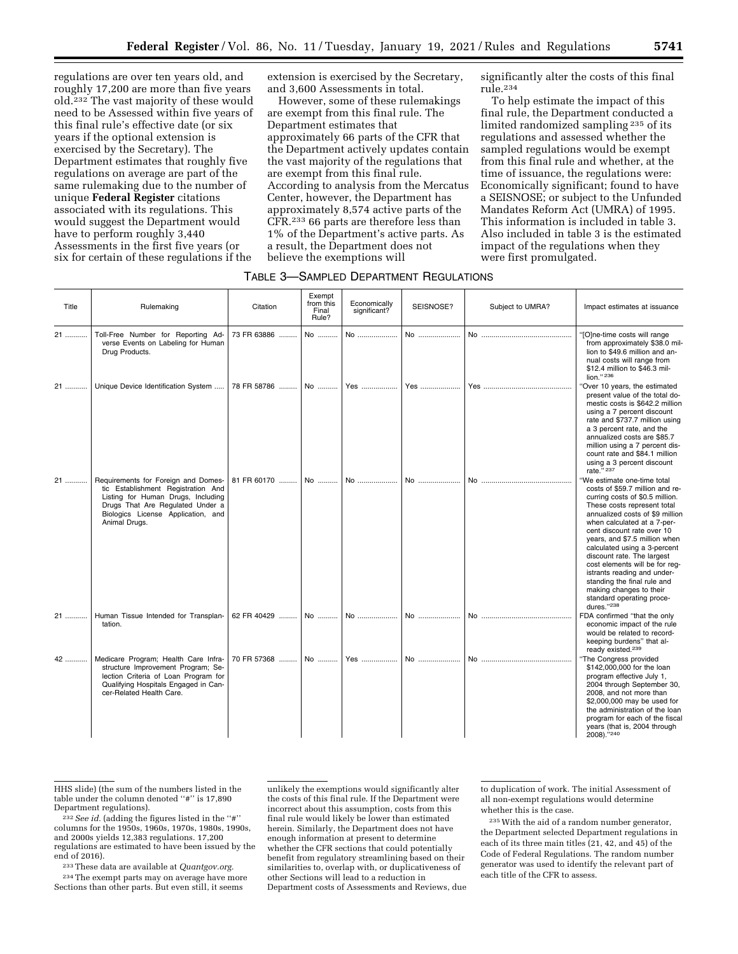regulations are over ten years old, and roughly 17,200 are more than five years old.232 The vast majority of these would need to be Assessed within five years of this final rule's effective date (or six years if the optional extension is exercised by the Secretary). The Department estimates that roughly five regulations on average are part of the same rulemaking due to the number of unique **Federal Register** citations associated with its regulations. This would suggest the Department would have to perform roughly 3,440 Assessments in the first five years (or six for certain of these regulations if the

extension is exercised by the Secretary, and 3,600 Assessments in total.

However, some of these rulemakings are exempt from this final rule. The Department estimates that approximately 66 parts of the CFR that the Department actively updates contain the vast majority of the regulations that are exempt from this final rule. According to analysis from the Mercatus Center, however, the Department has approximately 8,574 active parts of the CFR.233 66 parts are therefore less than 1% of the Department's active parts. As a result, the Department does not believe the exemptions will

significantly alter the costs of this final rule.234

To help estimate the impact of this final rule, the Department conducted a limited randomized sampling 235 of its regulations and assessed whether the sampled regulations would be exempt from this final rule and whether, at the time of issuance, the regulations were: Economically significant; found to have a SEISNOSE; or subject to the Unfunded Mandates Reform Act (UMRA) of 1995. This information is included in table 3. Also included in table 3 is the estimated impact of the regulations when they were first promulgated.

| Title | Rulemaking                                                                                                                                                                                                 | Citation    | Exempt<br>from this<br>Final<br>Rule? | Economically<br>significant? | SEISNOSE? | Subject to UMRA? | Impact estimates at issuance                                                                                                                                                                                                                                                                                                                                                                                                                                                                          |
|-------|------------------------------------------------------------------------------------------------------------------------------------------------------------------------------------------------------------|-------------|---------------------------------------|------------------------------|-----------|------------------|-------------------------------------------------------------------------------------------------------------------------------------------------------------------------------------------------------------------------------------------------------------------------------------------------------------------------------------------------------------------------------------------------------------------------------------------------------------------------------------------------------|
| 21    | Toll-Free Number for Reporting Ad-<br>verse Events on Labeling for Human<br>Drug Products.                                                                                                                 | 73 FR 63886 | No                                    | No                           | No        |                  | "[O]ne-time costs will range<br>from approximately \$38.0 mil-<br>lion to \$49.6 million and an-<br>nual costs will range from<br>\$12.4 million to \$46.3 mil-<br>lion." 236                                                                                                                                                                                                                                                                                                                         |
| 21    | Unique Device Identification System                                                                                                                                                                        | 78 FR 58786 | No                                    | Yes                          | Yes       |                  | 'Over 10 years, the estimated<br>present value of the total do-<br>mestic costs is \$642.2 million<br>using a 7 percent discount<br>rate and \$737.7 million using<br>a 3 percent rate, and the<br>annualized costs are \$85.7<br>million using a 7 percent dis-<br>count rate and \$84.1 million<br>using a 3 percent discount<br>rate." 237                                                                                                                                                         |
| 21    | Requirements for Foreign and Domes-<br>tic Establishment Registration And<br>Listing for Human Drugs, Including<br>Drugs That Are Regulated Under a<br>Biologics License Application, and<br>Animal Drugs. | 81 FR 60170 | No                                    | No                           | No        |                  | "We estimate one-time total<br>costs of \$59.7 million and re-<br>curring costs of \$0.5 million.<br>These costs represent total<br>annualized costs of \$9 million<br>when calculated at a 7-per-<br>cent discount rate over 10<br>years, and \$7.5 million when<br>calculated using a 3-percent<br>discount rate. The largest<br>cost elements will be for req-<br>istrants reading and under-<br>standing the final rule and<br>making changes to their<br>standard operating proce-<br>dures."238 |
| 21    | Human Tissue Intended for Transplan-<br>tation.                                                                                                                                                            | 62 FR 40429 | No                                    | No                           | No        | No               | FDA confirmed "that the only<br>economic impact of the rule<br>would be related to record-<br>keeping burdens" that al-<br>ready existed. <sup>239</sup>                                                                                                                                                                                                                                                                                                                                              |
| 42    | Medicare Program; Health Care Infra-<br>structure Improvement Program; Se-<br>lection Criteria of Loan Program for<br>Qualifying Hospitals Engaged in Can-<br>cer-Related Health Care.                     | 70 FR 57368 | No                                    | Yes                          | No        |                  | "The Congress provided<br>\$142,000,000 for the loan<br>program effective July 1,<br>2004 through September 30,<br>2008, and not more than<br>\$2,000,000 may be used for<br>the administration of the loan<br>program for each of the fiscal<br>years (that is, 2004 through<br>2008)."240                                                                                                                                                                                                           |

HHS slide) (the sum of the numbers listed in the table under the column denoted "#" is 17,890<br>Department regulations).

<sup>232</sup> See id. (adding the figures listed in the "#" columns for the 1950s, 1960s, 1970s, 1980s, 1990s, and 2000s yields 12,383 regulations. 17,200 regulations are estimated to have been issued by the end of 2016).

233These data are available at *Quantgov.org.* 

234The exempt parts may on average have more Sections than other parts. But even still, it seems

unlikely the exemptions would significantly alter the costs of this final rule. If the Department were incorrect about this assumption, costs from this final rule would likely be lower than estimated herein. Similarly, the Department does not have enough information at present to determine whether the CFR sections that could potentially benefit from regulatory streamlining based on their similarities to, overlap with, or duplicativeness of other Sections will lead to a reduction in Department costs of Assessments and Reviews, due to duplication of work. The initial Assessment of all non-exempt regulations would determine whether this is the case.

235With the aid of a random number generator, the Department selected Department regulations in each of its three main titles (21, 42, and 45) of the Code of Federal Regulations. The random number generator was used to identify the relevant part of each title of the CFR to assess.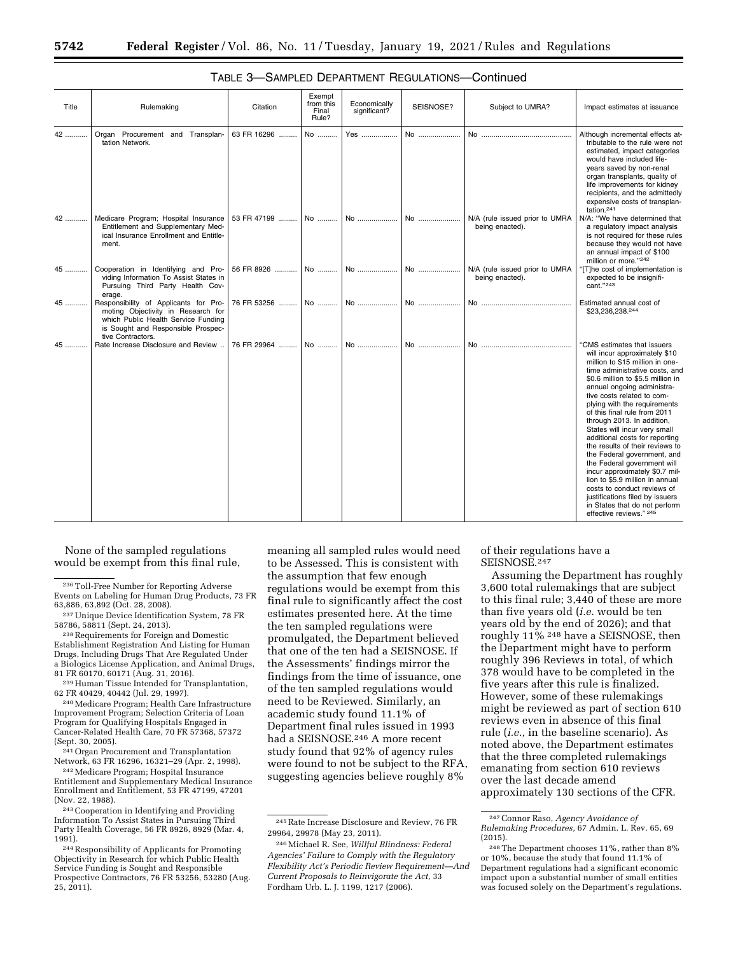| Title | Rulemaking                                                                                                                                                                    | Citation    | Exempt<br>from this<br>Final<br>Rule? | Economically<br>significant? | SEISNOSE? | Subject to UMRA?                                  | Impact estimates at issuance                                                                                                                                                                                                                                                                                                                                                                                                                                                                                                                                                                                                                                                                           |
|-------|-------------------------------------------------------------------------------------------------------------------------------------------------------------------------------|-------------|---------------------------------------|------------------------------|-----------|---------------------------------------------------|--------------------------------------------------------------------------------------------------------------------------------------------------------------------------------------------------------------------------------------------------------------------------------------------------------------------------------------------------------------------------------------------------------------------------------------------------------------------------------------------------------------------------------------------------------------------------------------------------------------------------------------------------------------------------------------------------------|
| 42    | Organ Procurement and Transplan-<br>tation Network.                                                                                                                           | 63 FR 16296 | No                                    | Yes                          | No        |                                                   | Although incremental effects at-<br>tributable to the rule were not<br>estimated, impact categories<br>would have included life-<br>years saved by non-renal<br>organ transplants, quality of<br>life improvements for kidney<br>recipients, and the admittedly<br>expensive costs of transplan-<br>tation. <sup>241</sup>                                                                                                                                                                                                                                                                                                                                                                             |
| 42    | Medicare Program; Hospital Insurance<br>Entitlement and Supplementary Med-<br>ical Insurance Enrollment and Entitle-<br>ment.                                                 | 53 FR 47199 | No                                    | No                           | No        | N/A (rule issued prior to UMRA<br>being enacted). | N/A: "We have determined that<br>a regulatory impact analysis<br>is not required for these rules<br>because they would not have<br>an annual impact of \$100<br>million or more."242                                                                                                                                                                                                                                                                                                                                                                                                                                                                                                                   |
| $45$  | Cooperation in Identifying and Pro-<br>viding Information To Assist States in<br>Pursuing Third Party Health Cov-<br>erage.                                                   | 56 FR 8926  | No                                    | No                           | No        | N/A (rule issued prior to UMRA<br>being enacted). | The cost of implementation is<br>expected to be insignifi-<br>cant."243                                                                                                                                                                                                                                                                                                                                                                                                                                                                                                                                                                                                                                |
| 45    | Responsibility of Applicants for Pro-<br>moting Objectivity in Research for<br>which Public Health Service Funding<br>is Sought and Responsible Prospec-<br>tive Contractors. | 76 FR 53256 | No                                    | No                           | No        |                                                   | Estimated annual cost of<br>\$23.236.238.244                                                                                                                                                                                                                                                                                                                                                                                                                                                                                                                                                                                                                                                           |
| 45    | Rate Increase Disclosure and Review                                                                                                                                           | 76 FR 29964 | No                                    | No                           | No        | No.                                               | "CMS estimates that issuers<br>will incur approximately \$10<br>million to \$15 million in one-<br>time administrative costs, and<br>\$0.6 million to \$5.5 million in<br>annual ongoing administra-<br>tive costs related to com-<br>plying with the requirements<br>of this final rule from 2011<br>through 2013. In addition,<br>States will incur very small<br>additional costs for reporting<br>the results of their reviews to<br>the Federal government, and<br>the Federal government will<br>incur approximately \$0.7 mil-<br>lion to \$5.9 million in annual<br>costs to conduct reviews of<br>justifications filed by issuers<br>in States that do not perform<br>effective reviews." 245 |

## TABLE 3—SAMPLED DEPARTMENT REGULATIONS—Continued

None of the sampled regulations would be exempt from this final rule,

<sup>238</sup> Requirements for Foreign and Domestic Establishment Registration And Listing for Human Drugs, Including Drugs That Are Regulated Under a Biologics License Application, and Animal Drugs,<br>81 FR 60170, 60171 (Aug. 31, 2016).

 $^{239}$  Human Tissue Intended for Transplantation, 62 FR 40429, 40442 (Jul. 29, 1997).

<sup>240</sup> Medicare Program; Health Care Infrastructure Improvement Program; Selection Criteria of Loan Program for Qualifying Hospitals Engaged in Cancer-Related Health Care, 70 FR 57368, 57372

<sup>241</sup> Organ Procurement and Transplantation Network, 63 FR 16296, 16321–29 (Apr. 2, 1998).<br><sup>242</sup> Medicare Program; Hospital Insurance

Entitlement and Supplementary Medical Insurance Enrollment and Entitlement, 53 FR 47199, 47201

meaning all sampled rules would need to be Assessed. This is consistent with the assumption that few enough regulations would be exempt from this final rule to significantly affect the cost estimates presented here. At the time the ten sampled regulations were promulgated, the Department believed that one of the ten had a SEISNOSE. If the Assessments' findings mirror the findings from the time of issuance, one of the ten sampled regulations would need to be Reviewed. Similarly, an academic study found 11.1% of Department final rules issued in 1993 had a SEISNOSE.246 A more recent study found that 92% of agency rules were found to not be subject to the RFA, suggesting agencies believe roughly 8%

of their regulations have a SEISNOSE.<sup>247</sup>

Assuming the Department has roughly 3,600 total rulemakings that are subject to this final rule; 3,440 of these are more than five years old (*i.e.* would be ten years old by the end of 2026); and that roughly 11% 248 have a SEISNOSE, then the Department might have to perform roughly 396 Reviews in total, of which 378 would have to be completed in the five years after this rule is finalized. However, some of these rulemakings might be reviewed as part of section 610 reviews even in absence of this final rule (*i.e.,* in the baseline scenario). As noted above, the Department estimates that the three completed rulemakings emanating from section 610 reviews over the last decade amend approximately 130 sections of the CFR.

<sup>236</sup>Toll-Free Number for Reporting Adverse Events on Labeling for Human Drug Products, 73 FR

<sup>63,886, 63,892 (</sup>Oct. 28, 2008).<br><sup>237</sup> Unique Device Identification System, 78 FR<br>58786, 58811 (Sept. 24, 2013).

<sup>&</sup>lt;sup>243</sup> Cooperation in Identifying and Providing Information To Assist States in Pursuing Third Party Health Coverage, 56 FR 8926, 8929 (Mar. 4,

<sup>244</sup> Responsibility of Applicants for Promoting Objectivity in Research for which Public Health Service Funding is Sought and Responsible Prospective Contractors, 76 FR 53256, 53280 (Aug. 25, 2011).

<sup>245</sup>Rate Increase Disclosure and Review, 76 FR 29964, 29978 (May 23, 2011).

<sup>246</sup>Michael R. See, *Willful Blindness: Federal Agencies' Failure to Comply with the Regulatory Flexibility Act's Periodic Review Requirement—And Current Proposals to Reinvigorate the Act,* 33 Fordham Urb. L. J. 1199, 1217 (2006).

<sup>247</sup>Connor Raso, *Agency Avoidance of Rulemaking Procedures,* 67 Admin. L. Rev. 65, 69 (2015).

<sup>248</sup>The Department chooses 11%, rather than 8% or 10%, because the study that found 11.1% of Department regulations had a significant economic impact upon a substantial number of small entities was focused solely on the Department's regulations.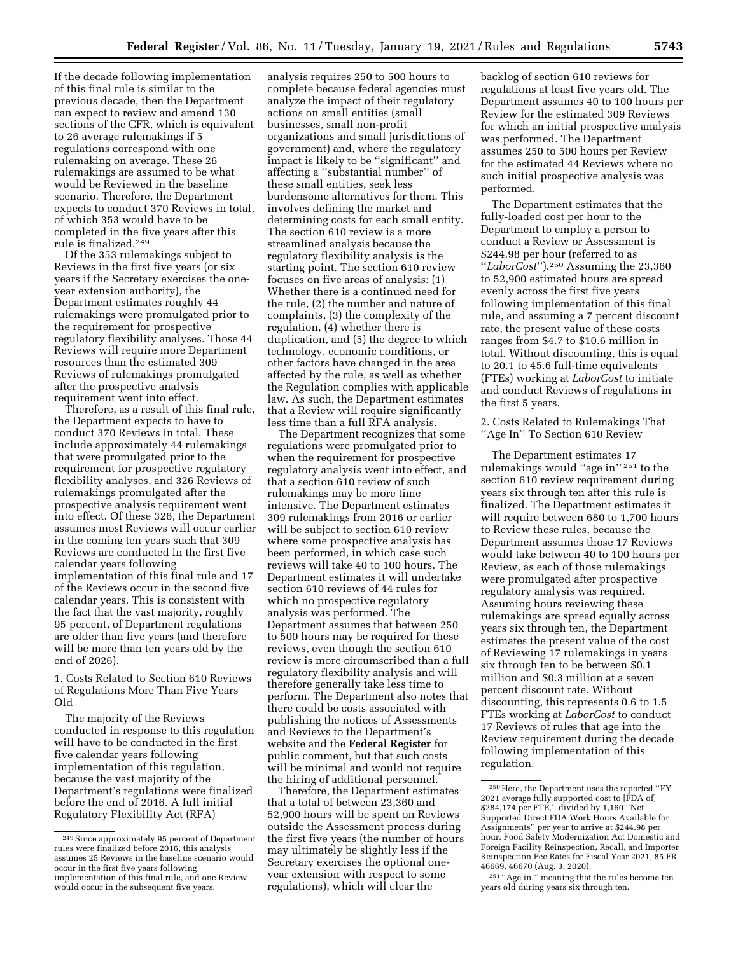If the decade following implementation of this final rule is similar to the previous decade, then the Department can expect to review and amend 130 sections of the CFR, which is equivalent to 26 average rulemakings if 5 regulations correspond with one rulemaking on average. These 26 rulemakings are assumed to be what would be Reviewed in the baseline scenario. Therefore, the Department expects to conduct 370 Reviews in total, of which 353 would have to be completed in the five years after this rule is finalized.249

Of the 353 rulemakings subject to Reviews in the first five years (or six years if the Secretary exercises the oneyear extension authority), the Department estimates roughly 44 rulemakings were promulgated prior to the requirement for prospective regulatory flexibility analyses. Those 44 Reviews will require more Department resources than the estimated 309 Reviews of rulemakings promulgated after the prospective analysis requirement went into effect.

Therefore, as a result of this final rule, the Department expects to have to conduct 370 Reviews in total. These include approximately 44 rulemakings that were promulgated prior to the requirement for prospective regulatory flexibility analyses, and 326 Reviews of rulemakings promulgated after the prospective analysis requirement went into effect. Of these 326, the Department assumes most Reviews will occur earlier in the coming ten years such that 309 Reviews are conducted in the first five calendar years following implementation of this final rule and 17 of the Reviews occur in the second five calendar years. This is consistent with the fact that the vast majority, roughly 95 percent, of Department regulations are older than five years (and therefore will be more than ten years old by the end of 2026).

1. Costs Related to Section 610 Reviews of Regulations More Than Five Years Old

The majority of the Reviews conducted in response to this regulation will have to be conducted in the first five calendar years following implementation of this regulation, because the vast majority of the Department's regulations were finalized before the end of 2016. A full initial Regulatory Flexibility Act (RFA)

analysis requires 250 to 500 hours to complete because federal agencies must analyze the impact of their regulatory actions on small entities (small businesses, small non-profit organizations and small jurisdictions of government) and, where the regulatory impact is likely to be ''significant'' and affecting a ''substantial number'' of these small entities, seek less burdensome alternatives for them. This involves defining the market and determining costs for each small entity. The section 610 review is a more streamlined analysis because the regulatory flexibility analysis is the starting point. The section 610 review focuses on five areas of analysis: (1) Whether there is a continued need for the rule, (2) the number and nature of complaints, (3) the complexity of the regulation, (4) whether there is duplication, and (5) the degree to which technology, economic conditions, or other factors have changed in the area affected by the rule, as well as whether the Regulation complies with applicable law. As such, the Department estimates that a Review will require significantly less time than a full RFA analysis.

The Department recognizes that some regulations were promulgated prior to when the requirement for prospective regulatory analysis went into effect, and that a section 610 review of such rulemakings may be more time intensive. The Department estimates 309 rulemakings from 2016 or earlier will be subject to section 610 review where some prospective analysis has been performed, in which case such reviews will take 40 to 100 hours. The Department estimates it will undertake section 610 reviews of 44 rules for which no prospective regulatory analysis was performed. The Department assumes that between 250 to 500 hours may be required for these reviews, even though the section 610 review is more circumscribed than a full regulatory flexibility analysis and will therefore generally take less time to perform. The Department also notes that there could be costs associated with publishing the notices of Assessments and Reviews to the Department's website and the **Federal Register** for public comment, but that such costs will be minimal and would not require the hiring of additional personnel.

Therefore, the Department estimates that a total of between 23,360 and 52,900 hours will be spent on Reviews outside the Assessment process during the first five years (the number of hours may ultimately be slightly less if the Secretary exercises the optional oneyear extension with respect to some regulations), which will clear the

backlog of section 610 reviews for regulations at least five years old. The Department assumes 40 to 100 hours per Review for the estimated 309 Reviews for which an initial prospective analysis was performed. The Department assumes 250 to 500 hours per Review for the estimated 44 Reviews where no such initial prospective analysis was performed.

The Department estimates that the fully-loaded cost per hour to the Department to employ a person to conduct a Review or Assessment is \$244.98 per hour (referred to as ''*LaborCost*'').250 Assuming the 23,360 to 52,900 estimated hours are spread evenly across the first five years following implementation of this final rule, and assuming a 7 percent discount rate, the present value of these costs ranges from \$4.7 to \$10.6 million in total. Without discounting, this is equal to 20.1 to 45.6 full-time equivalents (FTEs) working at *LaborCost* to initiate and conduct Reviews of regulations in the first 5 years.

2. Costs Related to Rulemakings That ''Age In'' To Section 610 Review

The Department estimates 17 rulemakings would ''age in'' 251 to the section 610 review requirement during years six through ten after this rule is finalized. The Department estimates it will require between 680 to 1,700 hours to Review these rules, because the Department assumes those 17 Reviews would take between 40 to 100 hours per Review, as each of those rulemakings were promulgated after prospective regulatory analysis was required. Assuming hours reviewing these rulemakings are spread equally across years six through ten, the Department estimates the present value of the cost of Reviewing 17 rulemakings in years six through ten to be between \$0.1 million and \$0.3 million at a seven percent discount rate. Without discounting, this represents 0.6 to 1.5 FTEs working at *LaborCost* to conduct 17 Reviews of rules that age into the Review requirement during the decade following implementation of this regulation.

<sup>249</sup>Since approximately 95 percent of Department rules were finalized before 2016, this analysis assumes 25 Reviews in the baseline scenario would occur in the first five years following implementation of this final rule, and one Review would occur in the subsequent five years.

<sup>250</sup>Here, the Department uses the reported ''FY 2021 average fully supported cost to [FDA of] \$284,174 per FTE,'' divided by 1,160 ''Net Supported Direct FDA Work Hours Available for Assignments'' per year to arrive at \$244.98 per hour. Food Safety Modernization Act Domestic and Foreign Facility Reinspection, Recall, and Importer Reinspection Fee Rates for Fiscal Year 2021, 85 FR 46669, 46670 (Aug. 3, 2020).

<sup>251</sup> ''Age in,'' meaning that the rules become ten years old during years six through ten.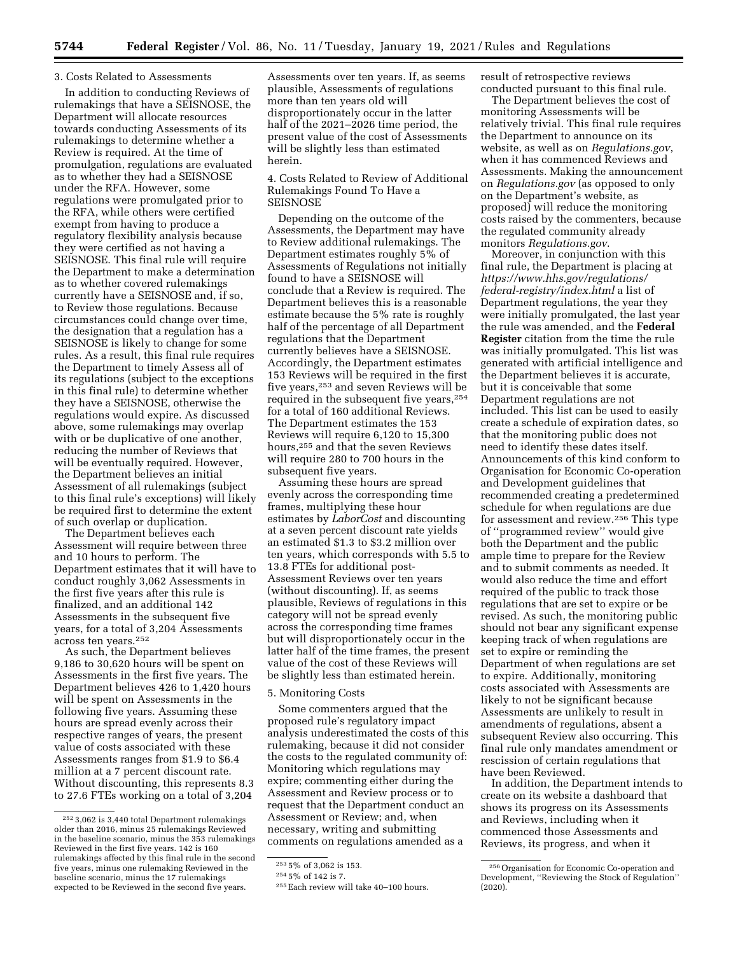### 3. Costs Related to Assessments

In addition to conducting Reviews of rulemakings that have a SEISNOSE, the Department will allocate resources towards conducting Assessments of its rulemakings to determine whether a Review is required. At the time of promulgation, regulations are evaluated as to whether they had a SEISNOSE under the RFA. However, some regulations were promulgated prior to the RFA, while others were certified exempt from having to produce a regulatory flexibility analysis because they were certified as not having a SEISNOSE. This final rule will require the Department to make a determination as to whether covered rulemakings currently have a SEISNOSE and, if so, to Review those regulations. Because circumstances could change over time, the designation that a regulation has a SEISNOSE is likely to change for some rules. As a result, this final rule requires the Department to timely Assess all of its regulations (subject to the exceptions in this final rule) to determine whether they have a SEISNOSE, otherwise the regulations would expire. As discussed above, some rulemakings may overlap with or be duplicative of one another, reducing the number of Reviews that will be eventually required. However, the Department believes an initial Assessment of all rulemakings (subject to this final rule's exceptions) will likely be required first to determine the extent of such overlap or duplication.

The Department believes each Assessment will require between three and 10 hours to perform. The Department estimates that it will have to conduct roughly 3,062 Assessments in the first five years after this rule is finalized, and an additional 142 Assessments in the subsequent five years, for a total of 3,204 Assessments across ten years.252

As such, the Department believes 9,186 to 30,620 hours will be spent on Assessments in the first five years. The Department believes 426 to 1,420 hours will be spent on Assessments in the following five years. Assuming these hours are spread evenly across their respective ranges of years, the present value of costs associated with these Assessments ranges from \$1.9 to \$6.4 million at a 7 percent discount rate. Without discounting, this represents 8.3 to 27.6 FTEs working on a total of 3,204

Assessments over ten years. If, as seems plausible, Assessments of regulations more than ten years old will disproportionately occur in the latter half of the 2021–2026 time period, the present value of the cost of Assessments will be slightly less than estimated herein.

4. Costs Related to Review of Additional Rulemakings Found To Have a SEISNOSE

Depending on the outcome of the Assessments, the Department may have to Review additional rulemakings. The Department estimates roughly 5% of Assessments of Regulations not initially found to have a SEISNOSE will conclude that a Review is required. The Department believes this is a reasonable estimate because the 5% rate is roughly half of the percentage of all Department regulations that the Department currently believes have a SEISNOSE. Accordingly, the Department estimates 153 Reviews will be required in the first five years,253 and seven Reviews will be required in the subsequent five years,254 for a total of 160 additional Reviews. The Department estimates the 153 Reviews will require 6,120 to 15,300 hours,255 and that the seven Reviews will require 280 to 700 hours in the subsequent five years.

Assuming these hours are spread evenly across the corresponding time frames, multiplying these hour estimates by *LaborCost* and discounting at a seven percent discount rate yields an estimated \$1.3 to \$3.2 million over ten years, which corresponds with 5.5 to 13.8 FTEs for additional post-Assessment Reviews over ten years (without discounting). If, as seems plausible, Reviews of regulations in this category will not be spread evenly across the corresponding time frames but will disproportionately occur in the latter half of the time frames, the present value of the cost of these Reviews will be slightly less than estimated herein.

### 5. Monitoring Costs

Some commenters argued that the proposed rule's regulatory impact analysis underestimated the costs of this rulemaking, because it did not consider the costs to the regulated community of: Monitoring which regulations may expire; commenting either during the Assessment and Review process or to request that the Department conduct an Assessment or Review; and, when necessary, writing and submitting comments on regulations amended as a

result of retrospective reviews conducted pursuant to this final rule.

The Department believes the cost of monitoring Assessments will be relatively trivial. This final rule requires the Department to announce on its website, as well as on *Regulations.gov*, when it has commenced Reviews and Assessments. Making the announcement on *Regulations.gov* (as opposed to only on the Department's website, as proposed) will reduce the monitoring costs raised by the commenters, because the regulated community already monitors *Regulations.gov*.

Moreover, in conjunction with this final rule, the Department is placing at *[https://www.hhs.gov/regulations/](https://www.hhs.gov/regulations/federal-registry/index.html) [federal-registry/index.html](https://www.hhs.gov/regulations/federal-registry/index.html)* a list of Department regulations, the year they were initially promulgated, the last year the rule was amended, and the **Federal Register** citation from the time the rule was initially promulgated. This list was generated with artificial intelligence and the Department believes it is accurate, but it is conceivable that some Department regulations are not included. This list can be used to easily create a schedule of expiration dates, so that the monitoring public does not need to identify these dates itself. Announcements of this kind conform to Organisation for Economic Co-operation and Development guidelines that recommended creating a predetermined schedule for when regulations are due for assessment and review.256 This type of ''programmed review'' would give both the Department and the public ample time to prepare for the Review and to submit comments as needed. It would also reduce the time and effort required of the public to track those regulations that are set to expire or be revised. As such, the monitoring public should not bear any significant expense keeping track of when regulations are set to expire or reminding the Department of when regulations are set to expire. Additionally, monitoring costs associated with Assessments are likely to not be significant because Assessments are unlikely to result in amendments of regulations, absent a subsequent Review also occurring. This final rule only mandates amendment or rescission of certain regulations that have been Reviewed.

In addition, the Department intends to create on its website a dashboard that shows its progress on its Assessments and Reviews, including when it commenced those Assessments and Reviews, its progress, and when it

<sup>252</sup> 3,062 is 3,440 total Department rulemakings older than 2016, minus 25 rulemakings Reviewed in the baseline scenario, minus the 353 rulemakings Reviewed in the first five years. 142 is 160 rulemakings affected by this final rule in the second five years, minus one rulemaking Reviewed in the baseline scenario, minus the 17 rulemakings expected to be Reviewed in the second five years.

<sup>253</sup> 5% of 3,062 is 153.

<sup>254</sup> 5% of 142 is 7.

<sup>255</sup>Each review will take 40–100 hours.

<sup>256</sup>Organisation for Economic Co-operation and Development, ''Reviewing the Stock of Regulation'' (2020).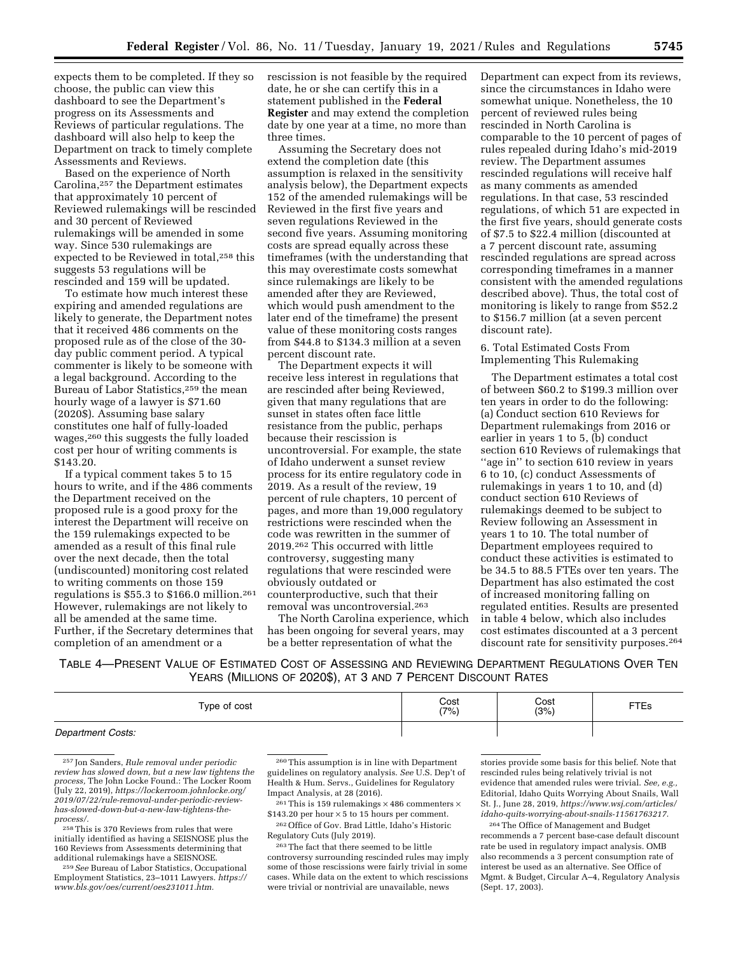expects them to be completed. If they so choose, the public can view this dashboard to see the Department's progress on its Assessments and Reviews of particular regulations. The dashboard will also help to keep the Department on track to timely complete Assessments and Reviews.

Based on the experience of North Carolina,257 the Department estimates that approximately 10 percent of Reviewed rulemakings will be rescinded and 30 percent of Reviewed rulemakings will be amended in some way. Since 530 rulemakings are expected to be Reviewed in total,258 this suggests 53 regulations will be rescinded and 159 will be updated.

To estimate how much interest these expiring and amended regulations are likely to generate, the Department notes that it received 486 comments on the proposed rule as of the close of the 30 day public comment period. A typical commenter is likely to be someone with a legal background. According to the Bureau of Labor Statistics,259 the mean hourly wage of a lawyer is \$71.60 (2020\$). Assuming base salary constitutes one half of fully-loaded wages,260 this suggests the fully loaded cost per hour of writing comments is \$143.20.

If a typical comment takes 5 to 15 hours to write, and if the 486 comments the Department received on the proposed rule is a good proxy for the interest the Department will receive on the 159 rulemakings expected to be amended as a result of this final rule over the next decade, then the total (undiscounted) monitoring cost related to writing comments on those 159 regulations is \$55.3 to \$166.0 million.261 However, rulemakings are not likely to all be amended at the same time. Further, if the Secretary determines that completion of an amendment or a

rescission is not feasible by the required date, he or she can certify this in a statement published in the **Federal Register** and may extend the completion date by one year at a time, no more than three times.

Assuming the Secretary does not extend the completion date (this assumption is relaxed in the sensitivity analysis below), the Department expects 152 of the amended rulemakings will be Reviewed in the first five years and seven regulations Reviewed in the second five years. Assuming monitoring costs are spread equally across these timeframes (with the understanding that this may overestimate costs somewhat since rulemakings are likely to be amended after they are Reviewed, which would push amendment to the later end of the timeframe) the present value of these monitoring costs ranges from \$44.8 to \$134.3 million at a seven percent discount rate.

The Department expects it will receive less interest in regulations that are rescinded after being Reviewed, given that many regulations that are sunset in states often face little resistance from the public, perhaps because their rescission is uncontroversial. For example, the state of Idaho underwent a sunset review process for its entire regulatory code in 2019. As a result of the review, 19 percent of rule chapters, 10 percent of pages, and more than 19,000 regulatory restrictions were rescinded when the code was rewritten in the summer of 2019.262 This occurred with little controversy, suggesting many regulations that were rescinded were obviously outdated or counterproductive, such that their removal was uncontroversial.263

The North Carolina experience, which has been ongoing for several years, may be a better representation of what the

Department can expect from its reviews, since the circumstances in Idaho were somewhat unique. Nonetheless, the 10 percent of reviewed rules being rescinded in North Carolina is comparable to the 10 percent of pages of rules repealed during Idaho's mid-2019 review. The Department assumes rescinded regulations will receive half as many comments as amended regulations. In that case, 53 rescinded regulations, of which 51 are expected in the first five years, should generate costs of \$7.5 to \$22.4 million (discounted at a 7 percent discount rate, assuming rescinded regulations are spread across corresponding timeframes in a manner consistent with the amended regulations described above). Thus, the total cost of monitoring is likely to range from \$52.2 to \$156.7 million (at a seven percent discount rate).

6. Total Estimated Costs From Implementing This Rulemaking

The Department estimates a total cost of between \$60.2 to \$199.3 million over ten years in order to do the following: (a) Conduct section 610 Reviews for Department rulemakings from 2016 or earlier in years 1 to 5, (b) conduct section 610 Reviews of rulemakings that "age in" to section 610 review in years 6 to 10, (c) conduct Assessments of rulemakings in years 1 to 10, and (d) conduct section 610 Reviews of rulemakings deemed to be subject to Review following an Assessment in years 1 to 10. The total number of Department employees required to conduct these activities is estimated to be 34.5 to 88.5 FTEs over ten years. The Department has also estimated the cost of increased monitoring falling on regulated entities. Results are presented in table 4 below, which also includes cost estimates discounted at a 3 percent discount rate for sensitivity purposes.264

TABLE 4—PRESENT VALUE OF ESTIMATED COST OF ASSESSING AND REVIEWING DEPARTMENT REGULATIONS OVER TEN YEARS (MILLIONS OF 2020\$), AT 3 AND 7 PERCENT DISCOUNT RATES

| Type of cost      | Cost (7%) | Cost<br>(3%) | <b>FTEs</b> |
|-------------------|-----------|--------------|-------------|
| Department Costs: |           |              |             |

<sup>257</sup> Jon Sanders, *Rule removal under periodic review has slowed down, but a new law tightens the process,* The John Locke Found.: The Locker Room (July 22, 2019), *[https://lockerroom.johnlocke.org/](https://lockerroom.johnlocke.org/2019/07/22/rule-removal-under-periodic-review-has-slowed-down-but-a-new-law-tightens-the-process/)  [2019/07/22/rule-removal-under-periodic-review](https://lockerroom.johnlocke.org/2019/07/22/rule-removal-under-periodic-review-has-slowed-down-but-a-new-law-tightens-the-process/)has-slowed-down-but-a-new-law-tightens-the[process/.](https://lockerroom.johnlocke.org/2019/07/22/rule-removal-under-periodic-review-has-slowed-down-but-a-new-law-tightens-the-process/)* 

258This is 370 Reviews from rules that were initially identified as having a SEISNOSE plus the 160 Reviews from Assessments determining that

<sup>259</sup> See Bureau of Labor Statistics, Occupational Employment Statistics, 23–1011 Lawyers. *[https://](https://www.bls.gov/oes/current/oes231011.htm) [www.bls.gov/oes/current/oes231011.htm.](https://www.bls.gov/oes/current/oes231011.htm)* 

260This assumption is in line with Department guidelines on regulatory analysis. *See* U.S. Dep't of Health & Hum. Servs., Guidelines for Regulatory Impact Analysis, at 28 (2016).

<sup>261</sup> This is 159 rulemakings  $\times$  486 commenters  $\times$  $$143.20$  per hour  $\times$  5 to 15 hours per comment.

262Office of Gov. Brad Little, Idaho's Historic Regulatory Cuts (July 2019).

263The fact that there seemed to be little controversy surrounding rescinded rules may imply some of those rescissions were fairly trivial in some cases. While data on the extent to which rescissions were trivial or nontrivial are unavailable, news

stories provide some basis for this belief. Note that rescinded rules being relatively trivial is not evidence that amended rules were trivial. *See, e.g.,*  Editorial, Idaho Quits Worrying About Snails, Wall St. J., June 28, 2019, *[https://www.wsj.com/articles/](https://www.wsj.com/articles/idaho-quits-worrying-about-snails-11561763217) [idaho-quits-worrying-about-snails-11561763217.](https://www.wsj.com/articles/idaho-quits-worrying-about-snails-11561763217)* 

264The Office of Management and Budget recommends a 7 percent base-case default discount rate be used in regulatory impact analysis. OMB also recommends a 3 percent consumption rate of interest be used as an alternative. See Office of Mgmt. & Budget, Circular A–4, Regulatory Analysis (Sept. 17, 2003).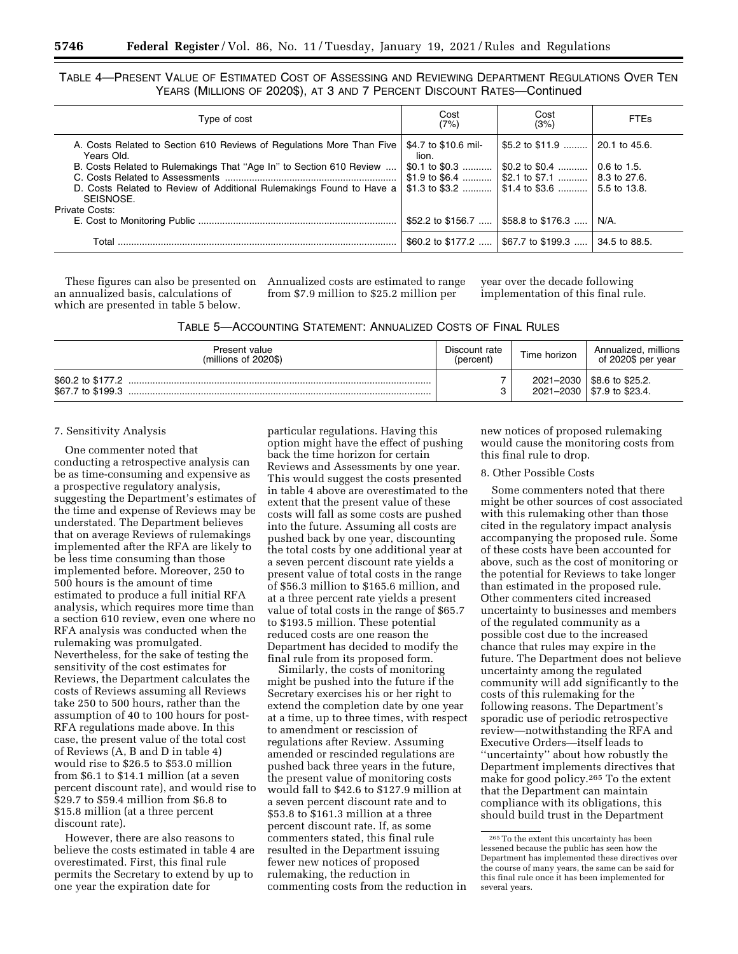TABLE 4—PRESENT VALUE OF ESTIMATED COST OF ASSESSING AND REVIEWING DEPARTMENT REGULATIONS OVER TEN YEARS (MILLIONS OF 2020\$), AT 3 AND 7 PERCENT DISCOUNT RATES—Continued

| Type of cost                                                                        | Cost<br>(7%)                  | Cost<br>(3%)                                               | <b>FTEs</b>   |
|-------------------------------------------------------------------------------------|-------------------------------|------------------------------------------------------------|---------------|
| A. Costs Related to Section 610 Reviews of Regulations More Than Five<br>Years Old. | \$4.7 to \$10.6 mil-<br>lion. | \$5.2 to \$11.9    20.1 to 45.6.                           |               |
| B. Costs Related to Rulemakings That "Age In" to Section 610 Review                 | \$0.1 to \$0.3                | $\vert$ \$0.2 to \$0.4 $\vert$                             | 0.6 to 1.5.   |
|                                                                                     |                               | \$1.9 to \$6.4  \$2.1 to \$7.1  8.3 to 27.6.               |               |
| D. Costs Related to Review of Additional Rulemakings Found to Have a                |                               | \$1.3 to \$3.2 $\vert$ \$1.4 to \$3.6 $\vert$ 5.5 to 13.8. |               |
| SEISNOSE.                                                                           |                               |                                                            |               |
| Private Costs:                                                                      |                               |                                                            |               |
|                                                                                     | \$52.2 to \$156.7             | \$58.8 to \$176.3                                          | $N/A$ .       |
| Total                                                                               | \$60.2 to \$177.2             | 567.7 to \$199.3  I                                        | 34.5 to 88.5. |

an annualized basis, calculations of which are presented in table 5 below.

These figures can also be presented on Annualized costs are estimated to range from \$7.9 million to \$25.2 million per

year over the decade following implementation of this final rule.

TABLE 5—ACCOUNTING STATEMENT: ANNUALIZED COSTS OF FINAL RULES

| Present value                          | Discount rate | Time horizon | Annualized, millions                                         |
|----------------------------------------|---------------|--------------|--------------------------------------------------------------|
| $(millions of 2020\$                   | (percent)     |              | of 2020\$ per year                                           |
| \$60.2 to \$177.2<br>\$67.7 to \$199.3 |               |              | 2021-2030   \$8.6 to \$25.2.<br>2021-2030   \$7.9 to \$23.4. |

### 7. Sensitivity Analysis

One commenter noted that conducting a retrospective analysis can be as time-consuming and expensive as a prospective regulatory analysis, suggesting the Department's estimates of the time and expense of Reviews may be understated. The Department believes that on average Reviews of rulemakings implemented after the RFA are likely to be less time consuming than those implemented before. Moreover, 250 to 500 hours is the amount of time estimated to produce a full initial RFA analysis, which requires more time than a section 610 review, even one where no RFA analysis was conducted when the rulemaking was promulgated. Nevertheless, for the sake of testing the sensitivity of the cost estimates for Reviews, the Department calculates the costs of Reviews assuming all Reviews take 250 to 500 hours, rather than the assumption of 40 to 100 hours for post-RFA regulations made above. In this case, the present value of the total cost of Reviews (A, B and D in table 4) would rise to \$26.5 to \$53.0 million from \$6.1 to \$14.1 million (at a seven percent discount rate), and would rise to \$29.7 to \$59.4 million from \$6.8 to \$15.8 million (at a three percent discount rate).

However, there are also reasons to believe the costs estimated in table 4 are overestimated. First, this final rule permits the Secretary to extend by up to one year the expiration date for

particular regulations. Having this option might have the effect of pushing back the time horizon for certain Reviews and Assessments by one year. This would suggest the costs presented in table 4 above are overestimated to the extent that the present value of these costs will fall as some costs are pushed into the future. Assuming all costs are pushed back by one year, discounting the total costs by one additional year at a seven percent discount rate yields a present value of total costs in the range of \$56.3 million to \$165.6 million, and at a three percent rate yields a present value of total costs in the range of \$65.7 to \$193.5 million. These potential reduced costs are one reason the Department has decided to modify the final rule from its proposed form.

Similarly, the costs of monitoring might be pushed into the future if the Secretary exercises his or her right to extend the completion date by one year at a time, up to three times, with respect to amendment or rescission of regulations after Review. Assuming amended or rescinded regulations are pushed back three years in the future, the present value of monitoring costs would fall to \$42.6 to \$127.9 million at a seven percent discount rate and to \$53.8 to \$161.3 million at a three percent discount rate. If, as some commenters stated, this final rule resulted in the Department issuing fewer new notices of proposed rulemaking, the reduction in commenting costs from the reduction in

new notices of proposed rulemaking would cause the monitoring costs from this final rule to drop.

#### 8. Other Possible Costs

Some commenters noted that there might be other sources of cost associated with this rulemaking other than those cited in the regulatory impact analysis accompanying the proposed rule. Some of these costs have been accounted for above, such as the cost of monitoring or the potential for Reviews to take longer than estimated in the proposed rule. Other commenters cited increased uncertainty to businesses and members of the regulated community as a possible cost due to the increased chance that rules may expire in the future. The Department does not believe uncertainty among the regulated community will add significantly to the costs of this rulemaking for the following reasons. The Department's sporadic use of periodic retrospective review—notwithstanding the RFA and Executive Orders—itself leads to ''uncertainty'' about how robustly the Department implements directives that make for good policy.265 To the extent that the Department can maintain compliance with its obligations, this should build trust in the Department

<sup>265</sup>To the extent this uncertainty has been lessened because the public has seen how the Department has implemented these directives over the course of many years, the same can be said for this final rule once it has been implemented for several years.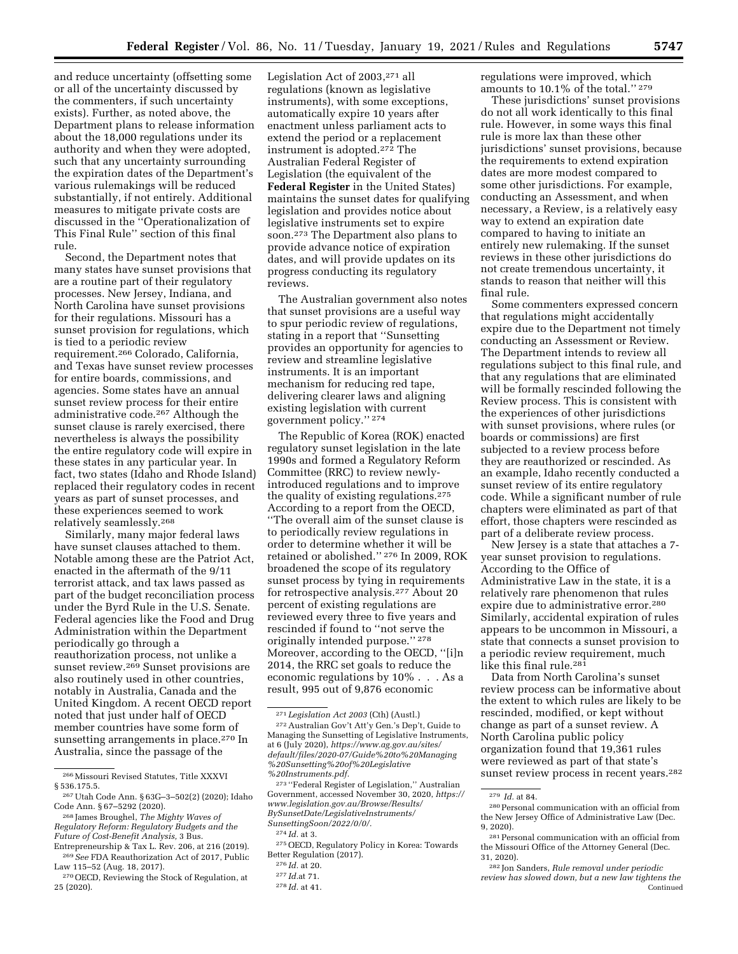and reduce uncertainty (offsetting some or all of the uncertainty discussed by the commenters, if such uncertainty exists). Further, as noted above, the Department plans to release information about the 18,000 regulations under its authority and when they were adopted, such that any uncertainty surrounding the expiration dates of the Department's various rulemakings will be reduced substantially, if not entirely. Additional measures to mitigate private costs are discussed in the ''Operationalization of This Final Rule'' section of this final rule.

Second, the Department notes that many states have sunset provisions that are a routine part of their regulatory processes. New Jersey, Indiana, and North Carolina have sunset provisions for their regulations. Missouri has a sunset provision for regulations, which is tied to a periodic review requirement.266 Colorado, California, and Texas have sunset review processes for entire boards, commissions, and agencies. Some states have an annual sunset review process for their entire administrative code.267 Although the sunset clause is rarely exercised, there nevertheless is always the possibility the entire regulatory code will expire in these states in any particular year. In fact, two states (Idaho and Rhode Island) replaced their regulatory codes in recent years as part of sunset processes, and these experiences seemed to work relatively seamlessly.268

Similarly, many major federal laws have sunset clauses attached to them. Notable among these are the Patriot Act, enacted in the aftermath of the 9/11 terrorist attack, and tax laws passed as part of the budget reconciliation process under the Byrd Rule in the U.S. Senate. Federal agencies like the Food and Drug Administration within the Department periodically go through a reauthorization process, not unlike a sunset review.269 Sunset provisions are also routinely used in other countries, notably in Australia, Canada and the United Kingdom. A recent OECD report noted that just under half of OECD member countries have some form of sunsetting arrangements in place.<sup>270</sup> In Australia, since the passage of the

*Future of Cost-Benefit Analysis,* 3 Bus. Entrepreneurship & Tax L. Rev. 206, at 216 (2019).

Legislation Act of 2003,271 all regulations (known as legislative instruments), with some exceptions, automatically expire 10 years after enactment unless parliament acts to extend the period or a replacement instrument is adopted.272 The Australian Federal Register of Legislation (the equivalent of the **Federal Register** in the United States) maintains the sunset dates for qualifying legislation and provides notice about legislative instruments set to expire soon.273 The Department also plans to provide advance notice of expiration dates, and will provide updates on its progress conducting its regulatory reviews.

The Australian government also notes that sunset provisions are a useful way to spur periodic review of regulations, stating in a report that ''Sunsetting provides an opportunity for agencies to review and streamline legislative instruments. It is an important mechanism for reducing red tape, delivering clearer laws and aligning existing legislation with current government policy.'' 274

The Republic of Korea (ROK) enacted regulatory sunset legislation in the late 1990s and formed a Regulatory Reform Committee (RRC) to review newlyintroduced regulations and to improve the quality of existing regulations.275 According to a report from the OECD, ''The overall aim of the sunset clause is to periodically review regulations in order to determine whether it will be retained or abolished.'' 276 In 2009, ROK broadened the scope of its regulatory sunset process by tying in requirements for retrospective analysis.277 About 20 percent of existing regulations are reviewed every three to five years and rescinded if found to ''not serve the originally intended purpose.'' 278 Moreover, according to the OECD, ''[i]n 2014, the RRC set goals to reduce the economic regulations by 10% . . . As a result, 995 out of 9,876 economic

regulations were improved, which amounts to 10.1% of the total.'' 279

These jurisdictions' sunset provisions do not all work identically to this final rule. However, in some ways this final rule is more lax than these other jurisdictions' sunset provisions, because the requirements to extend expiration dates are more modest compared to some other jurisdictions. For example, conducting an Assessment, and when necessary, a Review, is a relatively easy way to extend an expiration date compared to having to initiate an entirely new rulemaking. If the sunset reviews in these other jurisdictions do not create tremendous uncertainty, it stands to reason that neither will this final rule.

Some commenters expressed concern that regulations might accidentally expire due to the Department not timely conducting an Assessment or Review. The Department intends to review all regulations subject to this final rule, and that any regulations that are eliminated will be formally rescinded following the Review process. This is consistent with the experiences of other jurisdictions with sunset provisions, where rules (or boards or commissions) are first subjected to a review process before they are reauthorized or rescinded. As an example, Idaho recently conducted a sunset review of its entire regulatory code. While a significant number of rule chapters were eliminated as part of that effort, those chapters were rescinded as part of a deliberate review process.

New Jersey is a state that attaches a 7 year sunset provision to regulations. According to the Office of Administrative Law in the state, it is a relatively rare phenomenon that rules expire due to administrative error.280 Similarly, accidental expiration of rules appears to be uncommon in Missouri, a state that connects a sunset provision to a periodic review requirement, much like this final rule.<sup>281</sup>

Data from North Carolina's sunset review process can be informative about the extent to which rules are likely to be rescinded, modified, or kept without change as part of a sunset review. A North Carolina public policy organization found that 19,361 rules were reviewed as part of that state's sunset review process in recent years.282

<sup>266</sup>Missouri Revised Statutes, Title XXXVI § 536.175.5.

<sup>267</sup>Utah Code Ann. § 63G–3–502(2) (2020); Idaho Code Ann. § 67–5292 (2020).

<sup>268</sup> James Broughel, *The Mighty Waves of Regulatory Reform: Regulatory Budgets and the* 

<sup>269</sup>*See* FDA Reauthorization Act of 2017, Public Law 115–52 (Aug. 18, 2017).

<sup>270</sup>OECD, Reviewing the Stock of Regulation, at 25 (2020).

<sup>271</sup> *Legislation Act 2003* (Cth) (Austl.) 272Australian Gov't Att'y Gen.'s Dep't, Guide to Managing the Sunsetting of Legislative Instruments, at 6 (July 2020), *[https://www.ag.gov.au/sites/](https://www.ag.gov.au/sites/default/files/2020-07/Guide%20to%20Managing%20Sunsetting%20of%20Legislative%20Instruments.pdf) [default/files/2020-07/Guide%20to%20Managing](https://www.ag.gov.au/sites/default/files/2020-07/Guide%20to%20Managing%20Sunsetting%20of%20Legislative%20Instruments.pdf) [%20Sunsetting%20of%20Legislative](https://www.ag.gov.au/sites/default/files/2020-07/Guide%20to%20Managing%20Sunsetting%20of%20Legislative%20Instruments.pdf) [%20Instruments.pdf.](https://www.ag.gov.au/sites/default/files/2020-07/Guide%20to%20Managing%20Sunsetting%20of%20Legislative%20Instruments.pdf)* 

<sup>273</sup> ''Federal Register of Legislation,'' Australian Government, accessed November 30, 2020, *[https://](https://www.legislation.gov.au/Browse/Results/BySunsetDate/LegislativeInstruments/SunsettingSoon/2022/0/0/) [www.legislation.gov.au/Browse/Results/](https://www.legislation.gov.au/Browse/Results/BySunsetDate/LegislativeInstruments/SunsettingSoon/2022/0/0/)  [BySunsetDate/LegislativeInstruments/](https://www.legislation.gov.au/Browse/Results/BySunsetDate/LegislativeInstruments/SunsettingSoon/2022/0/0/)  [SunsettingSoon/2022/0/0/.](https://www.legislation.gov.au/Browse/Results/BySunsetDate/LegislativeInstruments/SunsettingSoon/2022/0/0/)* 

<sup>274</sup> *Id.* at 3.

<sup>275</sup>OECD, Regulatory Policy in Korea: Towards Better Regulation (2017).

<sup>276</sup> *Id.* at 20.

<sup>277</sup> *Id.*at 71.

<sup>278</sup> *Id.* at 41.

<sup>279</sup> *Id.* at 84.

<sup>280</sup>Personal communication with an official from the New Jersey Office of Administrative Law (Dec. 9, 2020).

 $^{\rm 281}$  Personal communication with an official from the Missouri Office of the Attorney General (Dec. 31, 2020).

<sup>282</sup> Jon Sanders, *Rule removal under periodic review has slowed down, but a new law tightens the*  Continued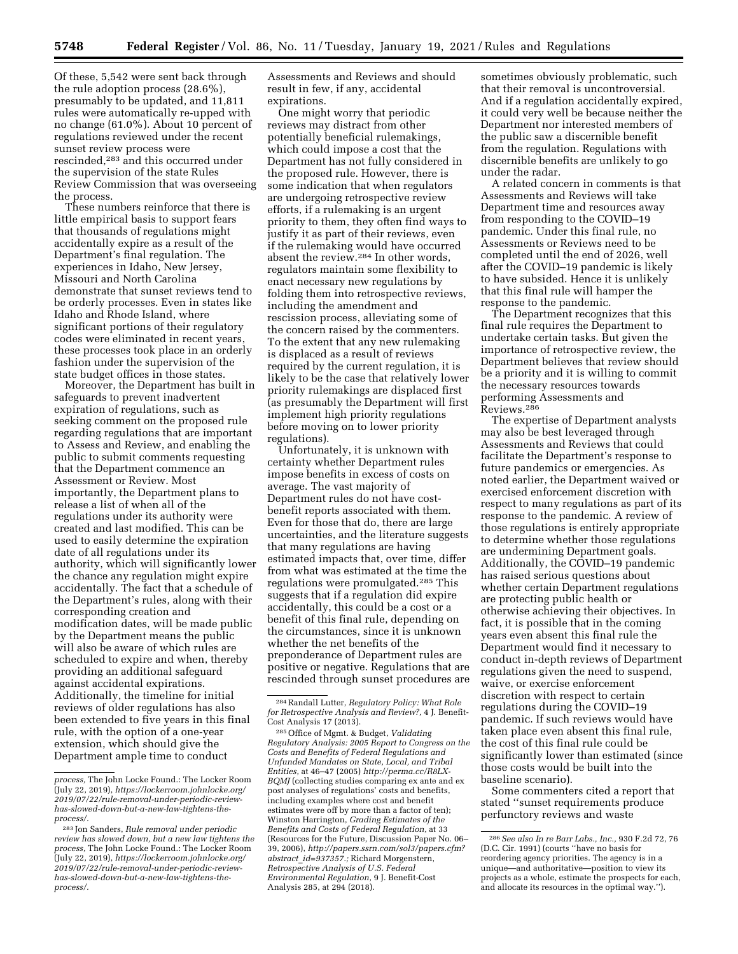Of these, 5,542 were sent back through the rule adoption process (28.6%), presumably to be updated, and 11,811 rules were automatically re-upped with no change (61.0%). About 10 percent of regulations reviewed under the recent sunset review process were rescinded,283 and this occurred under the supervision of the state Rules Review Commission that was overseeing the process.

These numbers reinforce that there is little empirical basis to support fears that thousands of regulations might accidentally expire as a result of the Department's final regulation. The experiences in Idaho, New Jersey, Missouri and North Carolina demonstrate that sunset reviews tend to be orderly processes. Even in states like Idaho and Rhode Island, where significant portions of their regulatory codes were eliminated in recent years, these processes took place in an orderly fashion under the supervision of the state budget offices in those states.

Moreover, the Department has built in safeguards to prevent inadvertent expiration of regulations, such as seeking comment on the proposed rule regarding regulations that are important to Assess and Review, and enabling the public to submit comments requesting that the Department commence an Assessment or Review. Most importantly, the Department plans to release a list of when all of the regulations under its authority were created and last modified. This can be used to easily determine the expiration date of all regulations under its authority, which will significantly lower the chance any regulation might expire accidentally. The fact that a schedule of the Department's rules, along with their corresponding creation and modification dates, will be made public by the Department means the public will also be aware of which rules are scheduled to expire and when, thereby providing an additional safeguard against accidental expirations. Additionally, the timeline for initial reviews of older regulations has also been extended to five years in this final rule, with the option of a one-year extension, which should give the Department ample time to conduct

Assessments and Reviews and should result in few, if any, accidental expirations.

One might worry that periodic reviews may distract from other potentially beneficial rulemakings, which could impose a cost that the Department has not fully considered in the proposed rule. However, there is some indication that when regulators are undergoing retrospective review efforts, if a rulemaking is an urgent priority to them, they often find ways to justify it as part of their reviews, even if the rulemaking would have occurred absent the review.284 In other words, regulators maintain some flexibility to enact necessary new regulations by folding them into retrospective reviews, including the amendment and rescission process, alleviating some of the concern raised by the commenters. To the extent that any new rulemaking is displaced as a result of reviews required by the current regulation, it is likely to be the case that relatively lower priority rulemakings are displaced first (as presumably the Department will first implement high priority regulations before moving on to lower priority regulations).

Unfortunately, it is unknown with certainty whether Department rules impose benefits in excess of costs on average. The vast majority of Department rules do not have costbenefit reports associated with them. Even for those that do, there are large uncertainties, and the literature suggests that many regulations are having estimated impacts that, over time, differ from what was estimated at the time the regulations were promulgated.285 This suggests that if a regulation did expire accidentally, this could be a cost or a benefit of this final rule, depending on the circumstances, since it is unknown whether the net benefits of the preponderance of Department rules are positive or negative. Regulations that are rescinded through sunset procedures are

sometimes obviously problematic, such that their removal is uncontroversial. And if a regulation accidentally expired, it could very well be because neither the Department nor interested members of the public saw a discernible benefit from the regulation. Regulations with discernible benefits are unlikely to go under the radar.

A related concern in comments is that Assessments and Reviews will take Department time and resources away from responding to the COVID–19 pandemic. Under this final rule, no Assessments or Reviews need to be completed until the end of 2026, well after the COVID–19 pandemic is likely to have subsided. Hence it is unlikely that this final rule will hamper the response to the pandemic.

The Department recognizes that this final rule requires the Department to undertake certain tasks. But given the importance of retrospective review, the Department believes that review should be a priority and it is willing to commit the necessary resources towards performing Assessments and Reviews.286

The expertise of Department analysts may also be best leveraged through Assessments and Reviews that could facilitate the Department's response to future pandemics or emergencies. As noted earlier, the Department waived or exercised enforcement discretion with respect to many regulations as part of its response to the pandemic. A review of those regulations is entirely appropriate to determine whether those regulations are undermining Department goals. Additionally, the COVID–19 pandemic has raised serious questions about whether certain Department regulations are protecting public health or otherwise achieving their objectives. In fact, it is possible that in the coming years even absent this final rule the Department would find it necessary to conduct in-depth reviews of Department regulations given the need to suspend, waive, or exercise enforcement discretion with respect to certain regulations during the COVID–19 pandemic. If such reviews would have taken place even absent this final rule, the cost of this final rule could be significantly lower than estimated (since those costs would be built into the baseline scenario).

Some commenters cited a report that stated ''sunset requirements produce perfunctory reviews and waste

*process,* The John Locke Found.: The Locker Room (July 22, 2019), *[https://lockerroom.johnlocke.org/](https://lockerroom.johnlocke.org/2019/07/22/rule-removal-under-periodic-review-has-slowed-down-but-a-new-law-tightens-the-process/)  [2019/07/22/rule-removal-under-periodic-review](https://lockerroom.johnlocke.org/2019/07/22/rule-removal-under-periodic-review-has-slowed-down-but-a-new-law-tightens-the-process/)[has-slowed-down-but-a-new-law-tightens-the](https://lockerroom.johnlocke.org/2019/07/22/rule-removal-under-periodic-review-has-slowed-down-but-a-new-law-tightens-the-process/)[process/.](https://lockerroom.johnlocke.org/2019/07/22/rule-removal-under-periodic-review-has-slowed-down-but-a-new-law-tightens-the-process/)* 

<sup>283</sup> Jon Sanders, *Rule removal under periodic review has slowed down, but a new law tightens the process,* The John Locke Found.: The Locker Room (July 22, 2019), *[https://lockerroom.johnlocke.org/](https://lockerroom.johnlocke.org/2019/07/22/rule-removal-under-periodic-review-has-slowed-down-but-a-new-law-tightens-the-process/) [2019/07/22/rule-removal-under-periodic-review](https://lockerroom.johnlocke.org/2019/07/22/rule-removal-under-periodic-review-has-slowed-down-but-a-new-law-tightens-the-process/)[has-slowed-down-but-a-new-law-tightens-the](https://lockerroom.johnlocke.org/2019/07/22/rule-removal-under-periodic-review-has-slowed-down-but-a-new-law-tightens-the-process/)[process/.](https://lockerroom.johnlocke.org/2019/07/22/rule-removal-under-periodic-review-has-slowed-down-but-a-new-law-tightens-the-process/)* 

<sup>284</sup>Randall Lutter, *Regulatory Policy: What Role for Retrospective Analysis and Review?,* 4 J. Benefit-Cost Analysis 17 (2013).

<sup>285</sup>Office of Mgmt. & Budget, *Validating Regulatory Analysis: 2005 Report to Congress on the Costs and Benefits of Federal Regulations and Unfunded Mandates on State, Local, and Tribal Entities,* at 46–47 (2005) *[http://perma.cc/R8LX-](http://perma.cc/R8LX-BQMJ)[BQMJ](http://perma.cc/R8LX-BQMJ)* (collecting studies comparing ex ante and ex post analyses of regulations' costs and benefits, including examples where cost and benefit estimates were off by more than a factor of ten); Winston Harrington, *Grading Estimates of the Benefits and Costs of Federal Regulation,* at 33 (Resources for the Future, Discussion Paper No. 06– 39, 2006), *[http://papers.ssrn.com/sol3/papers.cfm?](http://papers.ssrn.com/sol3/papers.cfm?abstract_id=937357) abstract*\_*[id=937357.;](http://papers.ssrn.com/sol3/papers.cfm?abstract_id=937357)* Richard Morgenstern, *Retrospective Analysis of U.S. Federal Environmental Regulation,* 9 J. Benefit-Cost Analysis 285, at 294 (2018).

<sup>286</sup>*See also In re Barr Labs., Inc.,* 930 F.2d 72, 76 (D.C. Cir. 1991) (courts ''have no basis for reordering agency priorities. The agency is in a unique—and authoritative—position to view its projects as a whole, estimate the prospects for each, and allocate its resources in the optimal way.'').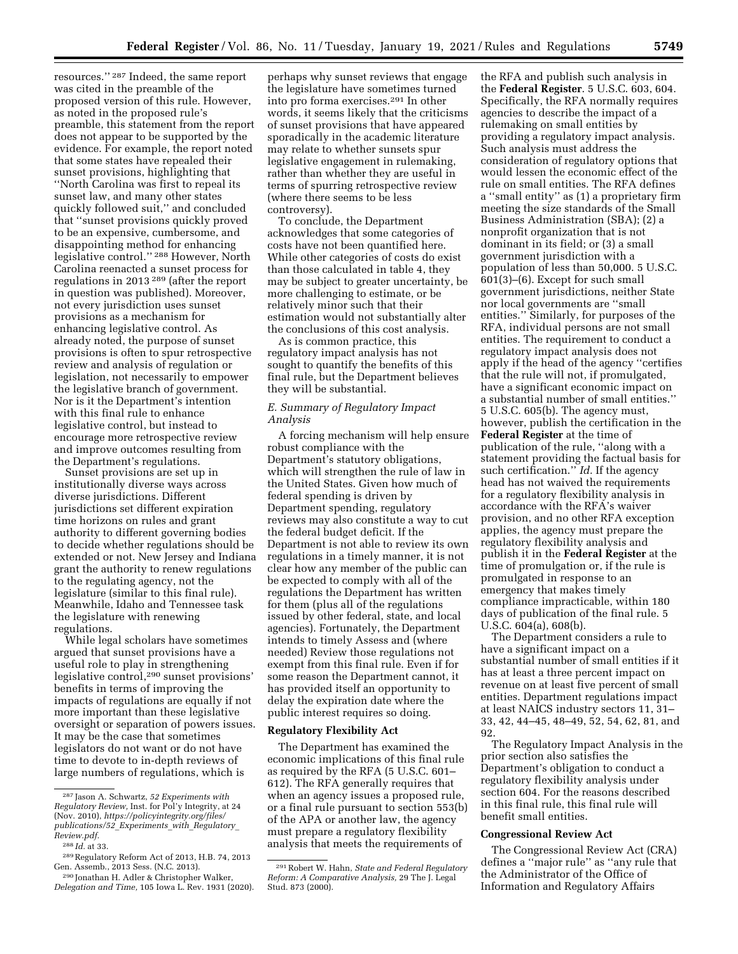resources.'' 287 Indeed, the same report was cited in the preamble of the proposed version of this rule. However, as noted in the proposed rule's preamble, this statement from the report does not appear to be supported by the evidence. For example, the report noted that some states have repealed their sunset provisions, highlighting that ''North Carolina was first to repeal its sunset law, and many other states quickly followed suit,'' and concluded that ''sunset provisions quickly proved to be an expensive, cumbersome, and disappointing method for enhancing legislative control.'' 288 However, North Carolina reenacted a sunset process for regulations in 2013 289 (after the report in question was published). Moreover, not every jurisdiction uses sunset provisions as a mechanism for enhancing legislative control. As already noted, the purpose of sunset provisions is often to spur retrospective review and analysis of regulation or legislation, not necessarily to empower the legislative branch of government. Nor is it the Department's intention with this final rule to enhance legislative control, but instead to encourage more retrospective review and improve outcomes resulting from the Department's regulations.

Sunset provisions are set up in institutionally diverse ways across diverse jurisdictions. Different jurisdictions set different expiration time horizons on rules and grant authority to different governing bodies to decide whether regulations should be extended or not. New Jersey and Indiana grant the authority to renew regulations to the regulating agency, not the legislature (similar to this final rule). Meanwhile, Idaho and Tennessee task the legislature with renewing regulations.

While legal scholars have sometimes argued that sunset provisions have a useful role to play in strengthening legislative control,290 sunset provisions' benefits in terms of improving the impacts of regulations are equally if not more important than these legislative oversight or separation of powers issues. It may be the case that sometimes legislators do not want or do not have time to devote to in-depth reviews of large numbers of regulations, which is

perhaps why sunset reviews that engage the legislature have sometimes turned into pro forma exercises.291 In other words, it seems likely that the criticisms of sunset provisions that have appeared sporadically in the academic literature may relate to whether sunsets spur legislative engagement in rulemaking, rather than whether they are useful in terms of spurring retrospective review (where there seems to be less controversy).

To conclude, the Department acknowledges that some categories of costs have not been quantified here. While other categories of costs do exist than those calculated in table 4, they may be subject to greater uncertainty, be more challenging to estimate, or be relatively minor such that their estimation would not substantially alter the conclusions of this cost analysis.

As is common practice, this regulatory impact analysis has not sought to quantify the benefits of this final rule, but the Department believes they will be substantial.

## *E. Summary of Regulatory Impact Analysis*

A forcing mechanism will help ensure robust compliance with the Department's statutory obligations, which will strengthen the rule of law in the United States. Given how much of federal spending is driven by Department spending, regulatory reviews may also constitute a way to cut the federal budget deficit. If the Department is not able to review its own regulations in a timely manner, it is not clear how any member of the public can be expected to comply with all of the regulations the Department has written for them (plus all of the regulations issued by other federal, state, and local agencies). Fortunately, the Department intends to timely Assess and (where needed) Review those regulations not exempt from this final rule. Even if for some reason the Department cannot, it has provided itself an opportunity to delay the expiration date where the public interest requires so doing.

### **Regulatory Flexibility Act**

The Department has examined the economic implications of this final rule as required by the RFA (5 U.S.C. 601– 612). The RFA generally requires that when an agency issues a proposed rule, or a final rule pursuant to section 553(b) of the APA or another law, the agency must prepare a regulatory flexibility analysis that meets the requirements of

the RFA and publish such analysis in the **Federal Register**. 5 U.S.C. 603, 604. Specifically, the RFA normally requires agencies to describe the impact of a rulemaking on small entities by providing a regulatory impact analysis. Such analysis must address the consideration of regulatory options that would lessen the economic effect of the rule on small entities. The RFA defines a ''small entity'' as (1) a proprietary firm meeting the size standards of the Small Business Administration (SBA); (2) a nonprofit organization that is not dominant in its field; or (3) a small government jurisdiction with a population of less than 50,000. 5 U.S.C. 601(3)–(6). Except for such small government jurisdictions, neither State nor local governments are ''small entities.'' Similarly, for purposes of the RFA, individual persons are not small entities. The requirement to conduct a regulatory impact analysis does not apply if the head of the agency ''certifies that the rule will not, if promulgated, have a significant economic impact on a substantial number of small entities.'' 5 U.S.C. 605(b). The agency must, however, publish the certification in the **Federal Register** at the time of publication of the rule, ''along with a statement providing the factual basis for such certification.'' *Id.* If the agency head has not waived the requirements for a regulatory flexibility analysis in accordance with the RFA's waiver provision, and no other RFA exception applies, the agency must prepare the regulatory flexibility analysis and publish it in the **Federal Register** at the time of promulgation or, if the rule is promulgated in response to an emergency that makes timely compliance impracticable, within 180 days of publication of the final rule. 5 U.S.C. 604(a), 608(b).

The Department considers a rule to have a significant impact on a substantial number of small entities if it has at least a three percent impact on revenue on at least five percent of small entities. Department regulations impact at least NAICS industry sectors 11, 31– 33, 42, 44–45, 48–49, 52, 54, 62, 81, and 92.

The Regulatory Impact Analysis in the prior section also satisfies the Department's obligation to conduct a regulatory flexibility analysis under section 604. For the reasons described in this final rule, this final rule will benefit small entities.

#### **Congressional Review Act**

The Congressional Review Act (CRA) defines a ''major rule'' as ''any rule that the Administrator of the Office of Information and Regulatory Affairs

<sup>287</sup> Jason A. Schwartz, *52 Experiments with Regulatory Review,* Inst. for Pol'y Integrity, at 24 (Nov. 2010), *[https://policyintegrity.org/files/](https://policyintegrity.org/files/publications/52_Experiments_with_Regulatory_Review.pdf) [publications/52](https://policyintegrity.org/files/publications/52_Experiments_with_Regulatory_Review.pdf)*\_*Experiments*\_*with*\_*Regulatory*\_ *[Review.pdf.](https://policyintegrity.org/files/publications/52_Experiments_with_Regulatory_Review.pdf)* 

<sup>288</sup> *Id.* at 33.

<sup>289</sup>Regulatory Reform Act of 2013, H.B. 74, 2013 Gen. Assemb., 2013 Sess. (N.C. 2013).

<sup>290</sup> Jonathan H. Adler & Christopher Walker, *Delegation and Time,* 105 Iowa L. Rev. 1931 (2020).

<sup>291</sup>Robert W. Hahn, *State and Federal Regulatory Reform: A Comparative Analysis,* 29 The J. Legal Stud. 873 (2000).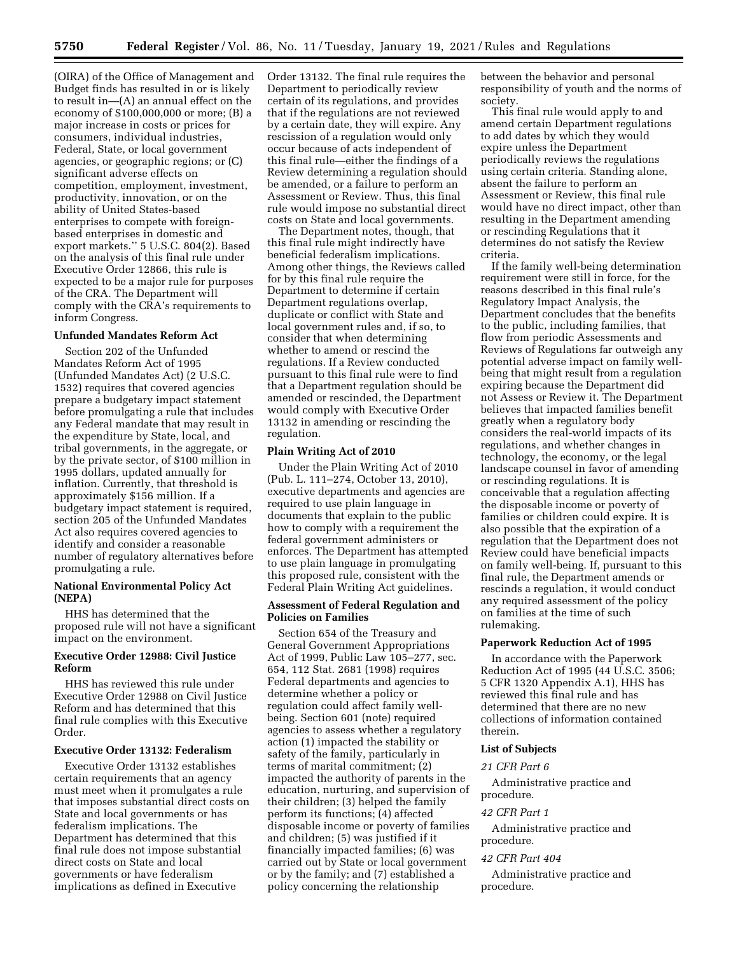(OIRA) of the Office of Management and Budget finds has resulted in or is likely to result in—(A) an annual effect on the economy of \$100,000,000 or more; (B) a major increase in costs or prices for consumers, individual industries, Federal, State, or local government agencies, or geographic regions; or (C) significant adverse effects on competition, employment, investment, productivity, innovation, or on the ability of United States-based enterprises to compete with foreignbased enterprises in domestic and export markets.'' 5 U.S.C. 804(2). Based on the analysis of this final rule under Executive Order 12866, this rule is expected to be a major rule for purposes of the CRA. The Department will comply with the CRA's requirements to inform Congress.

### **Unfunded Mandates Reform Act**

Section 202 of the Unfunded Mandates Reform Act of 1995 (Unfunded Mandates Act) (2 U.S.C. 1532) requires that covered agencies prepare a budgetary impact statement before promulgating a rule that includes any Federal mandate that may result in the expenditure by State, local, and tribal governments, in the aggregate, or by the private sector, of \$100 million in 1995 dollars, updated annually for inflation. Currently, that threshold is approximately \$156 million. If a budgetary impact statement is required, section 205 of the Unfunded Mandates Act also requires covered agencies to identify and consider a reasonable number of regulatory alternatives before promulgating a rule.

### **National Environmental Policy Act (NEPA)**

HHS has determined that the proposed rule will not have a significant impact on the environment.

## **Executive Order 12988: Civil Justice Reform**

HHS has reviewed this rule under Executive Order 12988 on Civil Justice Reform and has determined that this final rule complies with this Executive Order.

#### **Executive Order 13132: Federalism**

Executive Order 13132 establishes certain requirements that an agency must meet when it promulgates a rule that imposes substantial direct costs on State and local governments or has federalism implications. The Department has determined that this final rule does not impose substantial direct costs on State and local governments or have federalism implications as defined in Executive

Order 13132. The final rule requires the Department to periodically review certain of its regulations, and provides that if the regulations are not reviewed by a certain date, they will expire. Any rescission of a regulation would only occur because of acts independent of this final rule—either the findings of a Review determining a regulation should be amended, or a failure to perform an Assessment or Review. Thus, this final rule would impose no substantial direct costs on State and local governments.

The Department notes, though, that this final rule might indirectly have beneficial federalism implications. Among other things, the Reviews called for by this final rule require the Department to determine if certain Department regulations overlap, duplicate or conflict with State and local government rules and, if so, to consider that when determining whether to amend or rescind the regulations. If a Review conducted pursuant to this final rule were to find that a Department regulation should be amended or rescinded, the Department would comply with Executive Order 13132 in amending or rescinding the regulation.

### **Plain Writing Act of 2010**

Under the Plain Writing Act of 2010 (Pub. L. 111–274, October 13, 2010), executive departments and agencies are required to use plain language in documents that explain to the public how to comply with a requirement the federal government administers or enforces. The Department has attempted to use plain language in promulgating this proposed rule, consistent with the Federal Plain Writing Act guidelines.

### **Assessment of Federal Regulation and Policies on Families**

Section 654 of the Treasury and General Government Appropriations Act of 1999, Public Law 105–277, sec. 654, 112 Stat. 2681 (1998) requires Federal departments and agencies to determine whether a policy or regulation could affect family wellbeing. Section 601 (note) required agencies to assess whether a regulatory action (1) impacted the stability or safety of the family, particularly in terms of marital commitment; (2) impacted the authority of parents in the education, nurturing, and supervision of their children; (3) helped the family perform its functions; (4) affected disposable income or poverty of families and children; (5) was justified if it financially impacted families; (6) was carried out by State or local government or by the family; and (7) established a policy concerning the relationship

between the behavior and personal responsibility of youth and the norms of society.

This final rule would apply to and amend certain Department regulations to add dates by which they would expire unless the Department periodically reviews the regulations using certain criteria. Standing alone, absent the failure to perform an Assessment or Review, this final rule would have no direct impact, other than resulting in the Department amending or rescinding Regulations that it determines do not satisfy the Review criteria.

If the family well-being determination requirement were still in force, for the reasons described in this final rule's Regulatory Impact Analysis, the Department concludes that the benefits to the public, including families, that flow from periodic Assessments and Reviews of Regulations far outweigh any potential adverse impact on family wellbeing that might result from a regulation expiring because the Department did not Assess or Review it. The Department believes that impacted families benefit greatly when a regulatory body considers the real-world impacts of its regulations, and whether changes in technology, the economy, or the legal landscape counsel in favor of amending or rescinding regulations. It is conceivable that a regulation affecting the disposable income or poverty of families or children could expire. It is also possible that the expiration of a regulation that the Department does not Review could have beneficial impacts on family well-being. If, pursuant to this final rule, the Department amends or rescinds a regulation, it would conduct any required assessment of the policy on families at the time of such rulemaking.

#### **Paperwork Reduction Act of 1995**

In accordance with the Paperwork Reduction Act of 1995 (44 U.S.C. 3506; 5 CFR 1320 Appendix A.1), HHS has reviewed this final rule and has determined that there are no new collections of information contained therein.

### **List of Subjects**

## *21 CFR Part 6*

Administrative practice and procedure.

#### *42 CFR Part 1*

Administrative practice and procedure.

### *42 CFR Part 404*

Administrative practice and procedure.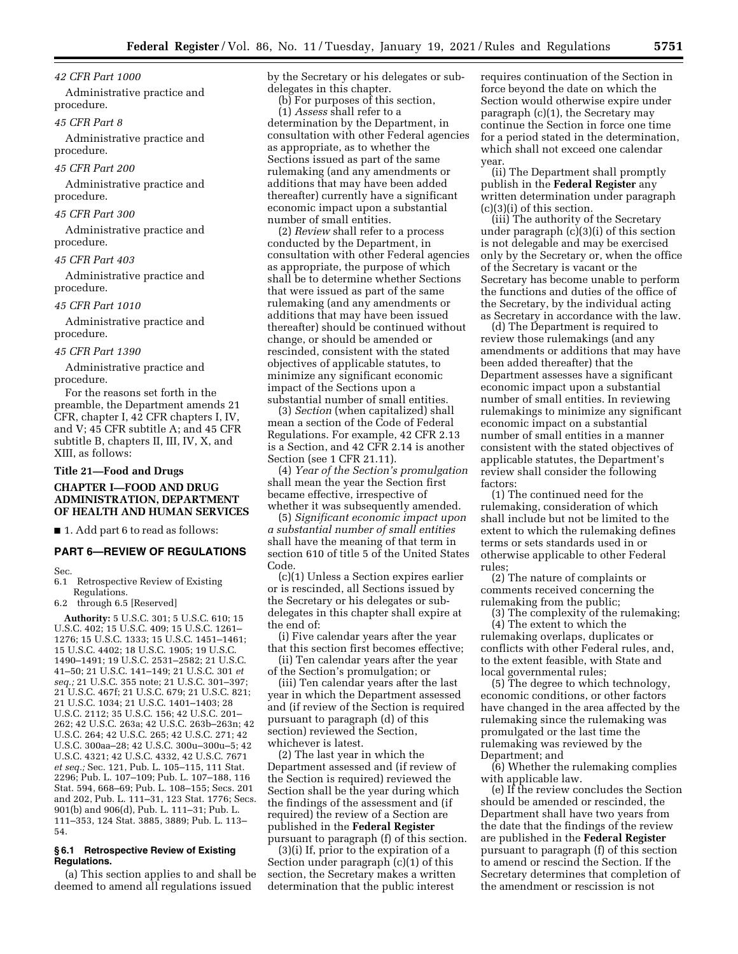### *42 CFR Part 1000*

Administrative practice and procedure.

#### *45 CFR Part 8*

Administrative practice and procedure.

*45 CFR Part 200* 

Administrative practice and procedure.

#### *45 CFR Part 300*

Administrative practice and procedure.

### *45 CFR Part 403*

Administrative practice and procedure.

#### *45 CFR Part 1010*

Administrative practice and procedure.

### *45 CFR Part 1390*

Administrative practice and procedure.

For the reasons set forth in the preamble, the Department amends 21 CFR, chapter I, 42 CFR chapters I, IV, and V; 45 CFR subtitle A; and 45 CFR subtitle B, chapters II, III, IV, X, and XIII, as follows:

## **Title 21—Food and Drugs**

### **CHAPTER I—FOOD AND DRUG ADMINISTRATION, DEPARTMENT OF HEALTH AND HUMAN SERVICES**

■ 1. Add part 6 to read as follows:

### **PART 6—REVIEW OF REGULATIONS**

Sec.<br>6.1

#### Retrospective Review of Existing Regulations.

6.2 through 6.5 [Reserved]

**Authority:** 5 U.S.C. 301; 5 U.S.C. 610; 15 U.S.C. 402; 15 U.S.C. 409; 15 U.S.C. 1261– 1276; 15 U.S.C. 1333; 15 U.S.C. 1451–1461; 15 U.S.C. 4402; 18 U.S.C. 1905; 19 U.S.C. 1490–1491; 19 U.S.C. 2531–2582; 21 U.S.C. 41–50; 21 U.S.C. 141–149; 21 U.S.C. 301 *et seq.;* 21 U.S.C. 355 note; 21 U.S.C. 301–397; 21 U.S.C. 467f; 21 U.S.C. 679; 21 U.S.C. 821; 21 U.S.C. 1034; 21 U.S.C. 1401–1403; 28 U.S.C. 2112; 35 U.S.C. 156; 42 U.S.C. 201– 262; 42 U.S.C. 263a; 42 U.S.C. 263b–263n; 42 U.S.C. 264; 42 U.S.C. 265; 42 U.S.C. 271; 42 U.S.C. 300aa–28; 42 U.S.C. 300u–300u–5; 42 U.S.C. 4321; 42 U.S.C. 4332, 42 U.S.C. 7671 *et seq.;* Sec. 121, Pub. L. 105–115, 111 Stat. 2296; Pub. L. 107–109; Pub. L. 107–188, 116 Stat. 594, 668–69; Pub. L. 108–155; Secs. 201 and 202, Pub. L. 111–31, 123 Stat. 1776; Secs. 901(b) and 906(d), Pub. L. 111–31; Pub. L. 111–353, 124 Stat. 3885, 3889; Pub. L. 113– 54.

#### **§ 6.1 Retrospective Review of Existing Regulations.**

(a) This section applies to and shall be deemed to amend all regulations issued

by the Secretary or his delegates or subdelegates in this chapter.

(b) For purposes of this section,

(1) *Assess* shall refer to a determination by the Department, in consultation with other Federal agencies as appropriate, as to whether the Sections issued as part of the same rulemaking (and any amendments or additions that may have been added thereafter) currently have a significant economic impact upon a substantial number of small entities.

(2) *Review* shall refer to a process conducted by the Department, in consultation with other Federal agencies as appropriate, the purpose of which shall be to determine whether Sections that were issued as part of the same rulemaking (and any amendments or additions that may have been issued thereafter) should be continued without change, or should be amended or rescinded, consistent with the stated objectives of applicable statutes, to minimize any significant economic impact of the Sections upon a substantial number of small entities.

(3) *Section* (when capitalized) shall mean a section of the Code of Federal Regulations. For example, 42 CFR 2.13 is a Section, and 42 CFR 2.14 is another Section (see 1 CFR 21.11).

(4) *Year of the Section's promulgation*  shall mean the year the Section first became effective, irrespective of whether it was subsequently amended.

(5) *Significant economic impact upon a substantial number of small entities*  shall have the meaning of that term in section 610 of title 5 of the United States Code.

(c)(1) Unless a Section expires earlier or is rescinded, all Sections issued by the Secretary or his delegates or subdelegates in this chapter shall expire at the end of:

(i) Five calendar years after the year that this section first becomes effective; (ii) Ten calendar years after the year

of the Section's promulgation; or

(iii) Ten calendar years after the last year in which the Department assessed and (if review of the Section is required pursuant to paragraph (d) of this section) reviewed the Section, whichever is latest.

(2) The last year in which the Department assessed and (if review of the Section is required) reviewed the Section shall be the year during which the findings of the assessment and (if required) the review of a Section are published in the **Federal Register**  pursuant to paragraph (f) of this section.

(3)(i) If, prior to the expiration of a Section under paragraph (c)(1) of this section, the Secretary makes a written determination that the public interest

requires continuation of the Section in force beyond the date on which the Section would otherwise expire under paragraph (c)(1), the Secretary may continue the Section in force one time for a period stated in the determination, which shall not exceed one calendar year.

(ii) The Department shall promptly publish in the **Federal Register** any written determination under paragraph (c)(3)(i) of this section.

(iii) The authority of the Secretary under paragraph (c)(3)(i) of this section is not delegable and may be exercised only by the Secretary or, when the office of the Secretary is vacant or the Secretary has become unable to perform the functions and duties of the office of the Secretary, by the individual acting as Secretary in accordance with the law.

(d) The Department is required to review those rulemakings (and any amendments or additions that may have been added thereafter) that the Department assesses have a significant economic impact upon a substantial number of small entities. In reviewing rulemakings to minimize any significant economic impact on a substantial number of small entities in a manner consistent with the stated objectives of applicable statutes, the Department's review shall consider the following factors:

(1) The continued need for the rulemaking, consideration of which shall include but not be limited to the extent to which the rulemaking defines terms or sets standards used in or otherwise applicable to other Federal rules;

(2) The nature of complaints or comments received concerning the rulemaking from the public;

(3) The complexity of the rulemaking; (4) The extent to which the rulemaking overlaps, duplicates or conflicts with other Federal rules, and, to the extent feasible, with State and local governmental rules;

(5) The degree to which technology, economic conditions, or other factors have changed in the area affected by the rulemaking since the rulemaking was promulgated or the last time the rulemaking was reviewed by the Department; and

(6) Whether the rulemaking complies with applicable law.

(e) If the review concludes the Section should be amended or rescinded, the Department shall have two years from the date that the findings of the review are published in the **Federal Register**  pursuant to paragraph (f) of this section to amend or rescind the Section. If the Secretary determines that completion of the amendment or rescission is not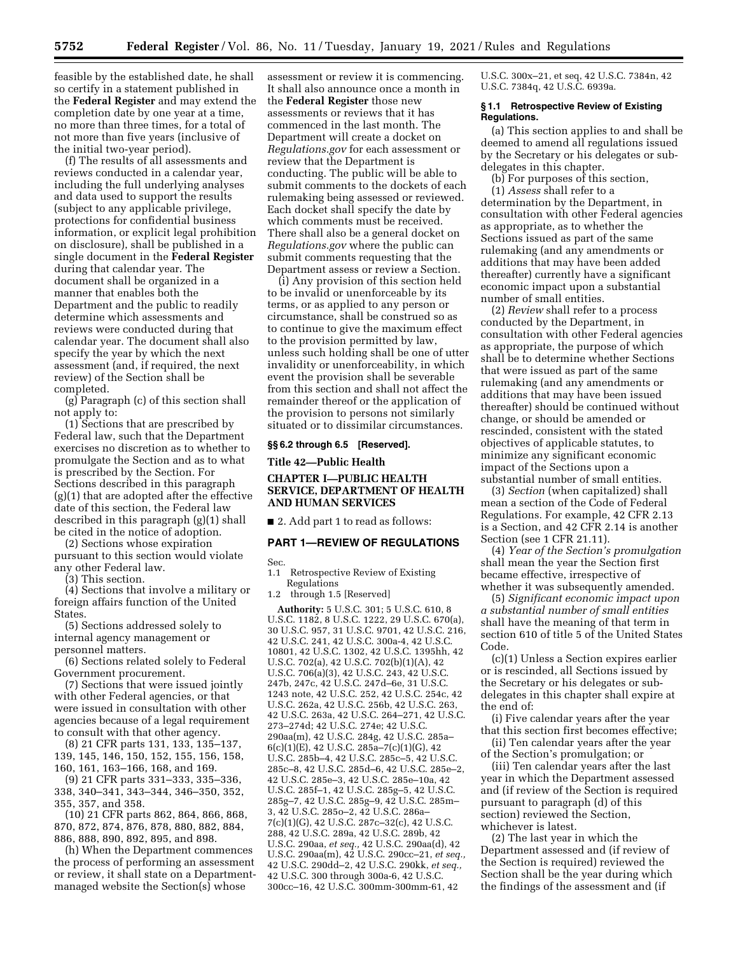feasible by the established date, he shall so certify in a statement published in the **Federal Register** and may extend the completion date by one year at a time, no more than three times, for a total of not more than five years (inclusive of the initial two-year period).

(f) The results of all assessments and reviews conducted in a calendar year, including the full underlying analyses and data used to support the results (subject to any applicable privilege, protections for confidential business information, or explicit legal prohibition on disclosure), shall be published in a single document in the **Federal Register**  during that calendar year. The document shall be organized in a manner that enables both the Department and the public to readily determine which assessments and reviews were conducted during that calendar year. The document shall also specify the year by which the next assessment (and, if required, the next review) of the Section shall be completed.

(g) Paragraph (c) of this section shall not apply to:

(1) Sections that are prescribed by Federal law, such that the Department exercises no discretion as to whether to promulgate the Section and as to what is prescribed by the Section. For Sections described in this paragraph (g)(1) that are adopted after the effective date of this section, the Federal law described in this paragraph (g)(1) shall be cited in the notice of adoption.

(2) Sections whose expiration pursuant to this section would violate any other Federal law.

(3) This section.

(4) Sections that involve a military or foreign affairs function of the United States.

(5) Sections addressed solely to internal agency management or personnel matters.

(6) Sections related solely to Federal Government procurement.

(7) Sections that were issued jointly with other Federal agencies, or that were issued in consultation with other agencies because of a legal requirement to consult with that other agency.

(8) 21 CFR parts 131, 133, 135–137, 139, 145, 146, 150, 152, 155, 156, 158,

160, 161, 163–166, 168, and 169.

(9) 21 CFR parts 331–333, 335–336, 338, 340–341, 343–344, 346–350, 352, 355, 357, and 358.

(10) 21 CFR parts 862, 864, 866, 868, 870, 872, 874, 876, 878, 880, 882, 884, 886, 888, 890, 892, 895, and 898.

(h) When the Department commences the process of performing an assessment or review, it shall state on a Departmentmanaged website the Section(s) whose

assessment or review it is commencing. It shall also announce once a month in the **Federal Register** those new assessments or reviews that it has commenced in the last month. The Department will create a docket on *Regulations.gov* for each assessment or review that the Department is conducting. The public will be able to submit comments to the dockets of each rulemaking being assessed or reviewed. Each docket shall specify the date by which comments must be received. There shall also be a general docket on *Regulations.gov* where the public can submit comments requesting that the Department assess or review a Section.

(i) Any provision of this section held to be invalid or unenforceable by its terms, or as applied to any person or circumstance, shall be construed so as to continue to give the maximum effect to the provision permitted by law, unless such holding shall be one of utter invalidity or unenforceability, in which event the provision shall be severable from this section and shall not affect the remainder thereof or the application of the provision to persons not similarly situated or to dissimilar circumstances.

### **§§ 6.2 through 6.5 [Reserved].**

**Title 42—Public Health** 

## **CHAPTER I—PUBLIC HEALTH SERVICE, DEPARTMENT OF HEALTH AND HUMAN SERVICES**

■ 2. Add part 1 to read as follows:

#### **PART 1—REVIEW OF REGULATIONS**

Sec.

1.1 Retrospective Review of Existing Regulations

through 1.5 [Reserved]

**Authority:** 5 U.S.C. 301; 5 U.S.C. 610, 8 U.S.C. 1182, 8 U.S.C. 1222, 29 U.S.C. 670(a), 30 U.S.C. 957, 31 U.S.C. 9701, 42 U.S.C. 216, 42 U.S.C. 241, 42 U.S.C. 300a-4, 42 U.S.C. 10801, 42 U.S.C. 1302, 42 U.S.C. 1395hh, 42 U.S.C. 702(a), 42 U.S.C. 702(b)(1)(A), 42 U.S.C. 706(a)(3), 42 U.S.C. 243, 42 U.S.C. 247b, 247c, 42 U.S.C. 247d–6e, 31 U.S.C. 1243 note, 42 U.S.C. 252, 42 U.S.C. 254c, 42 U.S.C. 262a, 42 U.S.C. 256b, 42 U.S.C. 263, 42 U.S.C. 263a, 42 U.S.C. 264–271, 42 U.S.C. 273–274d; 42 U.S.C. 274e; 42 U.S.C. 290aa(m), 42 U.S.C. 284g, 42 U.S.C. 285a–  $6(c)(1)(E)$ , 42 U.S.C. 285a–7(c)(1)(G), 42 U.S.C. 285b–4, 42 U.S.C. 285c–5, 42 U.S.C. 285c–8, 42 U.S.C. 285d–6, 42 U.S.C. 285e–2, 42 U.S.C. 285e–3, 42 U.S.C. 285e–10a, 42 U.S.C. 285f–1, 42 U.S.C. 285g–5, 42 U.S.C. 285g–7, 42 U.S.C. 285g–9, 42 U.S.C. 285m– 3, 42 U.S.C. 285o–2, 42 U.S.C. 286a– 7(c)(1)(G), 42 U.S.C. 287c–32(c), 42 U.S.C. 288, 42 U.S.C. 289a, 42 U.S.C. 289b, 42 U.S.C. 290aa, *et seq.,* 42 U.S.C. 290aa(d), 42 U.S.C. 290aa(m), 42 U.S.C. 290cc–21, *et seq.,*  42 U.S.C. 290dd–2, 42 U.S.C. 290kk, *et seq.,*  42 U.S.C. 300 through 300a-6, 42 U.S.C. 300cc–16, 42 U.S.C. 300mm-300mm-61, 42

U.S.C. 300x–21, et seq, 42 U.S.C. 7384n, 42 U.S.C. 7384q, 42 U.S.C. 6939a.

### **§ 1.1 Retrospective Review of Existing Regulations.**

(a) This section applies to and shall be deemed to amend all regulations issued by the Secretary or his delegates or subdelegates in this chapter.

(b) For purposes of this section, (1) *Assess* shall refer to a

determination by the Department, in consultation with other Federal agencies as appropriate, as to whether the Sections issued as part of the same rulemaking (and any amendments or additions that may have been added thereafter) currently have a significant economic impact upon a substantial number of small entities.

(2) *Review* shall refer to a process conducted by the Department, in consultation with other Federal agencies as appropriate, the purpose of which shall be to determine whether Sections that were issued as part of the same rulemaking (and any amendments or additions that may have been issued thereafter) should be continued without change, or should be amended or rescinded, consistent with the stated objectives of applicable statutes, to minimize any significant economic impact of the Sections upon a substantial number of small entities.

(3) *Section* (when capitalized) shall mean a section of the Code of Federal Regulations. For example, 42 CFR 2.13 is a Section, and 42 CFR 2.14 is another Section (see 1 CFR 21.11).

(4) *Year of the Section's promulgation*  shall mean the year the Section first became effective, irrespective of whether it was subsequently amended.

(5) *Significant economic impact upon a substantial number of small entities*  shall have the meaning of that term in section 610 of title 5 of the United States Code.

(c)(1) Unless a Section expires earlier or is rescinded, all Sections issued by the Secretary or his delegates or subdelegates in this chapter shall expire at the end of:

(i) Five calendar years after the year that this section first becomes effective;

(ii) Ten calendar years after the year of the Section's promulgation; or

(iii) Ten calendar years after the last year in which the Department assessed and (if review of the Section is required pursuant to paragraph (d) of this section) reviewed the Section, whichever is latest.

(2) The last year in which the Department assessed and (if review of the Section is required) reviewed the Section shall be the year during which the findings of the assessment and (if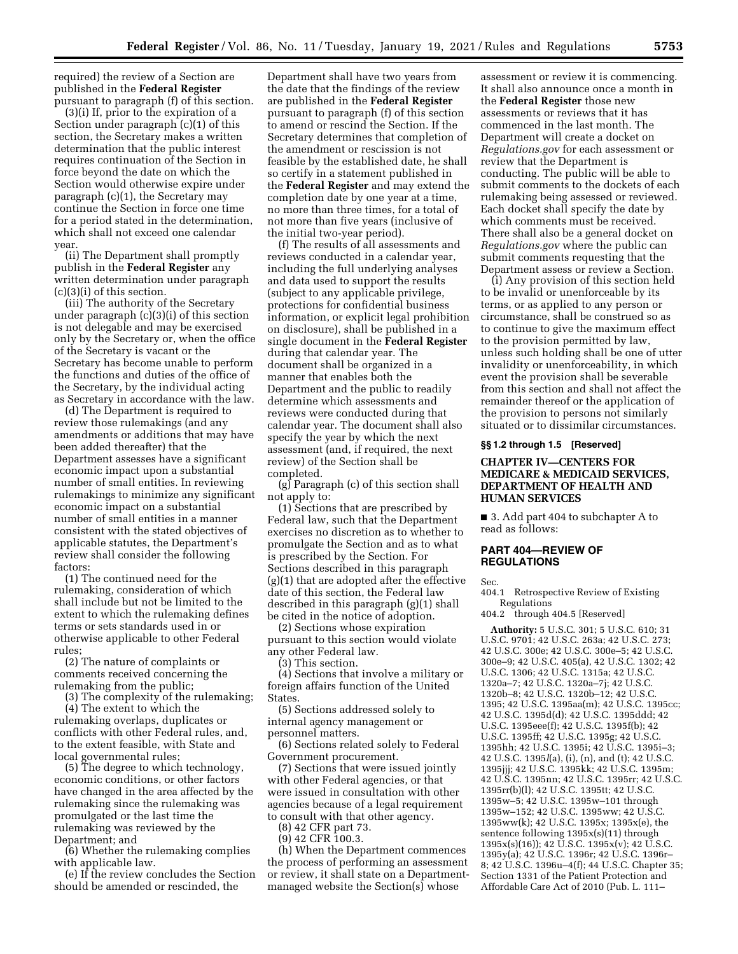required) the review of a Section are published in the **Federal Register**  pursuant to paragraph (f) of this section.

(3)(i) If, prior to the expiration of a Section under paragraph (c)(1) of this section, the Secretary makes a written determination that the public interest requires continuation of the Section in force beyond the date on which the Section would otherwise expire under paragraph (c)(1), the Secretary may continue the Section in force one time for a period stated in the determination, which shall not exceed one calendar year.

(ii) The Department shall promptly publish in the **Federal Register** any written determination under paragraph (c)(3)(i) of this section.

(iii) The authority of the Secretary under paragraph (c)(3)(i) of this section is not delegable and may be exercised only by the Secretary or, when the office of the Secretary is vacant or the Secretary has become unable to perform the functions and duties of the office of the Secretary, by the individual acting as Secretary in accordance with the law.

(d) The Department is required to review those rulemakings (and any amendments or additions that may have been added thereafter) that the Department assesses have a significant economic impact upon a substantial number of small entities. In reviewing rulemakings to minimize any significant economic impact on a substantial number of small entities in a manner consistent with the stated objectives of applicable statutes, the Department's review shall consider the following factors:

(1) The continued need for the rulemaking, consideration of which shall include but not be limited to the extent to which the rulemaking defines terms or sets standards used in or otherwise applicable to other Federal rules;

(2) The nature of complaints or comments received concerning the rulemaking from the public;

(3) The complexity of the rulemaking; (4) The extent to which the rulemaking overlaps, duplicates or conflicts with other Federal rules, and, to the extent feasible, with State and local governmental rules;

(5) The degree to which technology, economic conditions, or other factors have changed in the area affected by the rulemaking since the rulemaking was promulgated or the last time the rulemaking was reviewed by the Department; and

(6) Whether the rulemaking complies with applicable law.

(e) If the review concludes the Section should be amended or rescinded, the

Department shall have two years from the date that the findings of the review are published in the **Federal Register**  pursuant to paragraph (f) of this section to amend or rescind the Section. If the Secretary determines that completion of the amendment or rescission is not feasible by the established date, he shall so certify in a statement published in the **Federal Register** and may extend the completion date by one year at a time, no more than three times, for a total of not more than five years (inclusive of the initial two-year period).

(f) The results of all assessments and reviews conducted in a calendar year, including the full underlying analyses and data used to support the results (subject to any applicable privilege, protections for confidential business information, or explicit legal prohibition on disclosure), shall be published in a single document in the **Federal Register**  during that calendar year. The document shall be organized in a manner that enables both the Department and the public to readily determine which assessments and reviews were conducted during that calendar year. The document shall also specify the year by which the next assessment (and, if required, the next review) of the Section shall be completed.

(g) Paragraph (c) of this section shall not apply to:

(1) Sections that are prescribed by Federal law, such that the Department exercises no discretion as to whether to promulgate the Section and as to what is prescribed by the Section. For Sections described in this paragraph (g)(1) that are adopted after the effective date of this section, the Federal law described in this paragraph (g)(1) shall be cited in the notice of adoption.

(2) Sections whose expiration pursuant to this section would violate any other Federal law.

(3) This section.

(4) Sections that involve a military or foreign affairs function of the United States.

(5) Sections addressed solely to internal agency management or personnel matters.

(6) Sections related solely to Federal Government procurement.

(7) Sections that were issued jointly with other Federal agencies, or that were issued in consultation with other agencies because of a legal requirement to consult with that other agency.

(8) 42 CFR part 73.

(9) 42 CFR 100.3.

(h) When the Department commences the process of performing an assessment or review, it shall state on a Departmentmanaged website the Section(s) whose

assessment or review it is commencing. It shall also announce once a month in the **Federal Register** those new assessments or reviews that it has commenced in the last month. The Department will create a docket on *Regulations.gov* for each assessment or review that the Department is conducting. The public will be able to submit comments to the dockets of each rulemaking being assessed or reviewed. Each docket shall specify the date by which comments must be received. There shall also be a general docket on *Regulations.gov* where the public can submit comments requesting that the Department assess or review a Section.

(i) Any provision of this section held to be invalid or unenforceable by its terms, or as applied to any person or circumstance, shall be construed so as to continue to give the maximum effect to the provision permitted by law, unless such holding shall be one of utter invalidity or unenforceability, in which event the provision shall be severable from this section and shall not affect the remainder thereof or the application of the provision to persons not similarly situated or to dissimilar circumstances.

## **§§ 1.2 through 1.5 [Reserved]**

## **CHAPTER IV—CENTERS FOR MEDICARE & MEDICAID SERVICES, DEPARTMENT OF HEALTH AND HUMAN SERVICES**

■ 3. Add part 404 to subchapter A to read as follows:

### **PART 404—REVIEW OF REGULATIONS**

Sec.

404.1 Retrospective Review of Existing Regulations

404.2 through 404.5 [Reserved]

**Authority:** 5 U.S.C. 301; 5 U.S.C. 610; 31 U.S.C. 9701; 42 U.S.C. 263a; 42 U.S.C. 273; 42 U.S.C. 300e; 42 U.S.C. 300e–5; 42 U.S.C. 300e–9; 42 U.S.C. 405(a), 42 U.S.C. 1302; 42 U.S.C. 1306; 42 U.S.C. 1315a; 42 U.S.C. 1320a–7; 42 U.S.C. 1320a–7j; 42 U.S.C. 1320b–8; 42 U.S.C. 1320b–12; 42 U.S.C. 1395; 42 U.S.C. 1395aa(m); 42 U.S.C. 1395cc; 42 U.S.C. 1395d(d); 42 U.S.C. 1395ddd; 42 U.S.C. 1395eee(f); 42 U.S.C. 1395f(b); 42 U.S.C. 1395ff; 42 U.S.C. 1395g; 42 U.S.C. 1395hh; 42 U.S.C. 1395i; 42 U.S.C. 1395i–3; 42 U.S.C. 1395*l*(a), (i), (n), and (t); 42 U.S.C. 1395jjj; 42 U.S.C. 1395kk; 42 U.S.C. 1395m; 42 U.S.C. 1395nn; 42 U.S.C. 1395rr; 42 U.S.C. 1395rr(b)(l); 42 U.S.C. 1395tt; 42 U.S.C. 1395w–5; 42 U.S.C. 1395w–101 through 1395w–152; 42 U.S.C. 1395ww; 42 U.S.C. 1395ww(k); 42 U.S.C. 1395x; 1395x(e), the sentence following 1395x(s)(11) through 1395x(s)(16)); 42 U.S.C. 1395x(v); 42 U.S.C. 1395y(a); 42 U.S.C. 1396r; 42 U.S.C. 1396r– 8; 42 U.S.C. 1396u–4(f); 44 U.S.C. Chapter 35; Section 1331 of the Patient Protection and Affordable Care Act of 2010 (Pub. L. 111–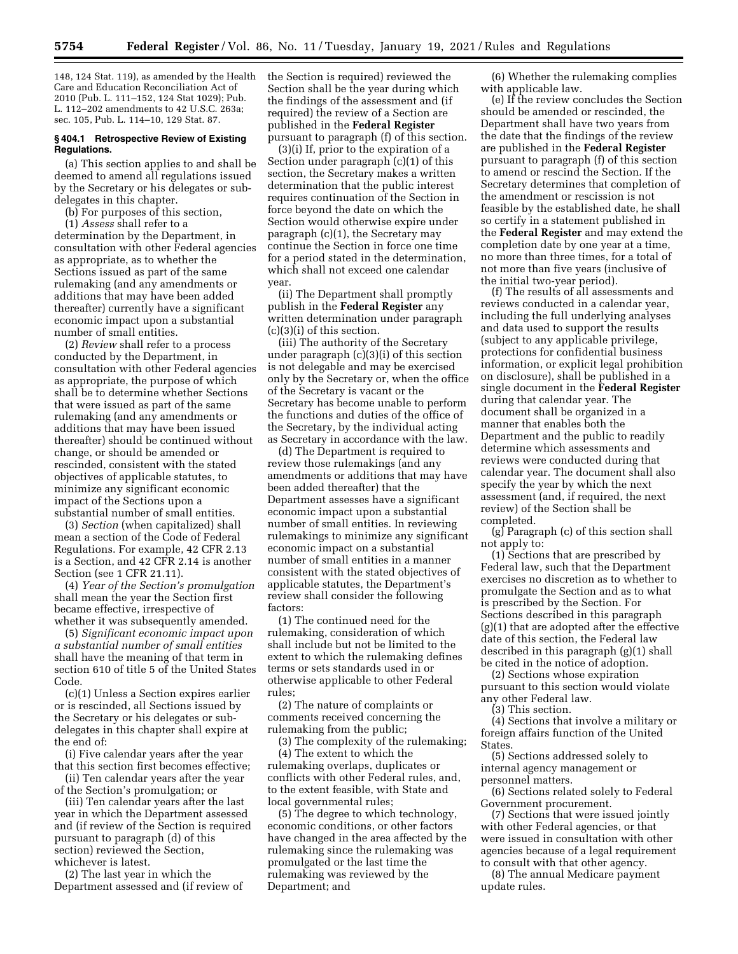148, 124 Stat. 119), as amended by the Health Care and Education Reconciliation Act of 2010 (Pub. L. 111–152, 124 Stat 1029); Pub. L. 112–202 amendments to 42 U.S.C. 263a; sec. 105, Pub. L. 114–10, 129 Stat. 87.

#### **§ 404.1 Retrospective Review of Existing Regulations.**

(a) This section applies to and shall be deemed to amend all regulations issued by the Secretary or his delegates or subdelegates in this chapter.

(b) For purposes of this section,

(1) *Assess* shall refer to a determination by the Department, in consultation with other Federal agencies as appropriate, as to whether the Sections issued as part of the same rulemaking (and any amendments or additions that may have been added thereafter) currently have a significant economic impact upon a substantial number of small entities.

(2) *Review* shall refer to a process conducted by the Department, in consultation with other Federal agencies as appropriate, the purpose of which shall be to determine whether Sections that were issued as part of the same rulemaking (and any amendments or additions that may have been issued thereafter) should be continued without change, or should be amended or rescinded, consistent with the stated objectives of applicable statutes, to minimize any significant economic impact of the Sections upon a substantial number of small entities.

(3) *Section* (when capitalized) shall mean a section of the Code of Federal Regulations. For example, 42 CFR 2.13 is a Section, and 42 CFR 2.14 is another Section (see 1 CFR 21.11).

(4) *Year of the Section's promulgation*  shall mean the year the Section first became effective, irrespective of whether it was subsequently amended.

(5) *Significant economic impact upon a substantial number of small entities*  shall have the meaning of that term in section 610 of title 5 of the United States Code.

(c)(1) Unless a Section expires earlier or is rescinded, all Sections issued by the Secretary or his delegates or subdelegates in this chapter shall expire at the end of:

(i) Five calendar years after the year that this section first becomes effective;

(ii) Ten calendar years after the year of the Section's promulgation; or

(iii) Ten calendar years after the last year in which the Department assessed and (if review of the Section is required pursuant to paragraph (d) of this section) reviewed the Section, whichever is latest.

(2) The last year in which the Department assessed and (if review of the Section is required) reviewed the Section shall be the year during which the findings of the assessment and (if required) the review of a Section are published in the **Federal Register**  pursuant to paragraph (f) of this section.

(3)(i) If, prior to the expiration of a Section under paragraph (c)(1) of this section, the Secretary makes a written determination that the public interest requires continuation of the Section in force beyond the date on which the Section would otherwise expire under paragraph (c)(1), the Secretary may continue the Section in force one time for a period stated in the determination, which shall not exceed one calendar year.

(ii) The Department shall promptly publish in the **Federal Register** any written determination under paragraph (c)(3)(i) of this section.

(iii) The authority of the Secretary under paragraph (c)(3)(i) of this section is not delegable and may be exercised only by the Secretary or, when the office of the Secretary is vacant or the Secretary has become unable to perform the functions and duties of the office of the Secretary, by the individual acting as Secretary in accordance with the law.

(d) The Department is required to review those rulemakings (and any amendments or additions that may have been added thereafter) that the Department assesses have a significant economic impact upon a substantial number of small entities. In reviewing rulemakings to minimize any significant economic impact on a substantial number of small entities in a manner consistent with the stated objectives of applicable statutes, the Department's review shall consider the following factors:

(1) The continued need for the rulemaking, consideration of which shall include but not be limited to the extent to which the rulemaking defines terms or sets standards used in or otherwise applicable to other Federal rules;

(2) The nature of complaints or comments received concerning the rulemaking from the public;

(3) The complexity of the rulemaking;

(4) The extent to which the rulemaking overlaps, duplicates or conflicts with other Federal rules, and, to the extent feasible, with State and local governmental rules;

(5) The degree to which technology, economic conditions, or other factors have changed in the area affected by the rulemaking since the rulemaking was promulgated or the last time the rulemaking was reviewed by the Department; and

(6) Whether the rulemaking complies with applicable law.

(e) If the review concludes the Section should be amended or rescinded, the Department shall have two years from the date that the findings of the review are published in the **Federal Register**  pursuant to paragraph (f) of this section to amend or rescind the Section. If the Secretary determines that completion of the amendment or rescission is not feasible by the established date, he shall so certify in a statement published in the **Federal Register** and may extend the completion date by one year at a time, no more than three times, for a total of not more than five years (inclusive of the initial two-year period).

(f) The results of all assessments and reviews conducted in a calendar year, including the full underlying analyses and data used to support the results (subject to any applicable privilege, protections for confidential business information, or explicit legal prohibition on disclosure), shall be published in a single document in the **Federal Register**  during that calendar year. The document shall be organized in a manner that enables both the Department and the public to readily determine which assessments and reviews were conducted during that calendar year. The document shall also specify the year by which the next assessment (and, if required, the next review) of the Section shall be completed.

(g) Paragraph (c) of this section shall not apply to:

(1) Sections that are prescribed by Federal law, such that the Department exercises no discretion as to whether to promulgate the Section and as to what is prescribed by the Section. For Sections described in this paragraph (g)(1) that are adopted after the effective date of this section, the Federal law described in this paragraph (g)(1) shall be cited in the notice of adoption.

(2) Sections whose expiration pursuant to this section would violate any other Federal law.

(3) This section.

(4) Sections that involve a military or foreign affairs function of the United States.

(5) Sections addressed solely to internal agency management or personnel matters.

(6) Sections related solely to Federal Government procurement.

(7) Sections that were issued jointly with other Federal agencies, or that were issued in consultation with other agencies because of a legal requirement to consult with that other agency.

(8) The annual Medicare payment update rules.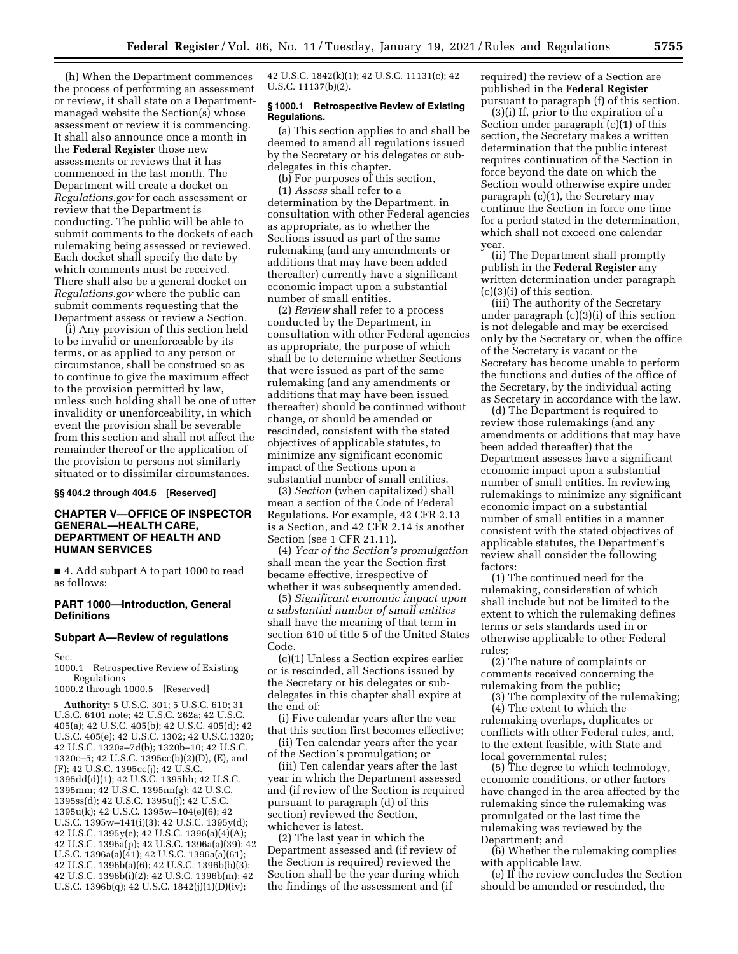(h) When the Department commences the process of performing an assessment or review, it shall state on a Departmentmanaged website the Section(s) whose assessment or review it is commencing. It shall also announce once a month in the **Federal Register** those new assessments or reviews that it has commenced in the last month. The Department will create a docket on *Regulations.gov* for each assessment or review that the Department is conducting. The public will be able to submit comments to the dockets of each rulemaking being assessed or reviewed. Each docket shall specify the date by which comments must be received. There shall also be a general docket on *Regulations.gov* where the public can submit comments requesting that the Department assess or review a Section.

(i) Any provision of this section held to be invalid or unenforceable by its terms, or as applied to any person or circumstance, shall be construed so as to continue to give the maximum effect to the provision permitted by law, unless such holding shall be one of utter invalidity or unenforceability, in which event the provision shall be severable from this section and shall not affect the remainder thereof or the application of the provision to persons not similarly situated or to dissimilar circumstances.

### **§§ 404.2 through 404.5 [Reserved]**

### **CHAPTER V—OFFICE OF INSPECTOR GENERAL—HEALTH CARE, DEPARTMENT OF HEALTH AND HUMAN SERVICES**

■ 4. Add subpart A to part 1000 to read as follows:

### **PART 1000—Introduction, General Definitions**

## **Subpart A—Review of regulations**

Sec.

1000.1 Retrospective Review of Existing Regulations

1000.2 through 1000.5 [Reserved]

**Authority:** 5 U.S.C. 301; 5 U.S.C. 610; 31 U.S.C. 6101 note; 42 U.S.C. 262a; 42 U.S.C. 405(a); 42 U.S.C. 405(b); 42 U.S.C. 405(d); 42 U.S.C. 405(e); 42 U.S.C. 1302; 42 U.S.C.1320; 42 U.S.C. 1320a–7d(b); 1320b–10; 42 U.S.C. 1320c–5; 42 U.S.C. 1395cc(b)(2)(D), (E), and (F); 42 U.S.C. 1395cc(j); 42 U.S.C. 1395dd(d)(1); 42 U.S.C. 1395hh; 42 U.S.C. 1395mm; 42 U.S.C. 1395nn(g); 42 U.S.C. 1395ss(d); 42 U.S.C. 1395u(j); 42 U.S.C. 1395u(k); 42 U.S.C. 1395w–104(e)(6); 42 U.S.C. 1395w–141(i)(3); 42 U.S.C. 1395y(d); 42 U.S.C. 1395y(e); 42 U.S.C. 1396(a)(4)(A); 42 U.S.C. 1396a(p); 42 U.S.C. 1396a(a)(39); 42 U.S.C. 1396a(a)(41); 42 U.S.C. 1396a(a)(61); 42 U.S.C. 1396b(a)(6); 42 U.S.C. 1396b(b)(3); 42 U.S.C. 1396b(i)(2); 42 U.S.C. 1396b(m); 42 U.S.C. 1396b(q); 42 U.S.C. 1842(j)(1)(D)(iv);

42 U.S.C. 1842(k)(1); 42 U.S.C. 11131(c); 42 U.S.C. 11137(b)(2).

### **§ 1000.1 Retrospective Review of Existing Regulations.**

(a) This section applies to and shall be deemed to amend all regulations issued by the Secretary or his delegates or subdelegates in this chapter.

(b) For purposes of this section, (1) *Assess* shall refer to a determination by the Department, in consultation with other Federal agencies as appropriate, as to whether the Sections issued as part of the same rulemaking (and any amendments or additions that may have been added thereafter) currently have a significant economic impact upon a substantial number of small entities.

(2) *Review* shall refer to a process conducted by the Department, in consultation with other Federal agencies as appropriate, the purpose of which shall be to determine whether Sections that were issued as part of the same rulemaking (and any amendments or additions that may have been issued thereafter) should be continued without change, or should be amended or rescinded, consistent with the stated objectives of applicable statutes, to minimize any significant economic impact of the Sections upon a substantial number of small entities.

(3) *Section* (when capitalized) shall mean a section of the Code of Federal Regulations. For example, 42 CFR 2.13 is a Section, and 42 CFR 2.14 is another Section (see 1 CFR 21.11).

(4) *Year of the Section's promulgation*  shall mean the year the Section first became effective, irrespective of whether it was subsequently amended.

(5) *Significant economic impact upon a substantial number of small entities*  shall have the meaning of that term in section 610 of title 5 of the United States Code.

(c)(1) Unless a Section expires earlier or is rescinded, all Sections issued by the Secretary or his delegates or subdelegates in this chapter shall expire at the end of:

(i) Five calendar years after the year that this section first becomes effective;

(ii) Ten calendar years after the year of the Section's promulgation; or

(iii) Ten calendar years after the last year in which the Department assessed and (if review of the Section is required pursuant to paragraph (d) of this section) reviewed the Section, whichever is latest.

(2) The last year in which the Department assessed and (if review of the Section is required) reviewed the Section shall be the year during which the findings of the assessment and (if

required) the review of a Section are published in the **Federal Register**  pursuant to paragraph (f) of this section.

(3)(i) If, prior to the expiration of a Section under paragraph (c)(1) of this section, the Secretary makes a written determination that the public interest requires continuation of the Section in force beyond the date on which the Section would otherwise expire under paragraph (c)(1), the Secretary may continue the Section in force one time for a period stated in the determination, which shall not exceed one calendar year.

(ii) The Department shall promptly publish in the **Federal Register** any written determination under paragraph (c)(3)(i) of this section.

(iii) The authority of the Secretary under paragraph (c)(3)(i) of this section is not delegable and may be exercised only by the Secretary or, when the office of the Secretary is vacant or the Secretary has become unable to perform the functions and duties of the office of the Secretary, by the individual acting as Secretary in accordance with the law.

(d) The Department is required to review those rulemakings (and any amendments or additions that may have been added thereafter) that the Department assesses have a significant economic impact upon a substantial number of small entities. In reviewing rulemakings to minimize any significant economic impact on a substantial number of small entities in a manner consistent with the stated objectives of applicable statutes, the Department's review shall consider the following factors:

(1) The continued need for the rulemaking, consideration of which shall include but not be limited to the extent to which the rulemaking defines terms or sets standards used in or otherwise applicable to other Federal rules;

(2) The nature of complaints or comments received concerning the rulemaking from the public;

(3) The complexity of the rulemaking; (4) The extent to which the rulemaking overlaps, duplicates or conflicts with other Federal rules, and, to the extent feasible, with State and local governmental rules;

(5) The degree to which technology, economic conditions, or other factors have changed in the area affected by the rulemaking since the rulemaking was promulgated or the last time the rulemaking was reviewed by the Department; and

(6) Whether the rulemaking complies with applicable law.

(e) If the review concludes the Section should be amended or rescinded, the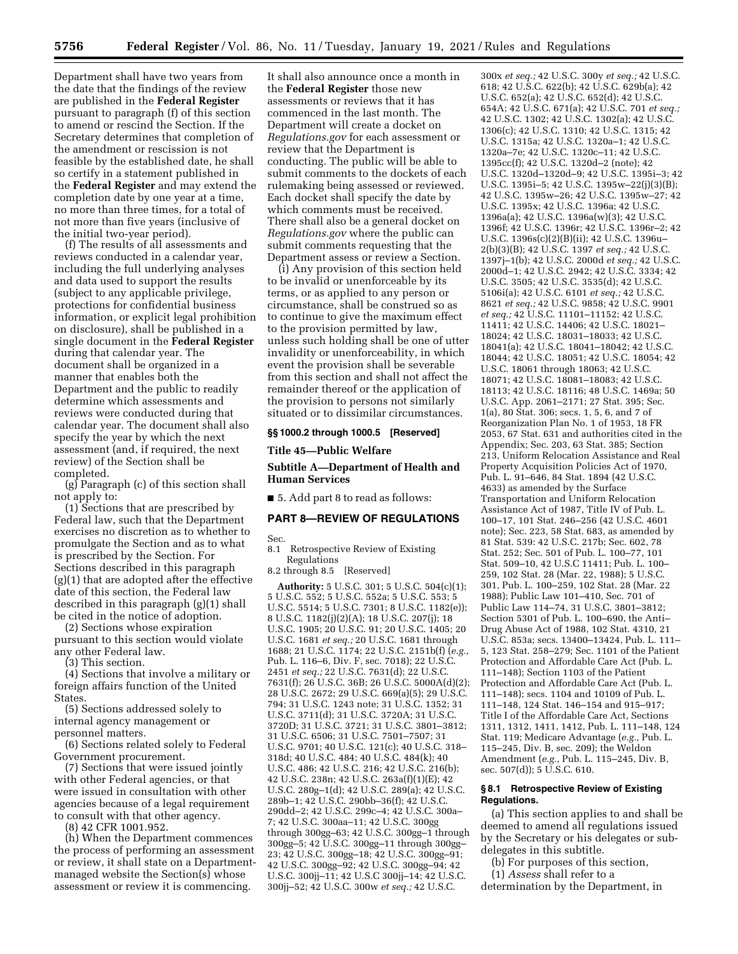Department shall have two years from the date that the findings of the review are published in the **Federal Register**  pursuant to paragraph (f) of this section to amend or rescind the Section. If the Secretary determines that completion of the amendment or rescission is not feasible by the established date, he shall so certify in a statement published in the **Federal Register** and may extend the completion date by one year at a time, no more than three times, for a total of not more than five years (inclusive of the initial two-year period).

(f) The results of all assessments and reviews conducted in a calendar year, including the full underlying analyses and data used to support the results (subject to any applicable privilege, protections for confidential business information, or explicit legal prohibition on disclosure), shall be published in a single document in the **Federal Register**  during that calendar year. The document shall be organized in a manner that enables both the Department and the public to readily determine which assessments and reviews were conducted during that calendar year. The document shall also specify the year by which the next assessment (and, if required, the next review) of the Section shall be completed.

(g) Paragraph (c) of this section shall not apply to:

(1) Sections that are prescribed by Federal law, such that the Department exercises no discretion as to whether to promulgate the Section and as to what is prescribed by the Section. For Sections described in this paragraph (g)(1) that are adopted after the effective date of this section, the Federal law described in this paragraph (g)(1) shall be cited in the notice of adoption.

(2) Sections whose expiration pursuant to this section would violate any other Federal law.

(3) This section.

(4) Sections that involve a military or foreign affairs function of the United **States** 

(5) Sections addressed solely to internal agency management or personnel matters.

(6) Sections related solely to Federal Government procurement.

(7) Sections that were issued jointly with other Federal agencies, or that were issued in consultation with other agencies because of a legal requirement to consult with that other agency.

(8) 42 CFR 1001.952.

(h) When the Department commences the process of performing an assessment or review, it shall state on a Departmentmanaged website the Section(s) whose assessment or review it is commencing.

It shall also announce once a month in the **Federal Register** those new assessments or reviews that it has commenced in the last month. The Department will create a docket on *Regulations.gov* for each assessment or review that the Department is conducting. The public will be able to submit comments to the dockets of each rulemaking being assessed or reviewed. Each docket shall specify the date by which comments must be received. There shall also be a general docket on *Regulations.gov* where the public can submit comments requesting that the Department assess or review a Section.

(i) Any provision of this section held to be invalid or unenforceable by its terms, or as applied to any person or circumstance, shall be construed so as to continue to give the maximum effect to the provision permitted by law, unless such holding shall be one of utter invalidity or unenforceability, in which event the provision shall be severable from this section and shall not affect the remainder thereof or the application of the provision to persons not similarly situated or to dissimilar circumstances.

### **§§ 1000.2 through 1000.5 [Reserved]**

**Title 45—Public Welfare** 

**Subtitle A—Department of Health and Human Services** 

■ 5. Add part 8 to read as follows:

# **PART 8—REVIEW OF REGULATIONS**

Sec.

8.1 Retrospective Review of Existing Regulations

8.2 through 8.5 [Reserved]

**Authority:** 5 U.S.C. 301; 5 U.S.C. 504(c)(1); 5 U.S.C. 552; 5 U.S.C. 552a; 5 U.S.C. 553; 5 U.S.C. 5514; 5 U.S.C. 7301; 8 U.S.C. 1182(e)); 8 U.S.C. 1182(j)(2)(A); 18 U.S.C. 207(j); 18 U.S.C. 1905; 20 U.S.C. 91; 20 U.S.C. 1405; 20 U.S.C. 1681 *et seq.;* 20 U.S.C. 1681 through 1688; 21 U.S.C. 1174; 22 U.S.C. 2151b(f) (*e.g.,*  Pub. L. 116–6, Div. F, sec. 7018); 22 U.S.C. 2451 *et seq.;* 22 U.S.C. 7631(d); 22 U.S.C. 7631(f); 26 U.S.C. 36B; 26 U.S.C. 5000A(d)(2); 28 U.S.C. 2672; 29 U.S.C. 669(a)(5); 29 U.S.C. 794; 31 U.S.C. 1243 note; 31 U.S.C. 1352; 31 U.S.C. 3711(d); 31 U.S.C. 3720A; 31 U.S.C. 3720D; 31 U.S.C. 3721; 31 U.S.C. 3801–3812; 31 U.S.C. 6506; 31 U.S.C. 7501–7507; 31 U.S.C. 9701; 40 U.S.C. 121(c); 40 U.S.C. 318– 318d; 40 U.S.C. 484; 40 U.S.C. 484(k); 40 U.S.C. 486; 42 U.S.C. 216; 42 U.S.C. 216(b); 42 U.S.C. 238n; 42 U.S.C. 263a(f)(1)(E); 42 U.S.C. 280g–1(d); 42 U.S.C. 289(a); 42 U.S.C. 289b–1; 42 U.S.C. 290bb–36(f); 42 U.S.C. 290dd–2; 42 U.S.C. 299c–4; 42 U.S.C. 300a– 7; 42 U.S.C. 300aa–11; 42 U.S.C. 300gg through 300gg–63; 42 U.S.C. 300gg–1 through 300gg–5; 42 U.S.C. 300gg–11 through 300gg– 23; 42 U.S.C. 300gg–18; 42 U.S.C. 300gg–91; 42 U.S.C. 300gg–92; 42 U.S.C. 300gg–94; 42 U.S.C. 300jj–11; 42 U.S.C 300jj–14; 42 U.S.C. 300jj–52; 42 U.S.C. 300w *et seq.;* 42 U.S.C.

300x *et seq.;* 42 U.S.C. 300y *et seq.;* 42 U.S.C. 618; 42 U.S.C. 622(b); 42 U.S.C. 629b(a); 42 U.S.C. 652(a); 42 U.S.C. 652(d); 42 U.S.C. 654A; 42 U.S.C. 671(a); 42 U.S.C. 701 *et seq.;*  42 U.S.C. 1302; 42 U.S.C. 1302(a); 42 U.S.C. 1306(c); 42 U.S.C. 1310; 42 U.S.C. 1315; 42 U.S.C. 1315a; 42 U.S.C. 1320a–1; 42 U.S.C. 1320a–7e; 42 U.S.C. 1320c–11; 42 U.S.C. 1395cc(f); 42 U.S.C. 1320d–2 (note); 42 U.S.C. 1320d–1320d–9; 42 U.S.C. 1395i–3; 42 U.S.C. 1395i–5; 42 U.S.C. 1395w–22(j)(3)(B); 42 U.S.C. 1395w–26; 42 U.S.C. 1395w–27; 42 U.S.C. 1395x; 42 U.S.C. 1396a; 42 U.S.C. 1396a(a); 42 U.S.C. 1396a(w)(3); 42 U.S.C. 1396f; 42 U.S.C. 1396r; 42 U.S.C. 1396r–2; 42 U.S.C. 1396s(c)(2)(B)(ii); 42 U.S.C. 1396u– 2(b)(3)(B); 42 U.S.C. 1397 *et seq.;* 42 U.S.C. 1397j–1(b); 42 U.S.C. 2000d *et seq.;* 42 U.S.C. 2000d–1; 42 U.S.C. 2942; 42 U.S.C. 3334; 42 U.S.C. 3505; 42 U.S.C. 3535(d); 42 U.S.C. 5106i(a); 42 U.S.C. 6101 *et seq.;* 42 U.S.C. 8621 *et seq.;* 42 U.S.C. 9858; 42 U.S.C. 9901 *et seq.;* 42 U.S.C. 11101–11152; 42 U.S.C. 11411; 42 U.S.C. 14406; 42 U.S.C. 18021– 18024; 42 U.S.C. 18031–18033; 42 U.S.C. 18041(a); 42 U.S.C. 18041–18042; 42 U.S.C. 18044; 42 U.S.C. 18051; 42 U.S.C. 18054; 42 U.S.C. 18061 through 18063; 42 U.S.C. 18071; 42 U.S.C. 18081–18083; 42 U.S.C. 18113; 42 U.S.C. 18116; 48 U.S.C. 1469a; 50 U.S.C. App. 2061–2171; 27 Stat. 395; Sec. 1(a), 80 Stat. 306; secs. 1, 5, 6, and 7 of Reorganization Plan No. 1 of 1953, 18 FR 2053, 67 Stat. 631 and authorities cited in the Appendix; Sec. 203, 63 Stat. 385; Section 213, Uniform Relocation Assistance and Real Property Acquisition Policies Act of 1970, Pub. L. 91–646, 84 Stat. 1894 (42 U.S.C. 4633) as amended by the Surface Transportation and Uniform Relocation Assistance Act of 1987, Title IV of Pub. L. 100–17, 101 Stat. 246–256 (42 U.S.C. 4601 note); Sec. 223, 58 Stat. 683, as amended by 81 Stat. 539: 42 U.S.C. 217b; Sec. 602, 78 Stat. 252; Sec. 501 of Pub. L. 100–77, 101 Stat. 509–10, 42 U.S.C 11411; Pub. L. 100– 259, 102 Stat. 28 (Mar. 22, 1988); 5 U.S.C. 301, Pub. L. 100–259, 102 Stat. 28 (Mar. 22 1988); Public Law 101–410, Sec. 701 of Public Law 114–74, 31 U.S.C. 3801–3812; Section 5301 of Pub. L. 100–690, the Anti– Drug Abuse Act of 1988, 102 Stat. 4310, 21 U.S.C. 853a; secs. 13400–13424, Pub. L. 111– 5, 123 Stat. 258–279; Sec. 1101 of the Patient Protection and Affordable Care Act (Pub. L. 111–148); Section 1103 of the Patient Protection and Affordable Care Act (Pub. L. 111–148); secs. 1104 and 10109 of Pub. L. 111–148, 124 Stat. 146–154 and 915–917; Title I of the Affordable Care Act, Sections 1311, 1312, 1411, 1412, Pub. L. 111–148, 124 Stat. 119; Medicare Advantage (*e.g.,* Pub. L. 115–245, Div. B, sec. 209); the Weldon Amendment (*e.g.,* Pub. L. 115–245, Div. B, sec. 507(d)); 5 U.S.C. 610.

### **§ 8.1 Retrospective Review of Existing Regulations.**

(a) This section applies to and shall be deemed to amend all regulations issued by the Secretary or his delegates or subdelegates in this subtitle.

(b) For purposes of this section,

(1) *Assess* shall refer to a determination by the Department, in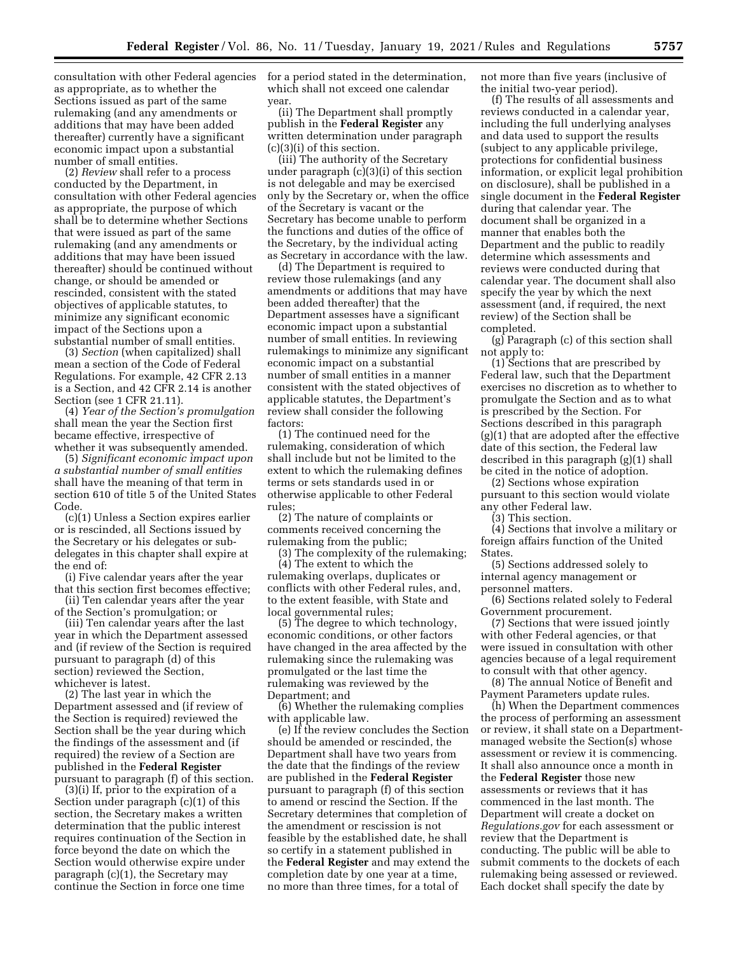consultation with other Federal agencies for a period stated in the determination, as appropriate, as to whether the Sections issued as part of the same rulemaking (and any amendments or additions that may have been added thereafter) currently have a significant economic impact upon a substantial number of small entities.

(2) *Review* shall refer to a process conducted by the Department, in consultation with other Federal agencies as appropriate, the purpose of which shall be to determine whether Sections that were issued as part of the same rulemaking (and any amendments or additions that may have been issued thereafter) should be continued without change, or should be amended or rescinded, consistent with the stated objectives of applicable statutes, to minimize any significant economic impact of the Sections upon a substantial number of small entities.

(3) *Section* (when capitalized) shall mean a section of the Code of Federal Regulations. For example, 42 CFR 2.13 is a Section, and 42 CFR 2.14 is another Section (see 1 CFR 21.11).

(4) *Year of the Section's promulgation*  shall mean the year the Section first became effective, irrespective of whether it was subsequently amended.

(5) *Significant economic impact upon a substantial number of small entities*  shall have the meaning of that term in section 610 of title 5 of the United States Code.

(c)(1) Unless a Section expires earlier or is rescinded, all Sections issued by the Secretary or his delegates or subdelegates in this chapter shall expire at the end of:

(i) Five calendar years after the year that this section first becomes effective;

(ii) Ten calendar years after the year of the Section's promulgation; or

(iii) Ten calendar years after the last year in which the Department assessed and (if review of the Section is required pursuant to paragraph (d) of this section) reviewed the Section, whichever is latest.

(2) The last year in which the Department assessed and (if review of the Section is required) reviewed the Section shall be the year during which the findings of the assessment and (if required) the review of a Section are published in the **Federal Register**  pursuant to paragraph (f) of this section.

(3)(i) If, prior to the expiration of a Section under paragraph (c)(1) of this section, the Secretary makes a written determination that the public interest requires continuation of the Section in force beyond the date on which the Section would otherwise expire under paragraph (c)(1), the Secretary may continue the Section in force one time

which shall not exceed one calendar year.

(ii) The Department shall promptly publish in the **Federal Register** any written determination under paragraph (c)(3)(i) of this section.

(iii) The authority of the Secretary under paragraph (c)(3)(i) of this section is not delegable and may be exercised only by the Secretary or, when the office of the Secretary is vacant or the Secretary has become unable to perform the functions and duties of the office of the Secretary, by the individual acting as Secretary in accordance with the law.

(d) The Department is required to review those rulemakings (and any amendments or additions that may have been added thereafter) that the Department assesses have a significant economic impact upon a substantial number of small entities. In reviewing rulemakings to minimize any significant economic impact on a substantial number of small entities in a manner consistent with the stated objectives of applicable statutes, the Department's review shall consider the following factors:

(1) The continued need for the rulemaking, consideration of which shall include but not be limited to the extent to which the rulemaking defines terms or sets standards used in or otherwise applicable to other Federal rules;

(2) The nature of complaints or comments received concerning the rulemaking from the public;

(3) The complexity of the rulemaking; (4) The extent to which the rulemaking overlaps, duplicates or

conflicts with other Federal rules, and, to the extent feasible, with State and local governmental rules;

(5) The degree to which technology, economic conditions, or other factors have changed in the area affected by the rulemaking since the rulemaking was promulgated or the last time the rulemaking was reviewed by the Department; and

(6) Whether the rulemaking complies with applicable law.

(e) If the review concludes the Section should be amended or rescinded, the Department shall have two years from the date that the findings of the review are published in the **Federal Register**  pursuant to paragraph (f) of this section to amend or rescind the Section. If the Secretary determines that completion of the amendment or rescission is not feasible by the established date, he shall so certify in a statement published in the **Federal Register** and may extend the completion date by one year at a time, no more than three times, for a total of

not more than five years (inclusive of the initial two-year period).

(f) The results of all assessments and reviews conducted in a calendar year, including the full underlying analyses and data used to support the results (subject to any applicable privilege, protections for confidential business information, or explicit legal prohibition on disclosure), shall be published in a single document in the **Federal Register**  during that calendar year. The document shall be organized in a manner that enables both the Department and the public to readily determine which assessments and reviews were conducted during that calendar year. The document shall also specify the year by which the next assessment (and, if required, the next review) of the Section shall be completed.

(g) Paragraph (c) of this section shall not apply to:

(1) Sections that are prescribed by Federal law, such that the Department exercises no discretion as to whether to promulgate the Section and as to what is prescribed by the Section. For Sections described in this paragraph (g)(1) that are adopted after the effective date of this section, the Federal law described in this paragraph (g)(1) shall be cited in the notice of adoption.

(2) Sections whose expiration pursuant to this section would violate any other Federal law.

(3) This section.

(4) Sections that involve a military or foreign affairs function of the United States.

(5) Sections addressed solely to internal agency management or personnel matters.

(6) Sections related solely to Federal Government procurement.

(7) Sections that were issued jointly with other Federal agencies, or that were issued in consultation with other agencies because of a legal requirement to consult with that other agency.

(8) The annual Notice of Benefit and Payment Parameters update rules.

(h) When the Department commences the process of performing an assessment or review, it shall state on a Departmentmanaged website the Section(s) whose assessment or review it is commencing. It shall also announce once a month in the **Federal Register** those new assessments or reviews that it has commenced in the last month. The Department will create a docket on *Regulations.gov* for each assessment or review that the Department is conducting. The public will be able to submit comments to the dockets of each rulemaking being assessed or reviewed. Each docket shall specify the date by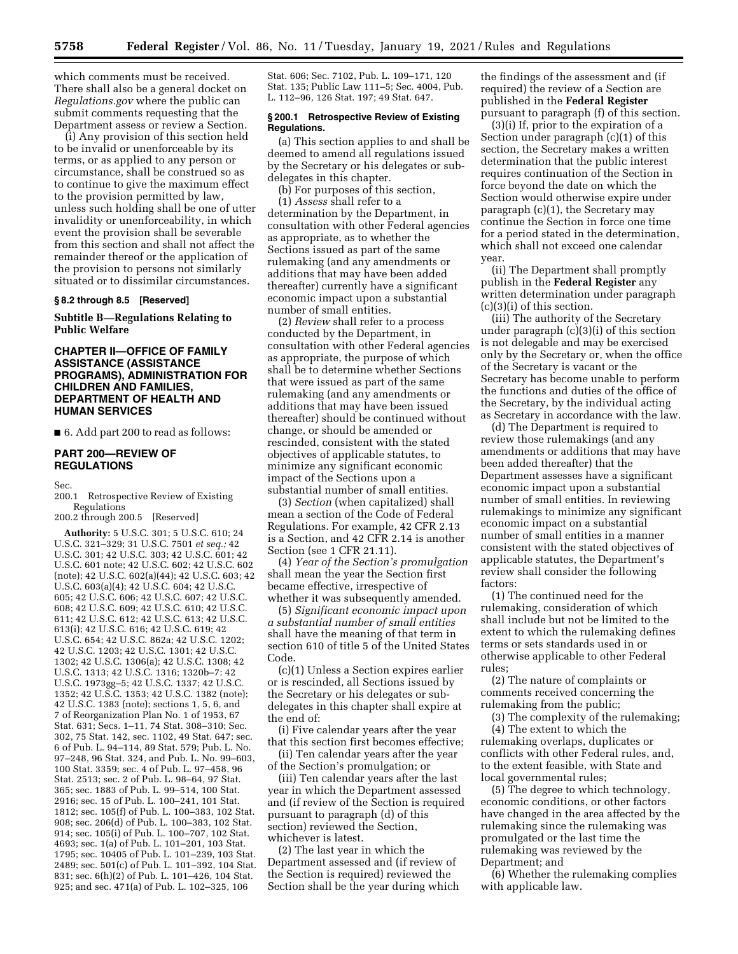which comments must be received. There shall also be a general docket on *Regulations.gov* where the public can submit comments requesting that the Department assess or review a Section.

(i) Any provision of this section held to be invalid or unenforceable by its terms, or as applied to any person or circumstance, shall be construed so as to continue to give the maximum effect to the provision permitted by law, unless such holding shall be one of utter invalidity or unenforceability, in which event the provision shall be severable from this section and shall not affect the remainder thereof or the application of the provision to persons not similarly situated or to dissimilar circumstances.

#### **§ 8.2 through 8.5 [Reserved]**

**Subtitle B—Regulations Relating to Public Welfare** 

## **CHAPTER II—OFFICE OF FAMILY ASSISTANCE (ASSISTANCE PROGRAMS), ADMINISTRATION FOR CHILDREN AND FAMILIES, DEPARTMENT OF HEALTH AND HUMAN SERVICES**

■ 6. Add part 200 to read as follows:

## **PART 200—REVIEW OF REGULATIONS**

Sec.

200.1 Retrospective Review of Existing Regulations

200.2 through 200.5 [Reserved]

**Authority:** 5 U.S.C. 301; 5 U.S.C. 610; 24 U.S.C. 321–329; 31 U.S.C. 7501 *et seq.;* 42 U.S.C. 301; 42 U.S.C. 303; 42 U.S.C. 601; 42 U.S.C. 601 note; 42 U.S.C. 602; 42 U.S.C. 602 (note); 42 U.S.C. 602(a)(44); 42 U.S.C. 603; 42 U.S.C. 603(a)(4); 42 U.S.C. 604; 42 U.S.C. 605; 42 U.S.C. 606; 42 U.S.C. 607; 42 U.S.C. 608; 42 U.S.C. 609; 42 U.S.C. 610; 42 U.S.C. 611; 42 U.S.C. 612; 42 U.S.C. 613; 42 U.S.C. 613(i); 42 U.S.C. 616; 42 U.S.C. 619; 42 U.S.C. 654; 42 U.S.C. 862a; 42 U.S.C. 1202; 42 U.S.C. 1203; 42 U.S.C. 1301; 42 U.S.C. 1302; 42 U.S.C. 1306(a); 42 U.S.C. 1308; 42 U.S.C. 1313; 42 U.S.C. 1316; 1320b–7: 42 U.S.C. 1973gg–5; 42 U.S.C. 1337; 42 U.S.C. 1352; 42 U.S.C. 1353; 42 U.S.C. 1382 (note); 42 U.S.C. 1383 (note); sections 1, 5, 6, and 7 of Reorganization Plan No. 1 of 1953, 67 Stat. 631; Secs. 1–11, 74 Stat. 308–310; Sec. 302, 75 Stat. 142, sec. 1102, 49 Stat. 647; sec. 6 of Pub. L. 94–114, 89 Stat. 579; Pub. L. No. 97–248, 96 Stat. 324, and Pub. L. No. 99–603, 100 Stat. 3359; sec. 4 of Pub. L. 97–458, 96 Stat. 2513; sec. 2 of Pub. L. 98–64, 97 Stat. 365; sec. 1883 of Pub. L. 99–514, 100 Stat. 2916; sec. 15 of Pub. L. 100–241, 101 Stat. 1812; sec. 105(f) of Pub. L. 100–383, 102 Stat. 908; sec. 206(d) of Pub. L. 100–383, 102 Stat. 914; sec. 105(i) of Pub. L. 100–707, 102 Stat. 4693; sec. 1(a) of Pub. L. 101–201, 103 Stat. 1795; sec. 10405 of Pub. L. 101–239, 103 Stat. 2489; sec. 501(c) of Pub. L. 101–392, 104 Stat. 831; sec. 6(h)(2) of Pub. L. 101–426, 104 Stat. 925; and sec. 471(a) of Pub. L. 102–325, 106

Stat. 606; Sec. 7102, Pub. L. 109–171, 120 Stat. 135; Public Law 111–5; Sec. 4004, Pub. L. 112–96, 126 Stat. 197; 49 Stat. 647.

#### **§ 200.1 Retrospective Review of Existing Regulations.**

(a) This section applies to and shall be deemed to amend all regulations issued by the Secretary or his delegates or subdelegates in this chapter.

(b) For purposes of this section, (1) *Assess* shall refer to a determination by the Department, in consultation with other Federal agencies as appropriate, as to whether the Sections issued as part of the same rulemaking (and any amendments or additions that may have been added thereafter) currently have a significant economic impact upon a substantial number of small entities.

(2) *Review* shall refer to a process conducted by the Department, in consultation with other Federal agencies as appropriate, the purpose of which shall be to determine whether Sections that were issued as part of the same rulemaking (and any amendments or additions that may have been issued thereafter) should be continued without change, or should be amended or rescinded, consistent with the stated objectives of applicable statutes, to minimize any significant economic impact of the Sections upon a substantial number of small entities.

(3) *Section* (when capitalized) shall mean a section of the Code of Federal Regulations. For example, 42 CFR 2.13 is a Section, and 42 CFR 2.14 is another Section (see 1 CFR 21.11).

(4) *Year of the Section's promulgation*  shall mean the year the Section first became effective, irrespective of whether it was subsequently amended.

(5) *Significant economic impact upon a substantial number of small entities*  shall have the meaning of that term in section 610 of title 5 of the United States Code.

(c)(1) Unless a Section expires earlier or is rescinded, all Sections issued by the Secretary or his delegates or subdelegates in this chapter shall expire at the end of:

(i) Five calendar years after the year that this section first becomes effective;

(ii) Ten calendar years after the year of the Section's promulgation; or

(iii) Ten calendar years after the last year in which the Department assessed and (if review of the Section is required pursuant to paragraph (d) of this section) reviewed the Section, whichever is latest.

(2) The last year in which the Department assessed and (if review of the Section is required) reviewed the Section shall be the year during which the findings of the assessment and (if required) the review of a Section are published in the **Federal Register**  pursuant to paragraph (f) of this section.

(3)(i) If, prior to the expiration of a Section under paragraph (c)(1) of this section, the Secretary makes a written determination that the public interest requires continuation of the Section in force beyond the date on which the Section would otherwise expire under paragraph (c)(1), the Secretary may continue the Section in force one time for a period stated in the determination, which shall not exceed one calendar year.

(ii) The Department shall promptly publish in the **Federal Register** any written determination under paragraph (c)(3)(i) of this section.

(iii) The authority of the Secretary under paragraph  $(c)(3)(i)$  of this section is not delegable and may be exercised only by the Secretary or, when the office of the Secretary is vacant or the Secretary has become unable to perform the functions and duties of the office of the Secretary, by the individual acting as Secretary in accordance with the law.

(d) The Department is required to review those rulemakings (and any amendments or additions that may have been added thereafter) that the Department assesses have a significant economic impact upon a substantial number of small entities. In reviewing rulemakings to minimize any significant economic impact on a substantial number of small entities in a manner consistent with the stated objectives of applicable statutes, the Department's review shall consider the following factors:

(1) The continued need for the rulemaking, consideration of which shall include but not be limited to the extent to which the rulemaking defines terms or sets standards used in or otherwise applicable to other Federal rules;

(2) The nature of complaints or comments received concerning the rulemaking from the public;

(3) The complexity of the rulemaking;

(4) The extent to which the rulemaking overlaps, duplicates or conflicts with other Federal rules, and, to the extent feasible, with State and local governmental rules;

(5) The degree to which technology, economic conditions, or other factors have changed in the area affected by the rulemaking since the rulemaking was promulgated or the last time the rulemaking was reviewed by the Department; and

(6) Whether the rulemaking complies with applicable law.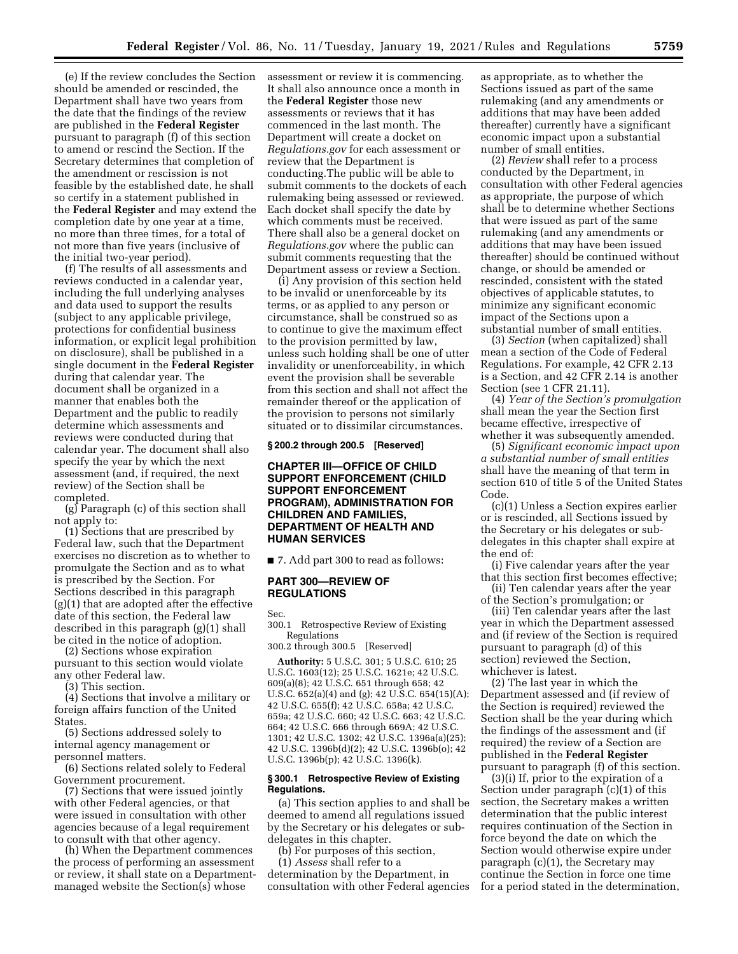(e) If the review concludes the Section should be amended or rescinded, the Department shall have two years from the date that the findings of the review are published in the **Federal Register**  pursuant to paragraph (f) of this section to amend or rescind the Section. If the Secretary determines that completion of the amendment or rescission is not feasible by the established date, he shall so certify in a statement published in the **Federal Register** and may extend the completion date by one year at a time, no more than three times, for a total of not more than five years (inclusive of the initial two-year period).

(f) The results of all assessments and reviews conducted in a calendar year, including the full underlying analyses and data used to support the results (subject to any applicable privilege, protections for confidential business information, or explicit legal prohibition on disclosure), shall be published in a single document in the **Federal Register**  during that calendar year. The document shall be organized in a manner that enables both the Department and the public to readily determine which assessments and reviews were conducted during that calendar year. The document shall also specify the year by which the next assessment (and, if required, the next review) of the Section shall be completed.

(g) Paragraph (c) of this section shall not apply to:

(1) Sections that are prescribed by Federal law, such that the Department exercises no discretion as to whether to promulgate the Section and as to what is prescribed by the Section. For Sections described in this paragraph (g)(1) that are adopted after the effective date of this section, the Federal law described in this paragraph (g)(1) shall be cited in the notice of adoption.

(2) Sections whose expiration pursuant to this section would violate any other Federal law.

(3) This section.

(4) Sections that involve a military or foreign affairs function of the United States.

(5) Sections addressed solely to internal agency management or personnel matters.

(6) Sections related solely to Federal Government procurement.

(7) Sections that were issued jointly with other Federal agencies, or that were issued in consultation with other agencies because of a legal requirement to consult with that other agency.

(h) When the Department commences the process of performing an assessment or review, it shall state on a Departmentmanaged website the Section(s) whose

assessment or review it is commencing. It shall also announce once a month in the **Federal Register** those new assessments or reviews that it has commenced in the last month. The Department will create a docket on *Regulations.gov* for each assessment or review that the Department is conducting.The public will be able to submit comments to the dockets of each rulemaking being assessed or reviewed. Each docket shall specify the date by which comments must be received. There shall also be a general docket on *Regulations.gov* where the public can submit comments requesting that the Department assess or review a Section.

(i) Any provision of this section held to be invalid or unenforceable by its terms, or as applied to any person or circumstance, shall be construed so as to continue to give the maximum effect to the provision permitted by law, unless such holding shall be one of utter invalidity or unenforceability, in which event the provision shall be severable from this section and shall not affect the remainder thereof or the application of the provision to persons not similarly situated or to dissimilar circumstances.

## **§ 200.2 through 200.5 [Reserved]**

## **CHAPTER III—OFFICE OF CHILD SUPPORT ENFORCEMENT (CHILD SUPPORT ENFORCEMENT PROGRAM), ADMINISTRATION FOR CHILDREN AND FAMILIES, DEPARTMENT OF HEALTH AND HUMAN SERVICES**

■ 7. Add part 300 to read as follows:

### **PART 300—REVIEW OF REGULATIONS**

Sec.

300.1 Retrospective Review of Existing Regulations

300.2 through 300.5 [Reserved]

**Authority:** 5 U.S.C. 301; 5 U.S.C. 610; 25 U.S.C. 1603(12); 25 U.S.C. 1621e; 42 U.S.C. 609(a)(8); 42 U.S.C. 651 through 658; 42 U.S.C. 652(a)(4) and (g); 42 U.S.C. 654(15)(A); 42 U.S.C. 655(f); 42 U.S.C. 658a; 42 U.S.C. 659a; 42 U.S.C. 660; 42 U.S.C. 663; 42 U.S.C. 664; 42 U.S.C. 666 through 669A; 42 U.S.C. 1301; 42 U.S.C. 1302; 42 U.S.C. 1396a(a)(25); 42 U.S.C. 1396b(d)(2); 42 U.S.C. 1396b(o); 42 U.S.C. 1396b(p); 42 U.S.C. 1396(k).

#### **§ 300.1 Retrospective Review of Existing Regulations.**

(a) This section applies to and shall be deemed to amend all regulations issued by the Secretary or his delegates or subdelegates in this chapter.

(b) For purposes of this section, (1) *Assess* shall refer to a determination by the Department, in consultation with other Federal agencies as appropriate, as to whether the Sections issued as part of the same rulemaking (and any amendments or additions that may have been added thereafter) currently have a significant economic impact upon a substantial number of small entities.

(2) *Review* shall refer to a process conducted by the Department, in consultation with other Federal agencies as appropriate, the purpose of which shall be to determine whether Sections that were issued as part of the same rulemaking (and any amendments or additions that may have been issued thereafter) should be continued without change, or should be amended or rescinded, consistent with the stated objectives of applicable statutes, to minimize any significant economic impact of the Sections upon a substantial number of small entities.

(3) *Section* (when capitalized) shall mean a section of the Code of Federal Regulations. For example, 42 CFR 2.13 is a Section, and 42 CFR 2.14 is another Section (see 1 CFR 21.11).

(4) *Year of the Section's promulgation*  shall mean the year the Section first became effective, irrespective of whether it was subsequently amended.

(5) *Significant economic impact upon a substantial number of small entities*  shall have the meaning of that term in section 610 of title 5 of the United States Code.

(c)(1) Unless a Section expires earlier or is rescinded, all Sections issued by the Secretary or his delegates or subdelegates in this chapter shall expire at the end of:

(i) Five calendar years after the year that this section first becomes effective;

(ii) Ten calendar years after the year of the Section's promulgation; or

(iii) Ten calendar years after the last year in which the Department assessed and (if review of the Section is required pursuant to paragraph (d) of this section) reviewed the Section, whichever is latest.

(2) The last year in which the Department assessed and (if review of the Section is required) reviewed the Section shall be the year during which the findings of the assessment and (if required) the review of a Section are published in the **Federal Register**  pursuant to paragraph (f) of this section.

(3)(i) If, prior to the expiration of a Section under paragraph (c)(1) of this section, the Secretary makes a written determination that the public interest requires continuation of the Section in force beyond the date on which the Section would otherwise expire under paragraph (c)(1), the Secretary may continue the Section in force one time for a period stated in the determination,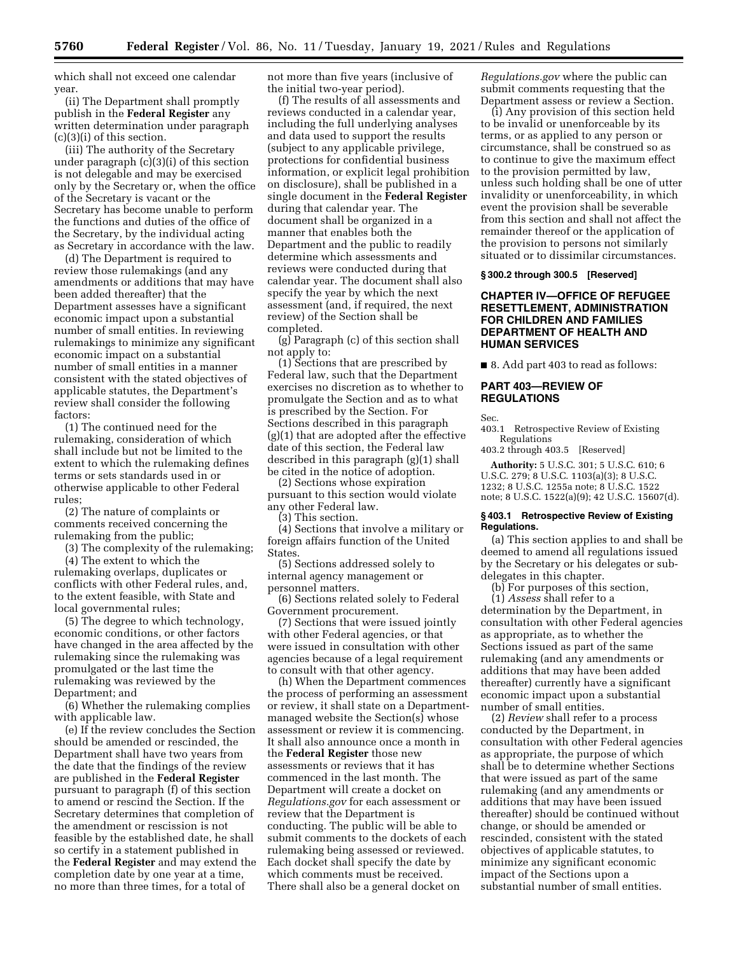which shall not exceed one calendar year.

(ii) The Department shall promptly publish in the **Federal Register** any written determination under paragraph (c)(3)(i) of this section.

(iii) The authority of the Secretary under paragraph (c)(3)(i) of this section is not delegable and may be exercised only by the Secretary or, when the office of the Secretary is vacant or the Secretary has become unable to perform the functions and duties of the office of the Secretary, by the individual acting as Secretary in accordance with the law.

(d) The Department is required to review those rulemakings (and any amendments or additions that may have been added thereafter) that the Department assesses have a significant economic impact upon a substantial number of small entities. In reviewing rulemakings to minimize any significant economic impact on a substantial number of small entities in a manner consistent with the stated objectives of applicable statutes, the Department's review shall consider the following factors:

(1) The continued need for the rulemaking, consideration of which shall include but not be limited to the extent to which the rulemaking defines terms or sets standards used in or otherwise applicable to other Federal rules;

(2) The nature of complaints or comments received concerning the rulemaking from the public;

(3) The complexity of the rulemaking;

(4) The extent to which the rulemaking overlaps, duplicates or conflicts with other Federal rules, and, to the extent feasible, with State and local governmental rules;

(5) The degree to which technology, economic conditions, or other factors have changed in the area affected by the rulemaking since the rulemaking was promulgated or the last time the rulemaking was reviewed by the Department; and

(6) Whether the rulemaking complies with applicable law.

(e) If the review concludes the Section should be amended or rescinded, the Department shall have two years from the date that the findings of the review are published in the **Federal Register**  pursuant to paragraph (f) of this section to amend or rescind the Section. If the Secretary determines that completion of the amendment or rescission is not feasible by the established date, he shall so certify in a statement published in the **Federal Register** and may extend the completion date by one year at a time, no more than three times, for a total of

not more than five years (inclusive of the initial two-year period).

(f) The results of all assessments and reviews conducted in a calendar year, including the full underlying analyses and data used to support the results (subject to any applicable privilege, protections for confidential business information, or explicit legal prohibition on disclosure), shall be published in a single document in the **Federal Register**  during that calendar year. The document shall be organized in a manner that enables both the Department and the public to readily determine which assessments and reviews were conducted during that calendar year. The document shall also specify the year by which the next assessment (and, if required, the next review) of the Section shall be completed.

(g) Paragraph (c) of this section shall not apply to:

(1) Sections that are prescribed by Federal law, such that the Department exercises no discretion as to whether to promulgate the Section and as to what is prescribed by the Section. For Sections described in this paragraph (g)(1) that are adopted after the effective date of this section, the Federal law described in this paragraph (g)(1) shall be cited in the notice of adoption.

(2) Sections whose expiration pursuant to this section would violate any other Federal law.

(3) This section.

(4) Sections that involve a military or foreign affairs function of the United States.

(5) Sections addressed solely to internal agency management or personnel matters.

(6) Sections related solely to Federal Government procurement.

(7) Sections that were issued jointly with other Federal agencies, or that were issued in consultation with other agencies because of a legal requirement to consult with that other agency.

(h) When the Department commences the process of performing an assessment or review, it shall state on a Departmentmanaged website the Section(s) whose assessment or review it is commencing. It shall also announce once a month in the **Federal Register** those new assessments or reviews that it has commenced in the last month. The Department will create a docket on *Regulations.gov* for each assessment or review that the Department is conducting. The public will be able to submit comments to the dockets of each rulemaking being assessed or reviewed. Each docket shall specify the date by which comments must be received. There shall also be a general docket on

*Regulations.gov* where the public can submit comments requesting that the Department assess or review a Section.

(i) Any provision of this section held to be invalid or unenforceable by its terms, or as applied to any person or circumstance, shall be construed so as to continue to give the maximum effect to the provision permitted by law, unless such holding shall be one of utter invalidity or unenforceability, in which event the provision shall be severable from this section and shall not affect the remainder thereof or the application of the provision to persons not similarly situated or to dissimilar circumstances.

#### **§ 300.2 through 300.5 [Reserved]**

## **CHAPTER IV—OFFICE OF REFUGEE RESETTLEMENT, ADMINISTRATION FOR CHILDREN AND FAMILIES DEPARTMENT OF HEALTH AND HUMAN SERVICES**

■ 8. Add part 403 to read as follows:

### **PART 403—REVIEW OF REGULATIONS**

Sec.

403.1 Retrospective Review of Existing Regulations

403.2 through 403.5 [Reserved]

**Authority:** 5 U.S.C. 301; 5 U.S.C. 610; 6 U.S.C. 279; 8 U.S.C. 1103(a)(3); 8 U.S.C. 1232; 8 U.S.C. 1255a note; 8 U.S.C. 1522 note; 8 U.S.C. 1522(a)(9); 42 U.S.C. 15607(d).

#### **§ 403.1 Retrospective Review of Existing Regulations.**

(a) This section applies to and shall be deemed to amend all regulations issued by the Secretary or his delegates or subdelegates in this chapter.

(b) For purposes of this section,

(1) *Assess* shall refer to a determination by the Department, in consultation with other Federal agencies as appropriate, as to whether the Sections issued as part of the same rulemaking (and any amendments or additions that may have been added thereafter) currently have a significant economic impact upon a substantial number of small entities.

(2) *Review* shall refer to a process conducted by the Department, in consultation with other Federal agencies as appropriate, the purpose of which shall be to determine whether Sections that were issued as part of the same rulemaking (and any amendments or additions that may have been issued thereafter) should be continued without change, or should be amended or rescinded, consistent with the stated objectives of applicable statutes, to minimize any significant economic impact of the Sections upon a substantial number of small entities.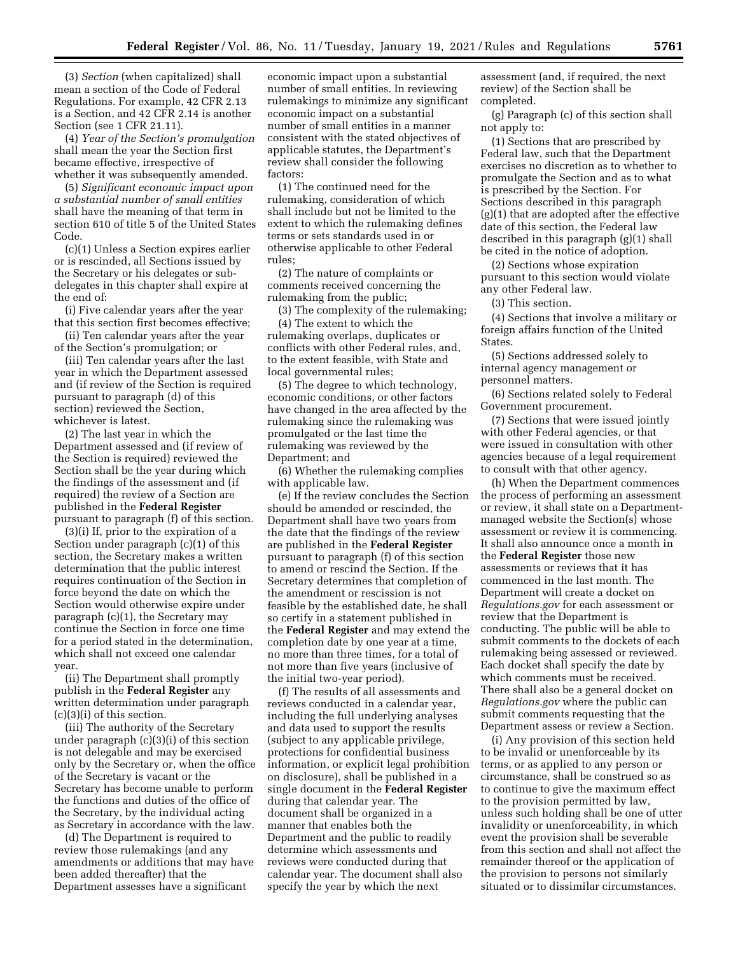(3) *Section* (when capitalized) shall mean a section of the Code of Federal Regulations. For example, 42 CFR 2.13 is a Section, and 42 CFR 2.14 is another Section (see 1 CFR 21.11).

(4) *Year of the Section's promulgation*  shall mean the year the Section first became effective, irrespective of whether it was subsequently amended.

(5) *Significant economic impact upon a substantial number of small entities*  shall have the meaning of that term in section 610 of title 5 of the United States Code.

(c)(1) Unless a Section expires earlier or is rescinded, all Sections issued by the Secretary or his delegates or subdelegates in this chapter shall expire at the end of:

(i) Five calendar years after the year that this section first becomes effective;

(ii) Ten calendar years after the year of the Section's promulgation; or

(iii) Ten calendar years after the last year in which the Department assessed and (if review of the Section is required pursuant to paragraph (d) of this section) reviewed the Section, whichever is latest.

(2) The last year in which the Department assessed and (if review of the Section is required) reviewed the Section shall be the year during which the findings of the assessment and (if required) the review of a Section are published in the **Federal Register**  pursuant to paragraph (f) of this section.

(3)(i) If, prior to the expiration of a Section under paragraph (c)(1) of this section, the Secretary makes a written determination that the public interest requires continuation of the Section in force beyond the date on which the Section would otherwise expire under paragraph (c)(1), the Secretary may continue the Section in force one time for a period stated in the determination, which shall not exceed one calendar year.

(ii) The Department shall promptly publish in the **Federal Register** any written determination under paragraph (c)(3)(i) of this section.

(iii) The authority of the Secretary under paragraph (c)(3)(i) of this section is not delegable and may be exercised only by the Secretary or, when the office of the Secretary is vacant or the Secretary has become unable to perform the functions and duties of the office of the Secretary, by the individual acting as Secretary in accordance with the law.

(d) The Department is required to review those rulemakings (and any amendments or additions that may have been added thereafter) that the Department assesses have a significant

economic impact upon a substantial number of small entities. In reviewing rulemakings to minimize any significant economic impact on a substantial number of small entities in a manner consistent with the stated objectives of applicable statutes, the Department's review shall consider the following factors:

(1) The continued need for the rulemaking, consideration of which shall include but not be limited to the extent to which the rulemaking defines terms or sets standards used in or otherwise applicable to other Federal rules;

(2) The nature of complaints or comments received concerning the rulemaking from the public;

(3) The complexity of the rulemaking; (4) The extent to which the

rulemaking overlaps, duplicates or conflicts with other Federal rules, and, to the extent feasible, with State and local governmental rules;

(5) The degree to which technology, economic conditions, or other factors have changed in the area affected by the rulemaking since the rulemaking was promulgated or the last time the rulemaking was reviewed by the Department; and

(6) Whether the rulemaking complies with applicable law.

(e) If the review concludes the Section should be amended or rescinded, the Department shall have two years from the date that the findings of the review are published in the **Federal Register**  pursuant to paragraph (f) of this section to amend or rescind the Section. If the Secretary determines that completion of the amendment or rescission is not feasible by the established date, he shall so certify in a statement published in the **Federal Register** and may extend the completion date by one year at a time, no more than three times, for a total of not more than five years (inclusive of the initial two-year period).

(f) The results of all assessments and reviews conducted in a calendar year, including the full underlying analyses and data used to support the results (subject to any applicable privilege, protections for confidential business information, or explicit legal prohibition on disclosure), shall be published in a single document in the **Federal Register**  during that calendar year. The document shall be organized in a manner that enables both the Department and the public to readily determine which assessments and reviews were conducted during that calendar year. The document shall also specify the year by which the next

assessment (and, if required, the next review) of the Section shall be completed.

(g) Paragraph (c) of this section shall not apply to:

(1) Sections that are prescribed by Federal law, such that the Department exercises no discretion as to whether to promulgate the Section and as to what is prescribed by the Section. For Sections described in this paragraph (g)(1) that are adopted after the effective date of this section, the Federal law described in this paragraph (g)(1) shall be cited in the notice of adoption.

(2) Sections whose expiration pursuant to this section would violate any other Federal law.

(3) This section.

(4) Sections that involve a military or foreign affairs function of the United States.

(5) Sections addressed solely to internal agency management or personnel matters.

(6) Sections related solely to Federal Government procurement.

(7) Sections that were issued jointly with other Federal agencies, or that were issued in consultation with other agencies because of a legal requirement to consult with that other agency.

(h) When the Department commences the process of performing an assessment or review, it shall state on a Departmentmanaged website the Section(s) whose assessment or review it is commencing. It shall also announce once a month in the **Federal Register** those new assessments or reviews that it has commenced in the last month. The Department will create a docket on *Regulations.gov* for each assessment or review that the Department is conducting. The public will be able to submit comments to the dockets of each rulemaking being assessed or reviewed. Each docket shall specify the date by which comments must be received. There shall also be a general docket on *Regulations.gov* where the public can submit comments requesting that the Department assess or review a Section.

(i) Any provision of this section held to be invalid or unenforceable by its terms, or as applied to any person or circumstance, shall be construed so as to continue to give the maximum effect to the provision permitted by law, unless such holding shall be one of utter invalidity or unenforceability, in which event the provision shall be severable from this section and shall not affect the remainder thereof or the application of the provision to persons not similarly situated or to dissimilar circumstances.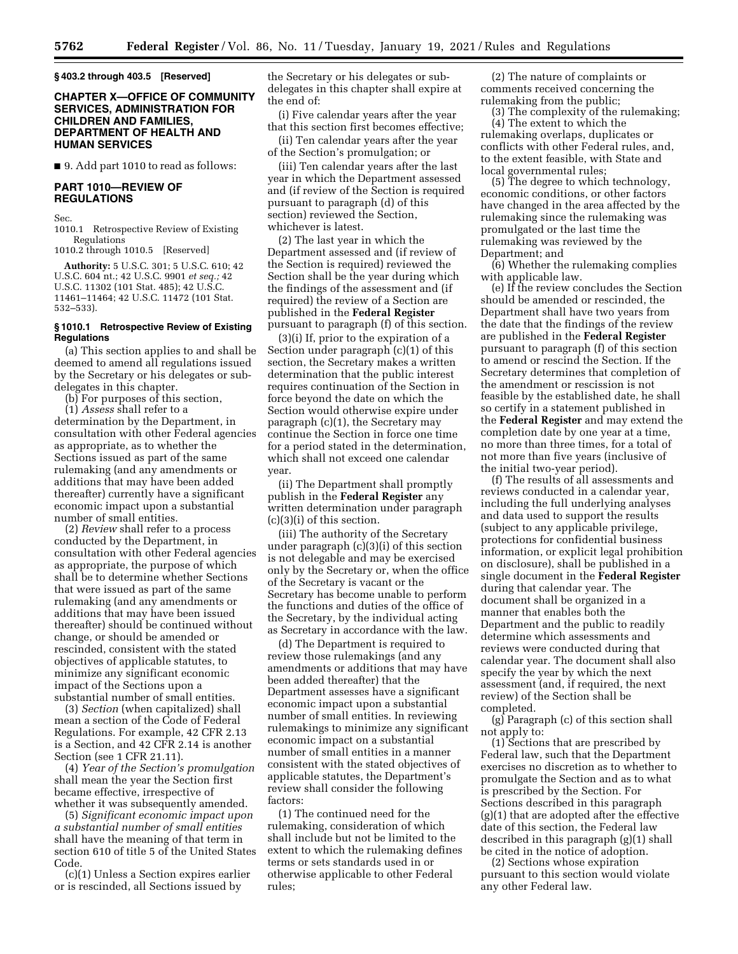**§ 403.2 through 403.5 [Reserved]** 

## **CHAPTER X—OFFICE OF COMMUNITY SERVICES, ADMINISTRATION FOR CHILDREN AND FAMILIES, DEPARTMENT OF HEALTH AND HUMAN SERVICES**

■ 9. Add part 1010 to read as follows:

## **PART 1010—REVIEW OF REGULATIONS**

Sec.

1010.1 Retrospective Review of Existing Regulations

1010.2 through 1010.5 [Reserved]

**Authority:** 5 U.S.C. 301; 5 U.S.C. 610; 42 U.S.C. 604 nt.; 42 U.S.C. 9901 *et seq.;* 42 U.S.C. 11302 (101 Stat. 485); 42 U.S.C. 11461–11464; 42 U.S.C. 11472 (101 Stat. 532–533).

### **§ 1010.1 Retrospective Review of Existing Regulations**

(a) This section applies to and shall be deemed to amend all regulations issued by the Secretary or his delegates or subdelegates in this chapter.

(b) For purposes of this section,

(1) *Assess* shall refer to a determination by the Department, in consultation with other Federal agencies as appropriate, as to whether the Sections issued as part of the same rulemaking (and any amendments or additions that may have been added thereafter) currently have a significant economic impact upon a substantial number of small entities.

(2) *Review* shall refer to a process conducted by the Department, in consultation with other Federal agencies as appropriate, the purpose of which shall be to determine whether Sections that were issued as part of the same rulemaking (and any amendments or additions that may have been issued thereafter) should be continued without change, or should be amended or rescinded, consistent with the stated objectives of applicable statutes, to minimize any significant economic impact of the Sections upon a substantial number of small entities.

(3) *Section* (when capitalized) shall mean a section of the Code of Federal Regulations. For example, 42 CFR 2.13 is a Section, and 42 CFR 2.14 is another Section (see 1 CFR 21.11).

(4) *Year of the Section's promulgation*  shall mean the year the Section first became effective, irrespective of whether it was subsequently amended.

(5) *Significant economic impact upon a substantial number of small entities*  shall have the meaning of that term in section 610 of title 5 of the United States Code.

(c)(1) Unless a Section expires earlier or is rescinded, all Sections issued by

the Secretary or his delegates or subdelegates in this chapter shall expire at the end of:

(i) Five calendar years after the year that this section first becomes effective;

(ii) Ten calendar years after the year of the Section's promulgation; or

(iii) Ten calendar years after the last year in which the Department assessed and (if review of the Section is required pursuant to paragraph (d) of this section) reviewed the Section, whichever is latest.

(2) The last year in which the Department assessed and (if review of the Section is required) reviewed the Section shall be the year during which the findings of the assessment and (if required) the review of a Section are published in the **Federal Register**  pursuant to paragraph (f) of this section.

(3)(i) If, prior to the expiration of a Section under paragraph (c)(1) of this section, the Secretary makes a written determination that the public interest requires continuation of the Section in force beyond the date on which the Section would otherwise expire under paragraph (c)(1), the Secretary may continue the Section in force one time for a period stated in the determination, which shall not exceed one calendar year.

(ii) The Department shall promptly publish in the **Federal Register** any written determination under paragraph (c)(3)(i) of this section.

(iii) The authority of the Secretary under paragraph (c)(3)(i) of this section is not delegable and may be exercised only by the Secretary or, when the office of the Secretary is vacant or the Secretary has become unable to perform the functions and duties of the office of the Secretary, by the individual acting as Secretary in accordance with the law.

(d) The Department is required to review those rulemakings (and any amendments or additions that may have been added thereafter) that the Department assesses have a significant economic impact upon a substantial number of small entities. In reviewing rulemakings to minimize any significant economic impact on a substantial number of small entities in a manner consistent with the stated objectives of applicable statutes, the Department's review shall consider the following factors:

(1) The continued need for the rulemaking, consideration of which shall include but not be limited to the extent to which the rulemaking defines terms or sets standards used in or otherwise applicable to other Federal rules;

(2) The nature of complaints or comments received concerning the rulemaking from the public;

(3) The complexity of the rulemaking; (4) The extent to which the rulemaking overlaps, duplicates or conflicts with other Federal rules, and, to the extent feasible, with State and local governmental rules;

(5) The degree to which technology, economic conditions, or other factors have changed in the area affected by the rulemaking since the rulemaking was promulgated or the last time the rulemaking was reviewed by the Department; and

(6) Whether the rulemaking complies with applicable law.

(e) If the review concludes the Section should be amended or rescinded, the Department shall have two years from the date that the findings of the review are published in the **Federal Register**  pursuant to paragraph (f) of this section to amend or rescind the Section. If the Secretary determines that completion of the amendment or rescission is not feasible by the established date, he shall so certify in a statement published in the **Federal Register** and may extend the completion date by one year at a time, no more than three times, for a total of not more than five years (inclusive of the initial two-year period).

(f) The results of all assessments and reviews conducted in a calendar year, including the full underlying analyses and data used to support the results (subject to any applicable privilege, protections for confidential business information, or explicit legal prohibition on disclosure), shall be published in a single document in the **Federal Register**  during that calendar year. The document shall be organized in a manner that enables both the Department and the public to readily determine which assessments and reviews were conducted during that calendar year. The document shall also specify the year by which the next assessment (and, if required, the next review) of the Section shall be completed.

(g) Paragraph (c) of this section shall not apply to:

(1) Sections that are prescribed by Federal law, such that the Department exercises no discretion as to whether to promulgate the Section and as to what is prescribed by the Section. For Sections described in this paragraph (g)(1) that are adopted after the effective date of this section, the Federal law described in this paragraph (g)(1) shall be cited in the notice of adoption.

(2) Sections whose expiration pursuant to this section would violate any other Federal law.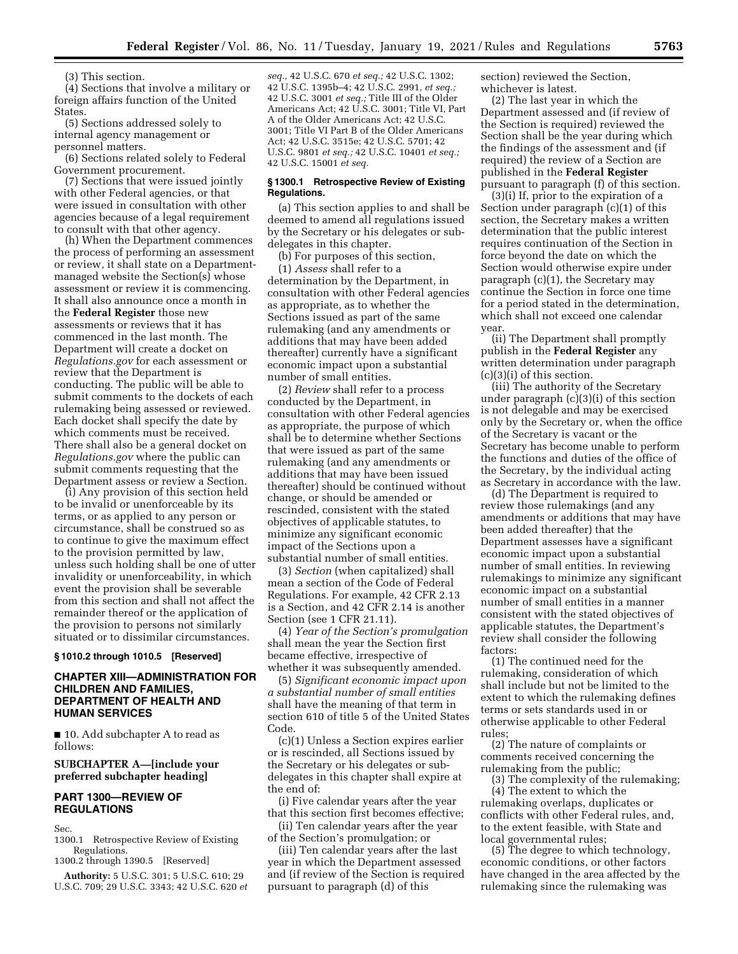(3) This section.

(4) Sections that involve a military or foreign affairs function of the United States.

(5) Sections addressed solely to internal agency management or personnel matters.

(6) Sections related solely to Federal Government procurement.

(7) Sections that were issued jointly with other Federal agencies, or that were issued in consultation with other agencies because of a legal requirement to consult with that other agency.

(h) When the Department commences the process of performing an assessment or review, it shall state on a Departmentmanaged website the Section(s) whose assessment or review it is commencing. It shall also announce once a month in the **Federal Register** those new assessments or reviews that it has commenced in the last month. The Department will create a docket on *Regulations.gov* for each assessment or review that the Department is conducting. The public will be able to submit comments to the dockets of each rulemaking being assessed or reviewed. Each docket shall specify the date by which comments must be received. There shall also be a general docket on *Regulations.gov* where the public can submit comments requesting that the Department assess or review a Section.

(i) Any provision of this section held to be invalid or unenforceable by its terms, or as applied to any person or circumstance, shall be construed so as to continue to give the maximum effect to the provision permitted by law, unless such holding shall be one of utter invalidity or unenforceability, in which event the provision shall be severable from this section and shall not affect the remainder thereof or the application of the provision to persons not similarly situated or to dissimilar circumstances.

## **§ 1010.2 through 1010.5 [Reserved]**

### **CHAPTER XIII—ADMINISTRATION FOR CHILDREN AND FAMILIES, DEPARTMENT OF HEALTH AND HUMAN SERVICES**

■ 10. Add subchapter A to read as follows:

## **SUBCHAPTER A—[include your preferred subchapter heading]**

### **PART 1300—REVIEW OF REGULATIONS**

Sec.

1300.1 Retrospective Review of Existing Regulations.

1300.2 through 1390.5 [Reserved]

**Authority:** 5 U.S.C. 301; 5 U.S.C. 610; 29 U.S.C. 709; 29 U.S.C. 3343; 42 U.S.C. 620 *et*  *seq.,* 42 U.S.C. 670 *et seq.;* 42 U.S.C. 1302; 42 U.S.C. 1395b–4; 42 U.S.C. 2991, *et seq.;*  42 U.S.C. 3001 *et seq.;* Title III of the Older Americans Act; 42 U.S.C. 3001; Title VI, Part A of the Older Americans Act; 42 U.S.C. 3001; Title VI Part B of the Older Americans Act; 42 U.S.C. 3515e; 42 U.S.C. 5701; 42 U.S.C. 9801 *et seq.;* 42 U.S.C. 10401 *et seq.;*  42 U.S.C. 15001 *et seq.* 

### **§ 1300.1 Retrospective Review of Existing Regulations.**

(a) This section applies to and shall be deemed to amend all regulations issued by the Secretary or his delegates or subdelegates in this chapter.

(b) For purposes of this section, (1) *Assess* shall refer to a determination by the Department, in consultation with other Federal agencies as appropriate, as to whether the Sections issued as part of the same rulemaking (and any amendments or additions that may have been added thereafter) currently have a significant economic impact upon a substantial number of small entities.

(2) *Review* shall refer to a process conducted by the Department, in consultation with other Federal agencies as appropriate, the purpose of which shall be to determine whether Sections that were issued as part of the same rulemaking (and any amendments or additions that may have been issued thereafter) should be continued without change, or should be amended or rescinded, consistent with the stated objectives of applicable statutes, to minimize any significant economic impact of the Sections upon a substantial number of small entities.

(3) *Section* (when capitalized) shall mean a section of the Code of Federal Regulations. For example, 42 CFR 2.13 is a Section, and 42 CFR 2.14 is another Section (see 1 CFR 21.11).

(4) *Year of the Section's promulgation*  shall mean the year the Section first became effective, irrespective of whether it was subsequently amended.

(5) *Significant economic impact upon a substantial number of small entities*  shall have the meaning of that term in section 610 of title 5 of the United States Code.

(c)(1) Unless a Section expires earlier or is rescinded, all Sections issued by the Secretary or his delegates or subdelegates in this chapter shall expire at the end of:

(i) Five calendar years after the year that this section first becomes effective;

(ii) Ten calendar years after the year of the Section's promulgation; or

(iii) Ten calendar years after the last year in which the Department assessed and (if review of the Section is required pursuant to paragraph (d) of this

section) reviewed the Section, whichever is latest.

(2) The last year in which the Department assessed and (if review of the Section is required) reviewed the Section shall be the year during which the findings of the assessment and (if required) the review of a Section are published in the **Federal Register**  pursuant to paragraph (f) of this section.

(3)(i) If, prior to the expiration of a Section under paragraph (c)(1) of this section, the Secretary makes a written determination that the public interest requires continuation of the Section in force beyond the date on which the Section would otherwise expire under paragraph (c)(1), the Secretary may continue the Section in force one time for a period stated in the determination, which shall not exceed one calendar year.

(ii) The Department shall promptly publish in the **Federal Register** any written determination under paragraph (c)(3)(i) of this section.

(iii) The authority of the Secretary under paragraph (c)(3)(i) of this section is not delegable and may be exercised only by the Secretary or, when the office of the Secretary is vacant or the Secretary has become unable to perform the functions and duties of the office of the Secretary, by the individual acting as Secretary in accordance with the law.

(d) The Department is required to review those rulemakings (and any amendments or additions that may have been added thereafter) that the Department assesses have a significant economic impact upon a substantial number of small entities. In reviewing rulemakings to minimize any significant economic impact on a substantial number of small entities in a manner consistent with the stated objectives of applicable statutes, the Department's review shall consider the following factors:

(1) The continued need for the rulemaking, consideration of which shall include but not be limited to the extent to which the rulemaking defines terms or sets standards used in or otherwise applicable to other Federal rules;

(2) The nature of complaints or comments received concerning the rulemaking from the public;

(3) The complexity of the rulemaking; (4) The extent to which the rulemaking overlaps, duplicates or conflicts with other Federal rules, and, to the extent feasible, with State and local governmental rules;

(5) The degree to which technology, economic conditions, or other factors have changed in the area affected by the rulemaking since the rulemaking was